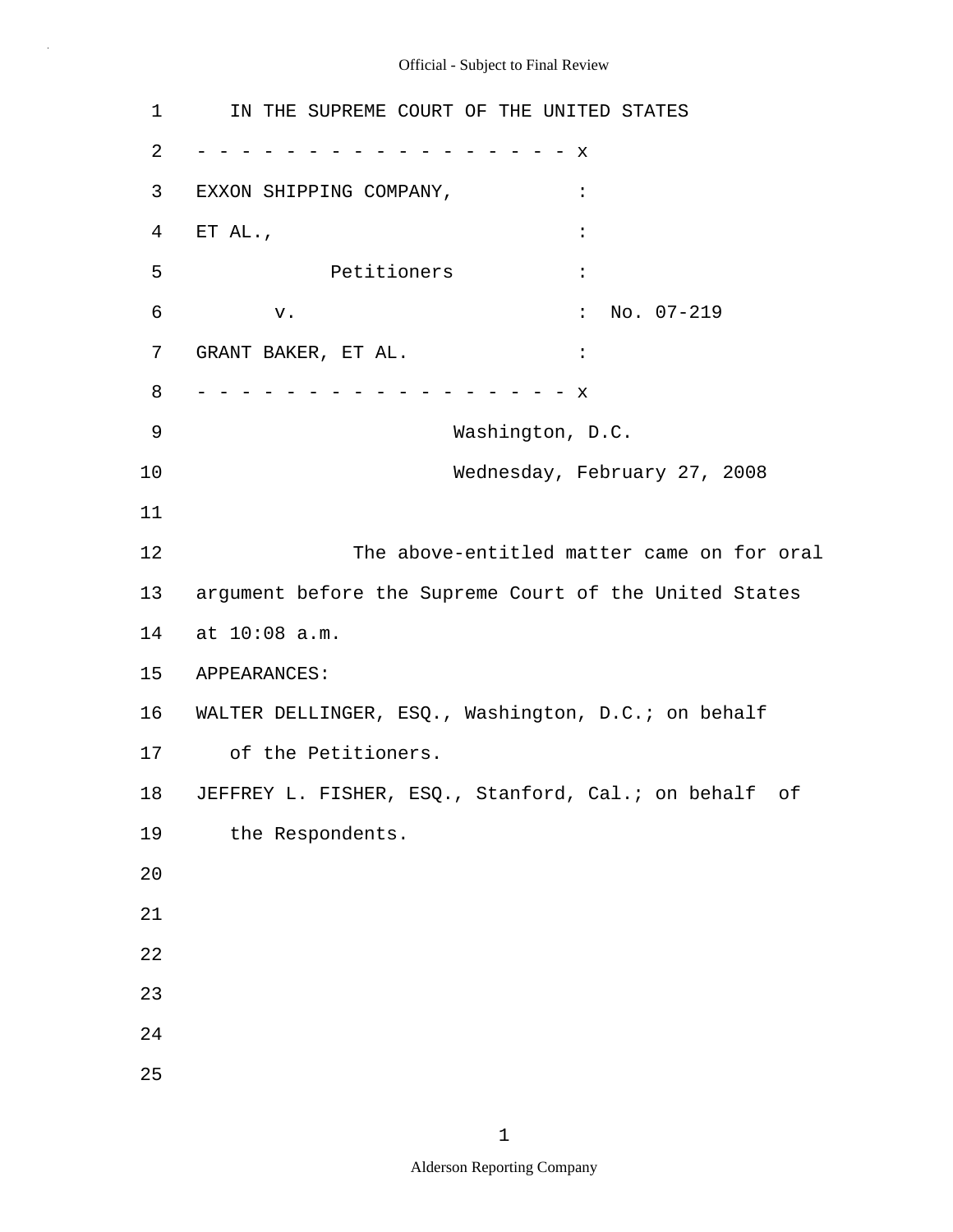EXXON SHIPPING COMPANY, : Petitioners : GRANT BAKER, ET AL.  $\qquad \qquad :$ 1 2 3 4 5 6 7 8 9 10 11 12 13 14 at 10:08 a.m. 15 16 WALTER DELLINGER, ESQ., Washington, D.C.; on behalf 17 18 19 20 21 22 23 24 25 IN THE SUPREME COURT OF THE UNITED STATES - - - - - - - - - - - - - - - - - x  $ETAL.$ ,  $\qquad \qquad :$ v.  $\qquad \qquad$  : No. 07-219 - - - - - - - - - - - - - - - - - x Washington, D.C. Wednesday, February 27, 2008 The above-entitled matter came on for oral argument before the Supreme Court of the United States APPEARANCES: of the Petitioners. JEFFREY L. FISHER, ESQ., Stanford, Cal.; on behalf of the Respondents.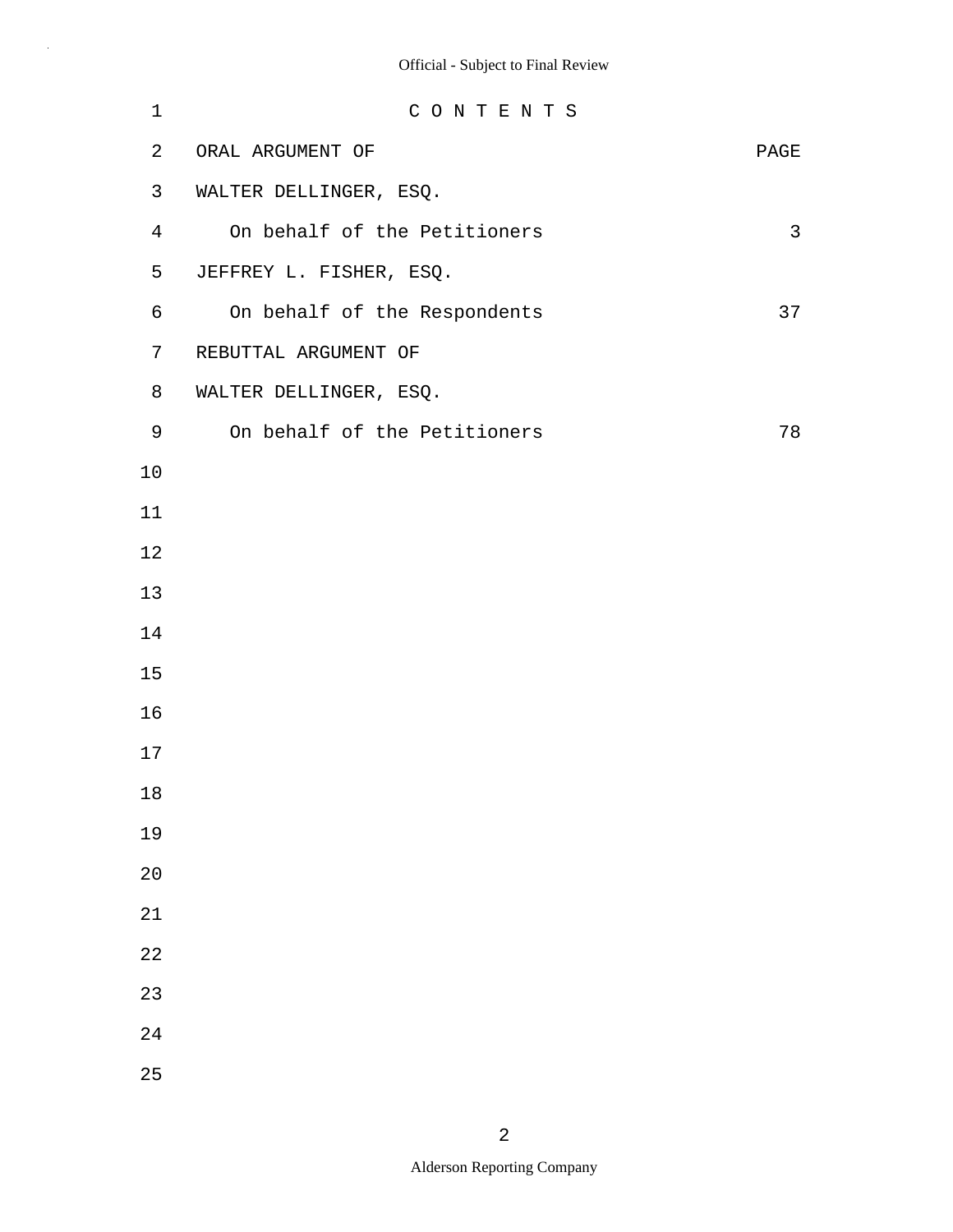| $\mathbf 1$    | CONTENTS                     |              |
|----------------|------------------------------|--------------|
| $\overline{a}$ | ORAL ARGUMENT OF             | PAGE         |
| 3              | WALTER DELLINGER, ESQ.       |              |
| $\overline{4}$ | On behalf of the Petitioners | $\mathsf{3}$ |
| 5              | JEFFREY L. FISHER, ESQ.      |              |
| 6              | On behalf of the Respondents | 37           |
| 7              | REBUTTAL ARGUMENT OF         |              |
| 8              | WALTER DELLINGER, ESQ.       |              |
| 9              | On behalf of the Petitioners | 78           |
| 10             |                              |              |
| 11             |                              |              |
| 12             |                              |              |
| 13             |                              |              |
| 14             |                              |              |
| 15             |                              |              |
| 16             |                              |              |
| 17             |                              |              |
| 18             |                              |              |
| 19             |                              |              |
| 20             |                              |              |
| 21             |                              |              |
| 22             |                              |              |
| 23             |                              |              |
| 24             |                              |              |
| 25             |                              |              |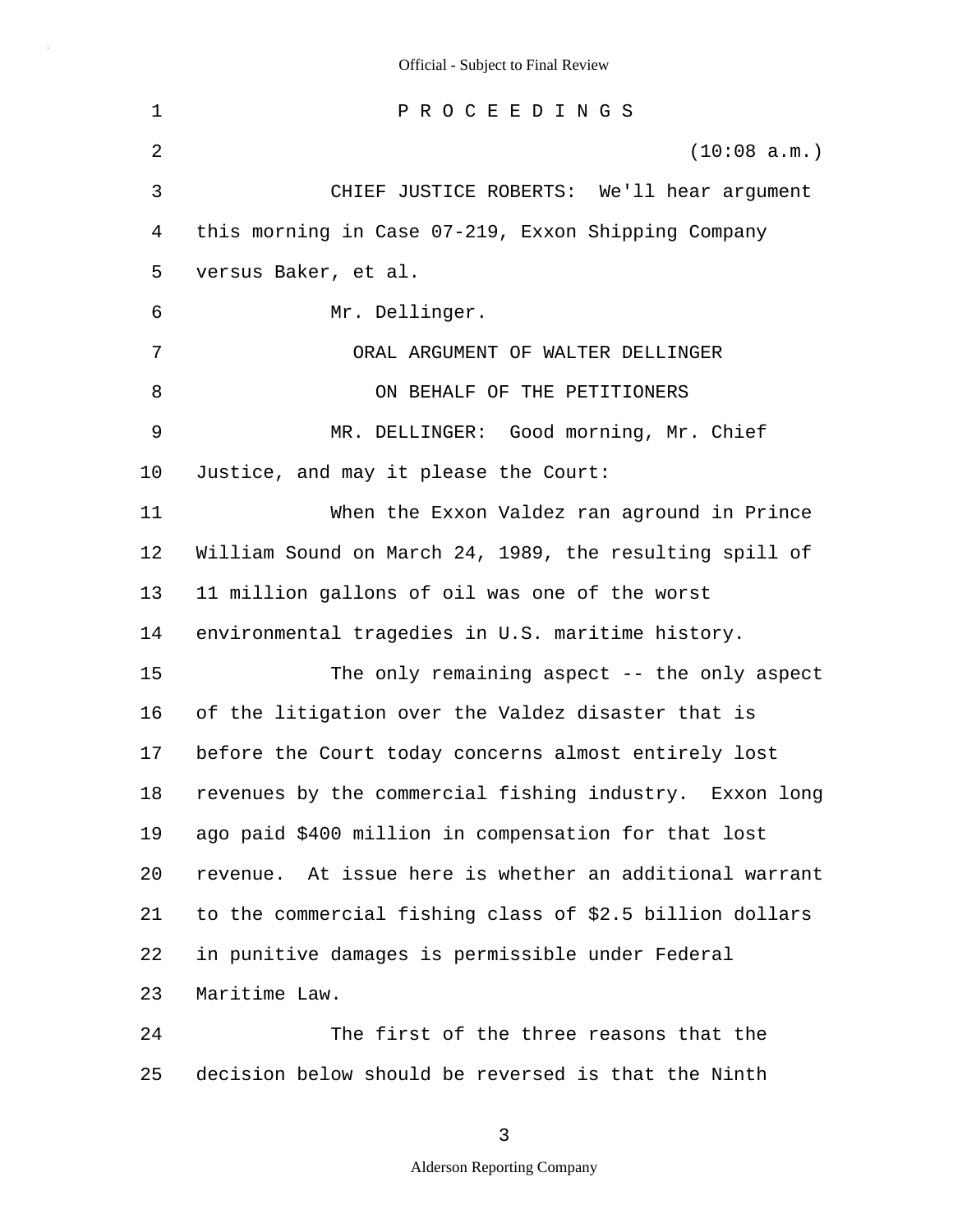1 2 3 4 5 6 7 8 9 10 11 12 13 14 15 16 17 18 19 20 21 22 23 24 P R O C E E D I N G S (10:08 a.m.) CHIEF JUSTICE ROBERTS: We'll hear argument this morning in Case 07-219, Exxon Shipping Company versus Baker, et al. Mr. Dellinger. ORAL ARGUMENT OF WALTER DELLINGER ON BEHALF OF THE PETITIONERS MR. DELLINGER: Good morning, Mr. Chief Justice, and may it please the Court: When the Exxon Valdez ran aground in Prince William Sound on March 24, 1989, the resulting spill of 11 million gallons of oil was one of the worst environmental tragedies in U.S. maritime history. The only remaining aspect -- the only aspect of the litigation over the Valdez disaster that is before the Court today concerns almost entirely lost revenues by the commercial fishing industry. Exxon long ago paid \$400 million in compensation for that lost revenue. At issue here is whether an additional warrant to the commercial fishing class of \$2.5 billion dollars in punitive damages is permissible under Federal Maritime Law. The first of the three reasons that the

3

decision below should be reversed is that the Ninth

25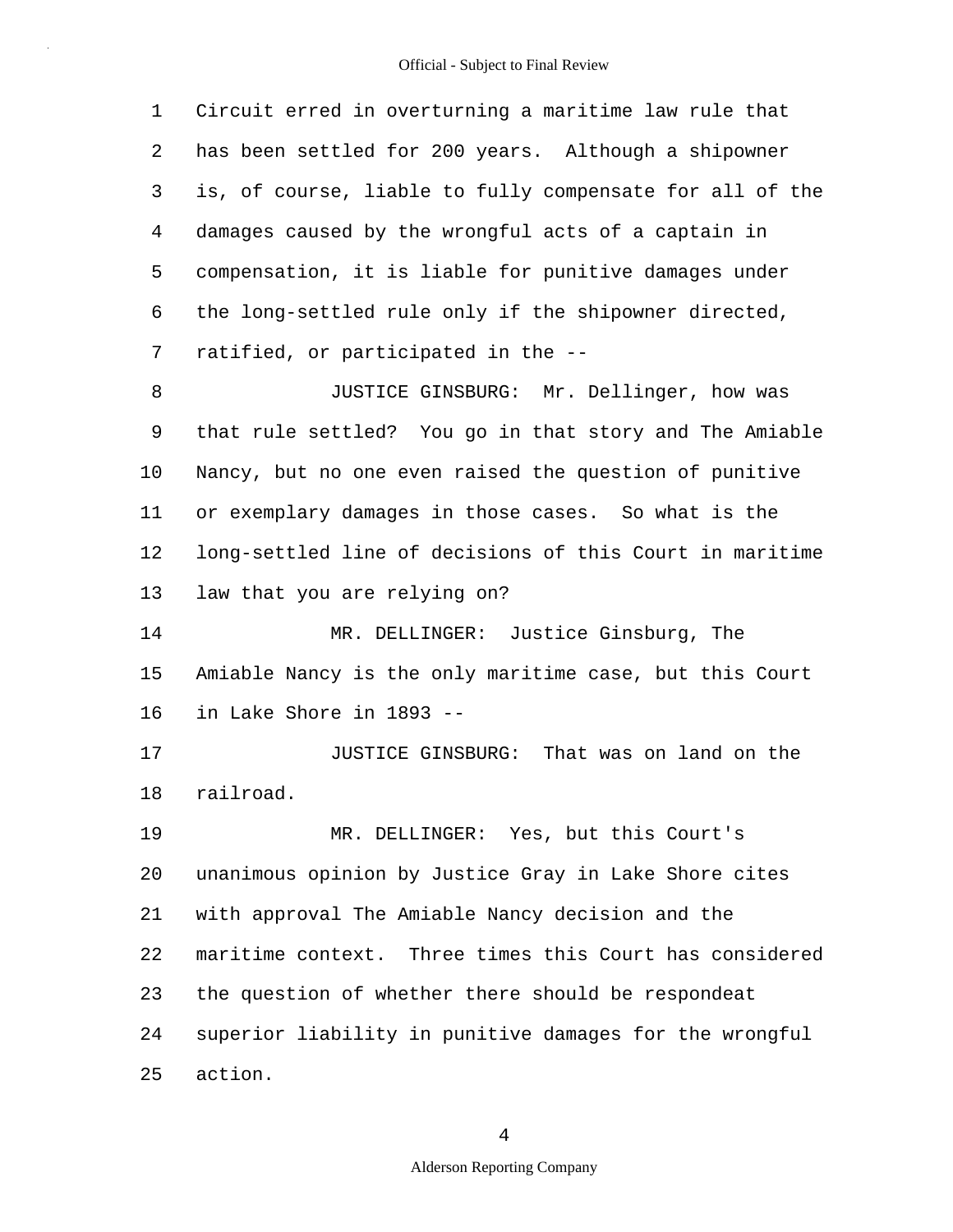1 2 3 4 5 6 7 8 9 10 11 12 13 14 15 16 17 18 19 20 21 22 23 24 25 Circuit erred in overturning a maritime law rule that has been settled for 200 years. Although a shipowner is, of course, liable to fully compensate for all of the damages caused by the wrongful acts of a captain in compensation, it is liable for punitive damages under the long-settled rule only if the shipowner directed, ratified, or participated in the -- JUSTICE GINSBURG: Mr. Dellinger, how was that rule settled? You go in that story and The Amiable Nancy, but no one even raised the question of punitive or exemplary damages in those cases. So what is the long-settled line of decisions of this Court in maritime law that you are relying on? MR. DELLINGER: Justice Ginsburg, The Amiable Nancy is the only maritime case, but this Court in Lake Shore in 1893 -- JUSTICE GINSBURG: That was on land on the railroad. MR. DELLINGER: Yes, but this Court's unanimous opinion by Justice Gray in Lake Shore cites with approval The Amiable Nancy decision and the maritime context. Three times this Court has considered the question of whether there should be respondeat superior liability in punitive damages for the wrongful action.

4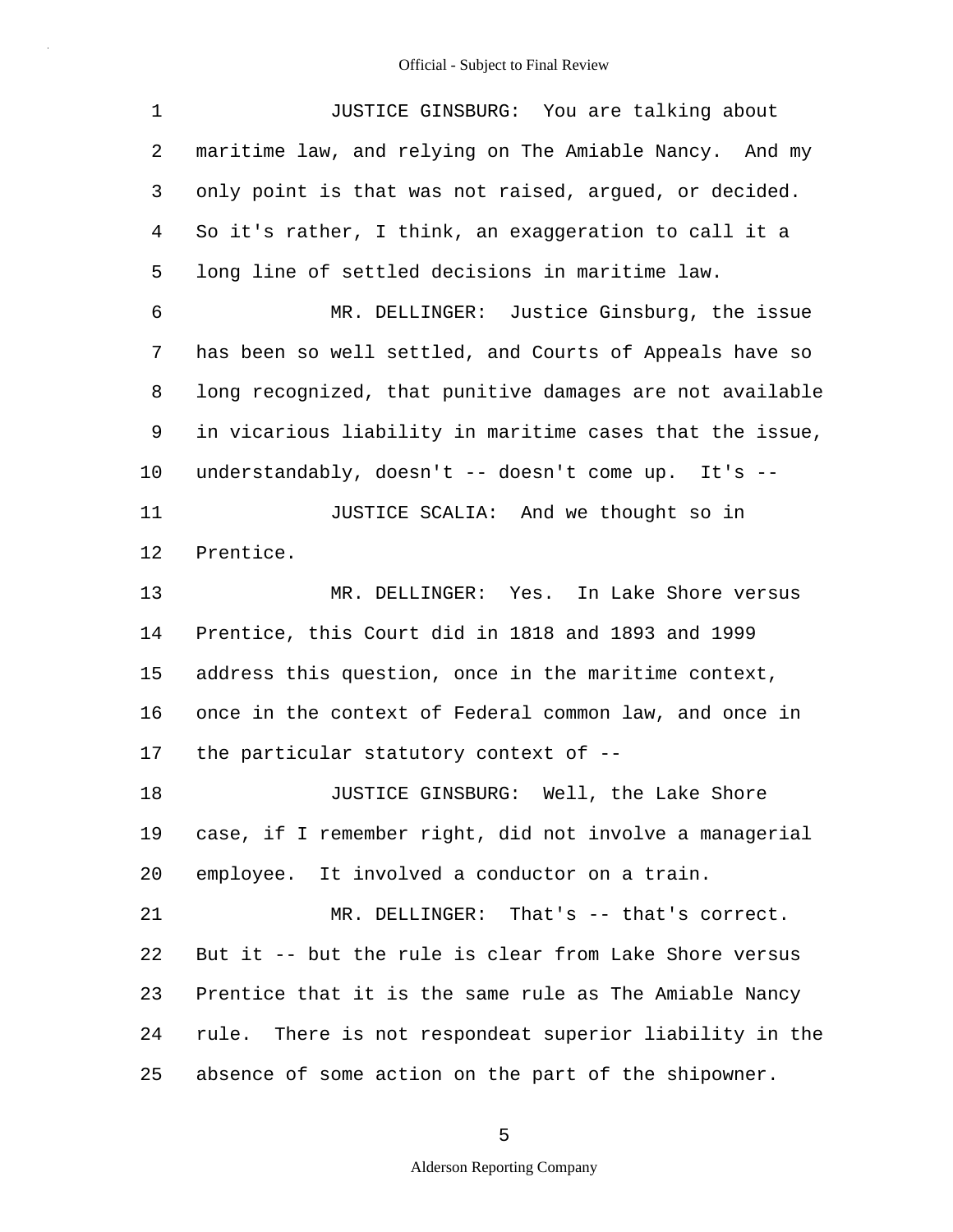| 1       | JUSTICE GINSBURG: You are talking about                  |
|---------|----------------------------------------------------------|
| 2       | maritime law, and relying on The Amiable Nancy. And my   |
| 3       | only point is that was not raised, argued, or decided.   |
| 4       | So it's rather, I think, an exaggeration to call it a    |
| 5       | long line of settled decisions in maritime law.          |
| 6       | MR. DELLINGER: Justice Ginsburg, the issue               |
| 7       | has been so well settled, and Courts of Appeals have so  |
| 8       | long recognized, that punitive damages are not available |
| 9       | in vicarious liability in maritime cases that the issue, |
| $10 \,$ | understandably, doesn't -- doesn't come up. It's --      |
| 11      | JUSTICE SCALIA: And we thought so in                     |
| 12      | Prentice.                                                |
| 13      | MR. DELLINGER: Yes. In Lake Shore versus                 |
| 14      | Prentice, this Court did in 1818 and 1893 and 1999       |
| 15      | address this question, once in the maritime context,     |
| 16      | once in the context of Federal common law, and once in   |
| 17      | the particular statutory context of --                   |
| 18      | JUSTICE GINSBURG: Well, the Lake Shore                   |
| 19      | case, if I remember right, did not involve a managerial  |
| 20      | employee. It involved a conductor on a train.            |
| 21      | MR. DELLINGER: That's -- that's correct.                 |
| 22      | But it -- but the rule is clear from Lake Shore versus   |
| 23      | Prentice that it is the same rule as The Amiable Nancy   |
| 24      | rule. There is not respondeat superior liability in the  |
| 25      | absence of some action on the part of the shipowner.     |

5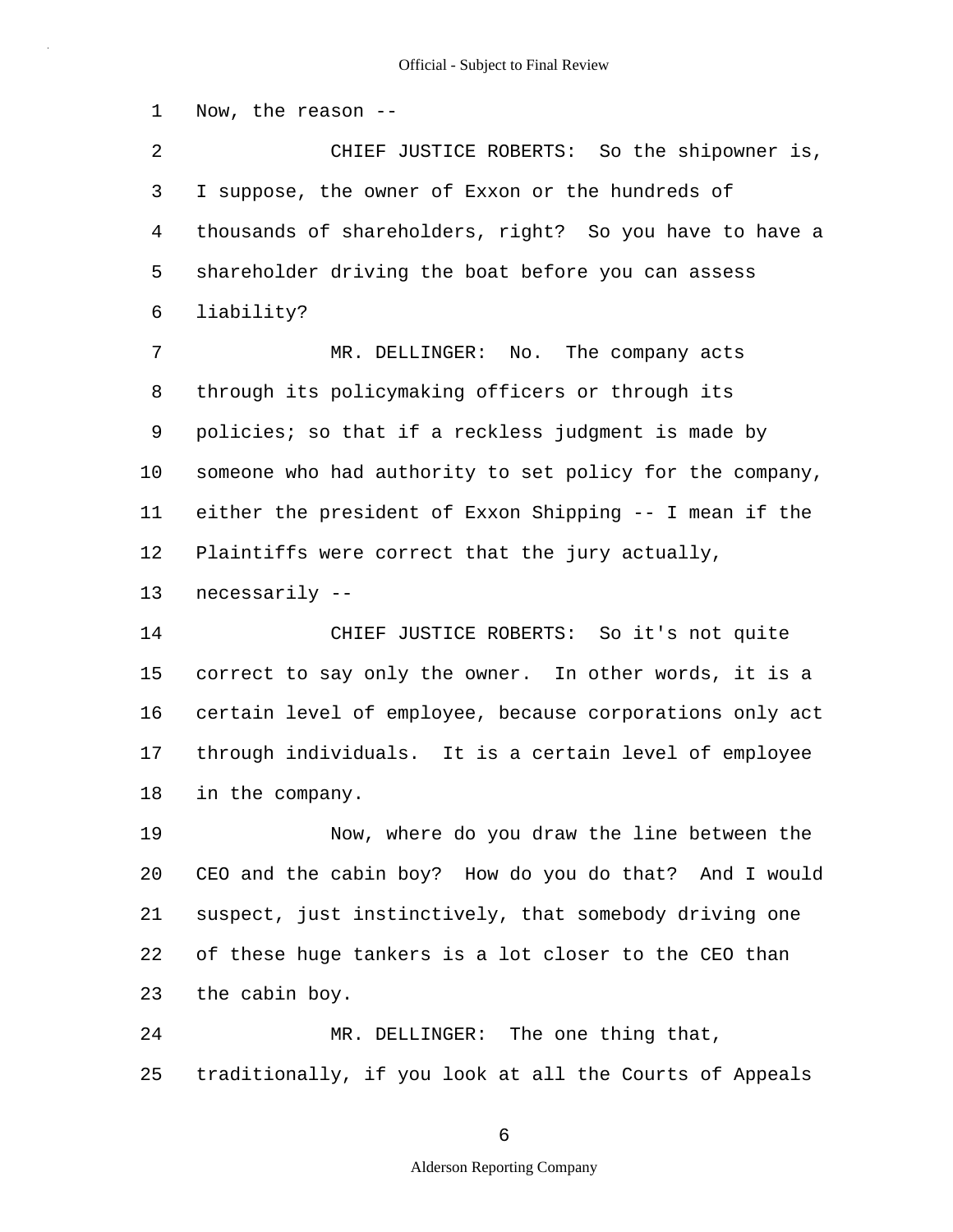1 2 3 4 5 6 7 8 9 10 11 12 13 14 15 16 17 18 Now, the reason -- CHIEF JUSTICE ROBERTS: So the shipowner is, I suppose, the owner of Exxon or the hundreds of thousands of shareholders, right? So you have to have a shareholder driving the boat before you can assess liability? MR. DELLINGER: No. The company acts through its policymaking officers or through its policies; so that if a reckless judgment is made by someone who had authority to set policy for the company, either the president of Exxon Shipping -- I mean if the Plaintiffs were correct that the jury actually, necessarily -- CHIEF JUSTICE ROBERTS: So it's not quite correct to say only the owner. In other words, it is a certain level of employee, because corporations only act through individuals. It is a certain level of employee in the company.

19 20 21 22 23 Now, where do you draw the line between the CEO and the cabin boy? How do you do that? And I would suspect, just instinctively, that somebody driving one of these huge tankers is a lot closer to the CEO than the cabin boy.

24 25 MR. DELLINGER: The one thing that, traditionally, if you look at all the Courts of Appeals

6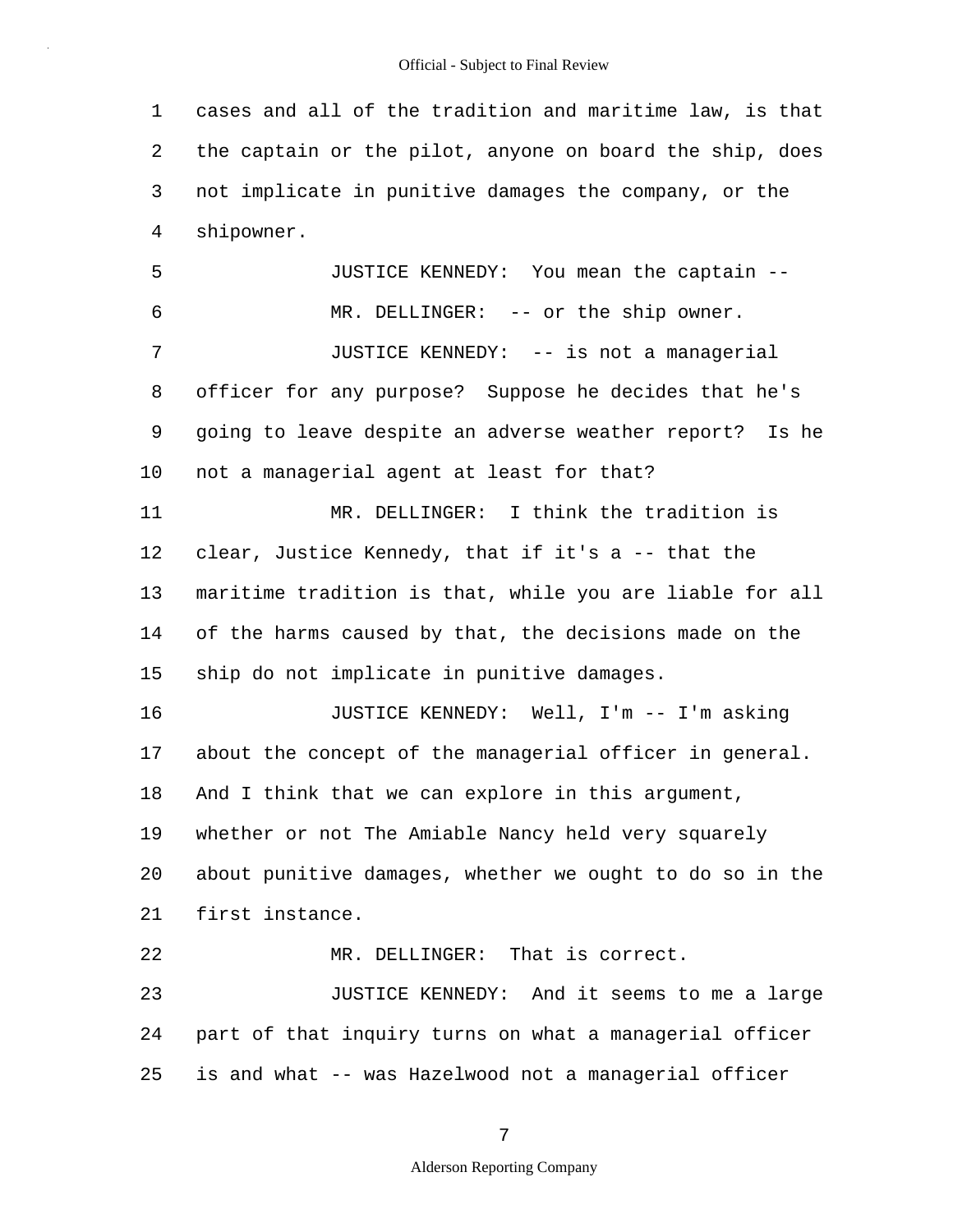1 2 3 4 cases and all of the tradition and maritime law, is that the captain or the pilot, anyone on board the ship, does not implicate in punitive damages the company, or the shipowner.

5 6 7 8 9 10 11 12 13 14 15 16 17 18 19 20 21 22 23 24 25 JUSTICE KENNEDY: You mean the captain -- MR. DELLINGER: -- or the ship owner. JUSTICE KENNEDY: -- is not a managerial officer for any purpose? Suppose he decides that he's going to leave despite an adverse weather report? Is he not a managerial agent at least for that? MR. DELLINGER: I think the tradition is clear, Justice Kennedy, that if it's a -- that the maritime tradition is that, while you are liable for all of the harms caused by that, the decisions made on the ship do not implicate in punitive damages. JUSTICE KENNEDY: Well, I'm -- I'm asking about the concept of the managerial officer in general. And I think that we can explore in this argument, whether or not The Amiable Nancy held very squarely about punitive damages, whether we ought to do so in the first instance. MR. DELLINGER: That is correct. JUSTICE KENNEDY: And it seems to me a large part of that inquiry turns on what a managerial officer is and what -- was Hazelwood not a managerial officer

7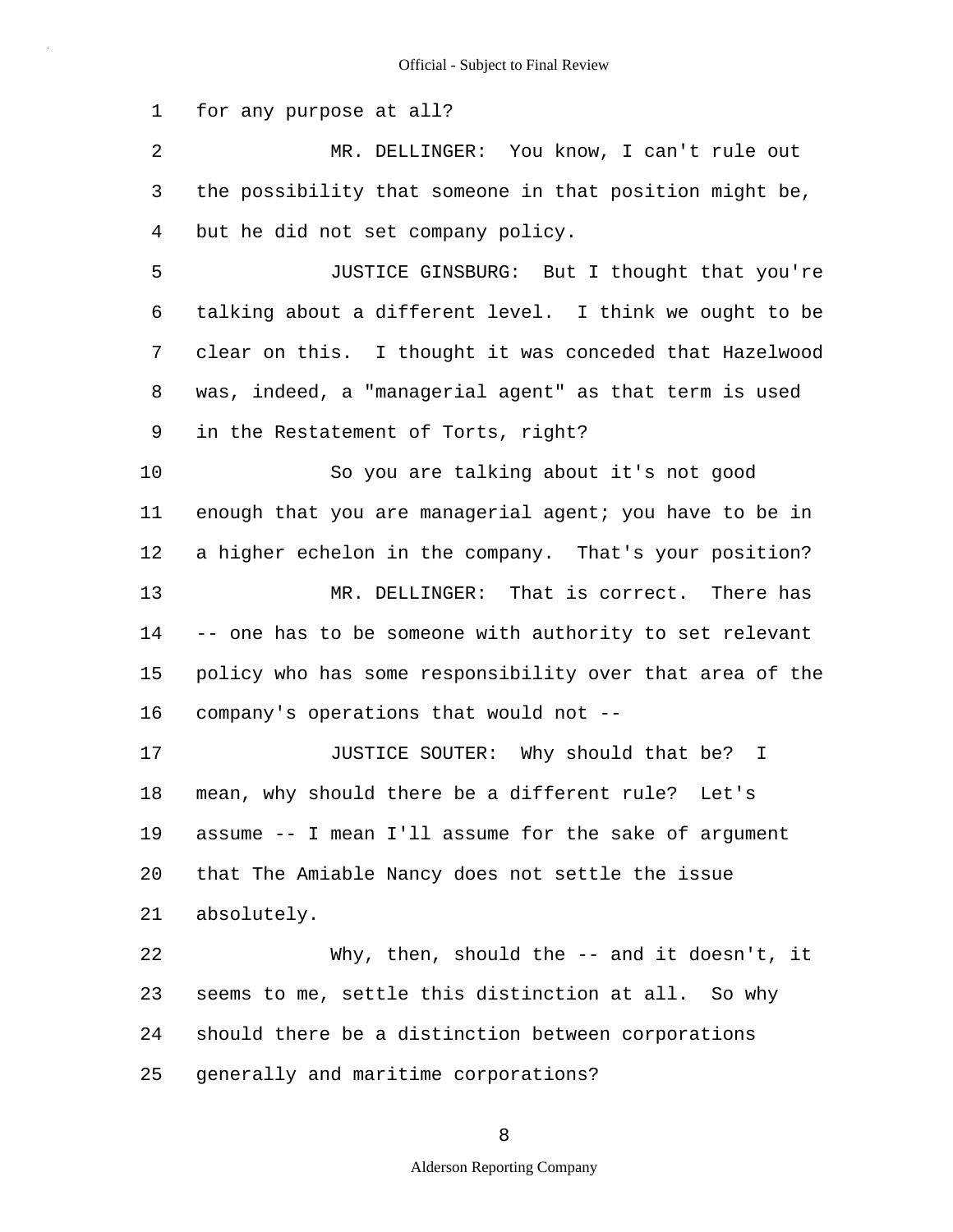1 2 3 4 5 6 7 8 9 10 11 12 13 14 15 16 17 18 19 20 21 22 23 24 25 for any purpose at all? MR. DELLINGER: You know, I can't rule out the possibility that someone in that position might be, but he did not set company policy. JUSTICE GINSBURG: But I thought that you're talking about a different level. I think we ought to be clear on this. I thought it was conceded that Hazelwood was, indeed, a "managerial agent" as that term is used in the Restatement of Torts, right? So you are talking about it's not good enough that you are managerial agent; you have to be in a higher echelon in the company. That's your position? MR. DELLINGER: That is correct. There has -- one has to be someone with authority to set relevant policy who has some responsibility over that area of the company's operations that would not -- JUSTICE SOUTER: Why should that be? I mean, why should there be a different rule? Let's assume -- I mean I'll assume for the sake of argument that The Amiable Nancy does not settle the issue absolutely. Why, then, should the -- and it doesn't, it seems to me, settle this distinction at all. So why should there be a distinction between corporations generally and maritime corporations?

8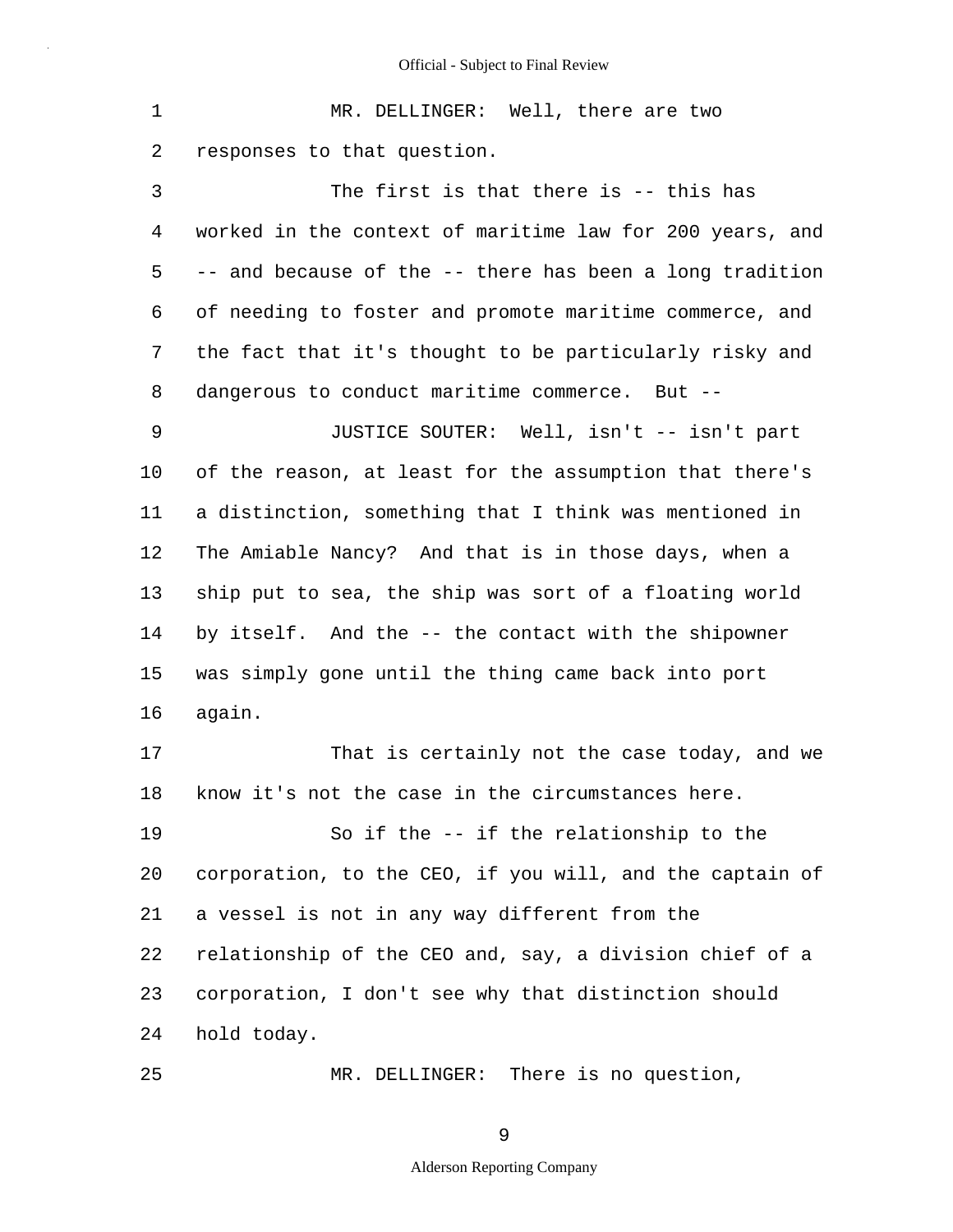1 2 MR. DELLINGER: Well, there are two responses to that question.

3 4 5 6 7 8 The first is that there is -- this has worked in the context of maritime law for 200 years, and -- and because of the -- there has been a long tradition of needing to foster and promote maritime commerce, and the fact that it's thought to be particularly risky and dangerous to conduct maritime commerce. But --

9 10 11 12 13 14 15 16 JUSTICE SOUTER: Well, isn't -- isn't part of the reason, at least for the assumption that there's a distinction, something that I think was mentioned in The Amiable Nancy? And that is in those days, when a ship put to sea, the ship was sort of a floating world by itself. And the -- the contact with the shipowner was simply gone until the thing came back into port again.

17 18 That is certainly not the case today, and we know it's not the case in the circumstances here.

19 20 21 22 23 24 So if the -- if the relationship to the corporation, to the CEO, if you will, and the captain of a vessel is not in any way different from the relationship of the CEO and, say, a division chief of a corporation, I don't see why that distinction should hold today.

MR. DELLINGER: There is no question,

25

9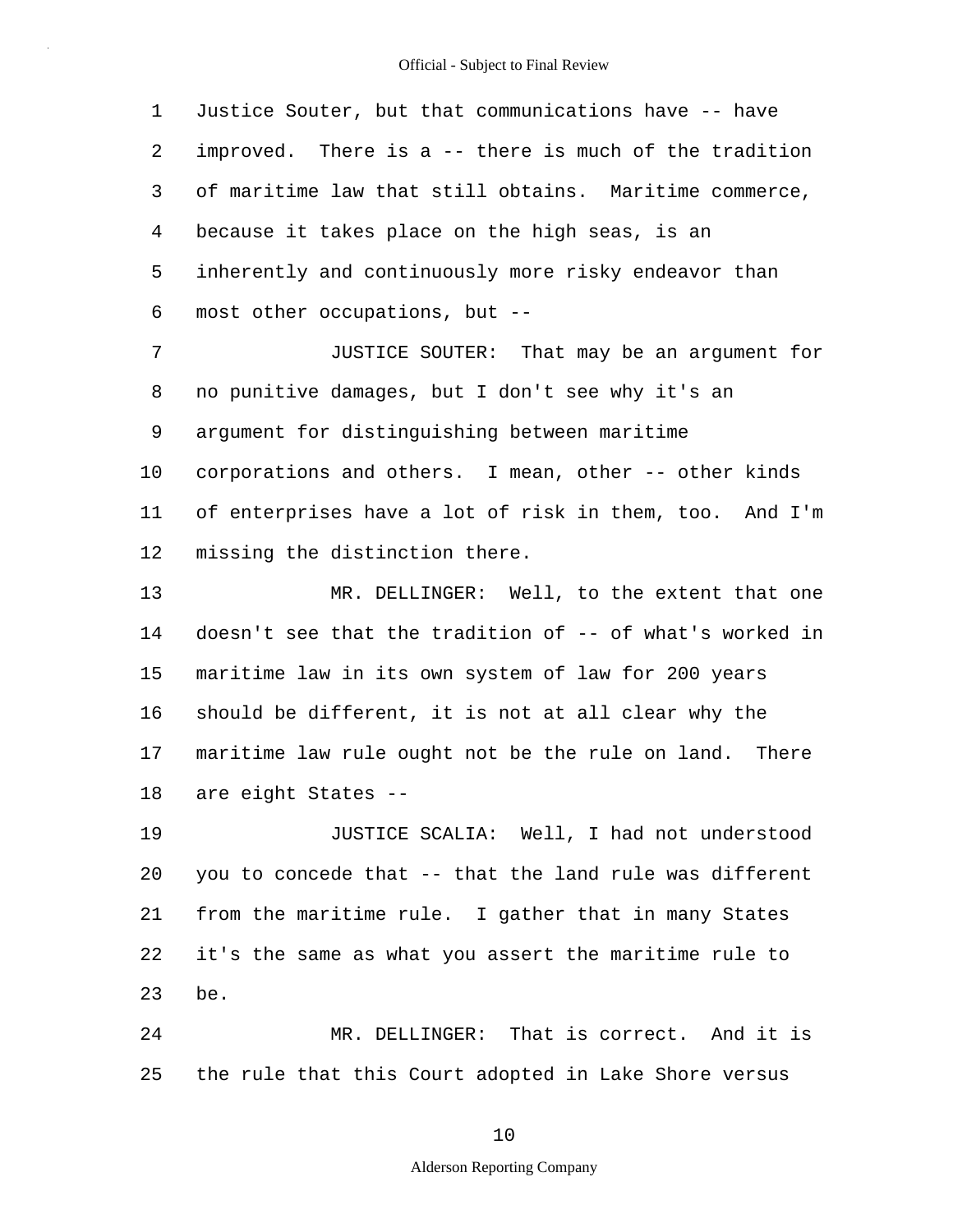1 2 3 4 5 6 Justice Souter, but that communications have -- have improved. There is a -- there is much of the tradition of maritime law that still obtains. Maritime commerce, because it takes place on the high seas, is an inherently and continuously more risky endeavor than most other occupations, but --

7 8 9 10 11 12 JUSTICE SOUTER: That may be an argument for no punitive damages, but I don't see why it's an argument for distinguishing between maritime corporations and others. I mean, other -- other kinds of enterprises have a lot of risk in them, too. And I'm missing the distinction there.

13 14 15 16 17 18 MR. DELLINGER: Well, to the extent that one doesn't see that the tradition of -- of what's worked in maritime law in its own system of law for 200 years should be different, it is not at all clear why the maritime law rule ought not be the rule on land. There are eight States --

19 20 21 22 23 JUSTICE SCALIA: Well, I had not understood you to concede that -- that the land rule was different from the maritime rule. I gather that in many States it's the same as what you assert the maritime rule to be.

24 25 MR. DELLINGER: That is correct. And it is the rule that this Court adopted in Lake Shore versus

#### 10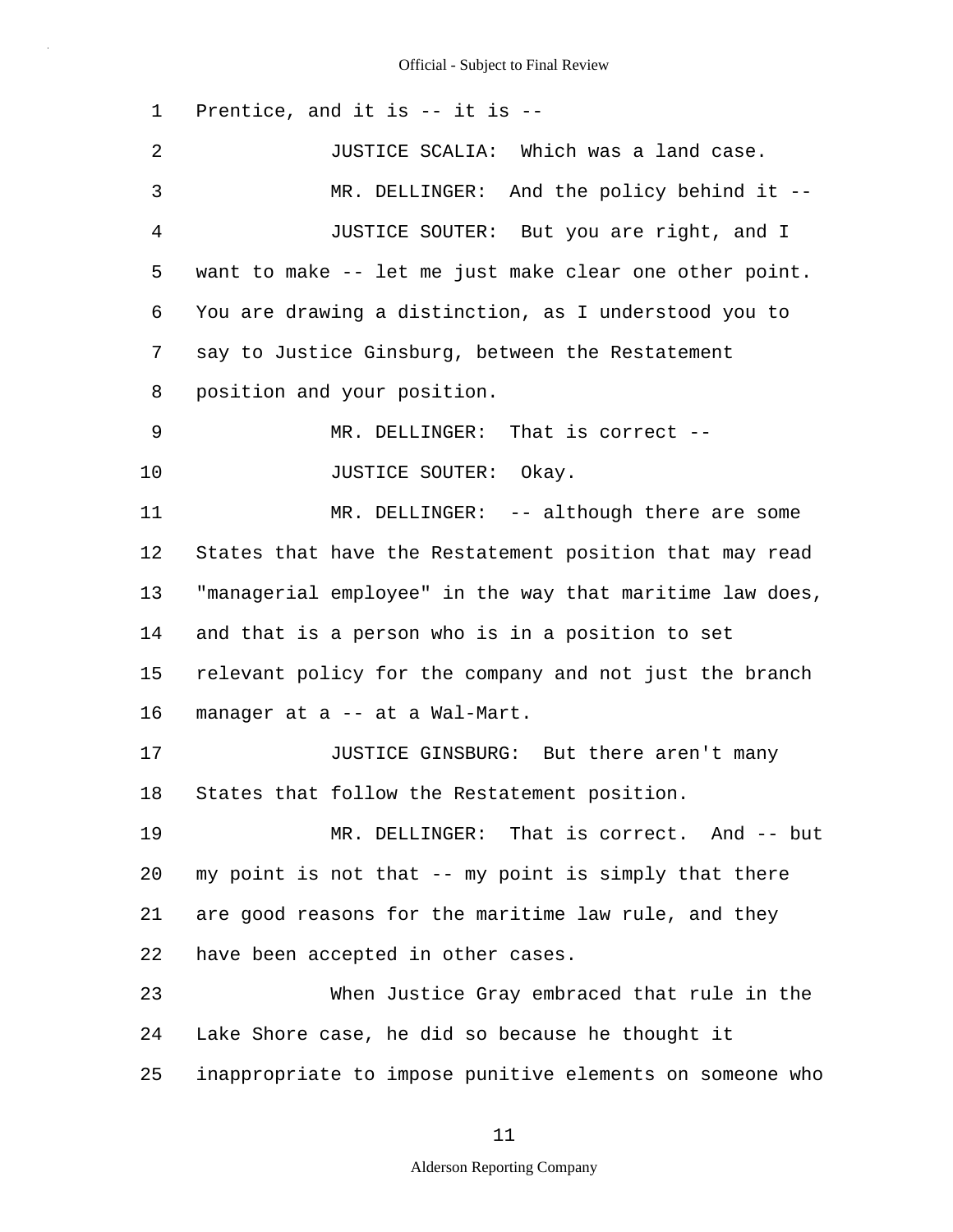1 2 3 4 5 6 7 8 9 10 11 12 13 14 15 16 17 18 19 20 21 22 23 24 25 Prentice, and it is -- it is -- JUSTICE SCALIA: Which was a land case. MR. DELLINGER: And the policy behind it --JUSTICE SOUTER: But you are right, and I want to make -- let me just make clear one other point. You are drawing a distinction, as I understood you to say to Justice Ginsburg, between the Restatement position and your position. MR. DELLINGER: That is correct -- JUSTICE SOUTER: Okay. MR. DELLINGER: -- although there are some States that have the Restatement position that may read "managerial employee" in the way that maritime law does, and that is a person who is in a position to set relevant policy for the company and not just the branch manager at a -- at a Wal-Mart. JUSTICE GINSBURG: But there aren't many States that follow the Restatement position. MR. DELLINGER: That is correct. And -- but my point is not that -- my point is simply that there are good reasons for the maritime law rule, and they have been accepted in other cases. When Justice Gray embraced that rule in the Lake Shore case, he did so because he thought it inappropriate to impose punitive elements on someone who

11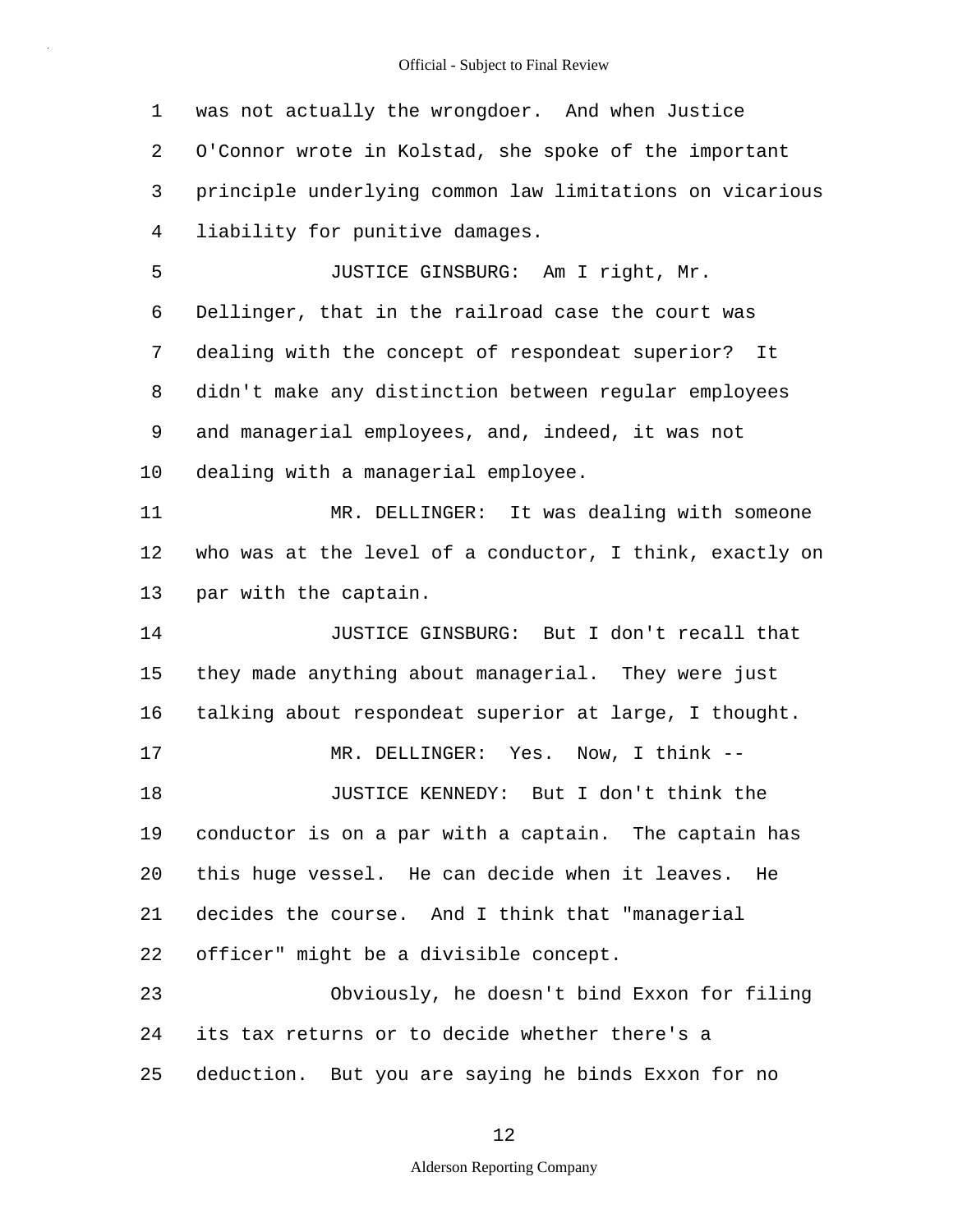1 2 3 4 5 6 7 8 9 10 11 12 13 14 15 16 17 18 19 20 21 22 23 24 25 was not actually the wrongdoer. And when Justice O'Connor wrote in Kolstad, she spoke of the important principle underlying common law limitations on vicarious liability for punitive damages. JUSTICE GINSBURG: Am I right, Mr. Dellinger, that in the railroad case the court was dealing with the concept of respondeat superior? It didn't make any distinction between regular employees and managerial employees, and, indeed, it was not dealing with a managerial employee. MR. DELLINGER: It was dealing with someone who was at the level of a conductor, I think, exactly on par with the captain. JUSTICE GINSBURG: But I don't recall that they made anything about managerial. They were just talking about respondeat superior at large, I thought. MR. DELLINGER: Yes. Now, I think --JUSTICE KENNEDY: But I don't think the conductor is on a par with a captain. The captain has this huge vessel. He can decide when it leaves. He decides the course. And I think that "managerial officer" might be a divisible concept. Obviously, he doesn't bind Exxon for filing its tax returns or to decide whether there's a deduction. But you are saying he binds Exxon for no

## 12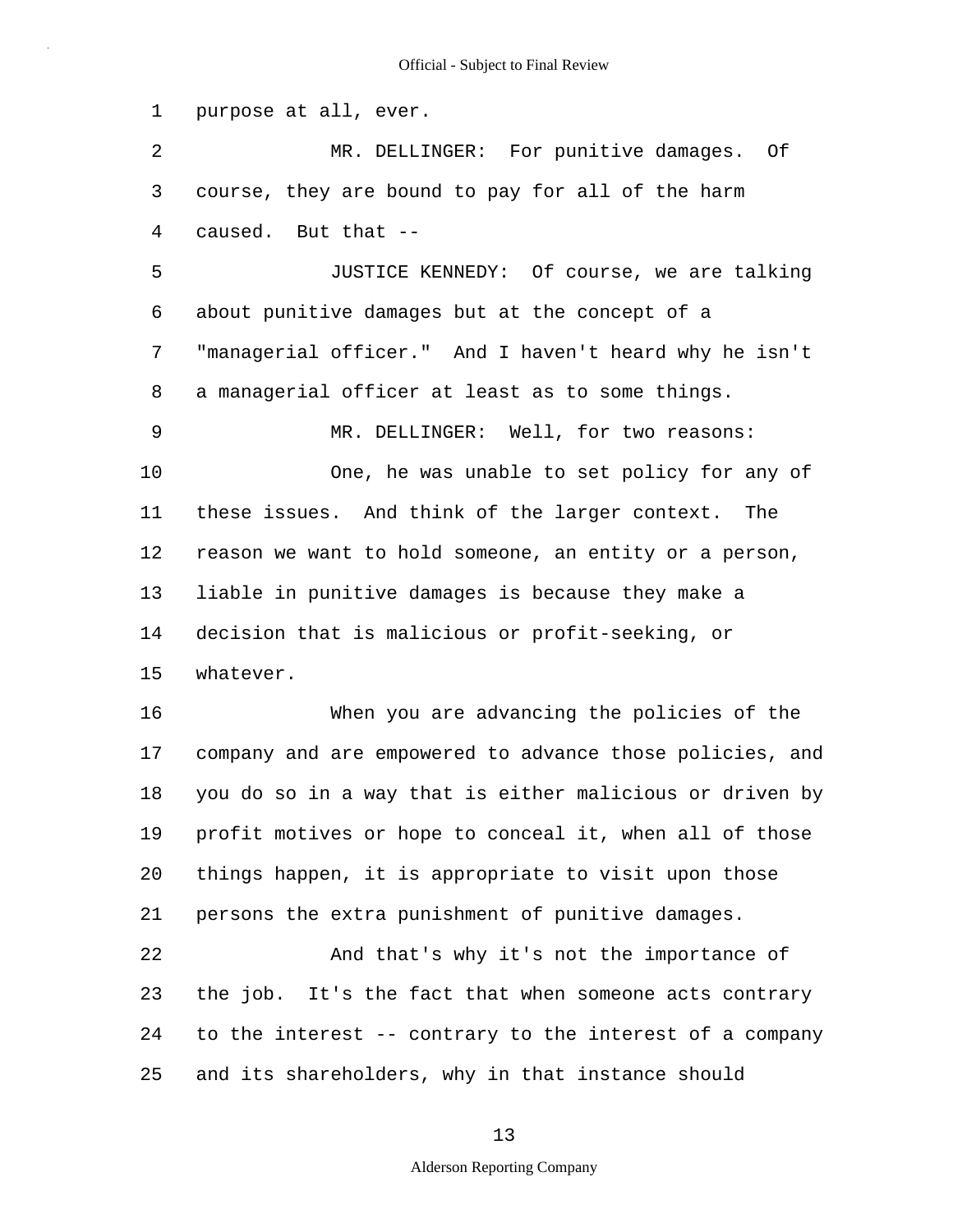1 purpose at all, ever.

2 3 4 MR. DELLINGER: For punitive damages. Of course, they are bound to pay for all of the harm caused. But that --

5 6 7 8 JUSTICE KENNEDY: Of course, we are talking about punitive damages but at the concept of a "managerial officer." And I haven't heard why he isn't a managerial officer at least as to some things.

9 10 11 12 13 14 15 MR. DELLINGER: Well, for two reasons: One, he was unable to set policy for any of these issues. And think of the larger context. The reason we want to hold someone, an entity or a person, liable in punitive damages is because they make a decision that is malicious or profit-seeking, or whatever.

16 17 18 19 20 21 When you are advancing the policies of the company and are empowered to advance those policies, and you do so in a way that is either malicious or driven by profit motives or hope to conceal it, when all of those things happen, it is appropriate to visit upon those persons the extra punishment of punitive damages.

22 23 24 25 And that's why it's not the importance of the job. It's the fact that when someone acts contrary to the interest -- contrary to the interest of a company and its shareholders, why in that instance should

### 13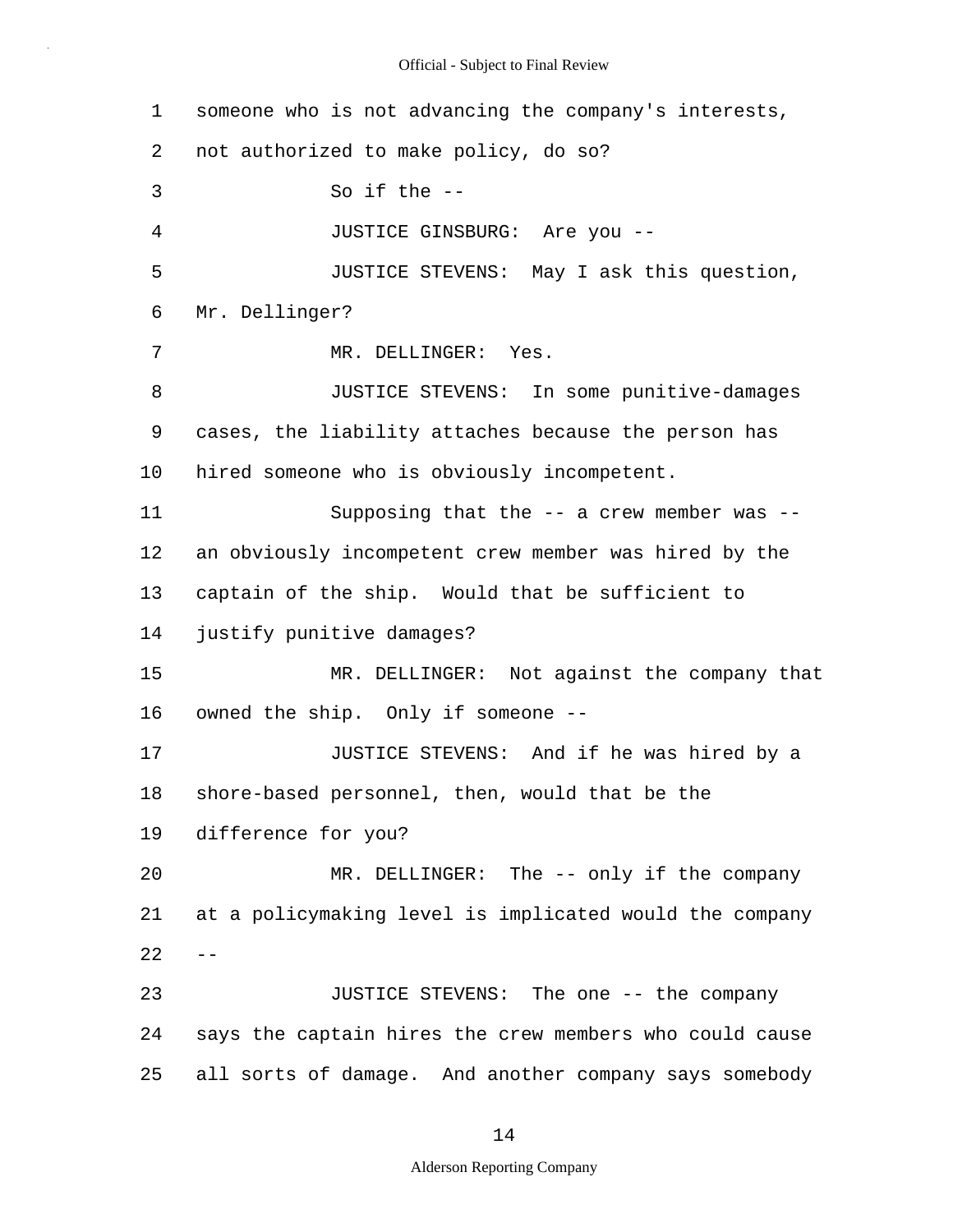| $\mathbf 1$ | someone who is not advancing the company's interests,   |
|-------------|---------------------------------------------------------|
| 2           | not authorized to make policy, do so?                   |
| 3           | So if the $--$                                          |
| 4           | JUSTICE GINSBURG: Are you --                            |
| 5           | JUSTICE STEVENS: May I ask this question,               |
| 6           | Mr. Dellinger?                                          |
| 7           | MR. DELLINGER: Yes.                                     |
| 8           | JUSTICE STEVENS: In some punitive-damages               |
| 9           | cases, the liability attaches because the person has    |
| 10          | hired someone who is obviously incompetent.             |
| 11          | Supposing that the -- a crew member was --              |
| 12          | an obviously incompetent crew member was hired by the   |
| 13          | captain of the ship. Would that be sufficient to        |
| 14          | justify punitive damages?                               |
| 15          | MR. DELLINGER: Not against the company that             |
| 16          | owned the ship. Only if someone --                      |
| 17          | JUSTICE STEVENS: And if he was hired by a               |
| 18          | shore-based personnel, then, would that be the          |
| 19          | difference for you?                                     |
| 20          | MR. DELLINGER: The -- only if the company               |
| 21          | at a policymaking level is implicated would the company |
| 22          |                                                         |
| 23          | JUSTICE STEVENS: The one -- the company                 |
| 24          | says the captain hires the crew members who could cause |
| 25          | all sorts of damage. And another company says somebody  |

14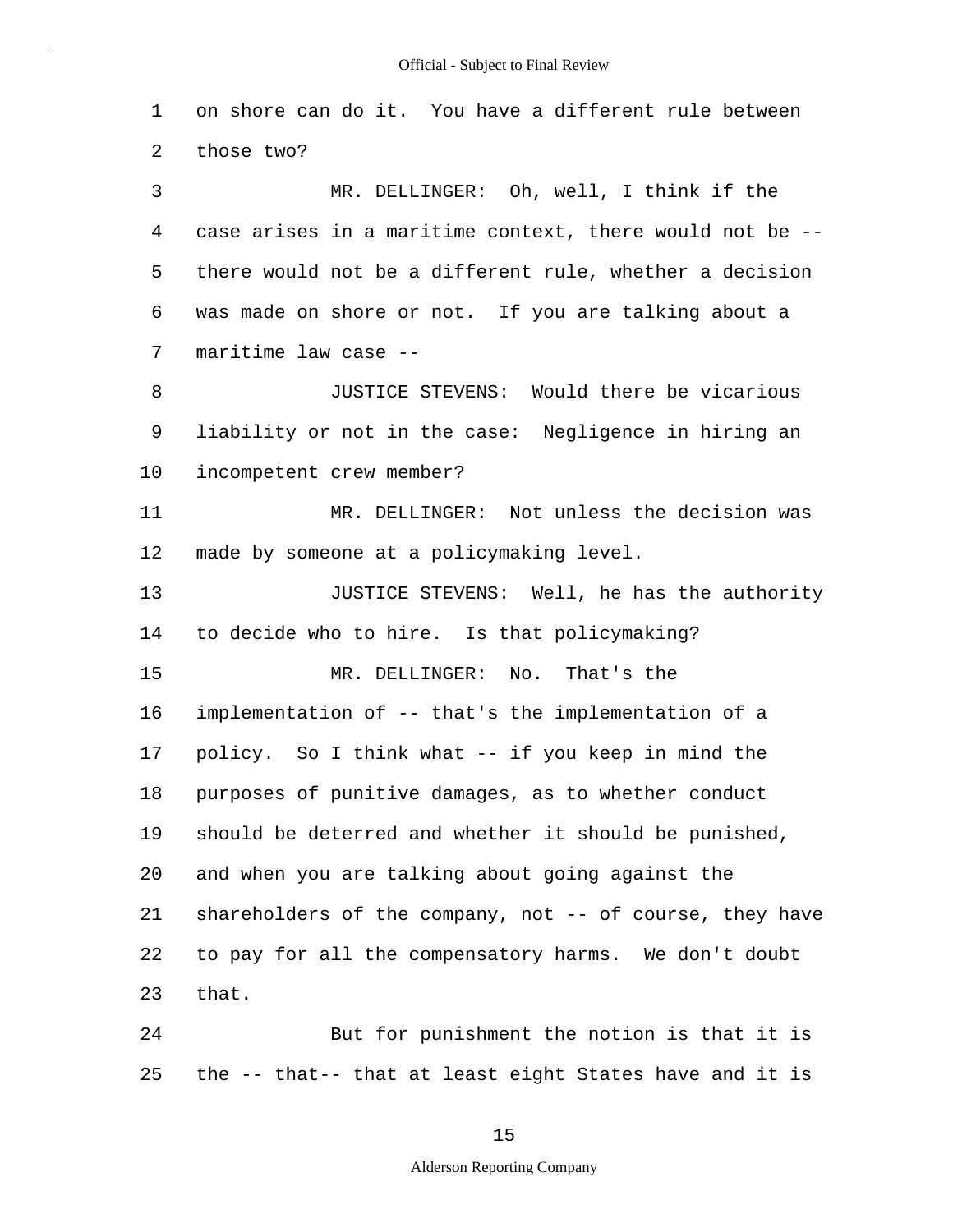1 2 on shore can do it. You have a different rule between those two?

3 4 5 6 7 MR. DELLINGER: Oh, well, I think if the case arises in a maritime context, there would not be - there would not be a different rule, whether a decision was made on shore or not. If you are talking about a maritime law case --

8 9 10 JUSTICE STEVENS: Would there be vicarious liability or not in the case: Negligence in hiring an incompetent crew member?

11 12 MR. DELLINGER: Not unless the decision was made by someone at a policymaking level.

13 14 15 JUSTICE STEVENS: Well, he has the authority to decide who to hire. Is that policymaking? MR. DELLINGER: No. That's the

16 17 18 19 20 21 22 23 implementation of -- that's the implementation of a policy. So I think what -- if you keep in mind the purposes of punitive damages, as to whether conduct should be deterred and whether it should be punished, and when you are talking about going against the shareholders of the company, not -- of course, they have to pay for all the compensatory harms. We don't doubt that.

24 25 But for punishment the notion is that it is the -- that-- that at least eight States have and it is

15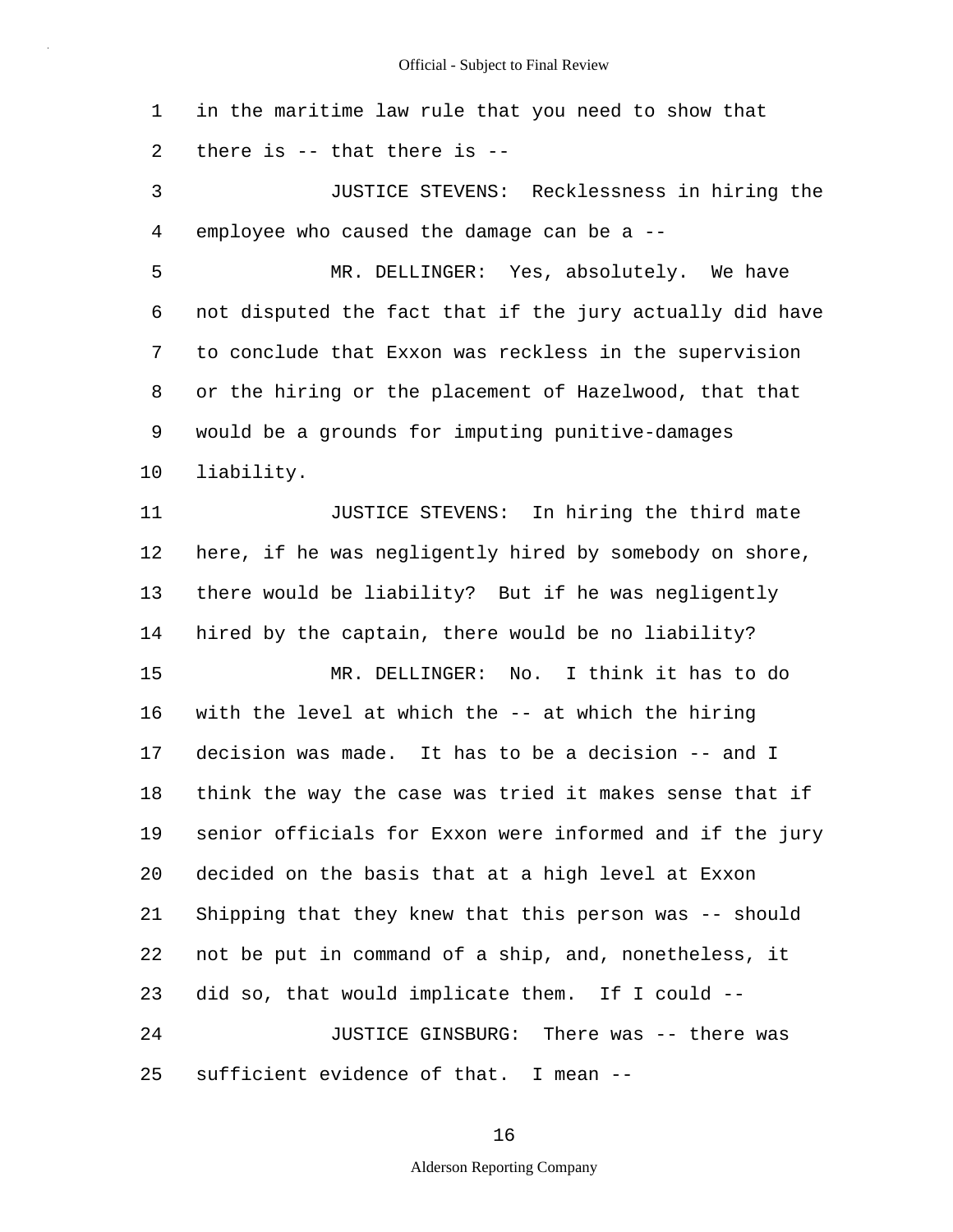1 2 in the maritime law rule that you need to show that there is -- that there is --

3 4 JUSTICE STEVENS: Recklessness in hiring the employee who caused the damage can be a --

5 6 7 8 9 10 MR. DELLINGER: Yes, absolutely. We have not disputed the fact that if the jury actually did have to conclude that Exxon was reckless in the supervision or the hiring or the placement of Hazelwood, that that would be a grounds for imputing punitive-damages liability.

11 12 13 14 15 16 17 18 19 20 21 22 23 24 25 JUSTICE STEVENS: In hiring the third mate here, if he was negligently hired by somebody on shore, there would be liability? But if he was negligently hired by the captain, there would be no liability? MR. DELLINGER: No. I think it has to do with the level at which the -- at which the hiring decision was made. It has to be a decision -- and I think the way the case was tried it makes sense that if senior officials for Exxon were informed and if the jury decided on the basis that at a high level at Exxon Shipping that they knew that this person was -- should not be put in command of a ship, and, nonetheless, it did so, that would implicate them. If I could -- JUSTICE GINSBURG: There was -- there was sufficient evidence of that. I mean --

16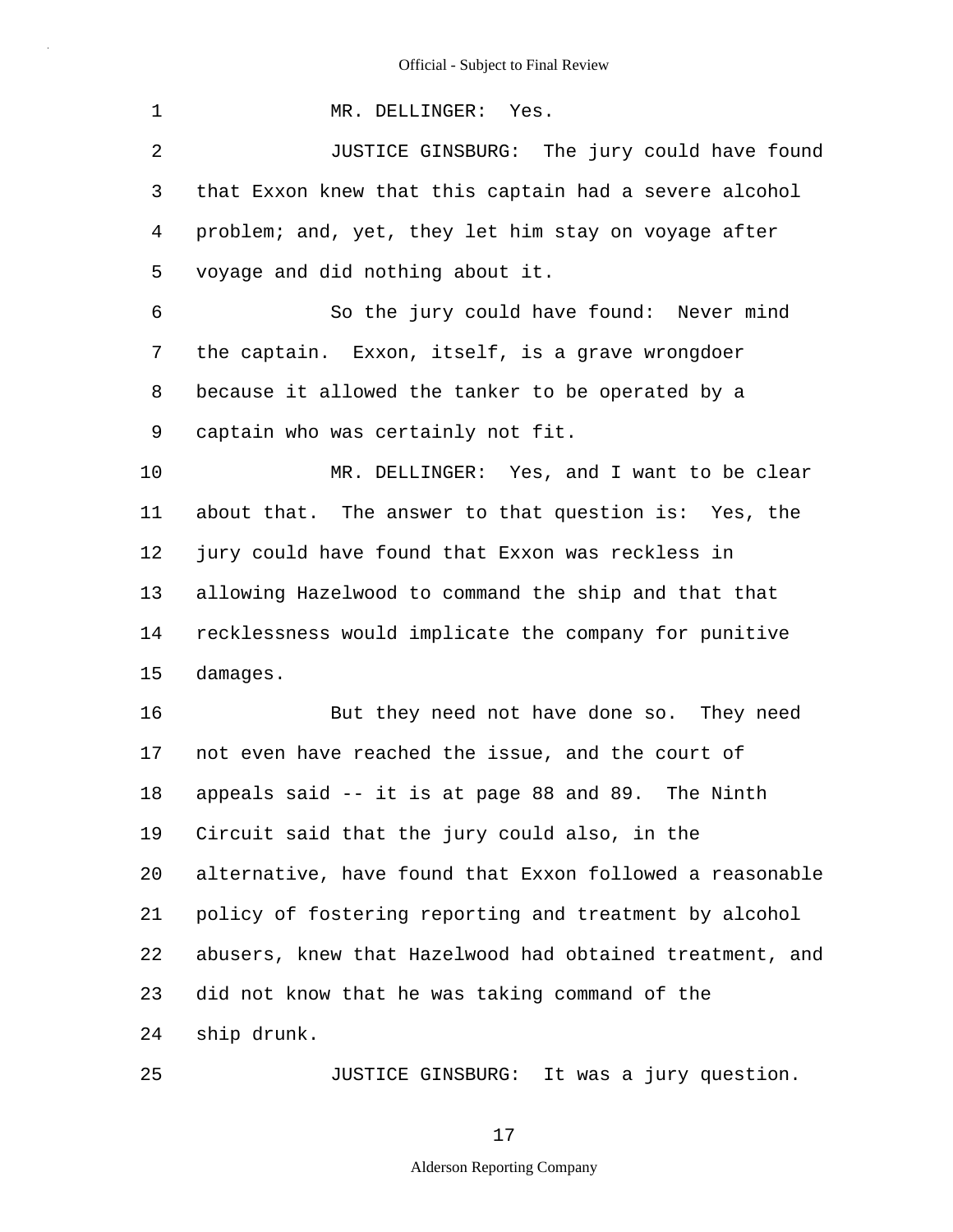| 1              | MR. DELLINGER: Yes.                                      |
|----------------|----------------------------------------------------------|
| $\overline{2}$ | JUSTICE GINSBURG: The jury could have found              |
| 3              | that Exxon knew that this captain had a severe alcohol   |
| 4              | problem; and, yet, they let him stay on voyage after     |
| 5              | voyage and did nothing about it.                         |
| 6              | So the jury could have found: Never mind                 |
| 7              | the captain. Exxon, itself, is a grave wrongdoer         |
| 8              | because it allowed the tanker to be operated by a        |
| 9              | captain who was certainly not fit.                       |
| 10             | MR. DELLINGER: Yes, and I want to be clear               |
| 11             | about that. The answer to that question is: Yes, the     |
| 12             | jury could have found that Exxon was reckless in         |
| 13             | allowing Hazelwood to command the ship and that that     |
| 14             | recklessness would implicate the company for punitive    |
| 15             | damages.                                                 |
| 16             | But they need not have done so. They need                |
| 17             | not even have reached the issue, and the court of        |
| 18             | appeals said -- it is at page 88 and 89. The Ninth       |
| 19             | Circuit said that the jury could also, in the            |
| 20             | alternative, have found that Exxon followed a reasonable |
| 21             | policy of fostering reporting and treatment by alcohol   |
| 22             | abusers, knew that Hazelwood had obtained treatment, and |
| 23             | did not know that he was taking command of the           |
| 24             | ship drunk.                                              |
| 25             | JUSTICE GINSBURG: It was a jury question.                |

JUSTICE GINSBURG: It was a jury question.

17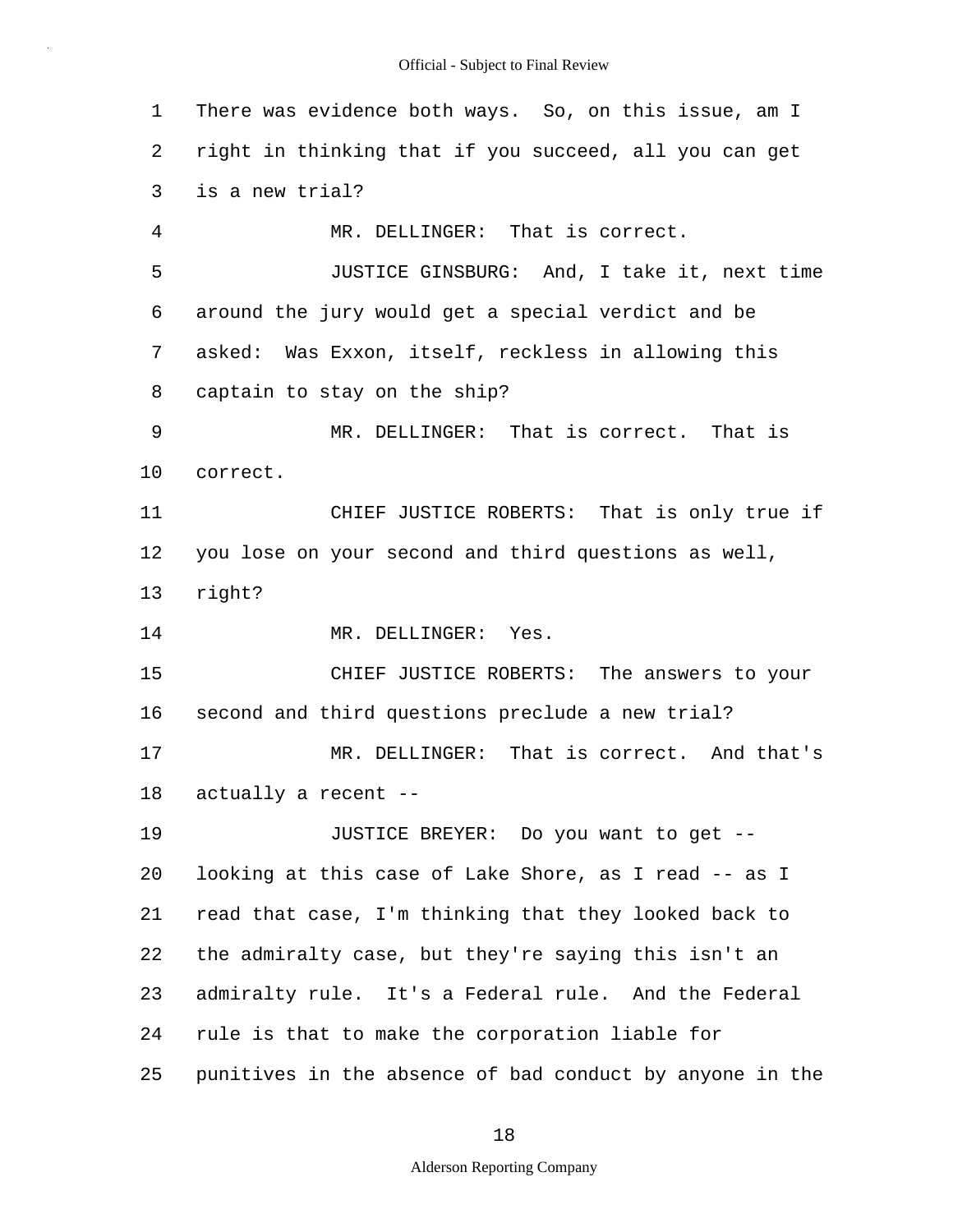1 2 3 4 5 6 7 8 9 10 11 12 13 14 15 16 17 18 19 20 21 22 23 24 25 There was evidence both ways. So, on this issue, am I right in thinking that if you succeed, all you can get is a new trial? MR. DELLINGER: That is correct. JUSTICE GINSBURG: And, I take it, next time around the jury would get a special verdict and be asked: Was Exxon, itself, reckless in allowing this captain to stay on the ship? MR. DELLINGER: That is correct. That is correct. CHIEF JUSTICE ROBERTS: That is only true if you lose on your second and third questions as well, right? MR. DELLINGER: Yes. CHIEF JUSTICE ROBERTS: The answers to your second and third questions preclude a new trial? MR. DELLINGER: That is correct. And that's actually a recent -- JUSTICE BREYER: Do you want to get - looking at this case of Lake Shore, as I read -- as I read that case, I'm thinking that they looked back to the admiralty case, but they're saying this isn't an admiralty rule. It's a Federal rule. And the Federal rule is that to make the corporation liable for punitives in the absence of bad conduct by anyone in the

18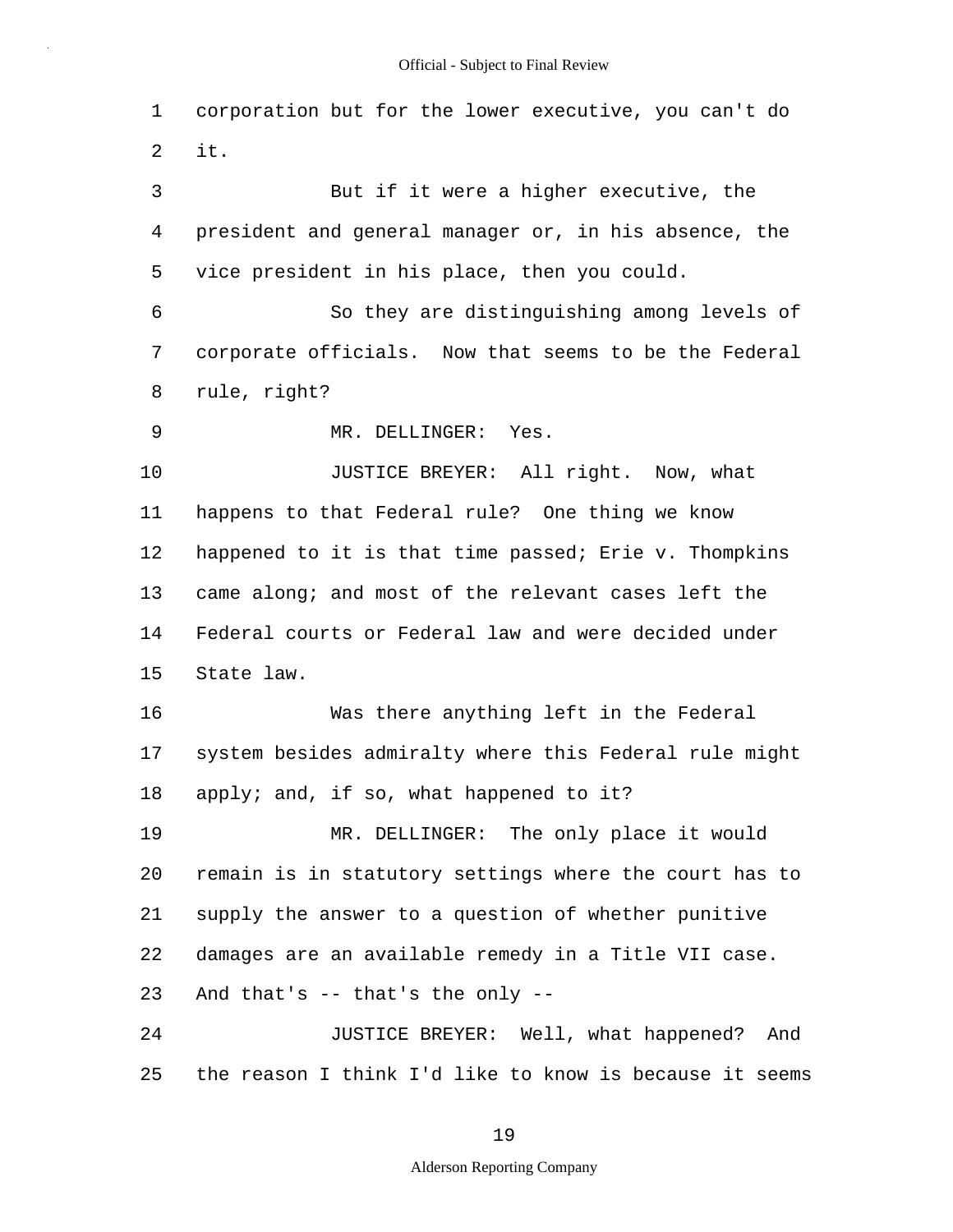1 2 3 4 5 6 7 8 9 10 11 12 13 14 15 16 17 18 19 20 21 22 23 24 25 corporation but for the lower executive, you can't do it. But if it were a higher executive, the president and general manager or, in his absence, the vice president in his place, then you could. So they are distinguishing among levels of corporate officials. Now that seems to be the Federal rule, right? MR. DELLINGER: Yes. JUSTICE BREYER: All right. Now, what happens to that Federal rule? One thing we know happened to it is that time passed; Erie v. Thompkins came along; and most of the relevant cases left the Federal courts or Federal law and were decided under State law. Was there anything left in the Federal system besides admiralty where this Federal rule might apply; and, if so, what happened to it? MR. DELLINGER: The only place it would remain is in statutory settings where the court has to supply the answer to a question of whether punitive damages are an available remedy in a Title VII case. And that's -- that's the only -- JUSTICE BREYER: Well, what happened? And the reason I think I'd like to know is because it seems

19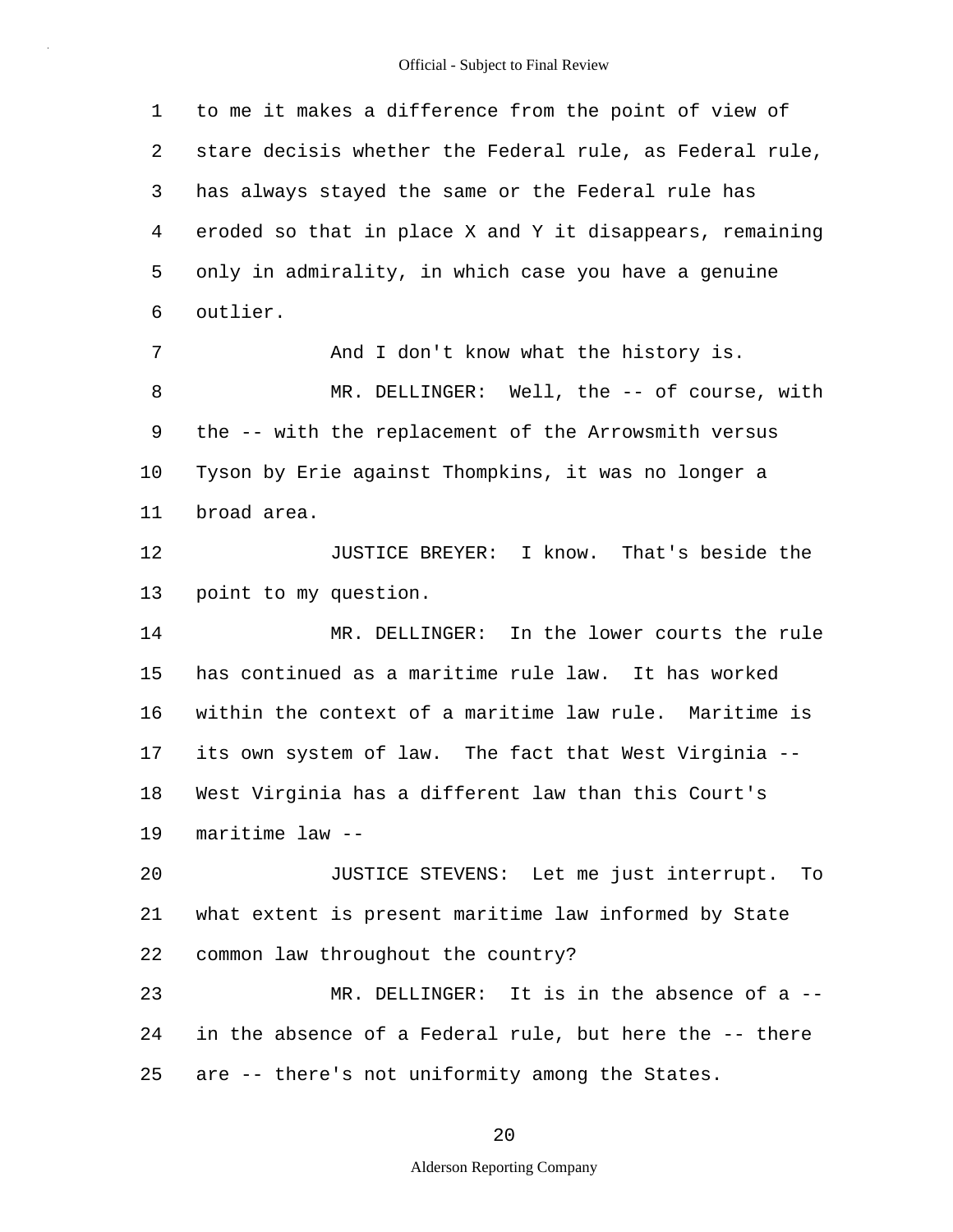1 2 3 4 5 6 7 8 9 10 11 12 13 14 15 16 17 18 19 20 21 22 23 24 25 to me it makes a difference from the point of view of stare decisis whether the Federal rule, as Federal rule, has always stayed the same or the Federal rule has eroded so that in place X and Y it disappears, remaining only in admirality, in which case you have a genuine outlier. And I don't know what the history is. MR. DELLINGER: Well, the -- of course, with the -- with the replacement of the Arrowsmith versus Tyson by Erie against Thompkins, it was no longer a broad area. JUSTICE BREYER: I know. That's beside the point to my question. MR. DELLINGER: In the lower courts the rule has continued as a maritime rule law. It has worked within the context of a maritime law rule. Maritime is its own system of law. The fact that West Virginia -- West Virginia has a different law than this Court's maritime law -- JUSTICE STEVENS: Let me just interrupt. To what extent is present maritime law informed by State common law throughout the country? MR. DELLINGER: It is in the absence of a -in the absence of a Federal rule, but here the -- there are -- there's not uniformity among the States.

20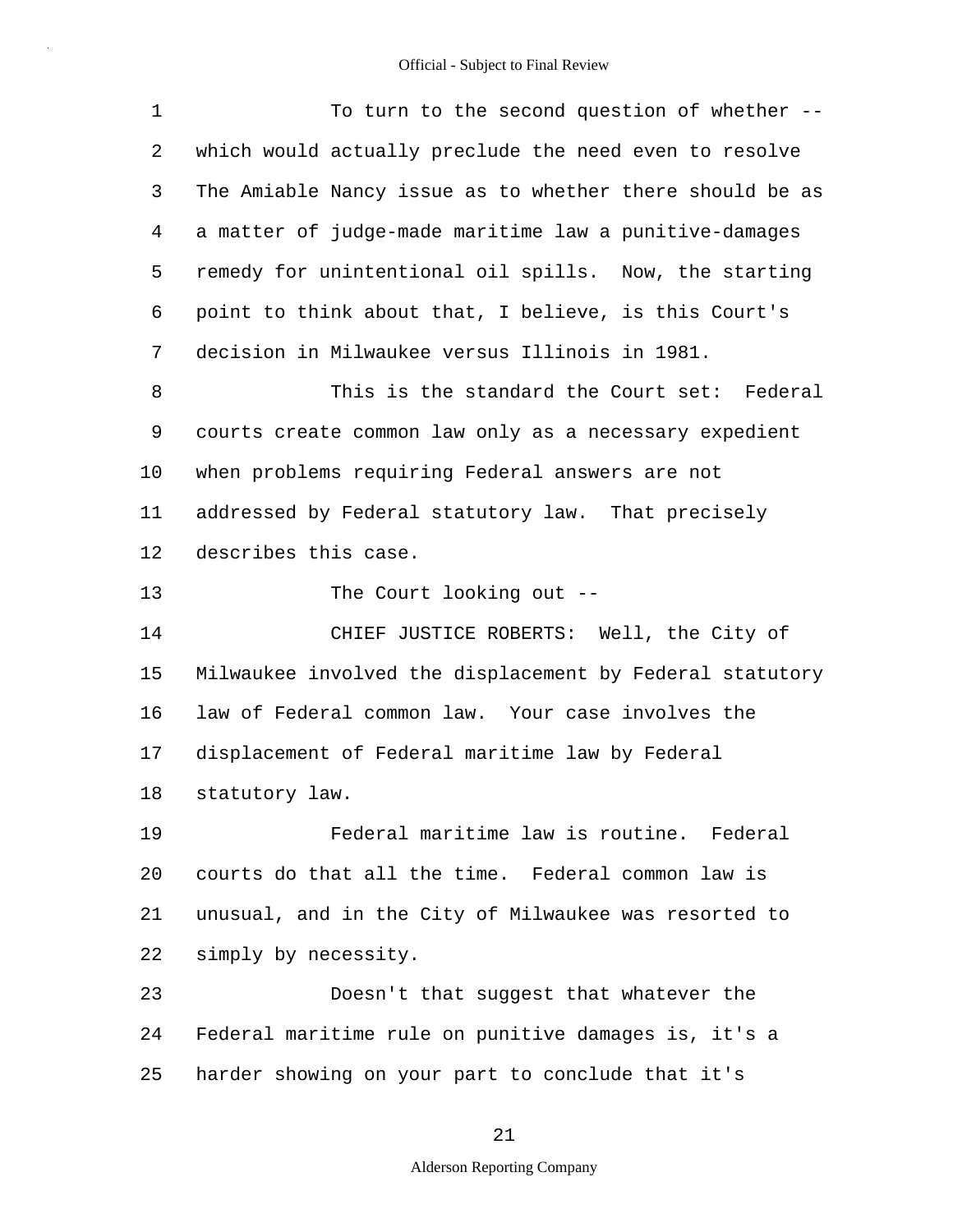| 1              | To turn to the second question of whether --             |
|----------------|----------------------------------------------------------|
| 2              | which would actually preclude the need even to resolve   |
| 3              | The Amiable Nancy issue as to whether there should be as |
| $\overline{4}$ | a matter of judge-made maritime law a punitive-damages   |
| 5              | remedy for unintentional oil spills. Now, the starting   |
| 6              | point to think about that, I believe, is this Court's    |
| 7              | decision in Milwaukee versus Illinois in 1981.           |
| 8              | This is the standard the Court set: Federal              |
| 9              | courts create common law only as a necessary expedient   |
| 10             | when problems requiring Federal answers are not          |
| 11             | addressed by Federal statutory law. That precisely       |
| 12             | describes this case.                                     |
| 13             | The Court looking out --                                 |
| 14             | CHIEF JUSTICE ROBERTS: Well, the City of                 |
| 15             | Milwaukee involved the displacement by Federal statutory |
| 16             | law of Federal common law. Your case involves the        |
| 17             | displacement of Federal maritime law by Federal          |
| 18             | statutory law.                                           |
| 19             | Federal maritime law is routine. Federal                 |
| 20             | courts do that all the time. Federal common law is       |
| 21             | unusual, and in the City of Milwaukee was resorted to    |
| 22             | simply by necessity.                                     |
| 23             | Doesn't that suggest that whatever the                   |
| 24             | Federal maritime rule on punitive damages is, it's a     |
| 25             | harder showing on your part to conclude that it's        |

# 21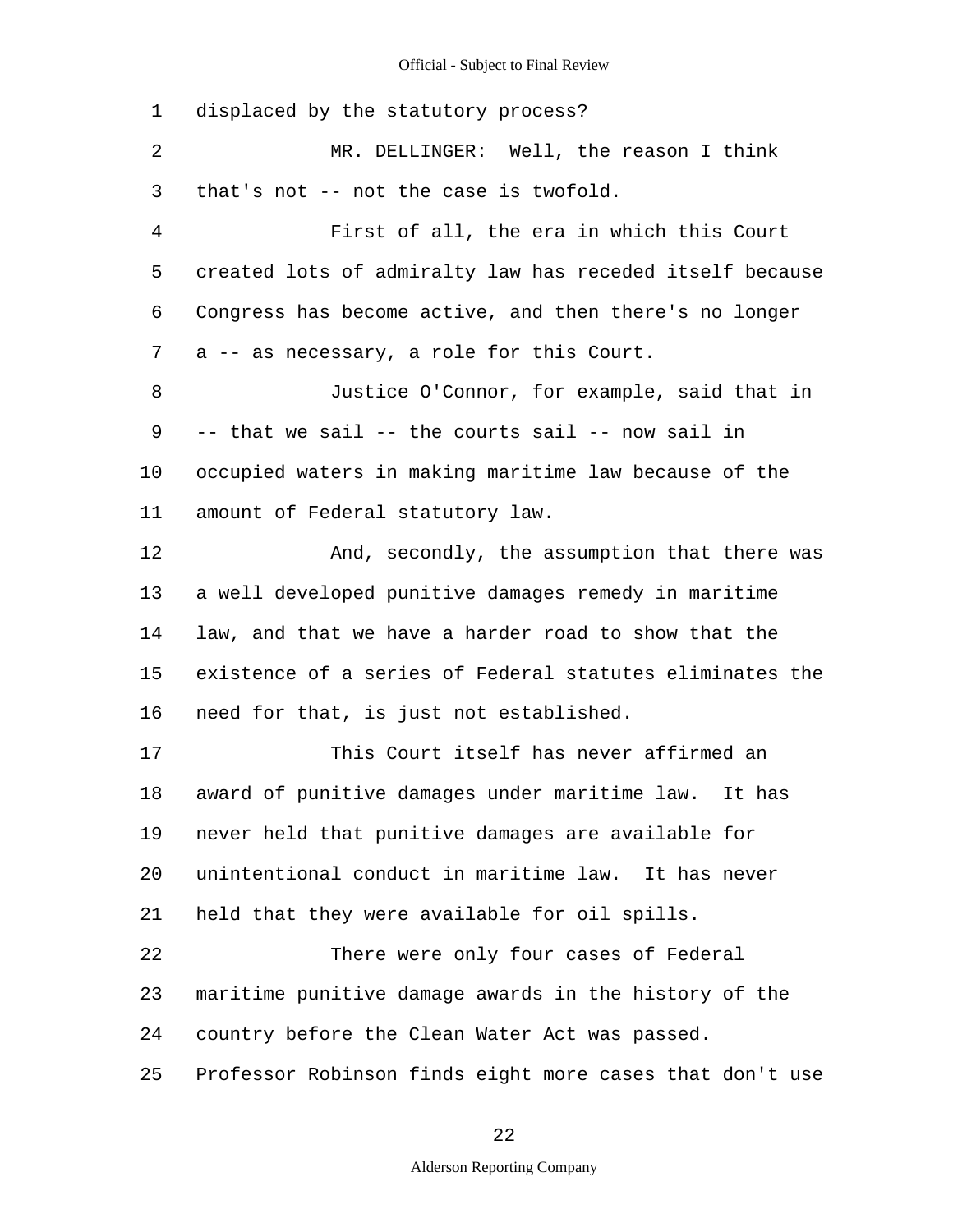1 2 3 4 5 6 7 8 9 10 11 12 13 14 15 16 17 18 19 20 21 22 23 24 25 displaced by the statutory process? MR. DELLINGER: Well, the reason I think that's not -- not the case is twofold. First of all, the era in which this Court created lots of admiralty law has receded itself because Congress has become active, and then there's no longer a -- as necessary, a role for this Court. Justice O'Connor, for example, said that in -- that we sail -- the courts sail -- now sail in occupied waters in making maritime law because of the amount of Federal statutory law. And, secondly, the assumption that there was a well developed punitive damages remedy in maritime law, and that we have a harder road to show that the existence of a series of Federal statutes eliminates the need for that, is just not established. This Court itself has never affirmed an award of punitive damages under maritime law. It has never held that punitive damages are available for unintentional conduct in maritime law. It has never held that they were available for oil spills. There were only four cases of Federal maritime punitive damage awards in the history of the country before the Clean Water Act was passed. Professor Robinson finds eight more cases that don't use

22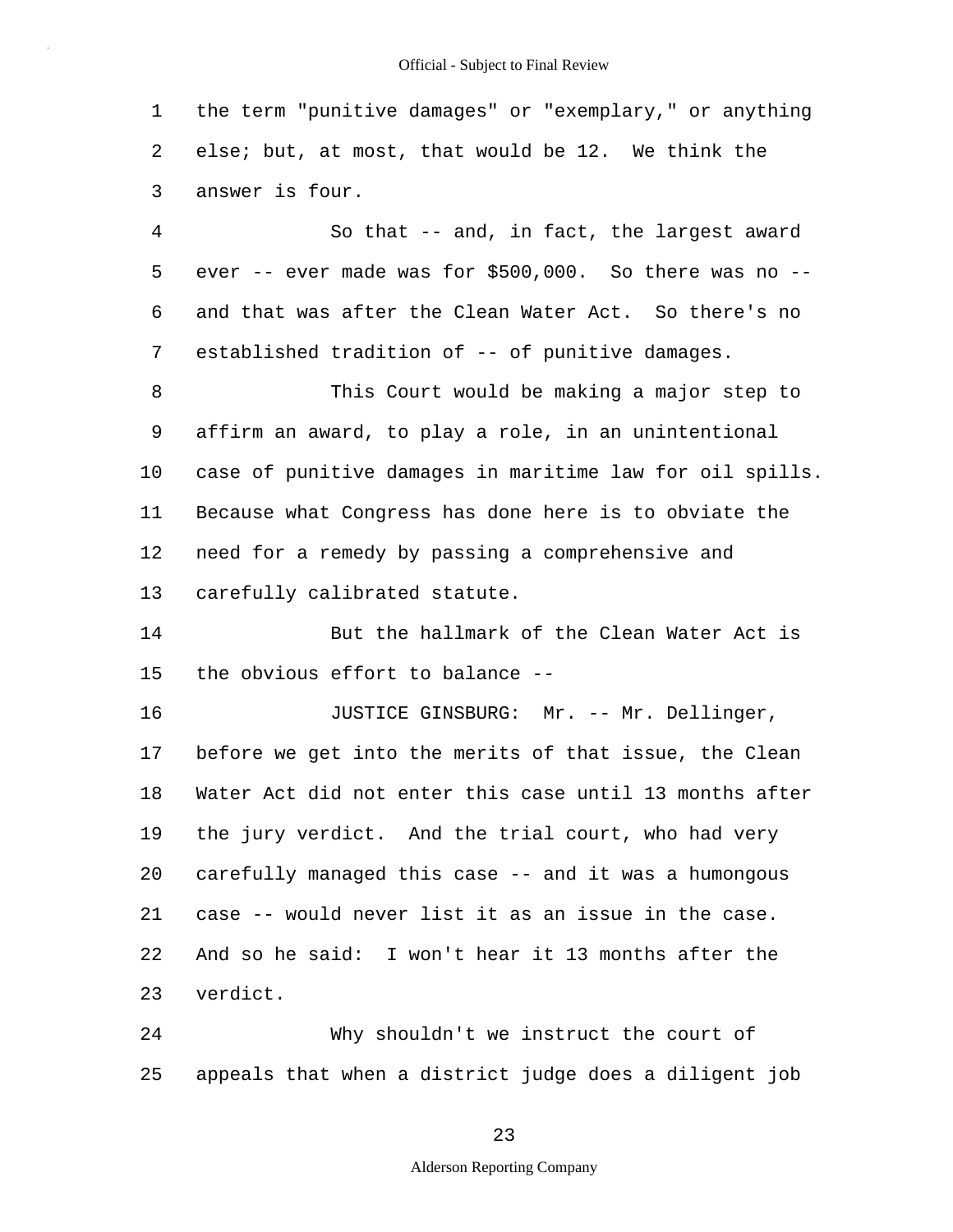1 2 3 the term "punitive damages" or "exemplary," or anything else; but, at most, that would be 12. We think the answer is four.

4 5 6 7 So that -- and, in fact, the largest award ever  $-$ - ever made was for  $$500,000$ . So there was no  $-$ and that was after the Clean Water Act. So there's no established tradition of -- of punitive damages.

8 9 10 11 12 13 This Court would be making a major step to affirm an award, to play a role, in an unintentional case of punitive damages in maritime law for oil spills. Because what Congress has done here is to obviate the need for a remedy by passing a comprehensive and carefully calibrated statute.

14 15 But the hallmark of the Clean Water Act is the obvious effort to balance --

16 17 18 19 20 21 22 23 JUSTICE GINSBURG: Mr. -- Mr. Dellinger, before we get into the merits of that issue, the Clean Water Act did not enter this case until 13 months after the jury verdict. And the trial court, who had very carefully managed this case -- and it was a humongous case -- would never list it as an issue in the case. And so he said: I won't hear it 13 months after the verdict.

24 25 Why shouldn't we instruct the court of appeals that when a district judge does a diligent job

23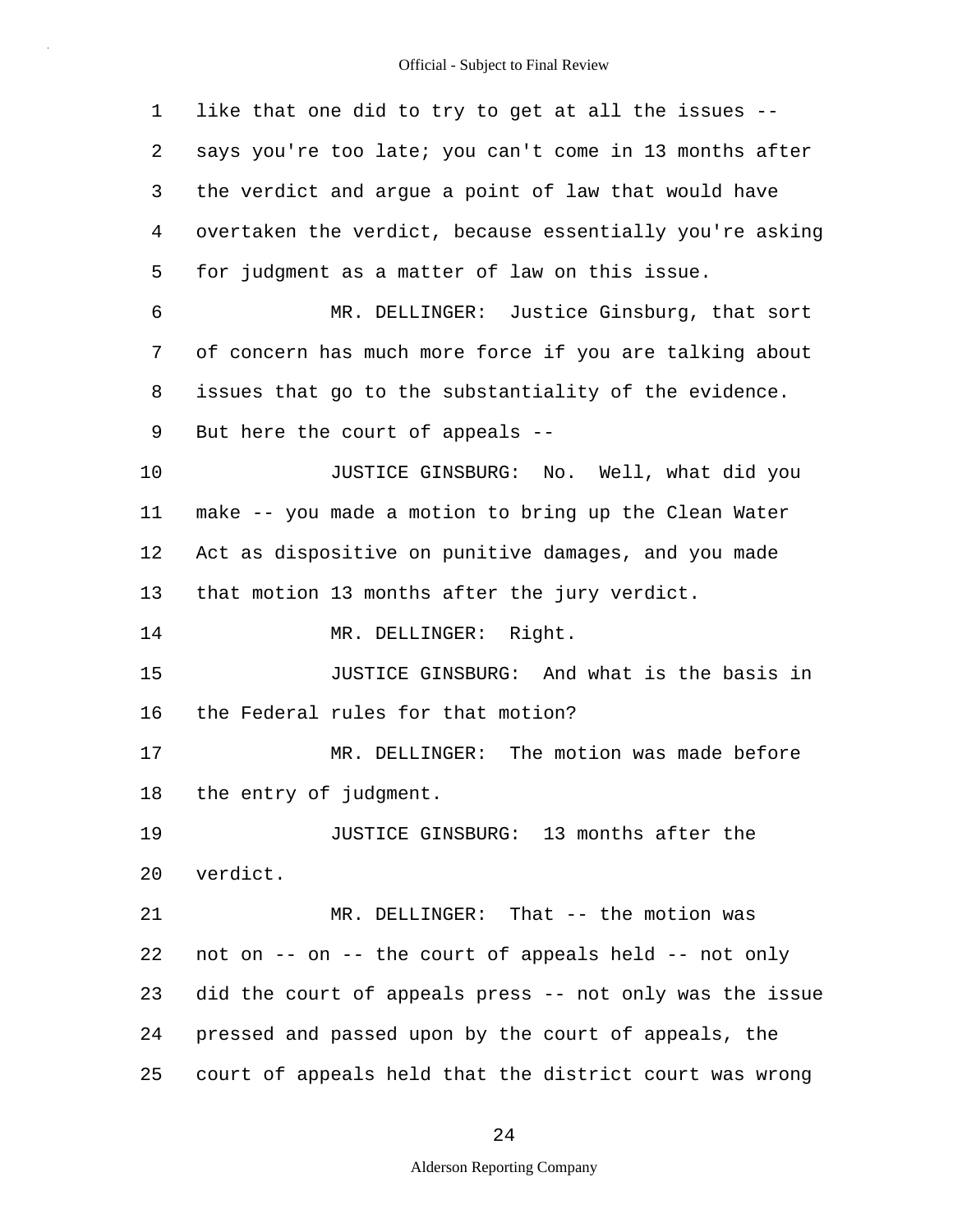| 1  | like that one did to try to get at all the issues --     |
|----|----------------------------------------------------------|
| 2  | says you're too late; you can't come in 13 months after  |
| 3  | the verdict and argue a point of law that would have     |
| 4  | overtaken the verdict, because essentially you're asking |
| 5  | for judgment as a matter of law on this issue.           |
| 6  | MR. DELLINGER: Justice Ginsburg, that sort               |
| 7  | of concern has much more force if you are talking about  |
| 8  | issues that go to the substantiality of the evidence.    |
| 9  | But here the court of appeals --                         |
| 10 | JUSTICE GINSBURG: No. Well, what did you                 |
| 11 | make -- you made a motion to bring up the Clean Water    |
| 12 | Act as dispositive on punitive damages, and you made     |
| 13 | that motion 13 months after the jury verdict.            |
| 14 | MR. DELLINGER: Right.                                    |
| 15 | JUSTICE GINSBURG: And what is the basis in               |
| 16 | the Federal rules for that motion?                       |
| 17 | MR. DELLINGER: The motion was made before                |
| 18 | the entry of judgment.                                   |
| 19 | JUSTICE GINSBURG: 13 months after the                    |
| 20 | verdict.                                                 |
| 21 | MR. DELLINGER: That -- the motion was                    |
| 22 | not on -- on -- the court of appeals held -- not only    |
| 23 | did the court of appeals press -- not only was the issue |
| 24 | pressed and passed upon by the court of appeals, the     |
| 25 | court of appeals held that the district court was wrong  |

24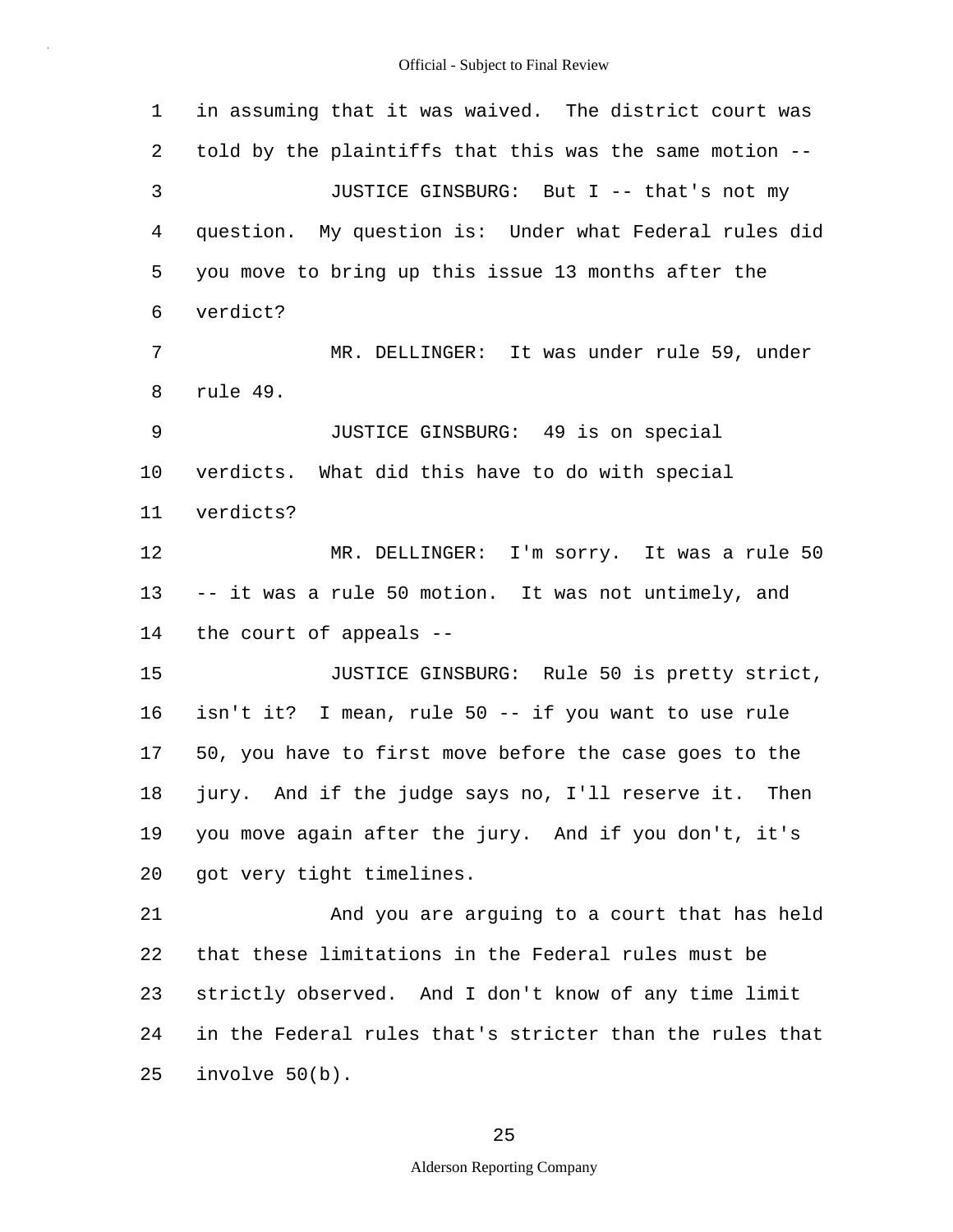1 2 3 4 5 6 7 8 9 10 11 12 13 14 15 16 17 18 19 20 21 22 23 24 25 in assuming that it was waived. The district court was told by the plaintiffs that this was the same motion -- JUSTICE GINSBURG: But I -- that's not my question. My question is: Under what Federal rules did you move to bring up this issue 13 months after the verdict? MR. DELLINGER: It was under rule 59, under rule 49. JUSTICE GINSBURG: 49 is on special verdicts. What did this have to do with special verdicts? MR. DELLINGER: I'm sorry. It was a rule 50 -- it was a rule 50 motion. It was not untimely, and the court of appeals -- JUSTICE GINSBURG: Rule 50 is pretty strict, isn't it? I mean, rule 50 -- if you want to use rule 50, you have to first move before the case goes to the jury. And if the judge says no, I'll reserve it. Then you move again after the jury. And if you don't, it's got very tight timelines. And you are arguing to a court that has held that these limitations in the Federal rules must be strictly observed. And I don't know of any time limit in the Federal rules that's stricter than the rules that involve 50(b).

25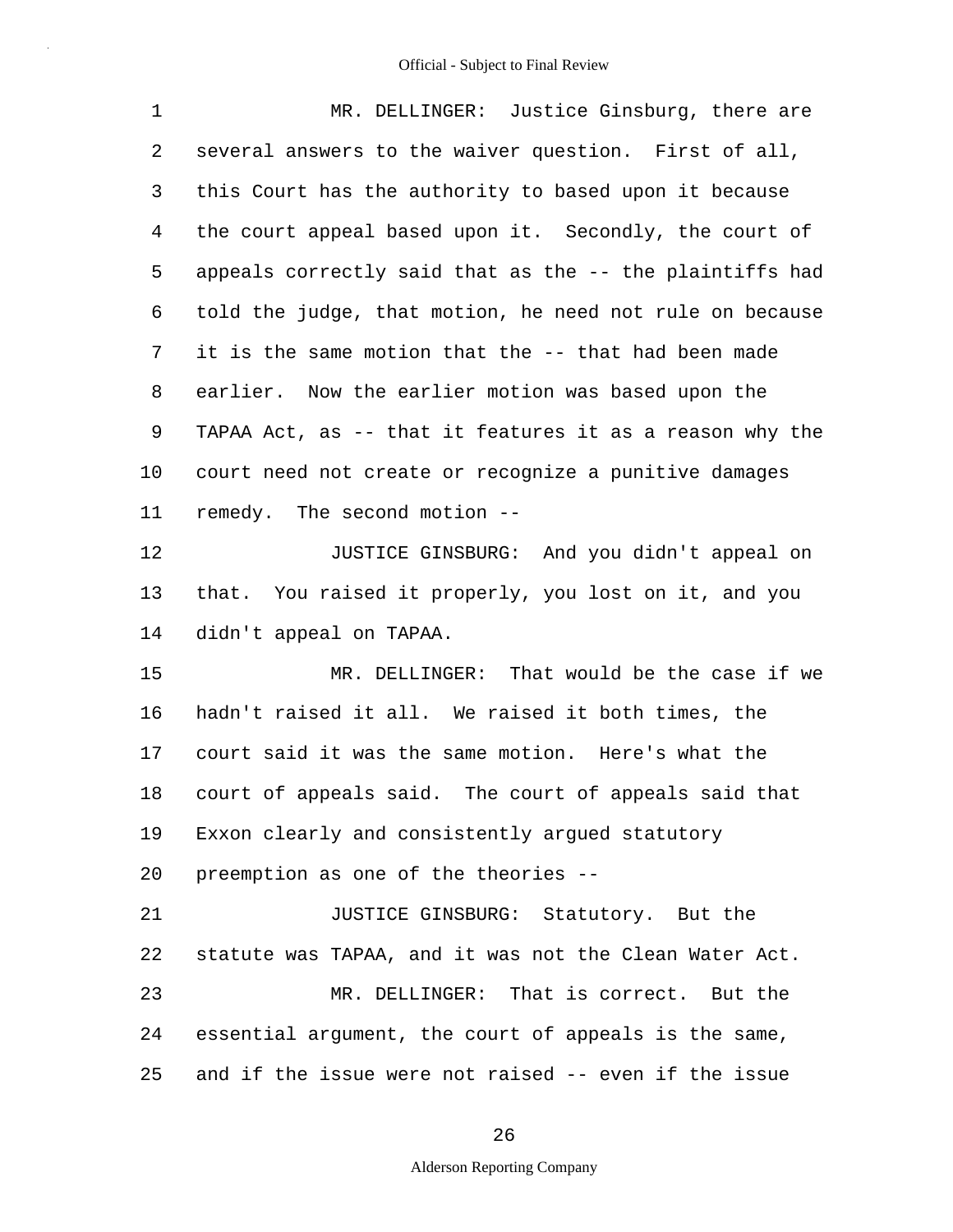| 1       | MR. DELLINGER: Justice Ginsburg, there are               |
|---------|----------------------------------------------------------|
| 2       | several answers to the waiver question. First of all,    |
| 3       | this Court has the authority to based upon it because    |
| 4       | the court appeal based upon it. Secondly, the court of   |
| 5       | appeals correctly said that as the -- the plaintiffs had |
| 6       | told the judge, that motion, he need not rule on because |
| 7       | it is the same motion that the -- that had been made     |
| 8       | earlier. Now the earlier motion was based upon the       |
| 9       | TAPAA Act, as -- that it features it as a reason why the |
| $10 \,$ | court need not create or recognize a punitive damages    |
| 11      | remedy. The second motion --                             |
| 12      | JUSTICE GINSBURG: And you didn't appeal on               |
| 13      | that. You raised it properly, you lost on it, and you    |
| 14      | didn't appeal on TAPAA.                                  |
| 15      | MR. DELLINGER: That would be the case if we              |
| 16      | hadn't raised it all. We raised it both times, the       |
| 17      | court said it was the same motion. Here's what the       |
| 18      | court of appeals said. The court of appeals said that    |
| 19      | Exxon clearly and consistently argued statutory          |
| 20      | preemption as one of the theories --                     |
| 21      | JUSTICE GINSBURG: Statutory. But the                     |
| 22      | statute was TAPAA, and it was not the Clean Water Act.   |
| 23      | MR. DELLINGER: That is correct. But the                  |
| 24      | essential argument, the court of appeals is the same,    |
| 25      | and if the issue were not raised -- even if the issue    |

26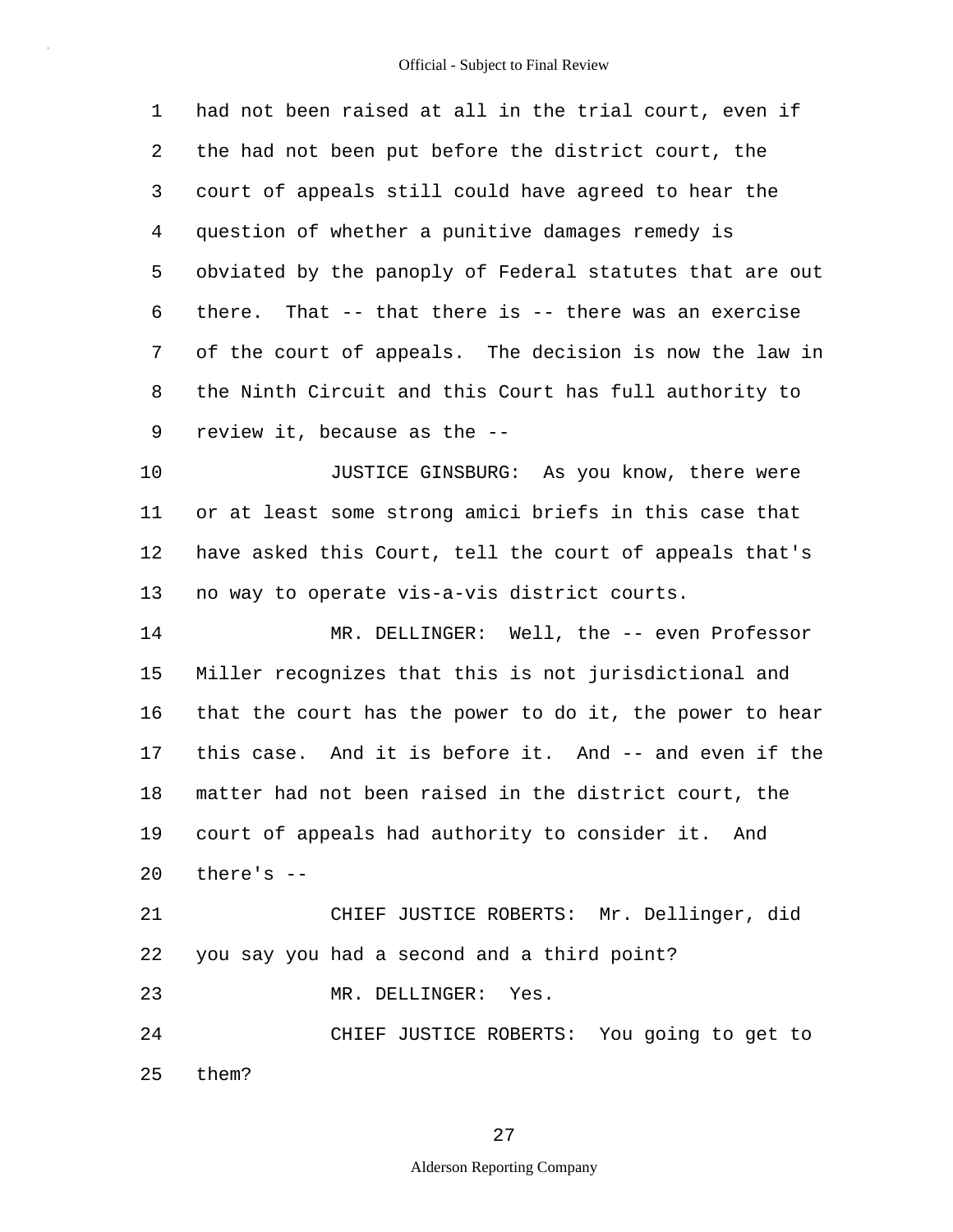1 2 3 4 5 6 7 8 9 had not been raised at all in the trial court, even if the had not been put before the district court, the court of appeals still could have agreed to hear the question of whether a punitive damages remedy is obviated by the panoply of Federal statutes that are out there. That -- that there is -- there was an exercise of the court of appeals. The decision is now the law in the Ninth Circuit and this Court has full authority to review it, because as the --

10 11 12 13 JUSTICE GINSBURG: As you know, there were or at least some strong amici briefs in this case that have asked this Court, tell the court of appeals that's no way to operate vis-a-vis district courts.

14 15 16 17 18 19 20 21 MR. DELLINGER: Well, the -- even Professor Miller recognizes that this is not jurisdictional and that the court has the power to do it, the power to hear this case. And it is before it. And -- and even if the matter had not been raised in the district court, the court of appeals had authority to consider it. And there's -- CHIEF JUSTICE ROBERTS: Mr. Dellinger, did

22 23 24 25 you say you had a second and a third point? MR. DELLINGER: Yes. CHIEF JUSTICE ROBERTS: You going to get to them?

# 27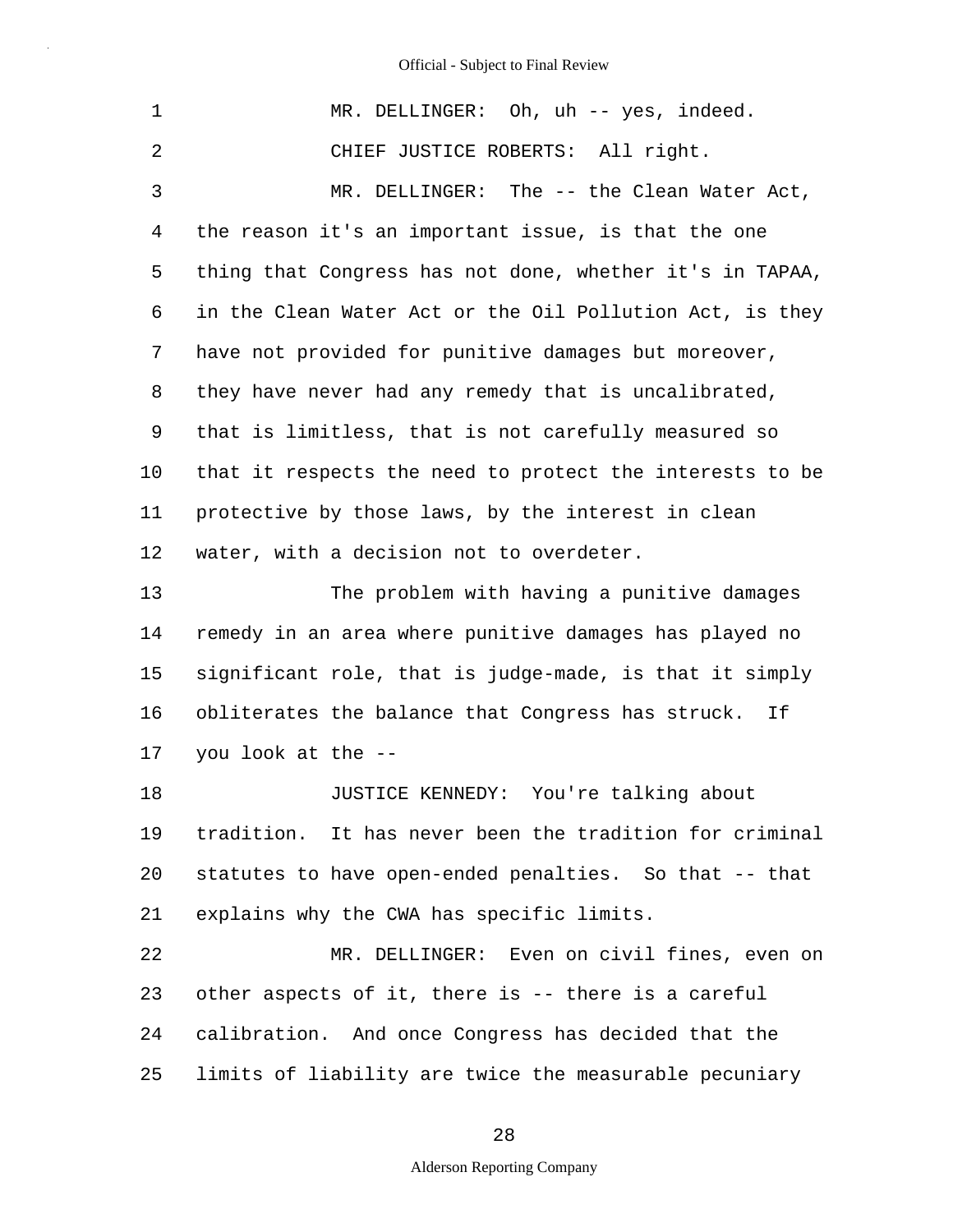| 1  | MR. DELLINGER: Oh, uh -- yes, indeed.                    |
|----|----------------------------------------------------------|
| 2  | CHIEF JUSTICE ROBERTS: All right.                        |
| 3  | MR. DELLINGER: The -- the Clean Water Act,               |
| 4  | the reason it's an important issue, is that the one      |
| 5  | thing that Congress has not done, whether it's in TAPAA, |
| 6  | in the Clean Water Act or the Oil Pollution Act, is they |
| 7  | have not provided for punitive damages but moreover,     |
| 8  | they have never had any remedy that is uncalibrated,     |
| 9  | that is limitless, that is not carefully measured so     |
| 10 | that it respects the need to protect the interests to be |
| 11 | protective by those laws, by the interest in clean       |
| 12 | water, with a decision not to overdeter.                 |
| 13 | The problem with having a punitive damages               |
| 14 | remedy in an area where punitive damages has played no   |
| 15 | significant role, that is judge-made, is that it simply  |
| 16 | obliterates the balance that Congress has struck. If     |
| 17 | you look at the --                                       |
| 18 | JUSTICE KENNEDY: You're talking about                    |
| 19 | tradition. It has never been the tradition for criminal  |
| 20 | statutes to have open-ended penalties. So that -- that   |
| 21 | explains why the CWA has specific limits.                |
| 22 | MR. DELLINGER: Even on civil fines, even on              |
| 23 | other aspects of it, there is -- there is a careful      |
| 24 | calibration. And once Congress has decided that the      |
| 25 | limits of liability are twice the measurable pecuniary   |

28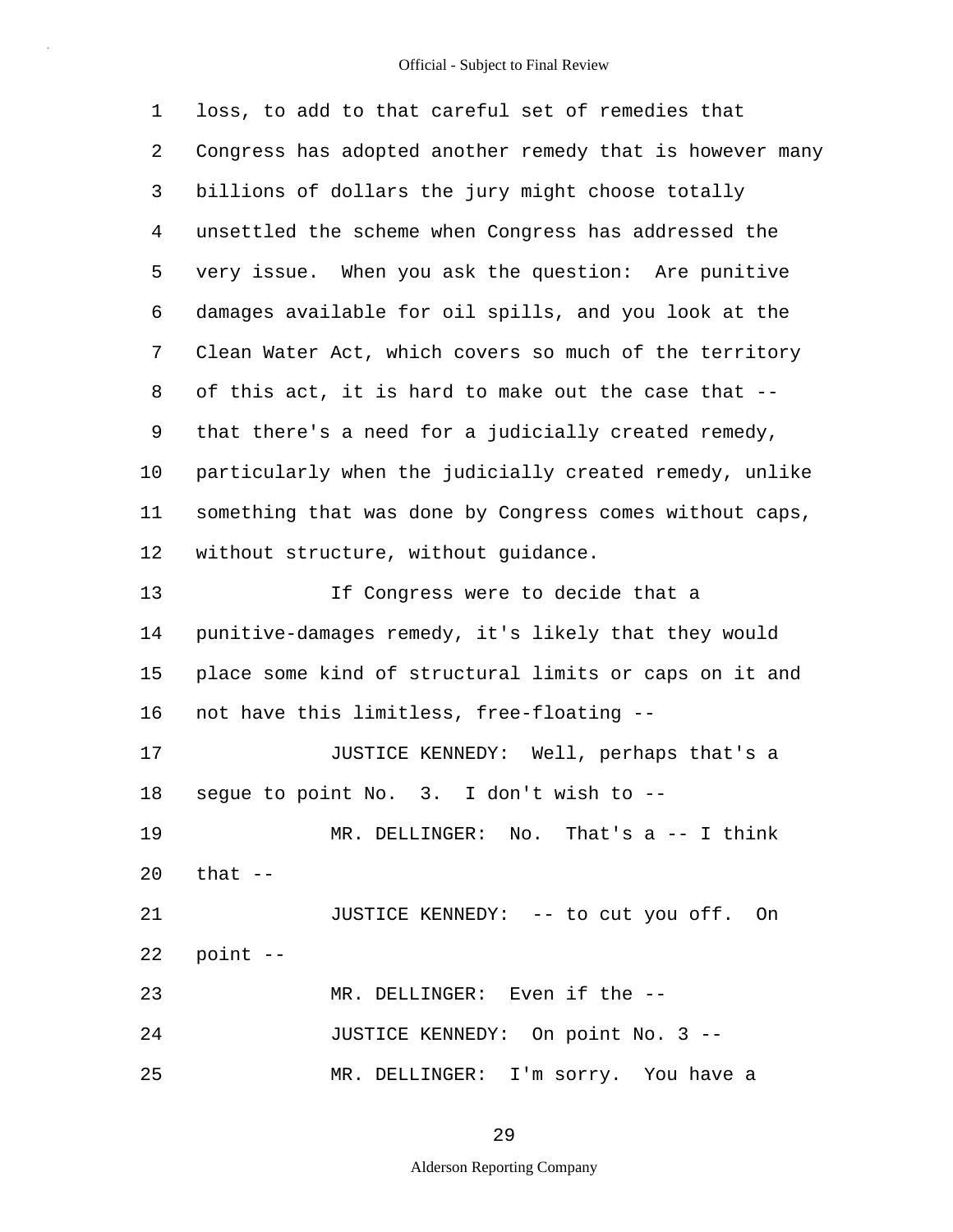| $\mathbf{1}$ | loss, to add to that careful set of remedies that        |
|--------------|----------------------------------------------------------|
| 2            | Congress has adopted another remedy that is however many |
| 3            | billions of dollars the jury might choose totally        |
| 4            | unsettled the scheme when Congress has addressed the     |
| 5            | very issue. When you ask the question: Are punitive      |
| 6            | damages available for oil spills, and you look at the    |
| 7            | Clean Water Act, which covers so much of the territory   |
| 8            | of this act, it is hard to make out the case that --     |
| 9            | that there's a need for a judicially created remedy,     |
| 10           | particularly when the judicially created remedy, unlike  |
| 11           | something that was done by Congress comes without caps,  |
| 12           | without structure, without guidance.                     |
| 13           | If Congress were to decide that a                        |
| 14           | punitive-damages remedy, it's likely that they would     |
| 15           | place some kind of structural limits or caps on it and   |
| 16           | not have this limitless, free-floating --                |
| 17           | JUSTICE KENNEDY: Well, perhaps that's a                  |
| 18           | segue to point No. 3. I don't wish to --                 |
| 19           | MR. DELLINGER: No. That's $a$ -- I think                 |
| 20           | that --                                                  |
| 21           | JUSTICE KENNEDY: -- to cut you off. On                   |
| 22           | point --                                                 |
| 23           | MR. DELLINGER: Even if the --                            |
| 24           | JUSTICE KENNEDY: On point No. 3 --                       |
| 25           | MR. DELLINGER: I'm sorry. You have a                     |

29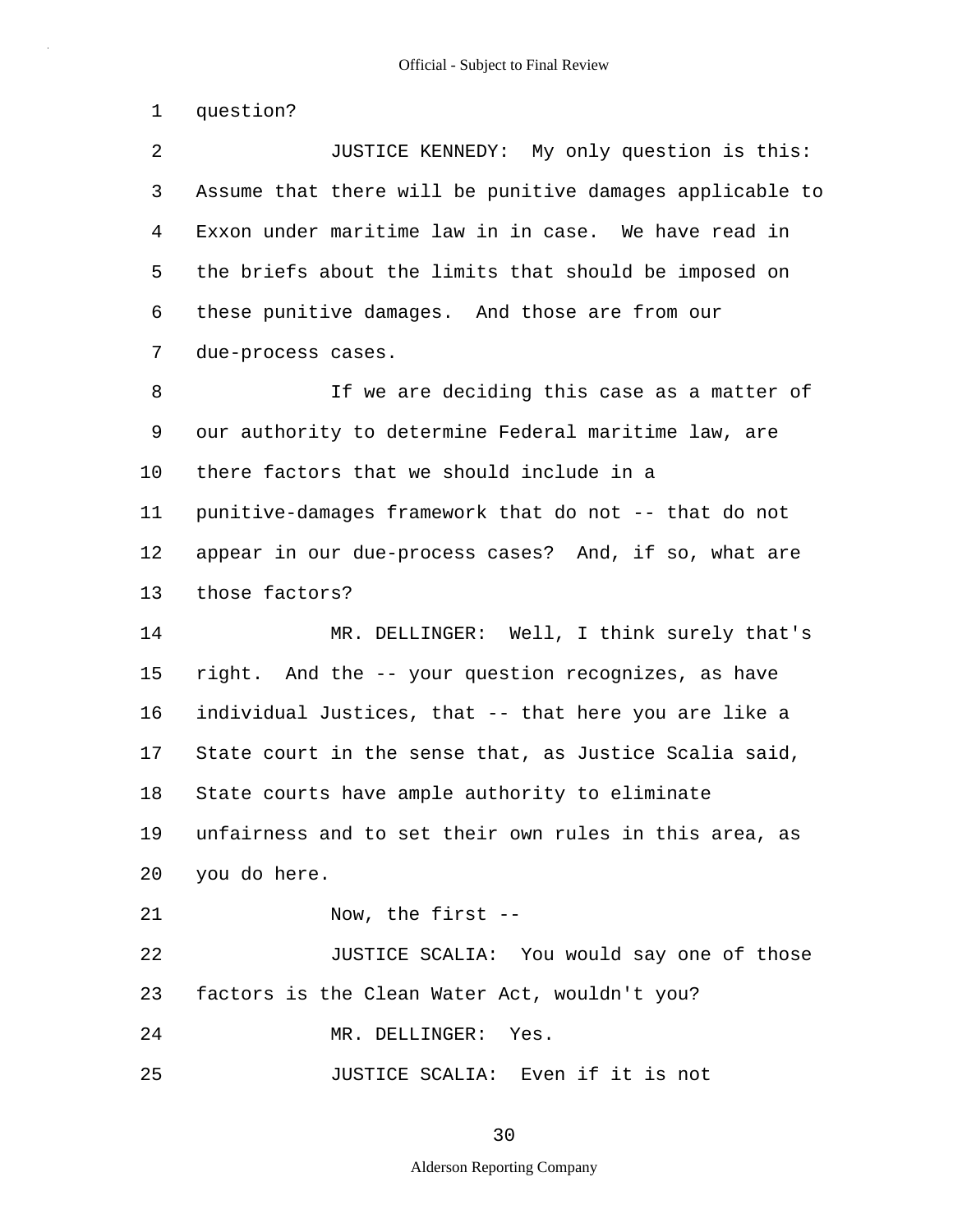1 question?

25

2 3 4 5 6 7 8 9 10 11 12 13 14 15 16 17 18 19 20 21 22 23 24 JUSTICE KENNEDY: My only question is this: Assume that there will be punitive damages applicable to Exxon under maritime law in in case. We have read in the briefs about the limits that should be imposed on these punitive damages. And those are from our due-process cases. If we are deciding this case as a matter of our authority to determine Federal maritime law, are there factors that we should include in a punitive-damages framework that do not -- that do not appear in our due-process cases? And, if so, what are those factors? MR. DELLINGER: Well, I think surely that's right. And the -- your question recognizes, as have individual Justices, that -- that here you are like a State court in the sense that, as Justice Scalia said, State courts have ample authority to eliminate unfairness and to set their own rules in this area, as you do here. Now, the first -- JUSTICE SCALIA: You would say one of those factors is the Clean Water Act, wouldn't you? MR. DELLINGER: Yes.

JUSTICE SCALIA: Even if it is not

### 30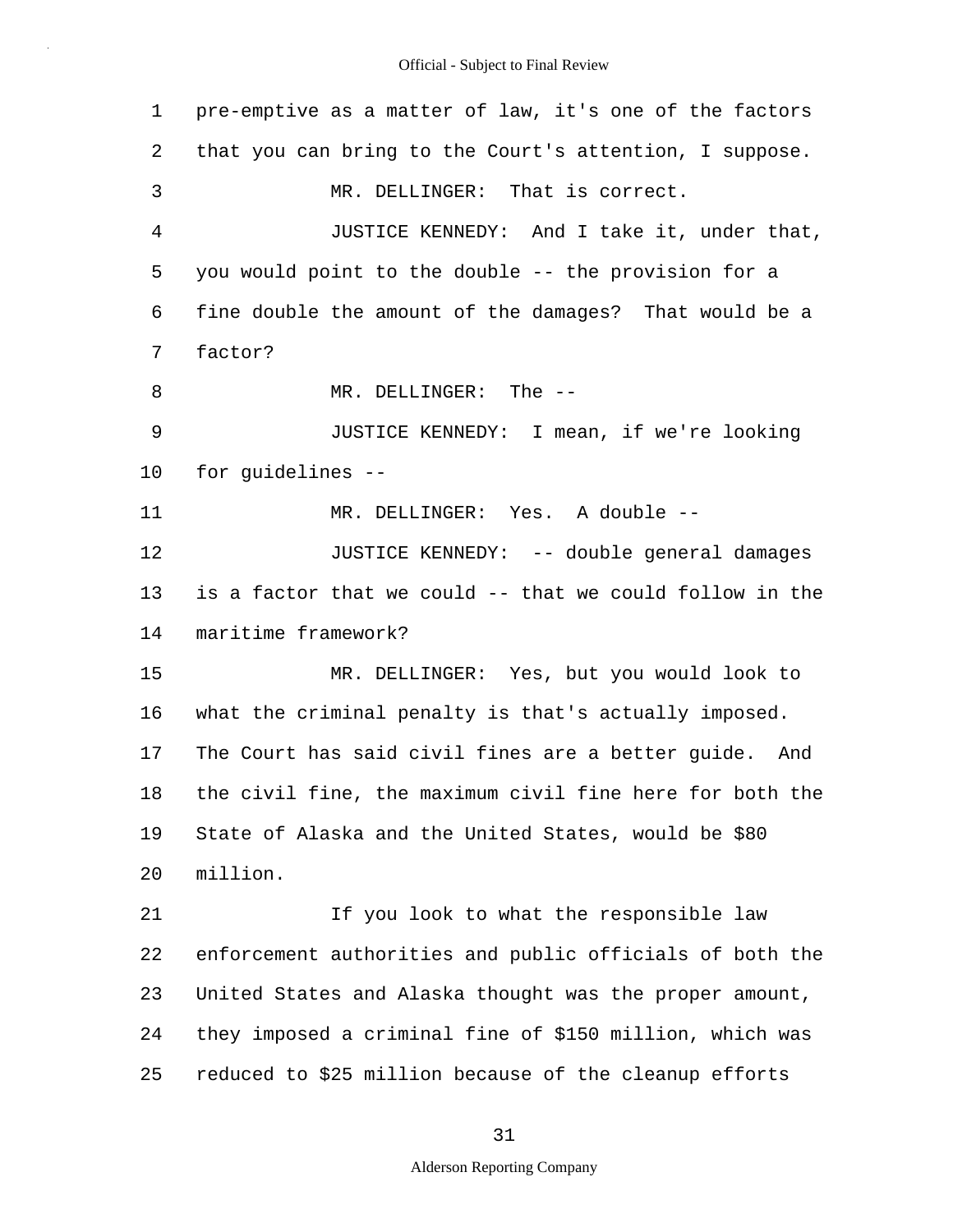1 2 3 4 5 6 7 8 9 10 11 12 13 14 15 16 17 18 19 20 21 22 23 24 25 pre-emptive as a matter of law, it's one of the factors that you can bring to the Court's attention, I suppose. MR. DELLINGER: That is correct. JUSTICE KENNEDY: And I take it, under that, you would point to the double -- the provision for a fine double the amount of the damages? That would be a factor? MR. DELLINGER: The -- JUSTICE KENNEDY: I mean, if we're looking for guidelines -- MR. DELLINGER: Yes. A double -- JUSTICE KENNEDY: -- double general damages is a factor that we could -- that we could follow in the maritime framework? MR. DELLINGER: Yes, but you would look to what the criminal penalty is that's actually imposed. The Court has said civil fines are a better guide. And the civil fine, the maximum civil fine here for both the State of Alaska and the United States, would be \$80 million. If you look to what the responsible law enforcement authorities and public officials of both the United States and Alaska thought was the proper amount, they imposed a criminal fine of \$150 million, which was reduced to \$25 million because of the cleanup efforts

### 31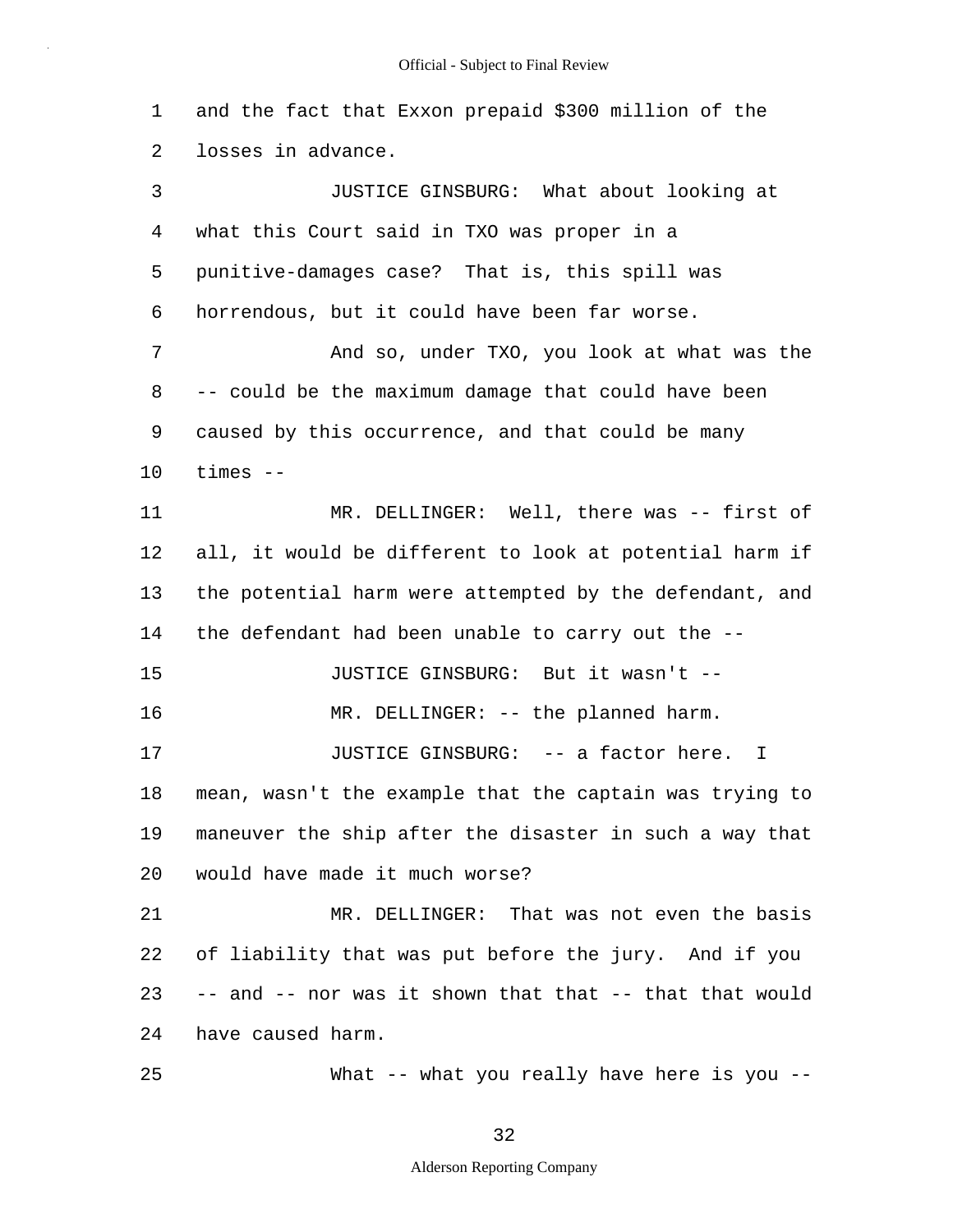1 2 3 4 5 6 7 8 9 10 11 12 13 14 15 16 17 18 19 20 21 22 23 24 25 and the fact that Exxon prepaid \$300 million of the losses in advance. JUSTICE GINSBURG: What about looking at what this Court said in TXO was proper in a punitive-damages case? That is, this spill was horrendous, but it could have been far worse. And so, under TXO, you look at what was the -- could be the maximum damage that could have been caused by this occurrence, and that could be many times -- MR. DELLINGER: Well, there was -- first of all, it would be different to look at potential harm if the potential harm were attempted by the defendant, and the defendant had been unable to carry out the -- JUSTICE GINSBURG: But it wasn't -- MR. DELLINGER: -- the planned harm. JUSTICE GINSBURG: -- a factor here. I mean, wasn't the example that the captain was trying to maneuver the ship after the disaster in such a way that would have made it much worse? MR. DELLINGER: That was not even the basis of liability that was put before the jury. And if you -- and -- nor was it shown that that -- that that would have caused harm. What -- what you really have here is you --

32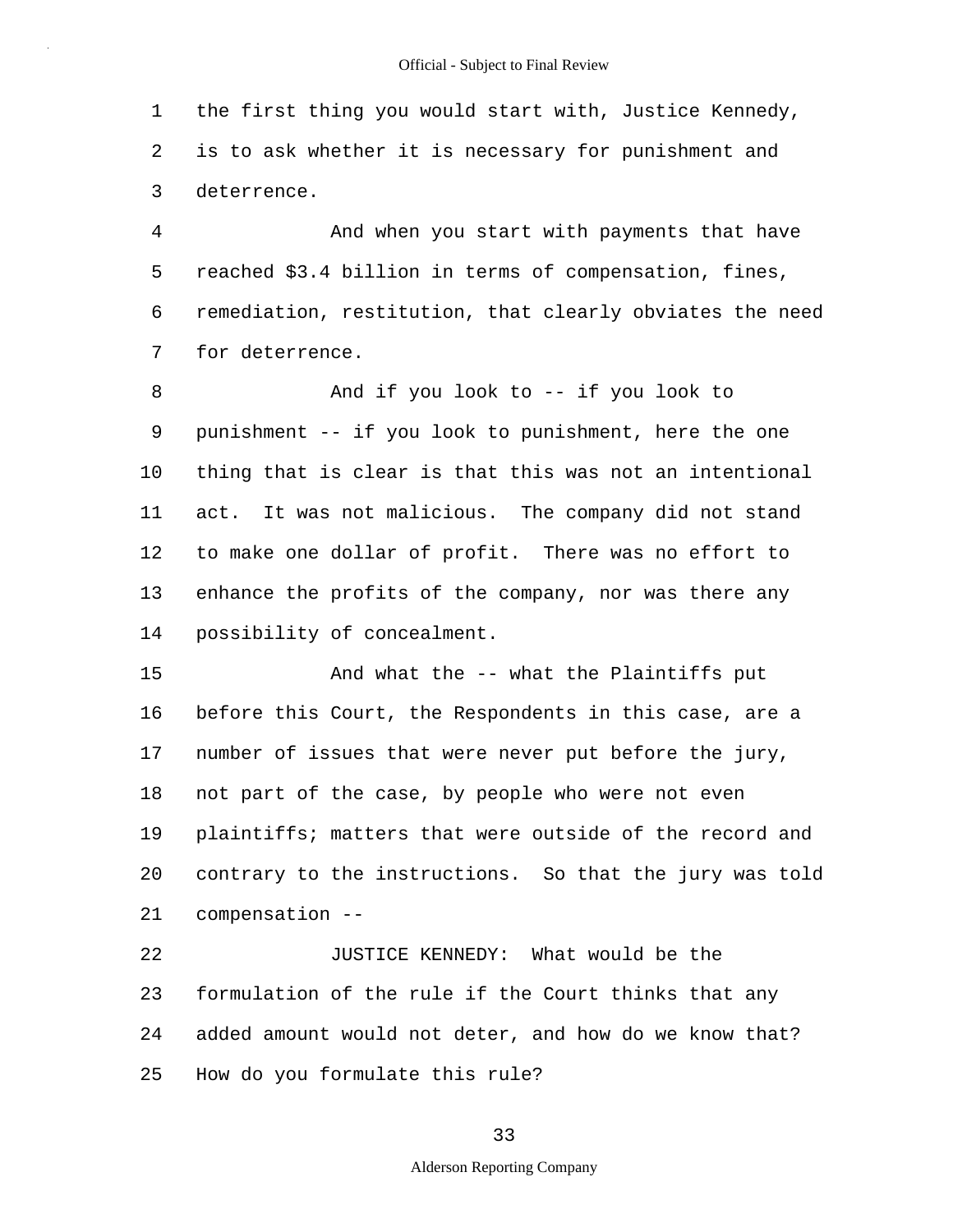1 2 3 the first thing you would start with, Justice Kennedy, is to ask whether it is necessary for punishment and deterrence.

4 5 6 7 And when you start with payments that have reached \$3.4 billion in terms of compensation, fines, remediation, restitution, that clearly obviates the need for deterrence.

8 9 10 11 12 13 14 And if you look to -- if you look to punishment -- if you look to punishment, here the one thing that is clear is that this was not an intentional act. It was not malicious. The company did not stand to make one dollar of profit. There was no effort to enhance the profits of the company, nor was there any possibility of concealment.

15 16 17 18 19 20 21 And what the -- what the Plaintiffs put before this Court, the Respondents in this case, are a number of issues that were never put before the jury, not part of the case, by people who were not even plaintiffs; matters that were outside of the record and contrary to the instructions. So that the jury was told compensation --

22 23 24 25 JUSTICE KENNEDY: What would be the formulation of the rule if the Court thinks that any added amount would not deter, and how do we know that? How do you formulate this rule?

33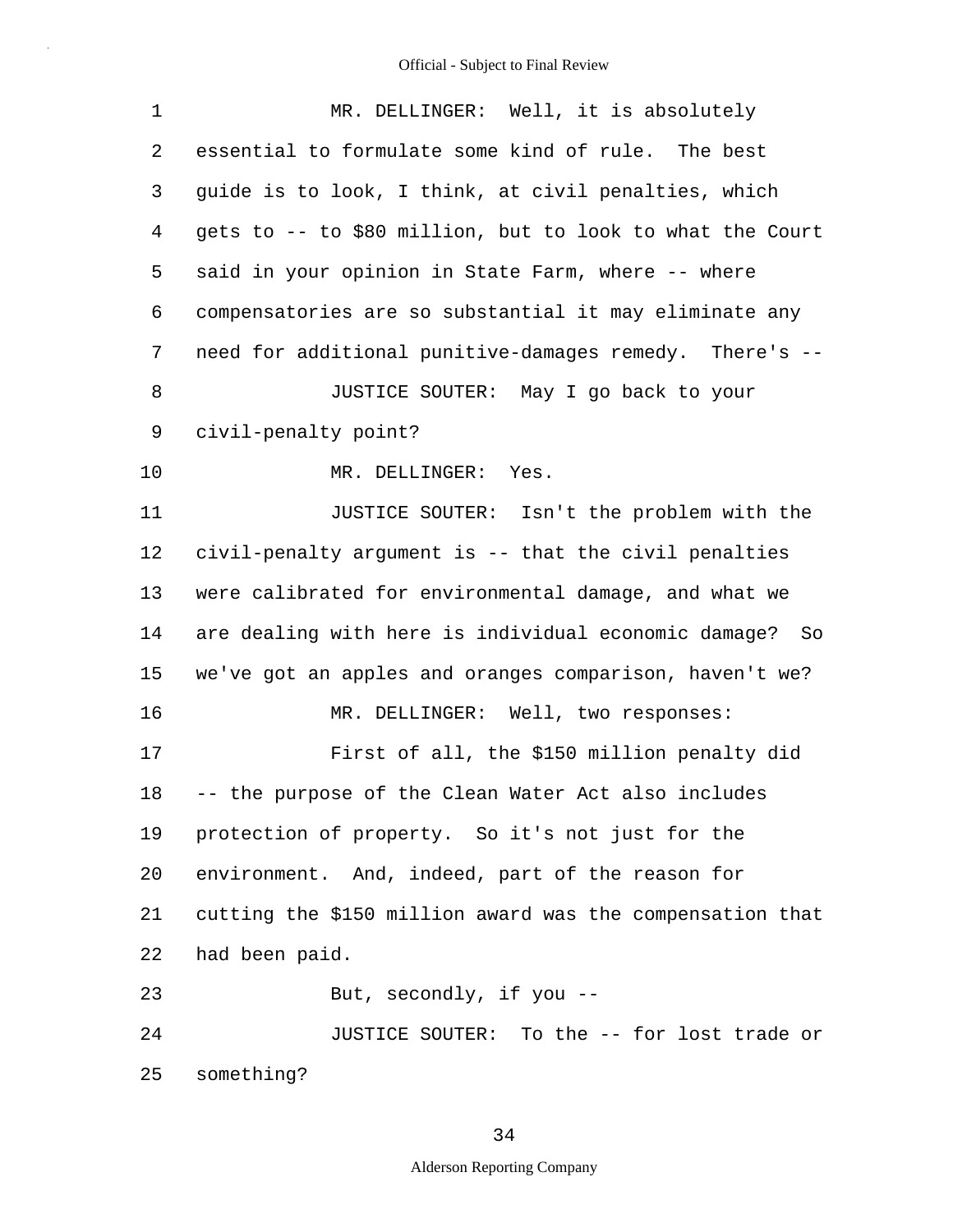| $\mathbf 1$ | MR. DELLINGER: Well, it is absolutely                     |  |
|-------------|-----------------------------------------------------------|--|
| 2           | essential to formulate some kind of rule. The best        |  |
| 3           | guide is to look, I think, at civil penalties, which      |  |
| 4           | gets to -- to \$80 million, but to look to what the Court |  |
| 5           | said in your opinion in State Farm, where -- where        |  |
| 6           | compensatories are so substantial it may eliminate any    |  |
| 7           | need for additional punitive-damages remedy. There's --   |  |
| 8           | JUSTICE SOUTER: May I go back to your                     |  |
| 9           | civil-penalty point?                                      |  |
| 10          | MR. DELLINGER: Yes.                                       |  |
| 11          | JUSTICE SOUTER: Isn't the problem with the                |  |
| 12          | civil-penalty argument is -- that the civil penalties     |  |
| 13          | were calibrated for environmental damage, and what we     |  |
| 14          | are dealing with here is individual economic damage? So   |  |
| 15          | we've got an apples and oranges comparison, haven't we?   |  |
| 16          | MR. DELLINGER: Well, two responses:                       |  |
| 17          | First of all, the \$150 million penalty did               |  |
| 18          | -- the purpose of the Clean Water Act also includes       |  |
| 19          | protection of property. So it's not just for the          |  |
| 20          | environment. And, indeed, part of the reason for          |  |
| 21          | cutting the \$150 million award was the compensation that |  |
| 22          | had been paid.                                            |  |
| 23          | But, secondly, if you --                                  |  |
| 24          | JUSTICE SOUTER: To the -- for lost trade or               |  |
| 25          | something?                                                |  |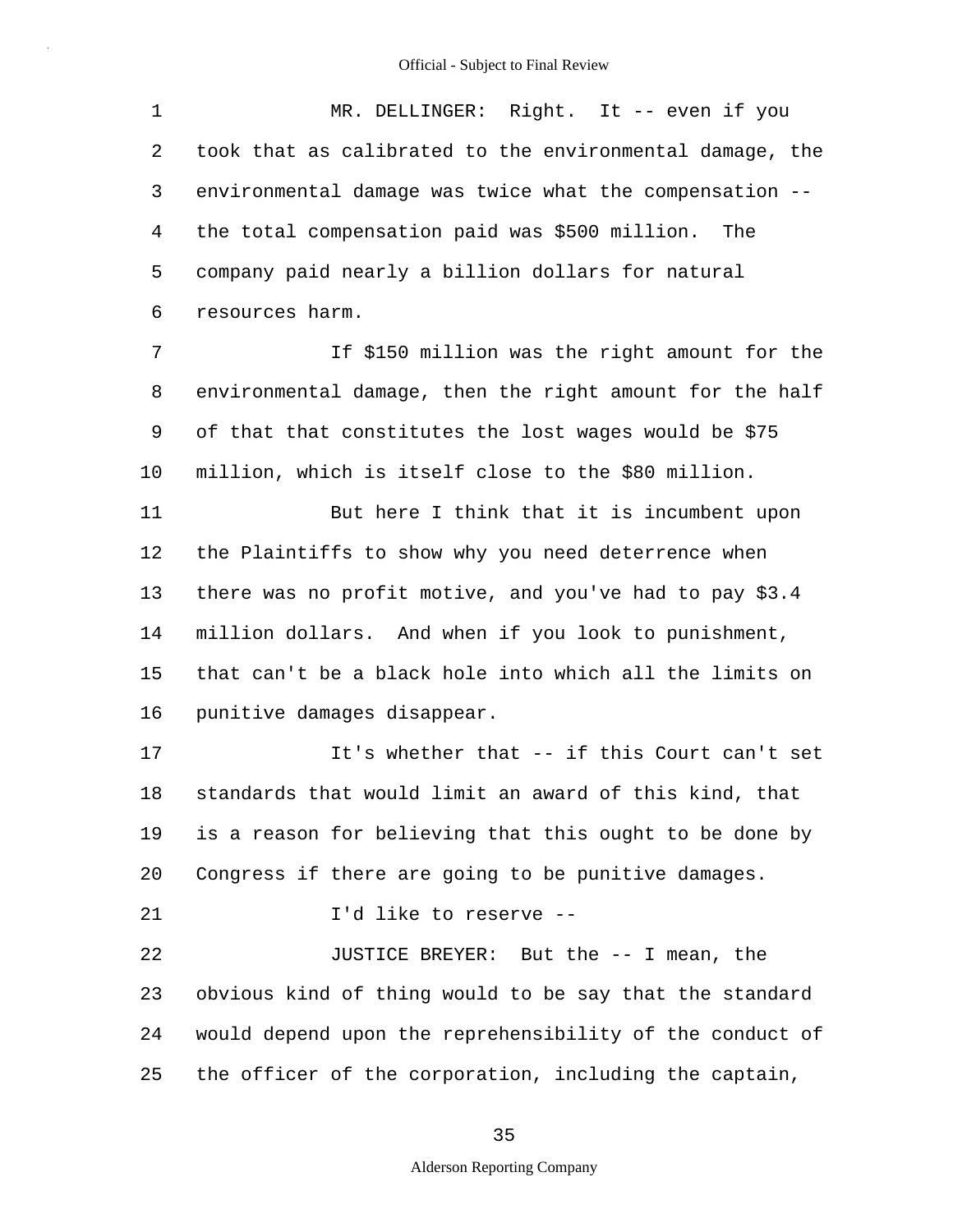1 2 3 4 5 6 7 8 9 10 11 12 13 14 15 16 17 18 19 20 21 22 23 24 25 MR. DELLINGER: Right. It -- even if you took that as calibrated to the environmental damage, the environmental damage was twice what the compensation - the total compensation paid was \$500 million. The company paid nearly a billion dollars for natural resources harm. If \$150 million was the right amount for the environmental damage, then the right amount for the half of that that constitutes the lost wages would be \$75 million, which is itself close to the \$80 million. But here I think that it is incumbent upon the Plaintiffs to show why you need deterrence when there was no profit motive, and you've had to pay \$3.4 million dollars. And when if you look to punishment, that can't be a black hole into which all the limits on punitive damages disappear. It's whether that -- if this Court can't set standards that would limit an award of this kind, that is a reason for believing that this ought to be done by Congress if there are going to be punitive damages. I'd like to reserve -- JUSTICE BREYER: But the -- I mean, the obvious kind of thing would to be say that the standard would depend upon the reprehensibility of the conduct of the officer of the corporation, including the captain,

35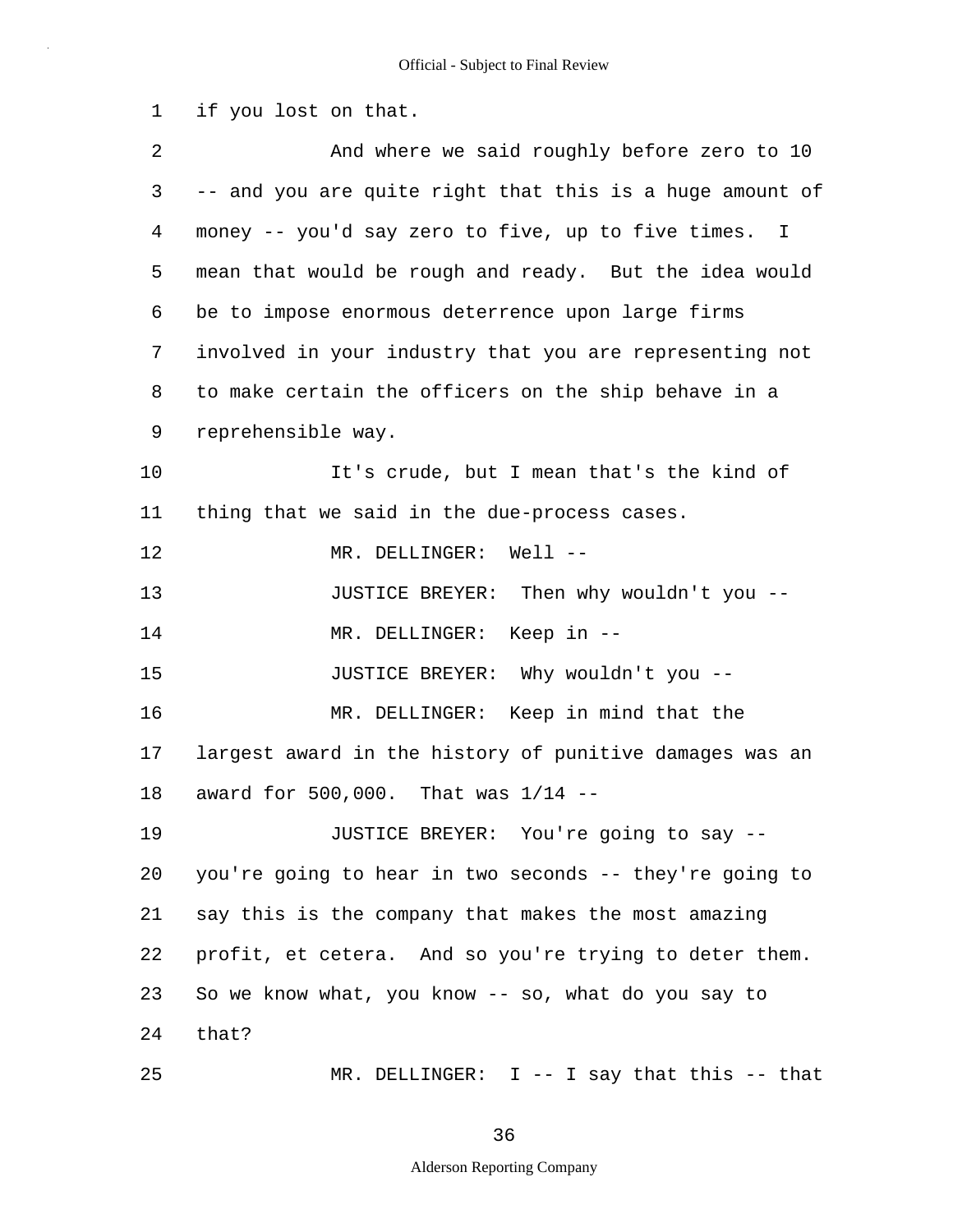1 2 3 4 5 6 7 8 9 10 11 12 13 14 15 16 17 18 19 20 21 22 23 24 25 if you lost on that. And where we said roughly before zero to 10 -- and you are quite right that this is a huge amount of money -- you'd say zero to five, up to five times. I mean that would be rough and ready. But the idea would be to impose enormous deterrence upon large firms involved in your industry that you are representing not to make certain the officers on the ship behave in a reprehensible way. It's crude, but I mean that's the kind of thing that we said in the due-process cases. MR. DELLINGER: Well --JUSTICE BREYER: Then why wouldn't you -- MR. DELLINGER: Keep in -- JUSTICE BREYER: Why wouldn't you -- MR. DELLINGER: Keep in mind that the largest award in the history of punitive damages was an award for 500,000. That was 1/14 -- JUSTICE BREYER: You're going to say - you're going to hear in two seconds -- they're going to say this is the company that makes the most amazing profit, et cetera. And so you're trying to deter them. So we know what, you know -- so, what do you say to that? MR. DELLINGER: I -- I say that this -- that

36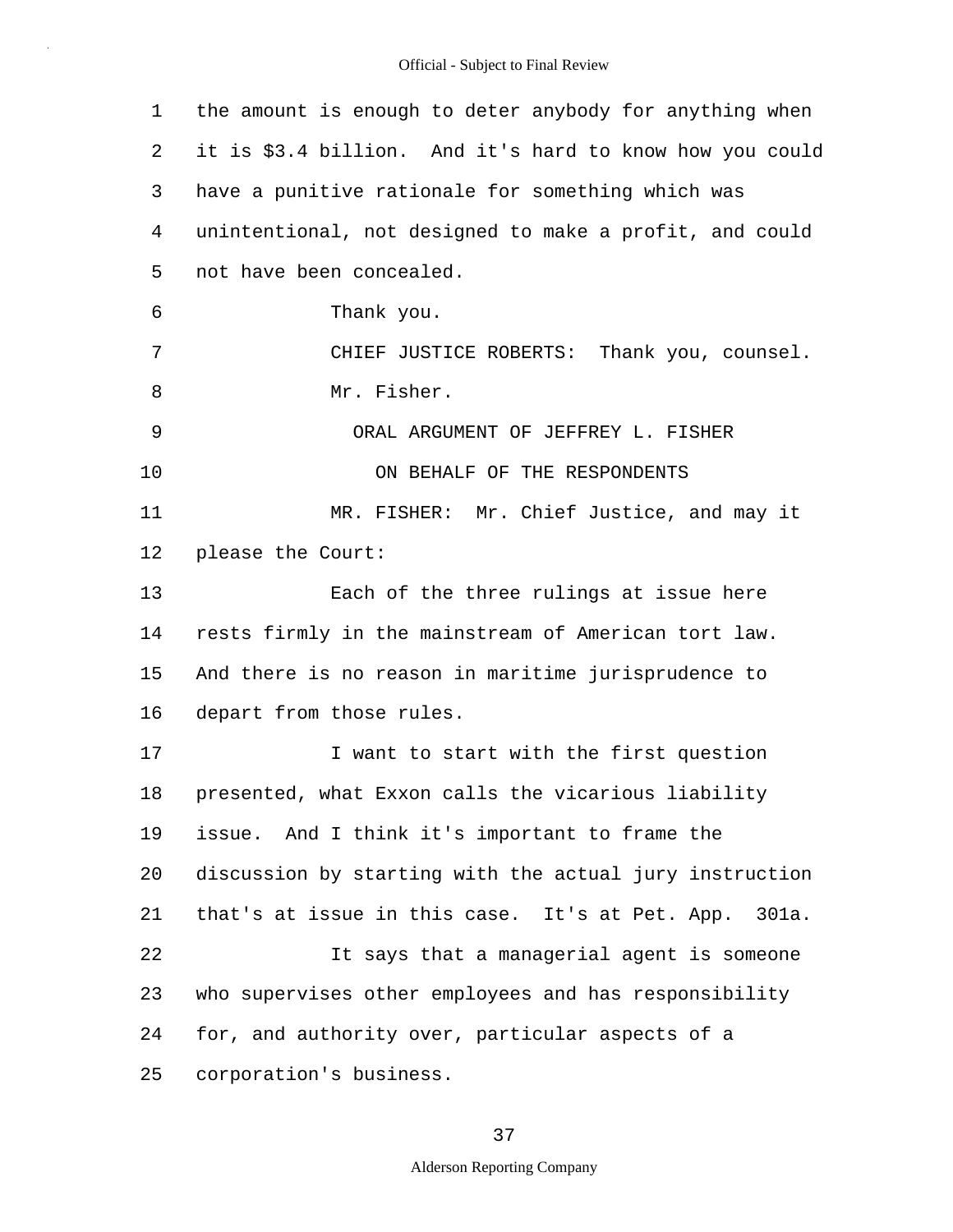| 1  | the amount is enough to deter anybody for anything when  |
|----|----------------------------------------------------------|
| 2  | it is \$3.4 billion. And it's hard to know how you could |
| 3  | have a punitive rationale for something which was        |
| 4  | unintentional, not designed to make a profit, and could  |
| 5  | not have been concealed.                                 |
| 6  | Thank you.                                               |
| 7  | CHIEF JUSTICE ROBERTS: Thank you, counsel.               |
| 8  | Mr. Fisher.                                              |
| 9  | ORAL ARGUMENT OF JEFFREY L. FISHER                       |
| 10 | ON BEHALF OF THE RESPONDENTS                             |
| 11 | MR. FISHER: Mr. Chief Justice, and may it                |
| 12 | please the Court:                                        |
| 13 | Each of the three rulings at issue here                  |
| 14 | rests firmly in the mainstream of American tort law.     |
| 15 | And there is no reason in maritime jurisprudence to      |
| 16 | depart from those rules.                                 |
| 17 | I want to start with the first question                  |
| 18 | presented, what Exxon calls the vicarious liability      |
| 19 | issue. And I think it's important to frame the           |
| 20 | discussion by starting with the actual jury instruction  |
| 21 | that's at issue in this case. It's at Pet. App. 301a.    |
| 22 | It says that a managerial agent is someone               |
| 23 | who supervises other employees and has responsibility    |
| 24 | for, and authority over, particular aspects of a         |
| 25 | corporation's business.                                  |

## 37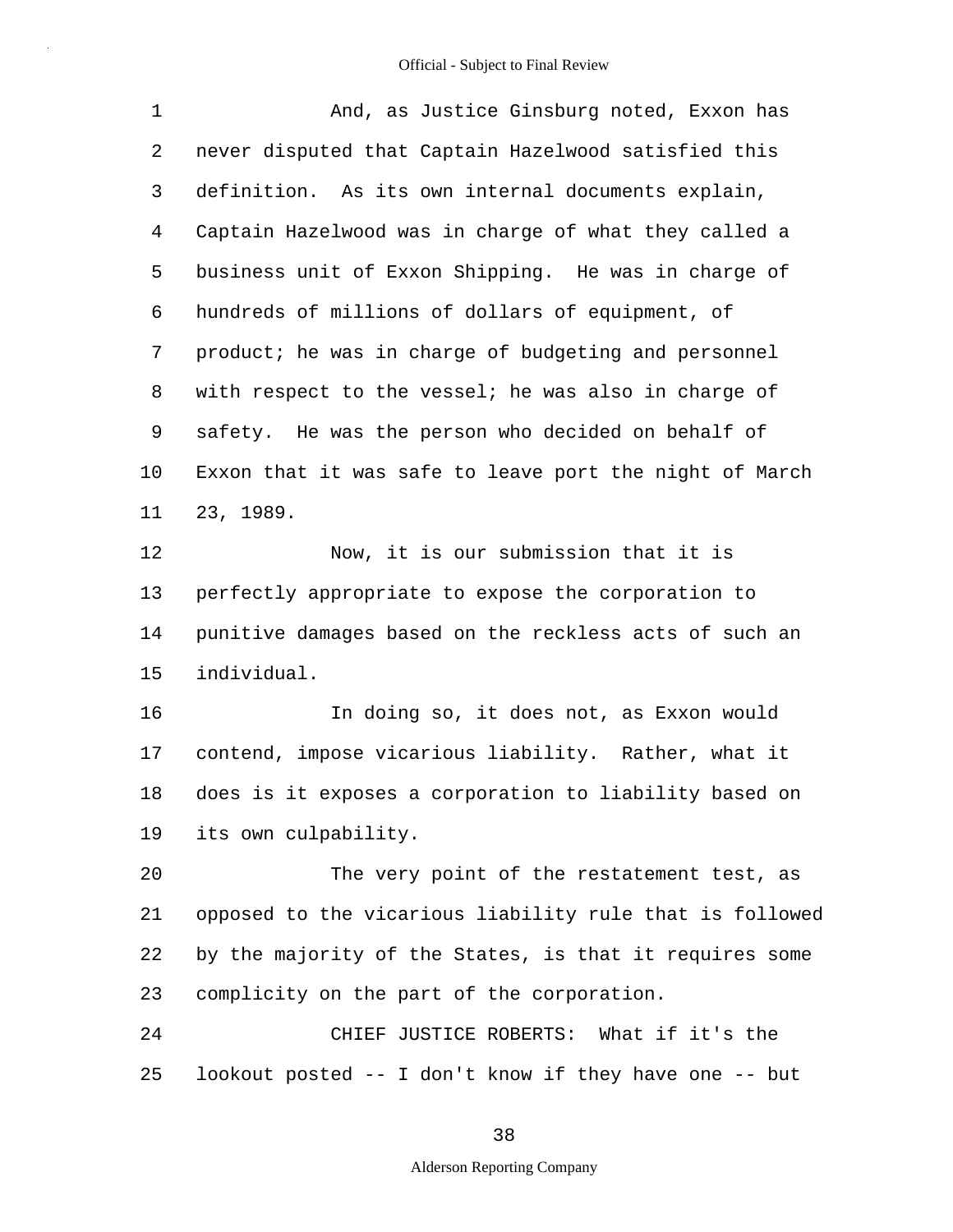| $\mathbf 1$ | And, as Justice Ginsburg noted, Exxon has                |
|-------------|----------------------------------------------------------|
| 2           | never disputed that Captain Hazelwood satisfied this     |
| 3           | definition. As its own internal documents explain,       |
| 4           | Captain Hazelwood was in charge of what they called a    |
| 5           | business unit of Exxon Shipping. He was in charge of     |
| 6           | hundreds of millions of dollars of equipment, of         |
| 7           | product; he was in charge of budgeting and personnel     |
| 8           | with respect to the vessel; he was also in charge of     |
| 9           | safety. He was the person who decided on behalf of       |
| 10          | Exxon that it was safe to leave port the night of March  |
| 11          | 23, 1989.                                                |
| 12          | Now, it is our submission that it is                     |
| 13          | perfectly appropriate to expose the corporation to       |
| 14          | punitive damages based on the reckless acts of such an   |
| 15          | individual.                                              |
| 16          | In doing so, it does not, as Exxon would                 |
| 17          | contend, impose vicarious liability. Rather, what it     |
| 18          | does is it exposes a corporation to liability based on   |
| 19          | its own culpability.                                     |
| 20          | The very point of the restatement test, as               |
| 21          | opposed to the vicarious liability rule that is followed |
| 22          | by the majority of the States, is that it requires some  |
| 23          | complicity on the part of the corporation.               |
| 24          | CHIEF JUSTICE ROBERTS: What if it's the                  |
| 25          | lookout posted -- I don't know if they have one -- but   |

38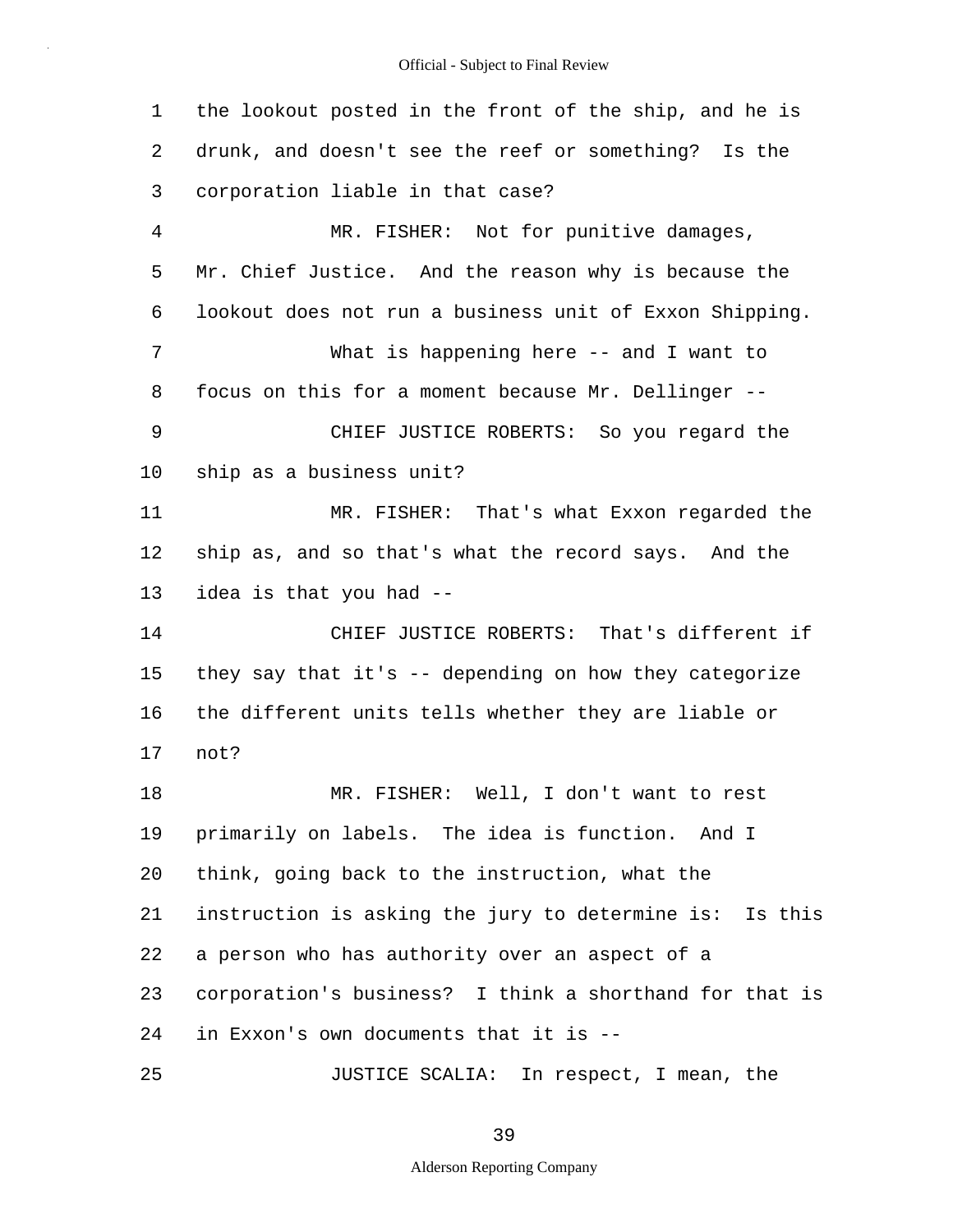1 2 3 4 5 6 7 8 9 10 11 12 13 14 15 16 17 18 19 20 21 22 23 24 25 the lookout posted in the front of the ship, and he is drunk, and doesn't see the reef or something? Is the corporation liable in that case? MR. FISHER: Not for punitive damages, Mr. Chief Justice. And the reason why is because the lookout does not run a business unit of Exxon Shipping. What is happening here -- and I want to focus on this for a moment because Mr. Dellinger -- CHIEF JUSTICE ROBERTS: So you regard the ship as a business unit? MR. FISHER: That's what Exxon regarded the ship as, and so that's what the record says. And the idea is that you had -- CHIEF JUSTICE ROBERTS: That's different if they say that it's -- depending on how they categorize the different units tells whether they are liable or not? MR. FISHER: Well, I don't want to rest primarily on labels. The idea is function. And I think, going back to the instruction, what the instruction is asking the jury to determine is: Is this a person who has authority over an aspect of a corporation's business? I think a shorthand for that is in Exxon's own documents that it is -- JUSTICE SCALIA: In respect, I mean, the

39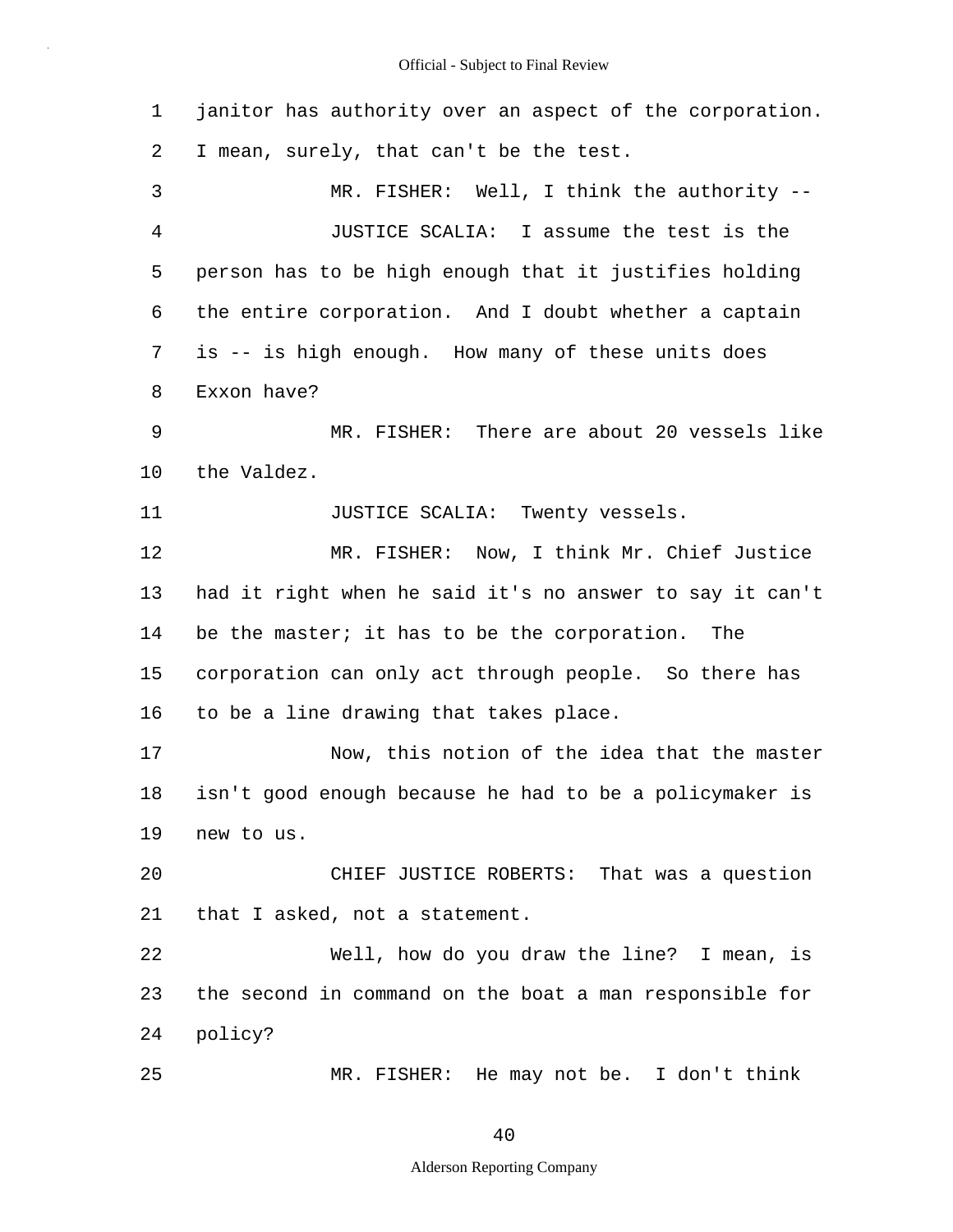1 2 3 4 5 6 7 8 9 10 11 12 13 14 15 16 17 18 19 20 21 22 23 24 25 janitor has authority over an aspect of the corporation. I mean, surely, that can't be the test. MR. FISHER: Well, I think the authority --JUSTICE SCALIA: I assume the test is the person has to be high enough that it justifies holding the entire corporation. And I doubt whether a captain is -- is high enough. How many of these units does Exxon have? MR. FISHER: There are about 20 vessels like the Valdez. JUSTICE SCALIA: Twenty vessels. MR. FISHER: Now, I think Mr. Chief Justice had it right when he said it's no answer to say it can't be the master; it has to be the corporation. The corporation can only act through people. So there has to be a line drawing that takes place. Now, this notion of the idea that the master isn't good enough because he had to be a policymaker is new to us. CHIEF JUSTICE ROBERTS: That was a question that I asked, not a statement. Well, how do you draw the line? I mean, is the second in command on the boat a man responsible for policy? MR. FISHER: He may not be. I don't think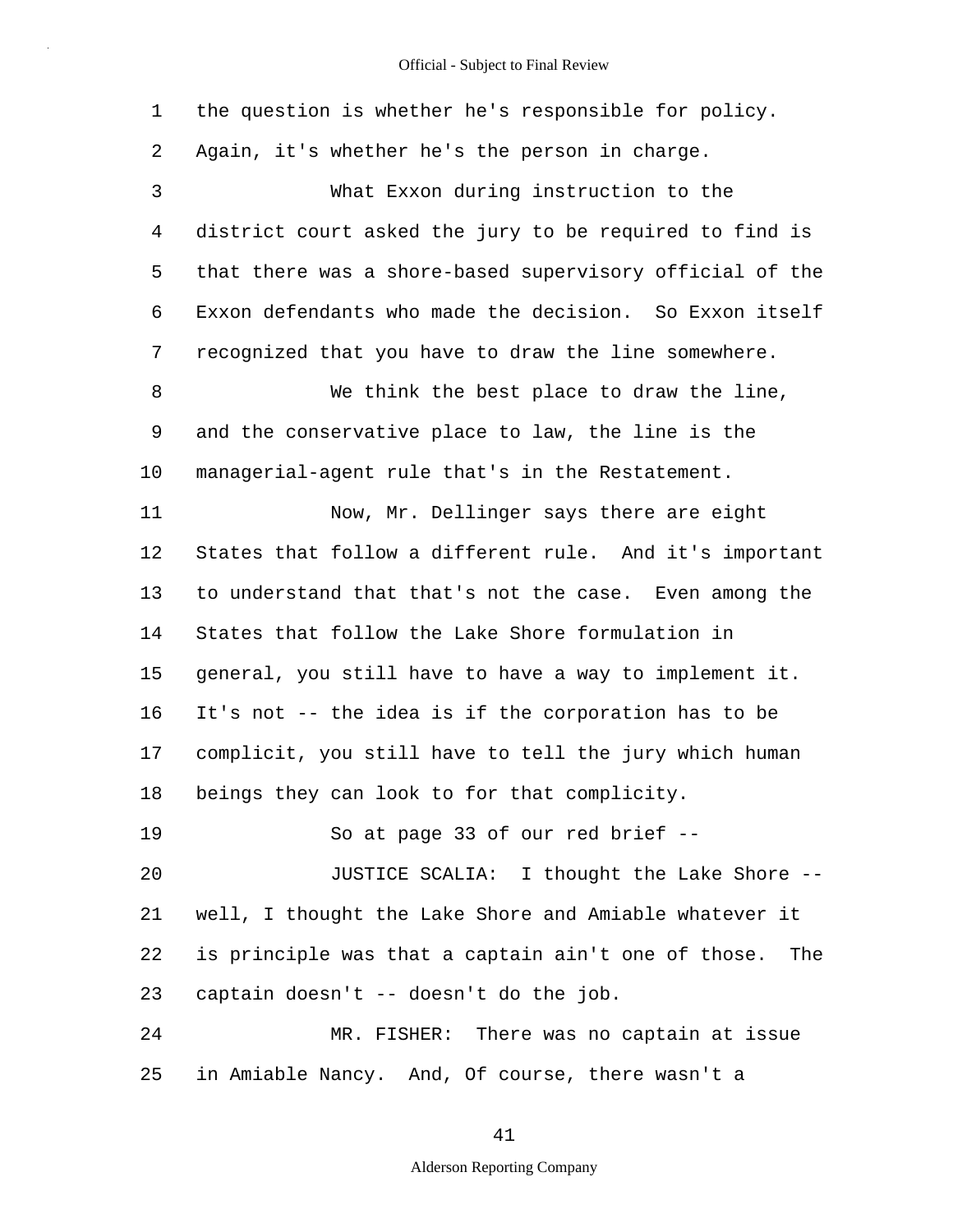1 2 3 4 5 6 7 8 9 10 11 12 13 14 15 16 17 18 19 20 21 22 23 24 25 the question is whether he's responsible for policy. Again, it's whether he's the person in charge. What Exxon during instruction to the district court asked the jury to be required to find is that there was a shore-based supervisory official of the Exxon defendants who made the decision. So Exxon itself recognized that you have to draw the line somewhere. We think the best place to draw the line, and the conservative place to law, the line is the managerial-agent rule that's in the Restatement. Now, Mr. Dellinger says there are eight States that follow a different rule. And it's important to understand that that's not the case. Even among the States that follow the Lake Shore formulation in general, you still have to have a way to implement it. It's not -- the idea is if the corporation has to be complicit, you still have to tell the jury which human beings they can look to for that complicity. So at page 33 of our red brief -- JUSTICE SCALIA: I thought the Lake Shore - well, I thought the Lake Shore and Amiable whatever it is principle was that a captain ain't one of those. The captain doesn't -- doesn't do the job. MR. FISHER: There was no captain at issue in Amiable Nancy. And, Of course, there wasn't a

41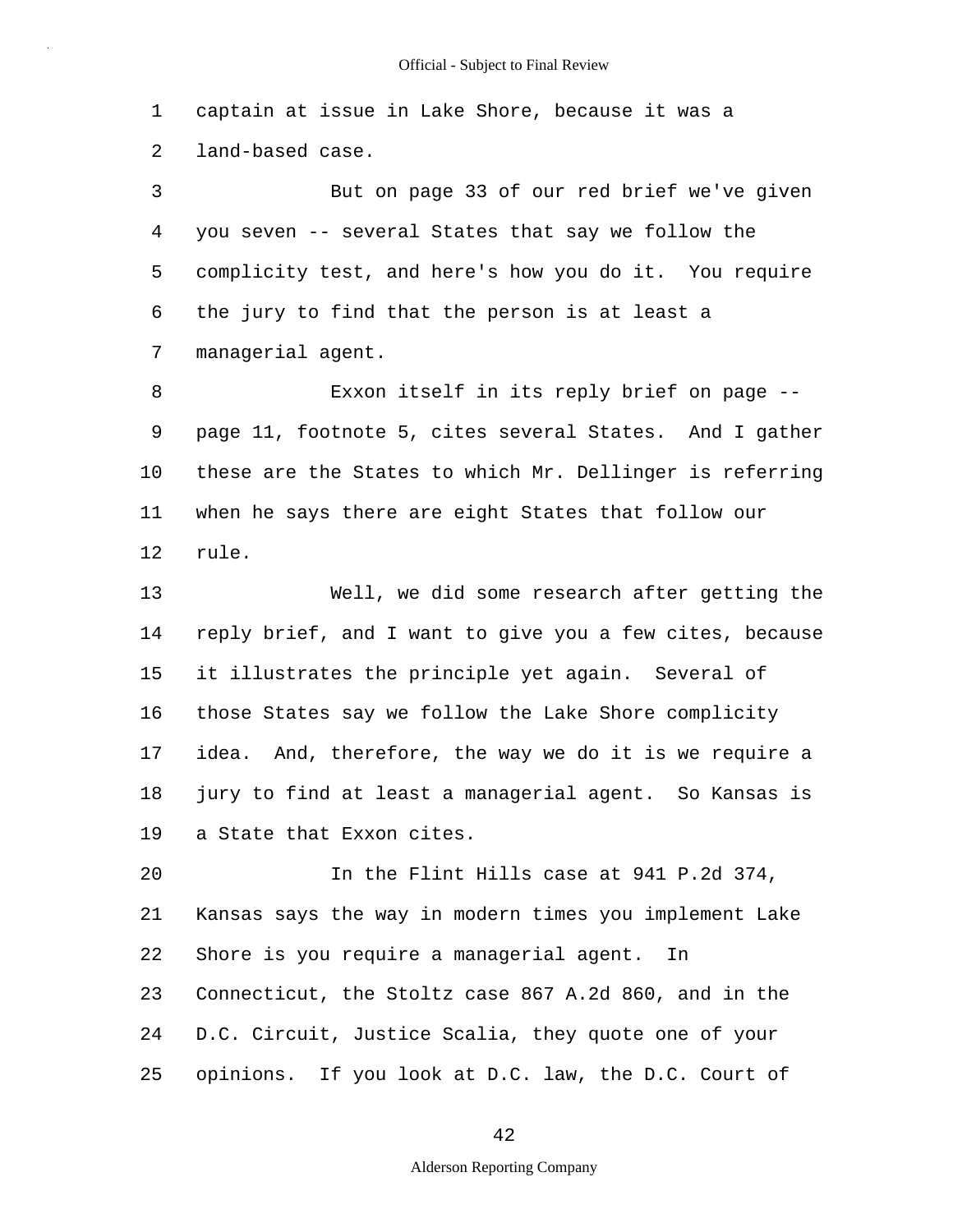1 2 captain at issue in Lake Shore, because it was a land-based case.

3 4 5 6 7 But on page 33 of our red brief we've given you seven -- several States that say we follow the complicity test, and here's how you do it. You require the jury to find that the person is at least a managerial agent.

8 9 10 11 12 Exxon itself in its reply brief on page - page 11, footnote 5, cites several States. And I gather these are the States to which Mr. Dellinger is referring when he says there are eight States that follow our rule.

13 14 15 16 17 18 19 Well, we did some research after getting the reply brief, and I want to give you a few cites, because it illustrates the principle yet again. Several of those States say we follow the Lake Shore complicity idea. And, therefore, the way we do it is we require a jury to find at least a managerial agent. So Kansas is a State that Exxon cites.

20 21 22 23 24 25 In the Flint Hills case at 941 P.2d 374, Kansas says the way in modern times you implement Lake Shore is you require a managerial agent. In Connecticut, the Stoltz case 867 A.2d 860, and in the D.C. Circuit, Justice Scalia, they quote one of your opinions. If you look at D.C. law, the D.C. Court of

## 42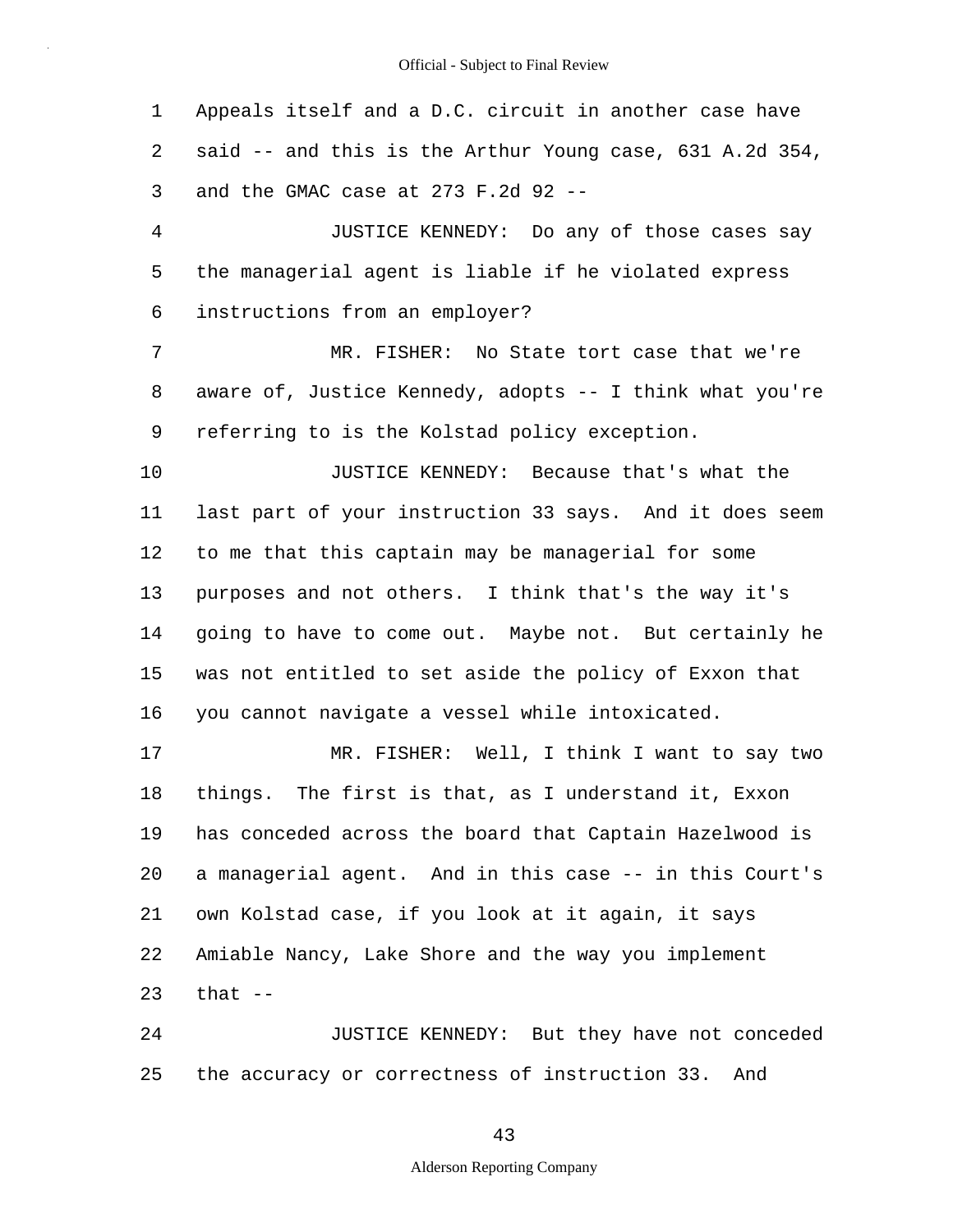1 2 3 Appeals itself and a D.C. circuit in another case have said -- and this is the Arthur Young case, 631 A.2d 354, and the GMAC case at  $273$  F.2d 92 --

4 5 6 JUSTICE KENNEDY: Do any of those cases say the managerial agent is liable if he violated express instructions from an employer?

7 8 9 MR. FISHER: No State tort case that we're aware of, Justice Kennedy, adopts -- I think what you're referring to is the Kolstad policy exception.

10 11 12 13 14 15 16 JUSTICE KENNEDY: Because that's what the last part of your instruction 33 says. And it does seem to me that this captain may be managerial for some purposes and not others. I think that's the way it's going to have to come out. Maybe not. But certainly he was not entitled to set aside the policy of Exxon that you cannot navigate a vessel while intoxicated.

17 18 19 20 21 22 23 MR. FISHER: Well, I think I want to say two things. The first is that, as I understand it, Exxon has conceded across the board that Captain Hazelwood is a managerial agent. And in this case -- in this Court's own Kolstad case, if you look at it again, it says Amiable Nancy, Lake Shore and the way you implement that  $-$ 

24 25 JUSTICE KENNEDY: But they have not conceded the accuracy or correctness of instruction 33. And

43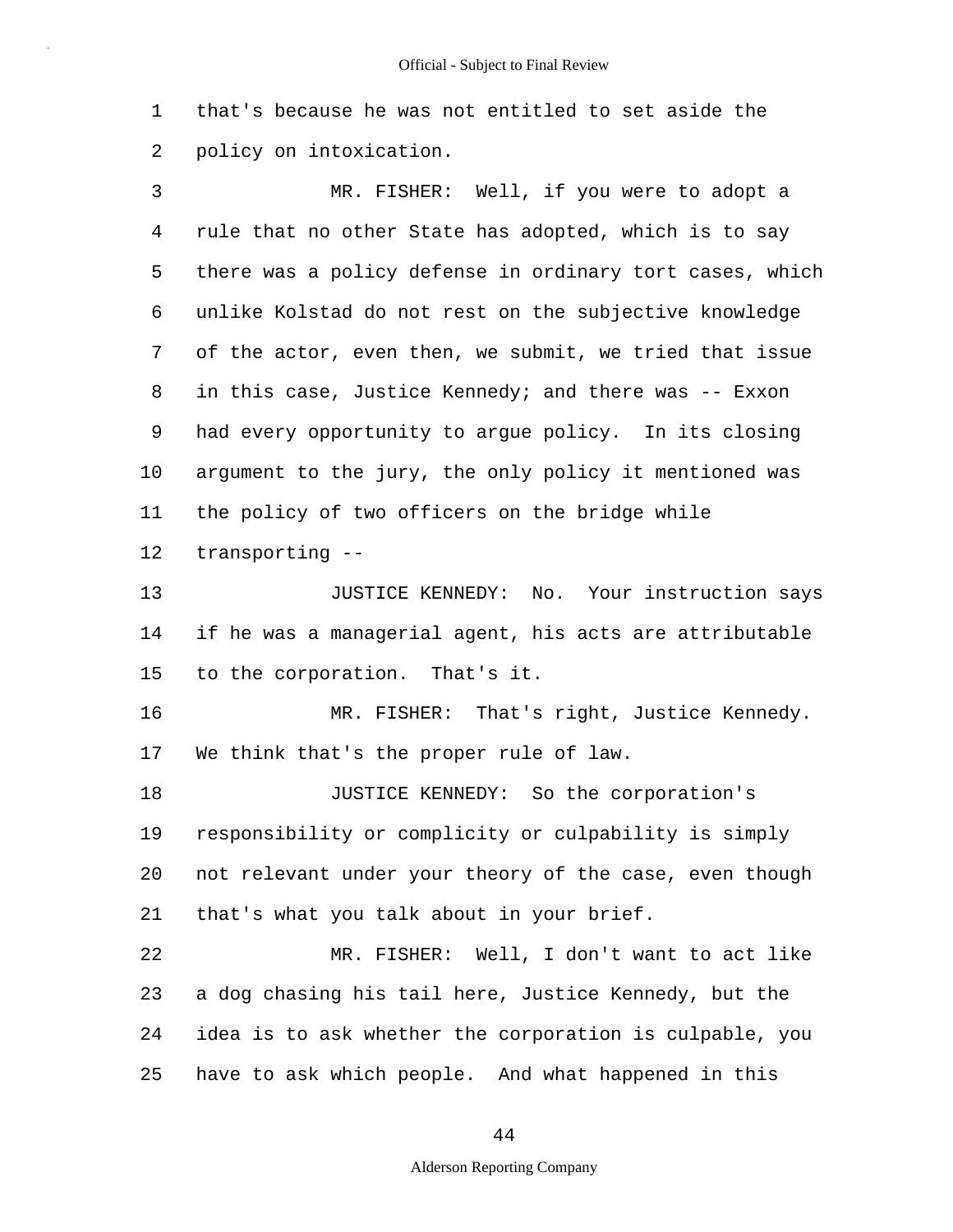1 2 that's because he was not entitled to set aside the policy on intoxication.

3 4 5 6 7 8 9 10 11 12 MR. FISHER: Well, if you were to adopt a rule that no other State has adopted, which is to say there was a policy defense in ordinary tort cases, which unlike Kolstad do not rest on the subjective knowledge of the actor, even then, we submit, we tried that issue in this case, Justice Kennedy; and there was -- Exxon had every opportunity to argue policy. In its closing argument to the jury, the only policy it mentioned was the policy of two officers on the bridge while transporting --

13 14 15 JUSTICE KENNEDY: No. Your instruction says if he was a managerial agent, his acts are attributable to the corporation. That's it.

16 17 MR. FISHER: That's right, Justice Kennedy. We think that's the proper rule of law.

18 19 20 21 JUSTICE KENNEDY: So the corporation's responsibility or complicity or culpability is simply not relevant under your theory of the case, even though that's what you talk about in your brief.

22 23 24 25 MR. FISHER: Well, I don't want to act like a dog chasing his tail here, Justice Kennedy, but the idea is to ask whether the corporation is culpable, you have to ask which people. And what happened in this

44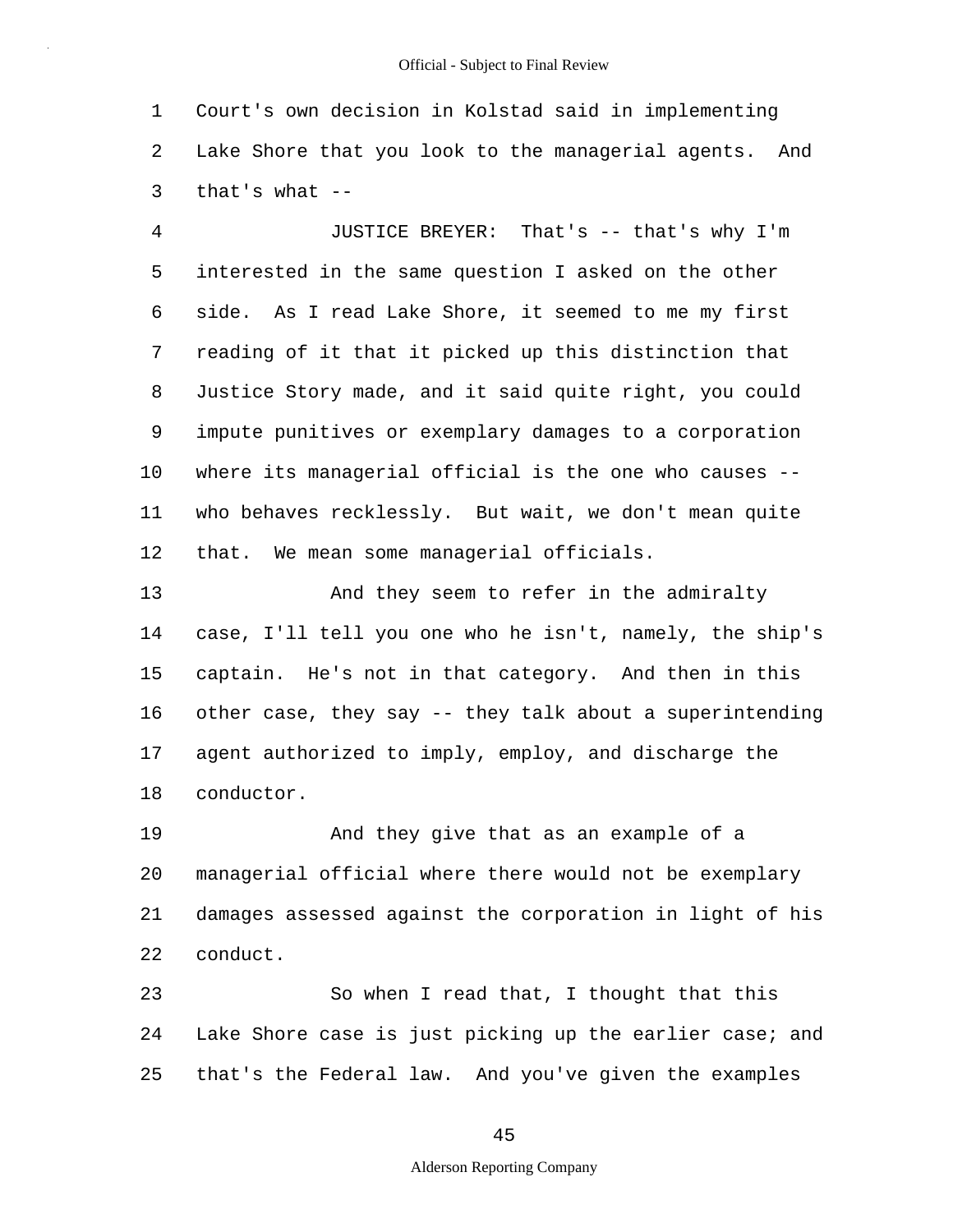1 2 3 Court's own decision in Kolstad said in implementing Lake Shore that you look to the managerial agents. And that's what  $-$ 

4 5 6 7 8 9 10 11 12 JUSTICE BREYER: That's -- that's why I'm interested in the same question I asked on the other side. As I read Lake Shore, it seemed to me my first reading of it that it picked up this distinction that Justice Story made, and it said quite right, you could impute punitives or exemplary damages to a corporation where its managerial official is the one who causes -who behaves recklessly. But wait, we don't mean quite that. We mean some managerial officials.

13 14 15 16 17 18 And they seem to refer in the admiralty case, I'll tell you one who he isn't, namely, the ship's captain. He's not in that category. And then in this other case, they say -- they talk about a superintending agent authorized to imply, employ, and discharge the conductor.

19 20 21 22 And they give that as an example of a managerial official where there would not be exemplary damages assessed against the corporation in light of his conduct.

23 24 25 So when I read that, I thought that this Lake Shore case is just picking up the earlier case; and that's the Federal law. And you've given the examples

45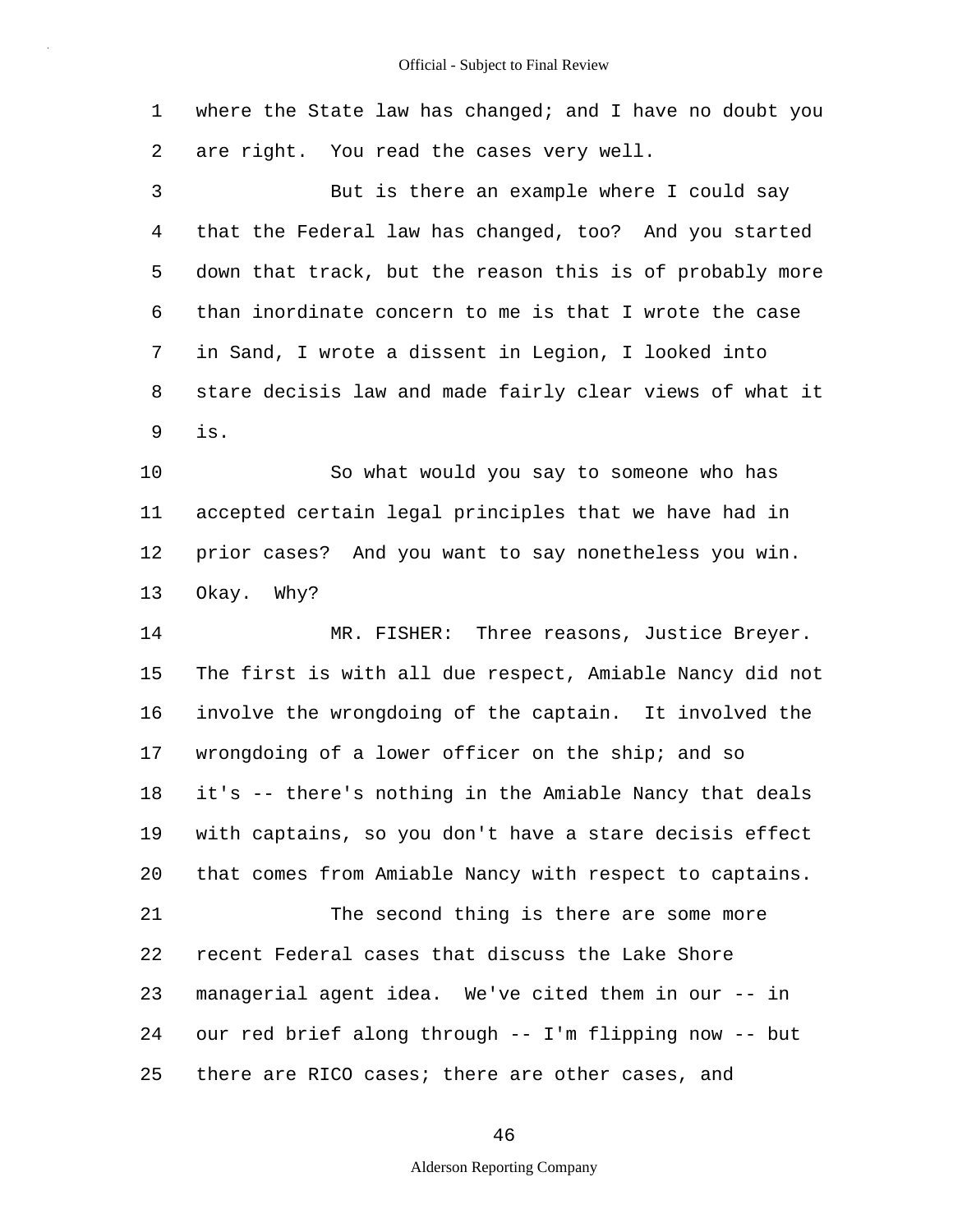1 2 where the State law has changed; and I have no doubt you are right. You read the cases very well.

3 4 5 6 7 8 9 But is there an example where I could say that the Federal law has changed, too? And you started down that track, but the reason this is of probably more than inordinate concern to me is that I wrote the case in Sand, I wrote a dissent in Legion, I looked into stare decisis law and made fairly clear views of what it is.

10 11 12 13 So what would you say to someone who has accepted certain legal principles that we have had in prior cases? And you want to say nonetheless you win. Okay. Why?

14 15 16 17 18 19 20 21 22 23 24 25 MR. FISHER: Three reasons, Justice Breyer. The first is with all due respect, Amiable Nancy did not involve the wrongdoing of the captain. It involved the wrongdoing of a lower officer on the ship; and so it's -- there's nothing in the Amiable Nancy that deals with captains, so you don't have a stare decisis effect that comes from Amiable Nancy with respect to captains. The second thing is there are some more recent Federal cases that discuss the Lake Shore managerial agent idea. We've cited them in our -- in our red brief along through -- I'm flipping now -- but there are RICO cases; there are other cases, and

46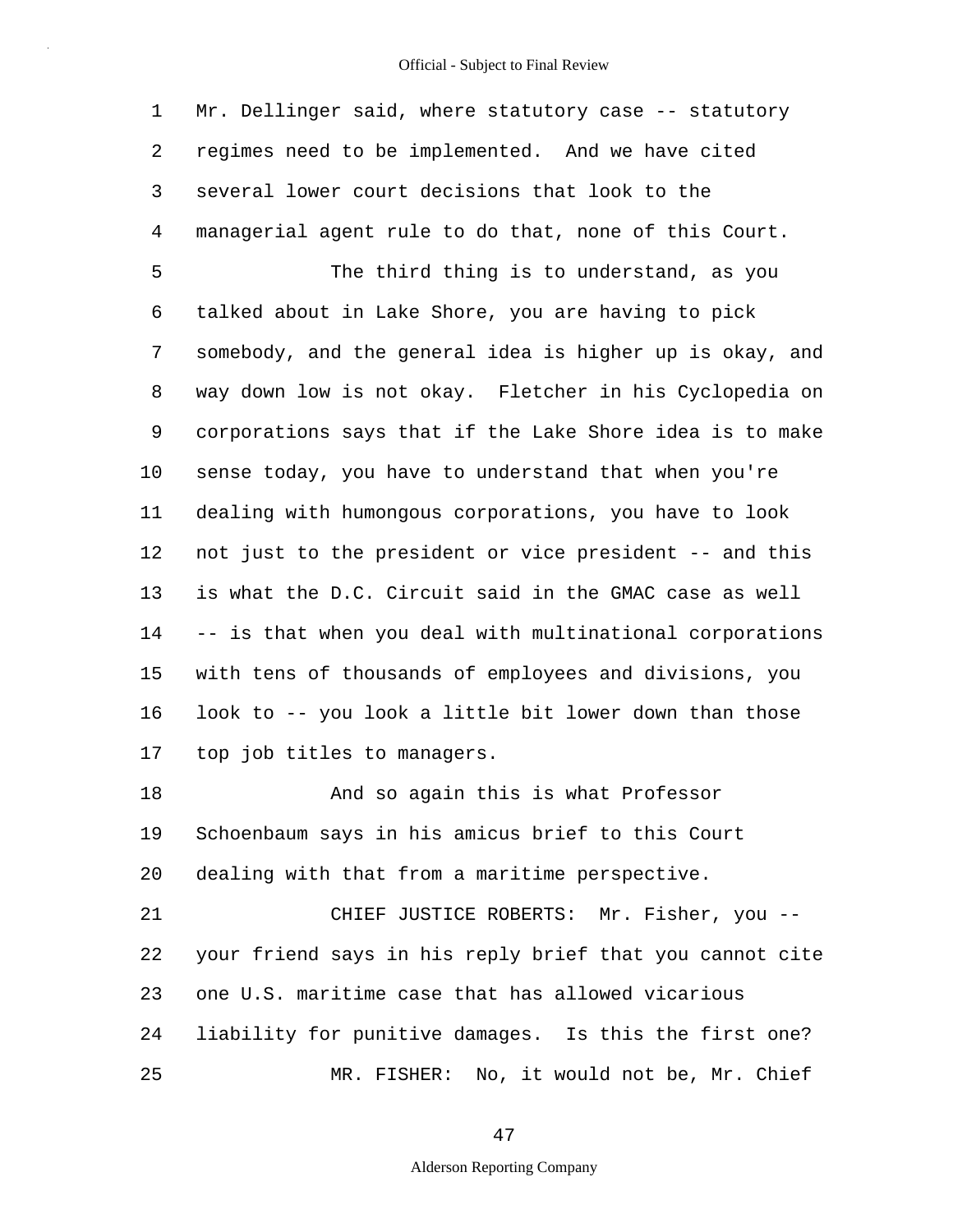1 2 3 4 5 6 7 8 9 10 11 12 13 14 15 16 17 18 19 20 21 22 23 24 25 Mr. Dellinger said, where statutory case -- statutory regimes need to be implemented. And we have cited several lower court decisions that look to the managerial agent rule to do that, none of this Court. The third thing is to understand, as you talked about in Lake Shore, you are having to pick somebody, and the general idea is higher up is okay, and way down low is not okay. Fletcher in his Cyclopedia on corporations says that if the Lake Shore idea is to make sense today, you have to understand that when you're dealing with humongous corporations, you have to look not just to the president or vice president -- and this is what the D.C. Circuit said in the GMAC case as well -- is that when you deal with multinational corporations with tens of thousands of employees and divisions, you look to -- you look a little bit lower down than those top job titles to managers. And so again this is what Professor Schoenbaum says in his amicus brief to this Court dealing with that from a maritime perspective. CHIEF JUSTICE ROBERTS: Mr. Fisher, you - your friend says in his reply brief that you cannot cite one U.S. maritime case that has allowed vicarious liability for punitive damages. Is this the first one? MR. FISHER: No, it would not be, Mr. Chief

47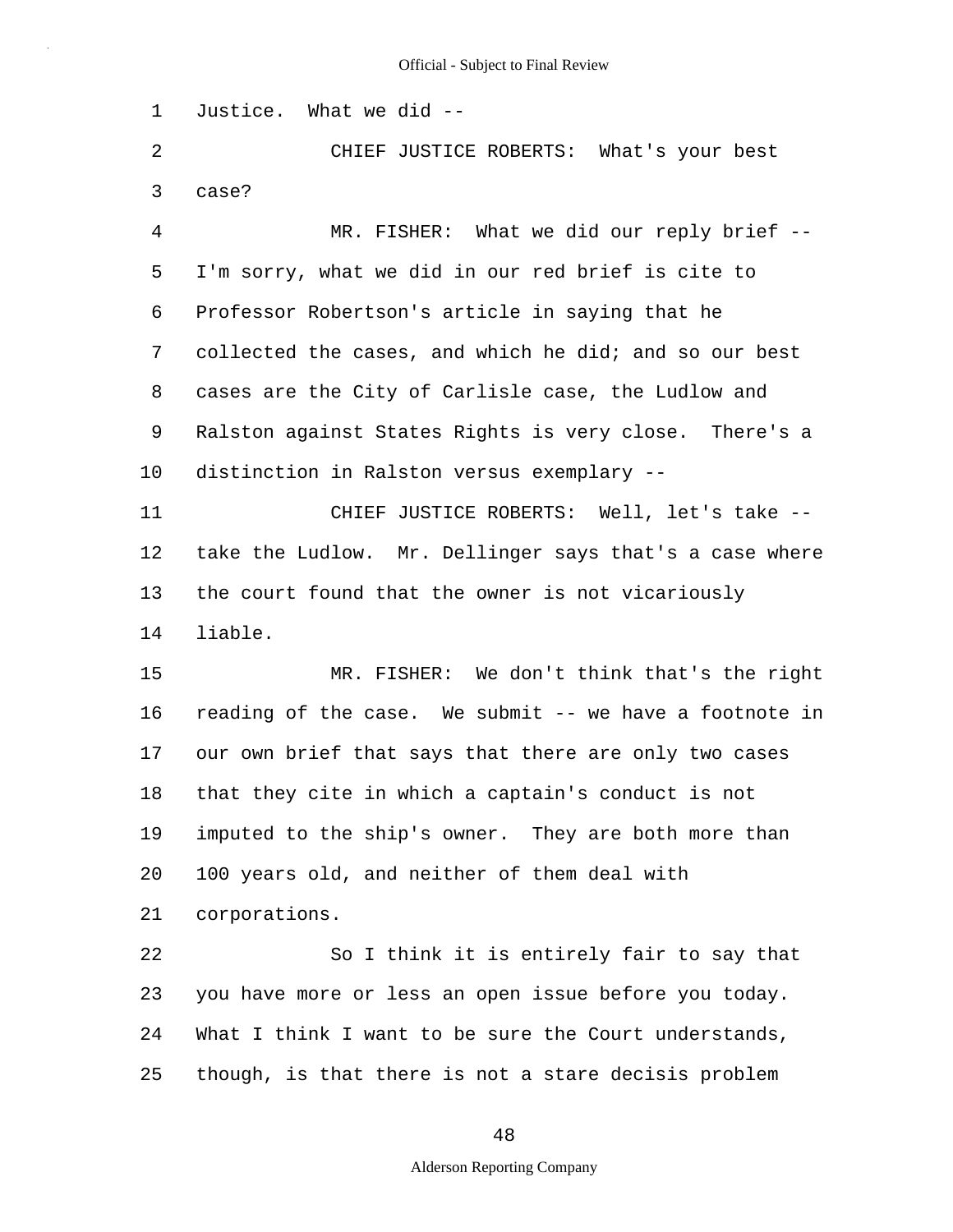1 Justice. What we did --

2 3 CHIEF JUSTICE ROBERTS: What's your best case?

4 5 6 7 8 9 10 MR. FISHER: What we did our reply brief --I'm sorry, what we did in our red brief is cite to Professor Robertson's article in saying that he collected the cases, and which he did; and so our best cases are the City of Carlisle case, the Ludlow and Ralston against States Rights is very close. There's a distinction in Ralston versus exemplary --

11 12 13 14 CHIEF JUSTICE ROBERTS: Well, let's take - take the Ludlow. Mr. Dellinger says that's a case where the court found that the owner is not vicariously liable.

15 16 17 18 19 20 21 MR. FISHER: We don't think that's the right reading of the case. We submit -- we have a footnote in our own brief that says that there are only two cases that they cite in which a captain's conduct is not imputed to the ship's owner. They are both more than 100 years old, and neither of them deal with corporations.

22 23 24 25 So I think it is entirely fair to say that you have more or less an open issue before you today. What I think I want to be sure the Court understands, though, is that there is not a stare decisis problem

48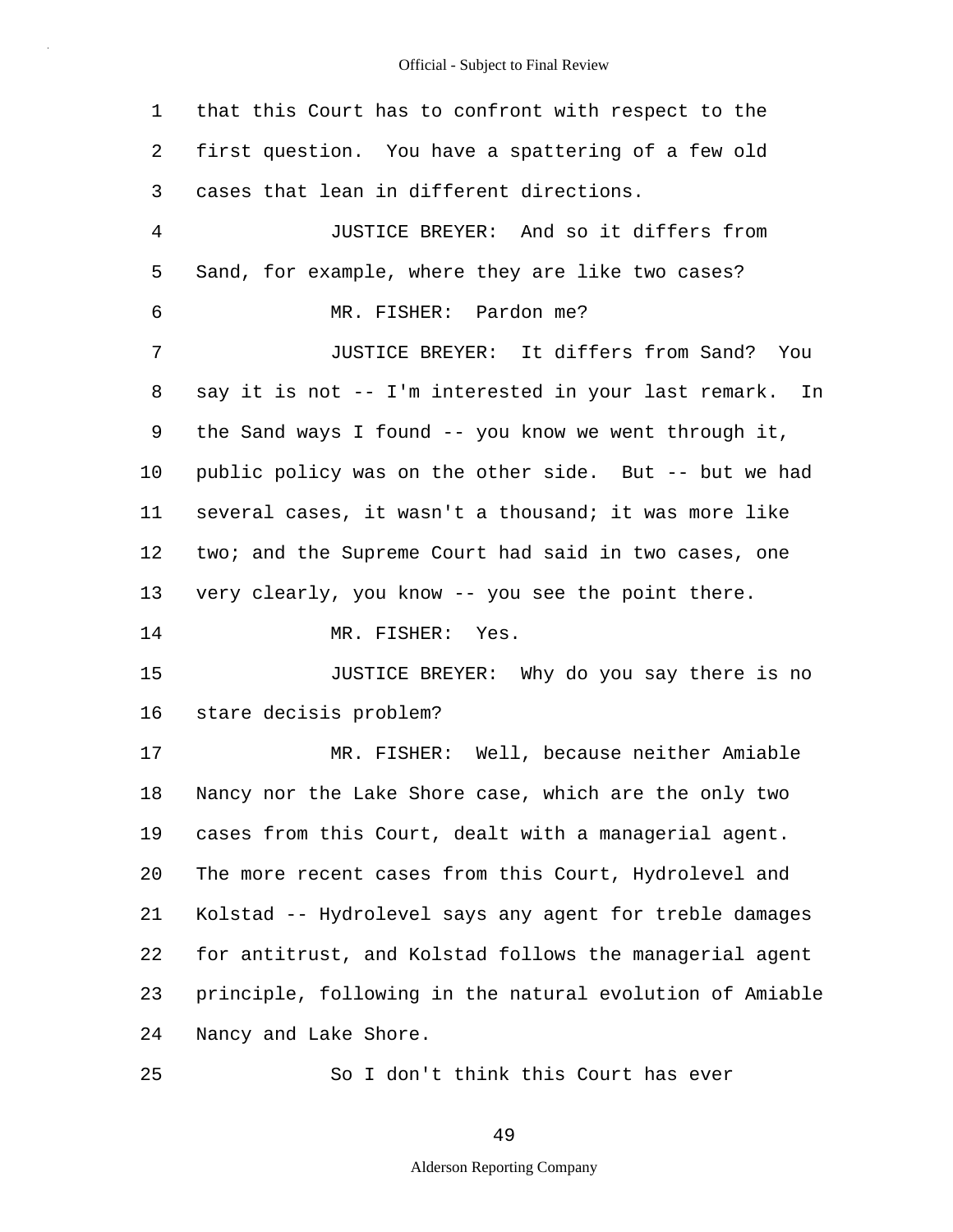1 2 3 4 5 6 7 8 9 10 11 12 13 14 15 16 17 18 19 20 21 22 23 24 25 that this Court has to confront with respect to the first question. You have a spattering of a few old cases that lean in different directions. JUSTICE BREYER: And so it differs from Sand, for example, where they are like two cases? MR. FISHER: Pardon me? JUSTICE BREYER: It differs from Sand? You say it is not -- I'm interested in your last remark. In the Sand ways I found -- you know we went through it, public policy was on the other side. But -- but we had several cases, it wasn't a thousand; it was more like two; and the Supreme Court had said in two cases, one very clearly, you know -- you see the point there. MR. FISHER: Yes. JUSTICE BREYER: Why do you say there is no stare decisis problem? MR. FISHER: Well, because neither Amiable Nancy nor the Lake Shore case, which are the only two cases from this Court, dealt with a managerial agent. The more recent cases from this Court, Hydrolevel and Kolstad -- Hydrolevel says any agent for treble damages for antitrust, and Kolstad follows the managerial agent principle, following in the natural evolution of Amiable Nancy and Lake Shore. So I don't think this Court has ever

49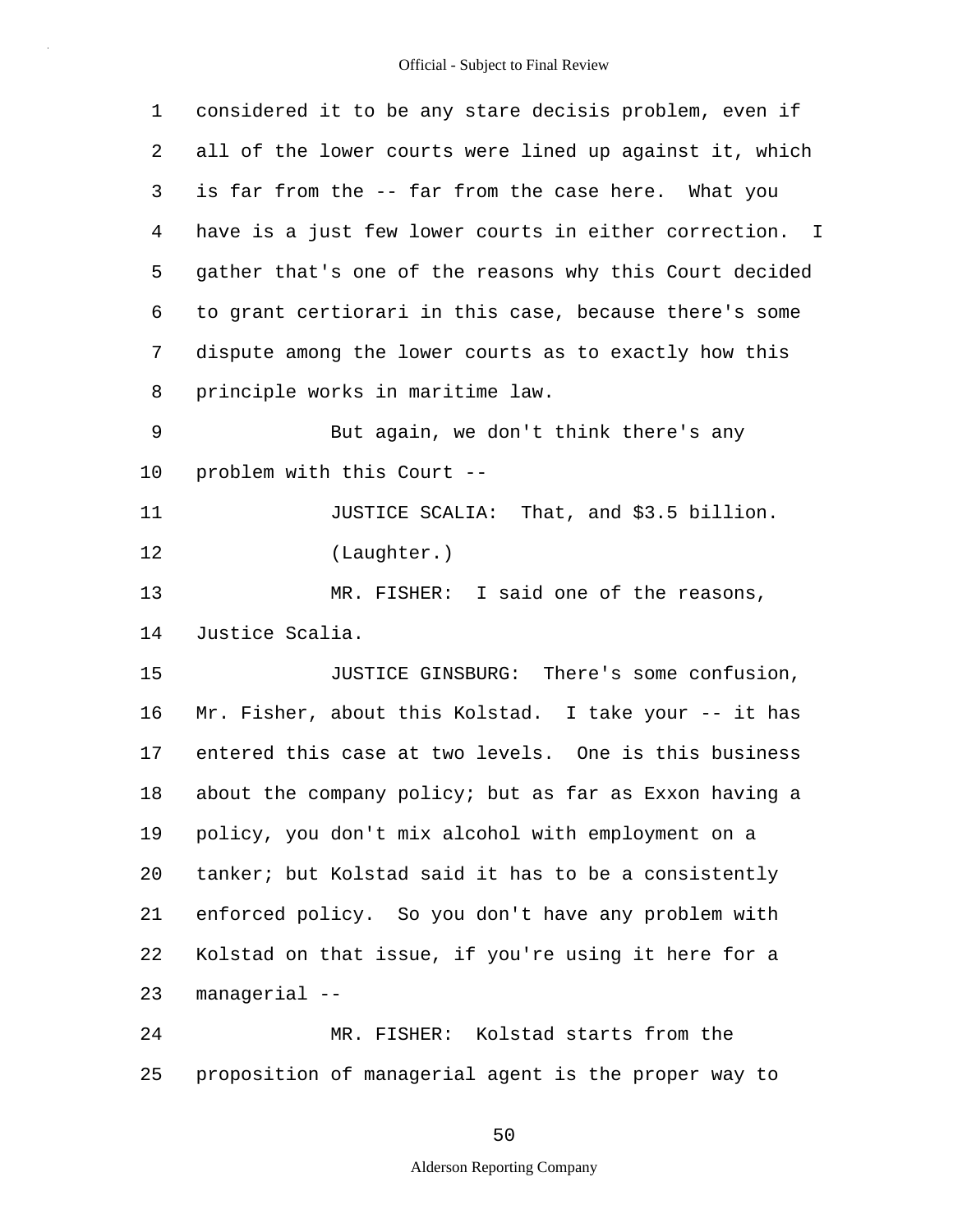| $\mathbf 1$ | considered it to be any stare decisis problem, even if  |
|-------------|---------------------------------------------------------|
| 2           | all of the lower courts were lined up against it, which |
| 3           | is far from the -- far from the case here. What you     |
| 4           | have is a just few lower courts in either correction. I |
| 5           | gather that's one of the reasons why this Court decided |
| 6           | to grant certiorari in this case, because there's some  |
| 7           | dispute among the lower courts as to exactly how this   |
| 8           | principle works in maritime law.                        |
| 9           | But again, we don't think there's any                   |
| 10          | problem with this Court --                              |
| 11          | JUSTICE SCALIA: That, and \$3.5 billion.                |
| 12          | (Laughter.)                                             |
| 13          | MR. FISHER: I said one of the reasons,                  |
| 14          | Justice Scalia.                                         |
| 15          | JUSTICE GINSBURG: There's some confusion,               |
| 16          | Mr. Fisher, about this Kolstad. I take your -- it has   |
| 17          | entered this case at two levels. One is this business   |
| 18          | about the company policy; but as far as Exxon having a  |
| 19          | policy, you don't mix alcohol with employment on a      |
| 20          | tanker; but Kolstad said it has to be a consistently    |
| 21          | enforced policy. So you don't have any problem with     |
| 22          | Kolstad on that issue, if you're using it here for a    |
| 23          | managerial --                                           |
| 24          | MR. FISHER: Kolstad starts from the                     |
| 25          | proposition of managerial agent is the proper way to    |

50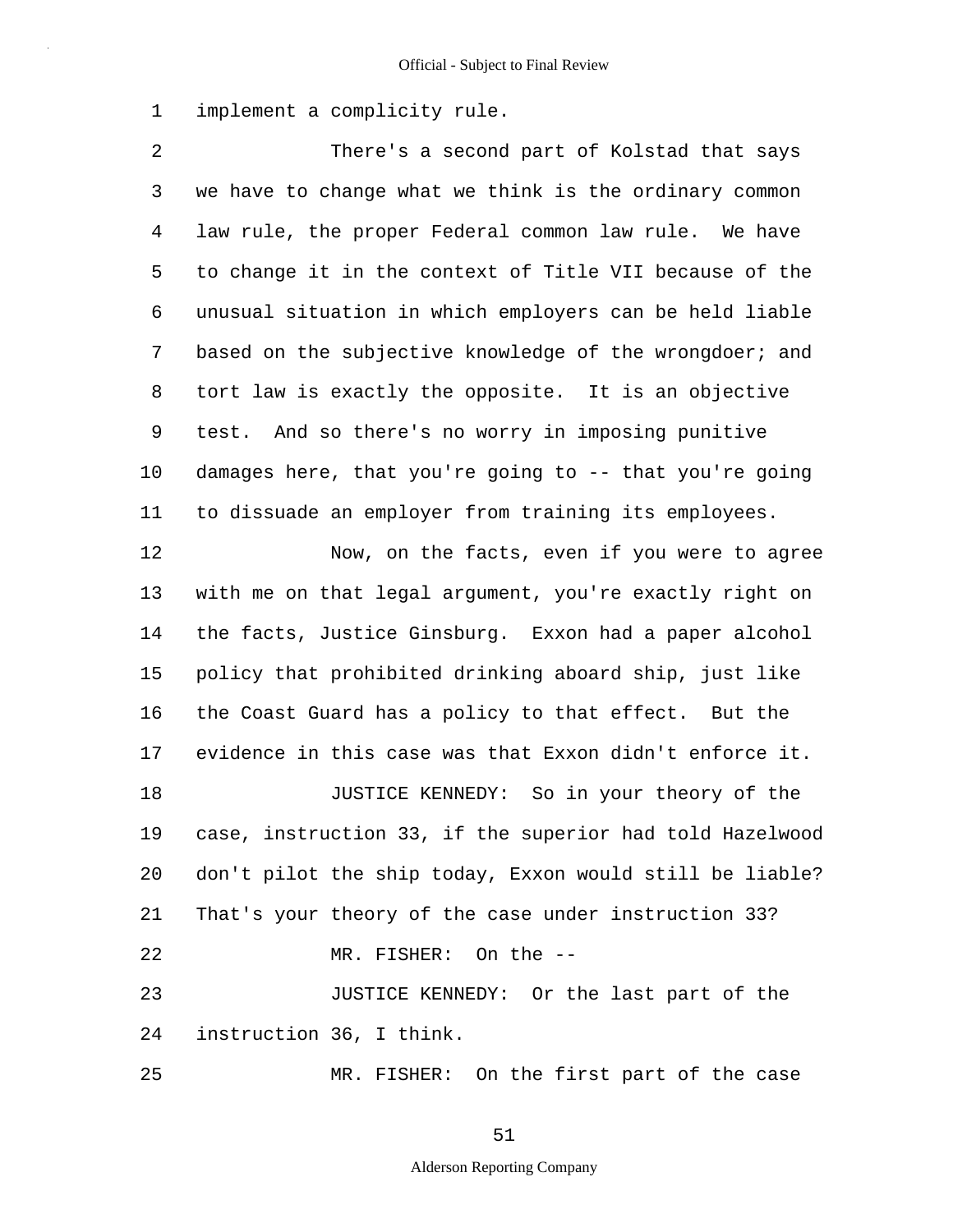1 implement a complicity rule.

2 3 4 5 6 7 8 9 10 11 12 13 14 15 16 17 18 19 20 21 22 23 24 25 There's a second part of Kolstad that says we have to change what we think is the ordinary common law rule, the proper Federal common law rule. We have to change it in the context of Title VII because of the unusual situation in which employers can be held liable based on the subjective knowledge of the wrongdoer; and tort law is exactly the opposite. It is an objective test. And so there's no worry in imposing punitive damages here, that you're going to -- that you're going to dissuade an employer from training its employees. Now, on the facts, even if you were to agree with me on that legal argument, you're exactly right on the facts, Justice Ginsburg. Exxon had a paper alcohol policy that prohibited drinking aboard ship, just like the Coast Guard has a policy to that effect. But the evidence in this case was that Exxon didn't enforce it. JUSTICE KENNEDY: So in your theory of the case, instruction 33, if the superior had told Hazelwood don't pilot the ship today, Exxon would still be liable? That's your theory of the case under instruction 33? MR. FISHER: On the -- JUSTICE KENNEDY: Or the last part of the instruction 36, I think. MR. FISHER: On the first part of the case

51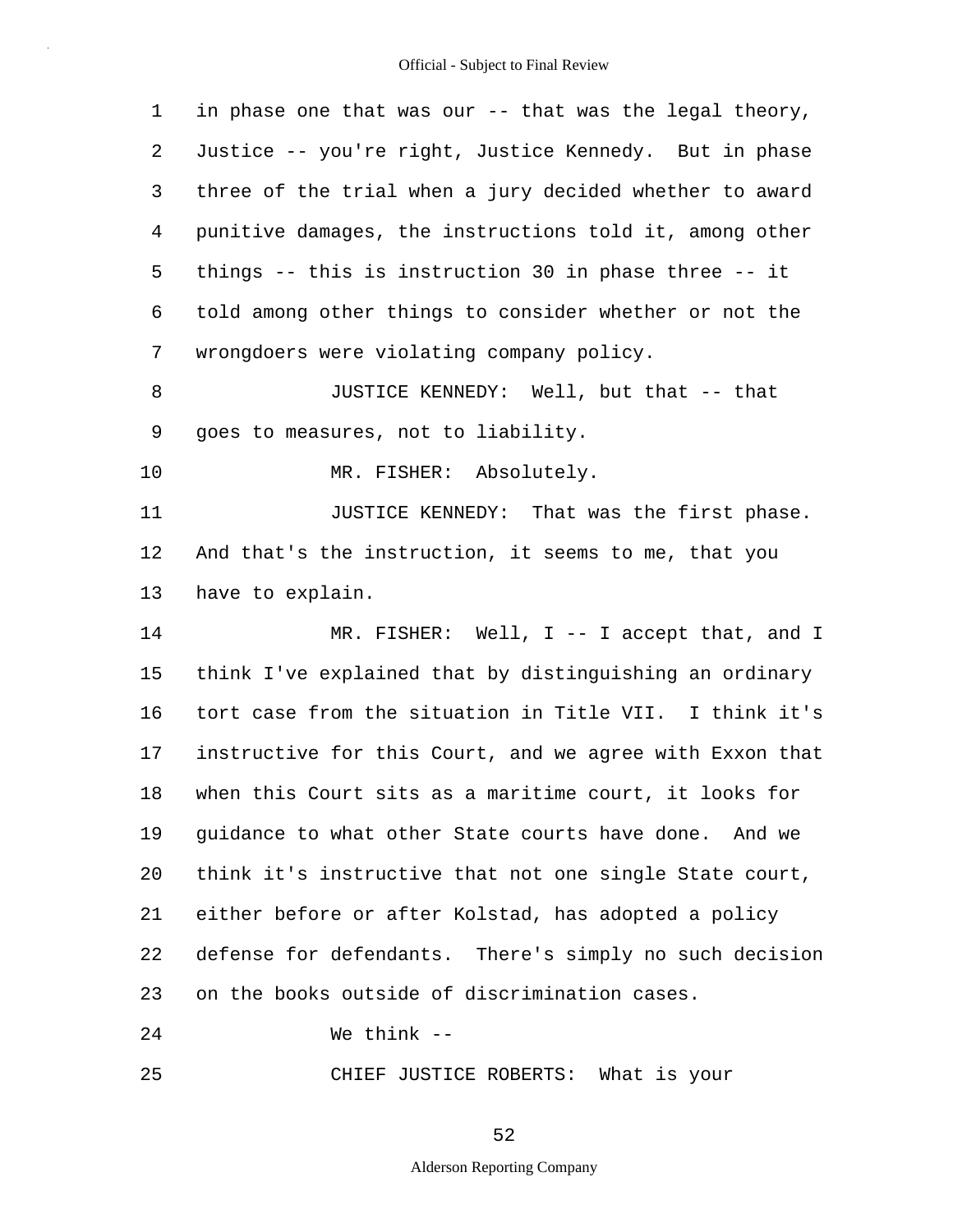| $\mathbf 1$ | in phase one that was our -- that was the legal theory,     |
|-------------|-------------------------------------------------------------|
| 2           | Justice -- you're right, Justice Kennedy. But in phase      |
| 3           | three of the trial when a jury decided whether to award     |
| 4           | punitive damages, the instructions told it, among other     |
| 5           | things $-$ - this is instruction 30 in phase three $-$ - it |
| 6           | told among other things to consider whether or not the      |
| 7           | wrongdoers were violating company policy.                   |
| 8           | JUSTICE KENNEDY: Well, but that -- that                     |
| 9           | goes to measures, not to liability.                         |
| 10          | MR. FISHER: Absolutely.                                     |
| 11          | JUSTICE KENNEDY: That was the first phase.                  |
| 12          | And that's the instruction, it seems to me, that you        |
| 13          | have to explain.                                            |
| 14          | MR. FISHER: Well, I -- I accept that, and I                 |
| 15          | think I've explained that by distinguishing an ordinary     |
| 16          | tort case from the situation in Title VII. I think it's     |
| 17          | instructive for this Court, and we agree with Exxon that    |
| 18          | when this Court sits as a maritime court, it looks for      |
| 19          | guidance to what other State courts have done. And we       |
| 20          | think it's instructive that not one single State court,     |
| 21          | either before or after Kolstad, has adopted a policy        |
| 22          | defense for defendants. There's simply no such decision     |
| 23          | on the books outside of discrimination cases.               |
| 24          | We think $--$                                               |

25 CHIEF JUSTICE ROBERTS: What is your

52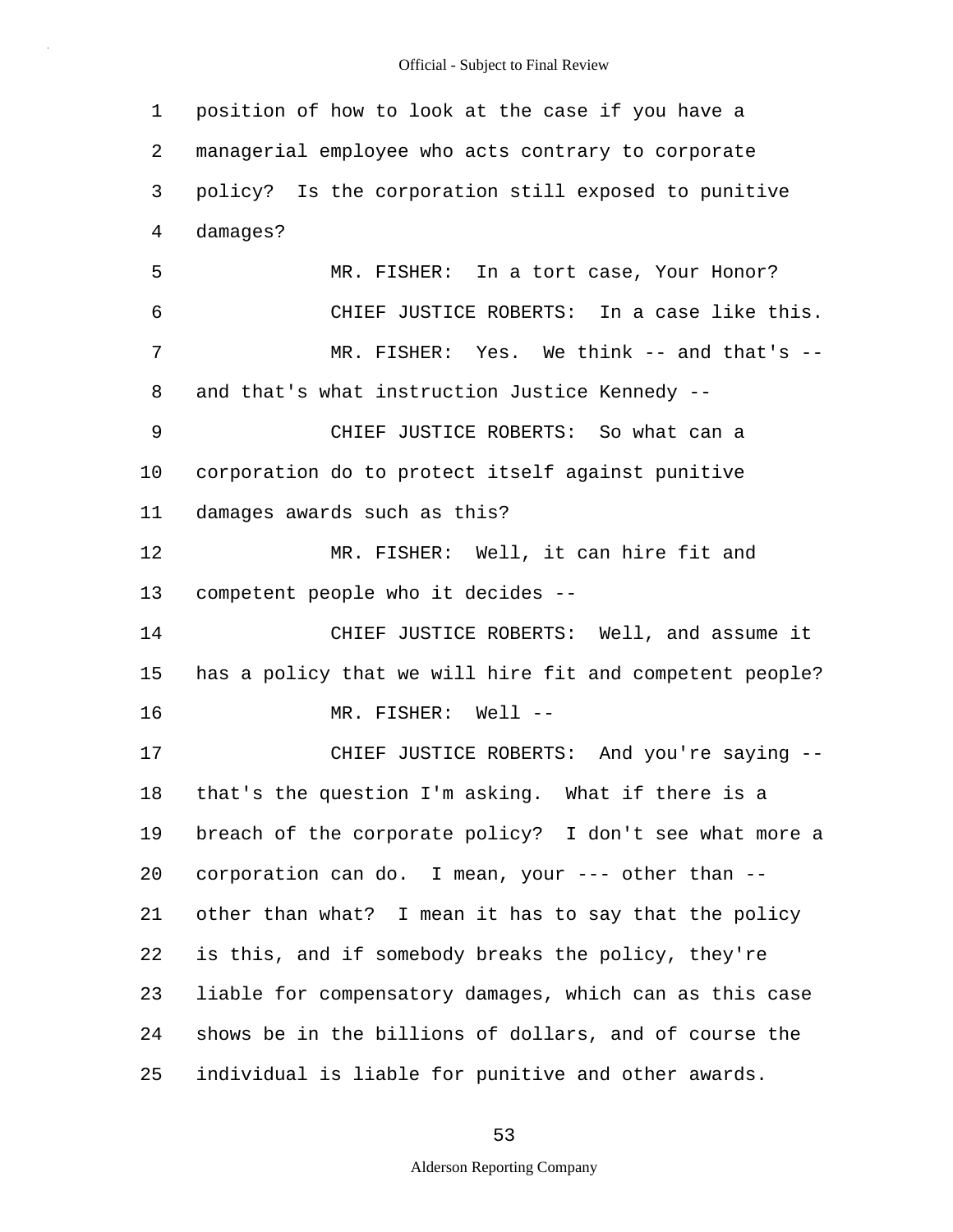1 2 3 4 5 6 7 8 9 10 11 12 13 14 15 16 17 18 19 20 21 22 23 24 25 position of how to look at the case if you have a managerial employee who acts contrary to corporate policy? Is the corporation still exposed to punitive damages? MR. FISHER: In a tort case, Your Honor? CHIEF JUSTICE ROBERTS: In a case like this. MR. FISHER: Yes. We think -- and that's -and that's what instruction Justice Kennedy -- CHIEF JUSTICE ROBERTS: So what can a corporation do to protect itself against punitive damages awards such as this? MR. FISHER: Well, it can hire fit and competent people who it decides -- CHIEF JUSTICE ROBERTS: Well, and assume it has a policy that we will hire fit and competent people? MR. FISHER: Well -- CHIEF JUSTICE ROBERTS: And you're saying - that's the question I'm asking. What if there is a breach of the corporate policy? I don't see what more a corporation can do. I mean, your --- other than - other than what? I mean it has to say that the policy is this, and if somebody breaks the policy, they're liable for compensatory damages, which can as this case shows be in the billions of dollars, and of course the individual is liable for punitive and other awards.

53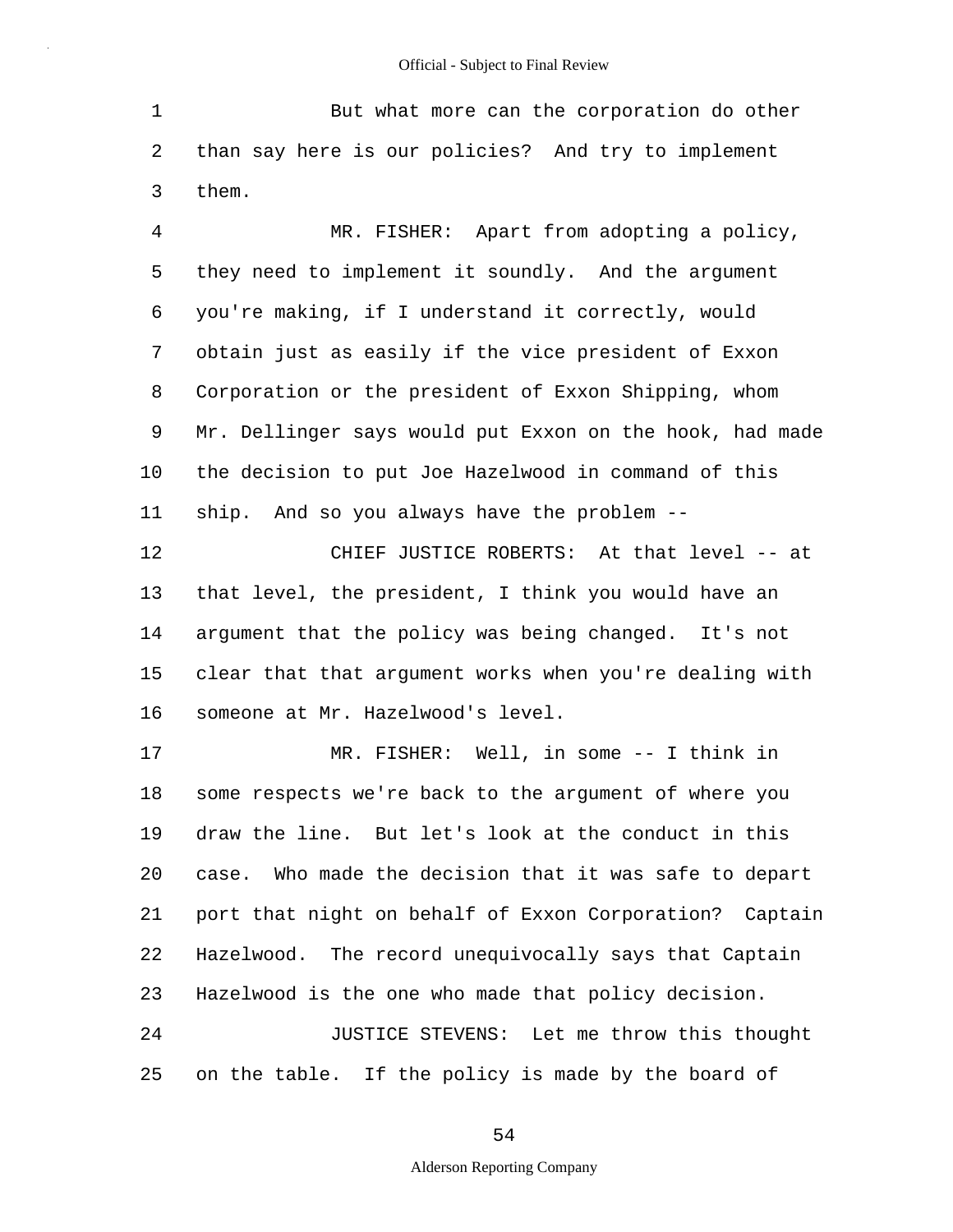1 2 3 But what more can the corporation do other than say here is our policies? And try to implement them.

4 5 6 7 8 9 10 11 MR. FISHER: Apart from adopting a policy, they need to implement it soundly. And the argument you're making, if I understand it correctly, would obtain just as easily if the vice president of Exxon Corporation or the president of Exxon Shipping, whom Mr. Dellinger says would put Exxon on the hook, had made the decision to put Joe Hazelwood in command of this ship. And so you always have the problem --

12 13 14 15 16 CHIEF JUSTICE ROBERTS: At that level -- at that level, the president, I think you would have an argument that the policy was being changed. It's not clear that that argument works when you're dealing with someone at Mr. Hazelwood's level.

17 18 19 20 21 22 23 24 25 MR. FISHER: Well, in some -- I think in some respects we're back to the argument of where you draw the line. But let's look at the conduct in this case. Who made the decision that it was safe to depart port that night on behalf of Exxon Corporation? Captain Hazelwood. The record unequivocally says that Captain Hazelwood is the one who made that policy decision. JUSTICE STEVENS: Let me throw this thought on the table. If the policy is made by the board of

54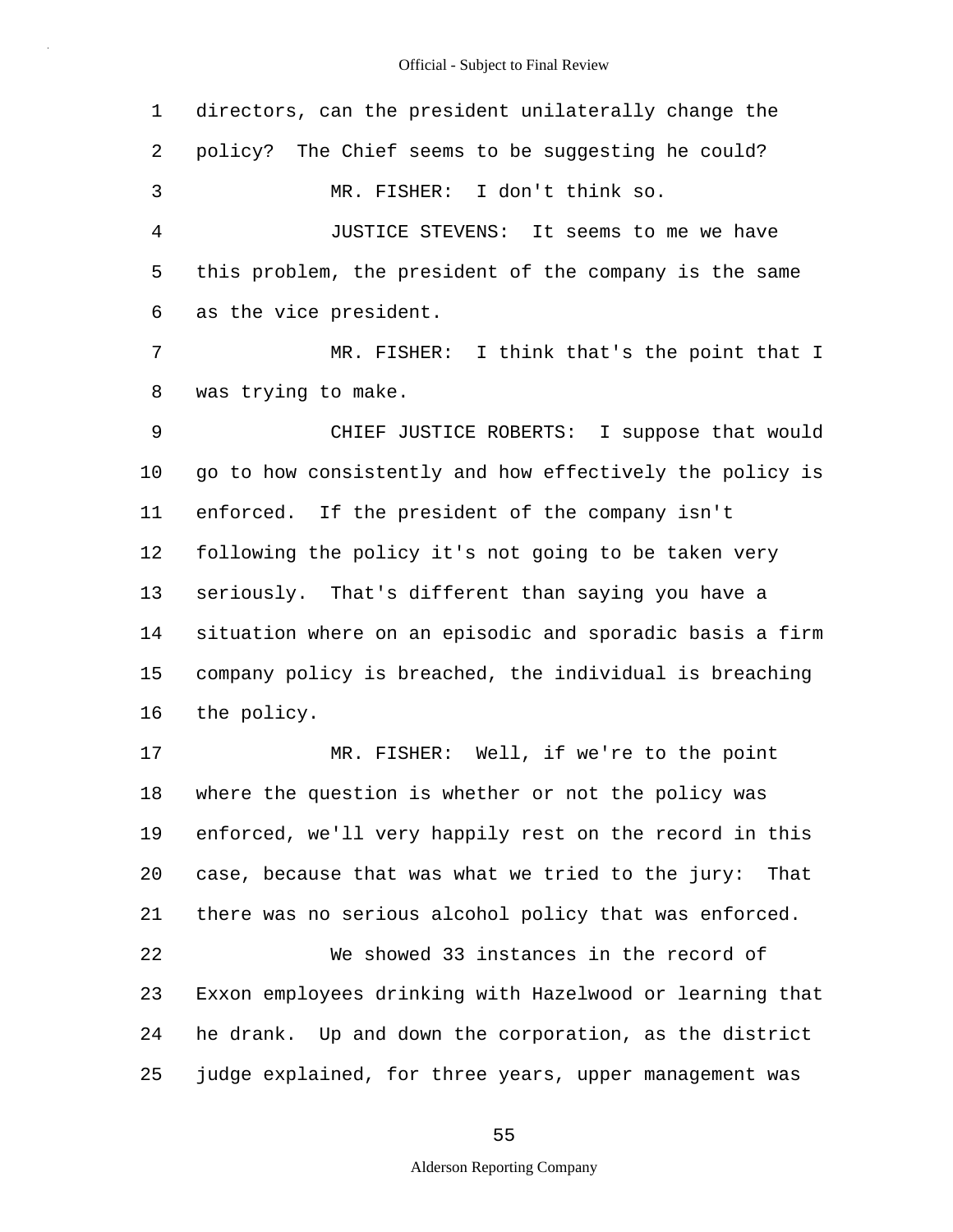| 1              | directors, can the president unilaterally change the      |
|----------------|-----------------------------------------------------------|
| 2              | policy? The Chief seems to be suggesting he could?        |
| 3              | MR. FISHER: I don't think so.                             |
| $\overline{4}$ | JUSTICE STEVENS: It seems to me we have                   |
| 5              | this problem, the president of the company is the same    |
| 6              | as the vice president.                                    |
| 7              | MR. FISHER: I think that's the point that I               |
| 8              | was trying to make.                                       |
| 9              | CHIEF JUSTICE ROBERTS: I suppose that would               |
| 10             | go to how consistently and how effectively the policy is  |
| 11             | enforced. If the president of the company isn't           |
| 12             | following the policy it's not going to be taken very      |
| 13             | seriously. That's different than saying you have a        |
| 14             | situation where on an episodic and sporadic basis a firm  |
| 15             | company policy is breached, the individual is breaching   |
| 16             | the policy.                                               |
| 17             | MR. FISHER: Well, if we're to the point                   |
| 18             | where the question is whether or not the policy was       |
| 19             | enforced, we'll very happily rest on the record in this   |
| 20             | case, because that was what we tried to the jury:<br>That |
| 21             | there was no serious alcohol policy that was enforced.    |
| 22             | We showed 33 instances in the record of                   |
| 23             | Exxon employees drinking with Hazelwood or learning that  |
| 24             | he drank. Up and down the corporation, as the district    |
| 25             | judge explained, for three years, upper management was    |

55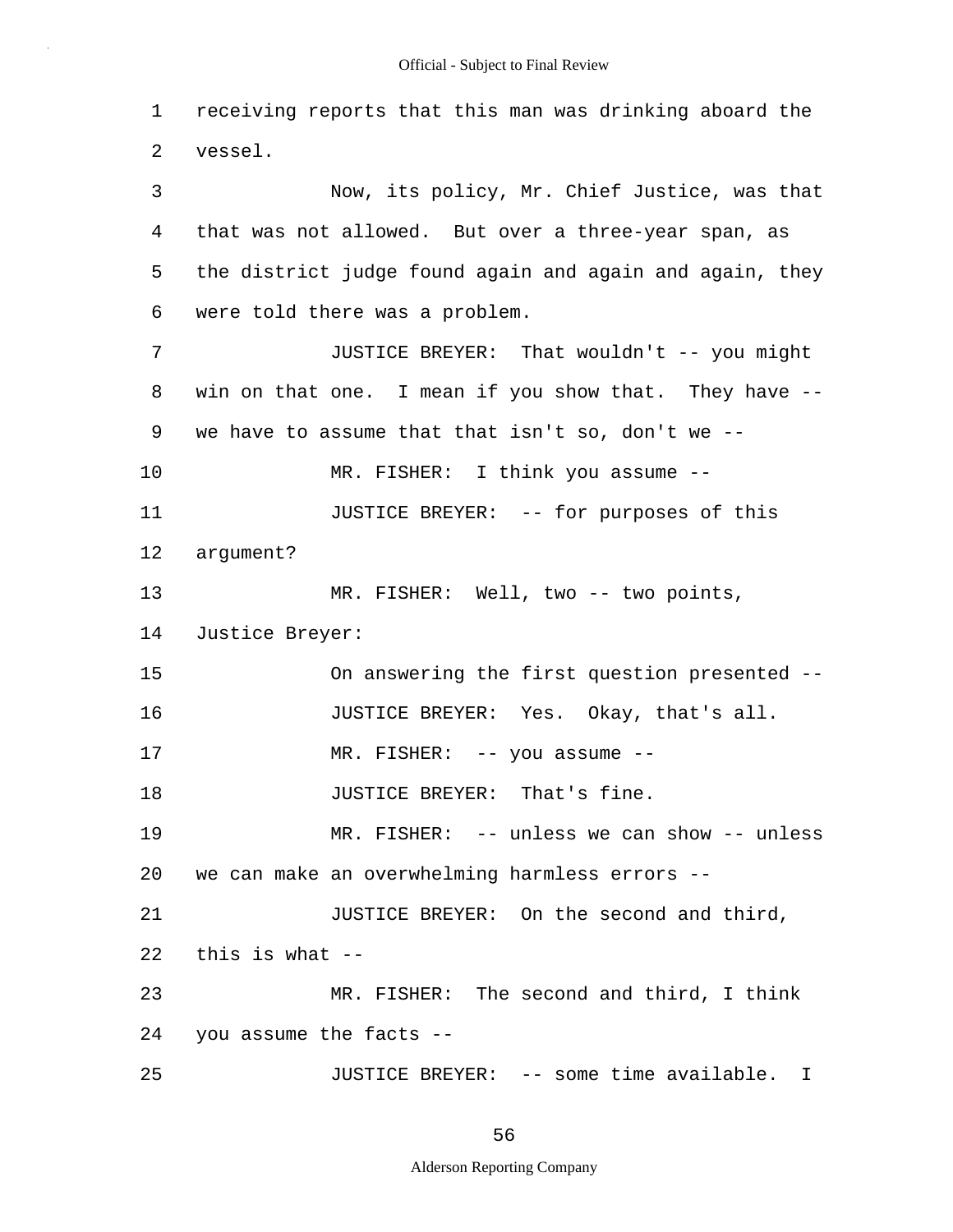1 2 3 4 5 6 7 8 9 10 11 12 13 14 15 16 17 18 19 20 21 22 23 24 25 receiving reports that this man was drinking aboard the vessel. Now, its policy, Mr. Chief Justice, was that that was not allowed. But over a three-year span, as the district judge found again and again and again, they were told there was a problem. JUSTICE BREYER: That wouldn't -- you might win on that one. I mean if you show that. They have - we have to assume that that isn't so, don't we -- MR. FISHER: I think you assume -- JUSTICE BREYER: -- for purposes of this argument? MR. FISHER: Well, two -- two points, Justice Breyer: On answering the first question presented -- JUSTICE BREYER: Yes. Okay, that's all. MR. FISHER: -- you assume -- JUSTICE BREYER: That's fine. MR. FISHER: -- unless we can show -- unless we can make an overwhelming harmless errors -- JUSTICE BREYER: On the second and third, this is what -- MR. FISHER: The second and third, I think you assume the facts -- JUSTICE BREYER: -- some time available. I

56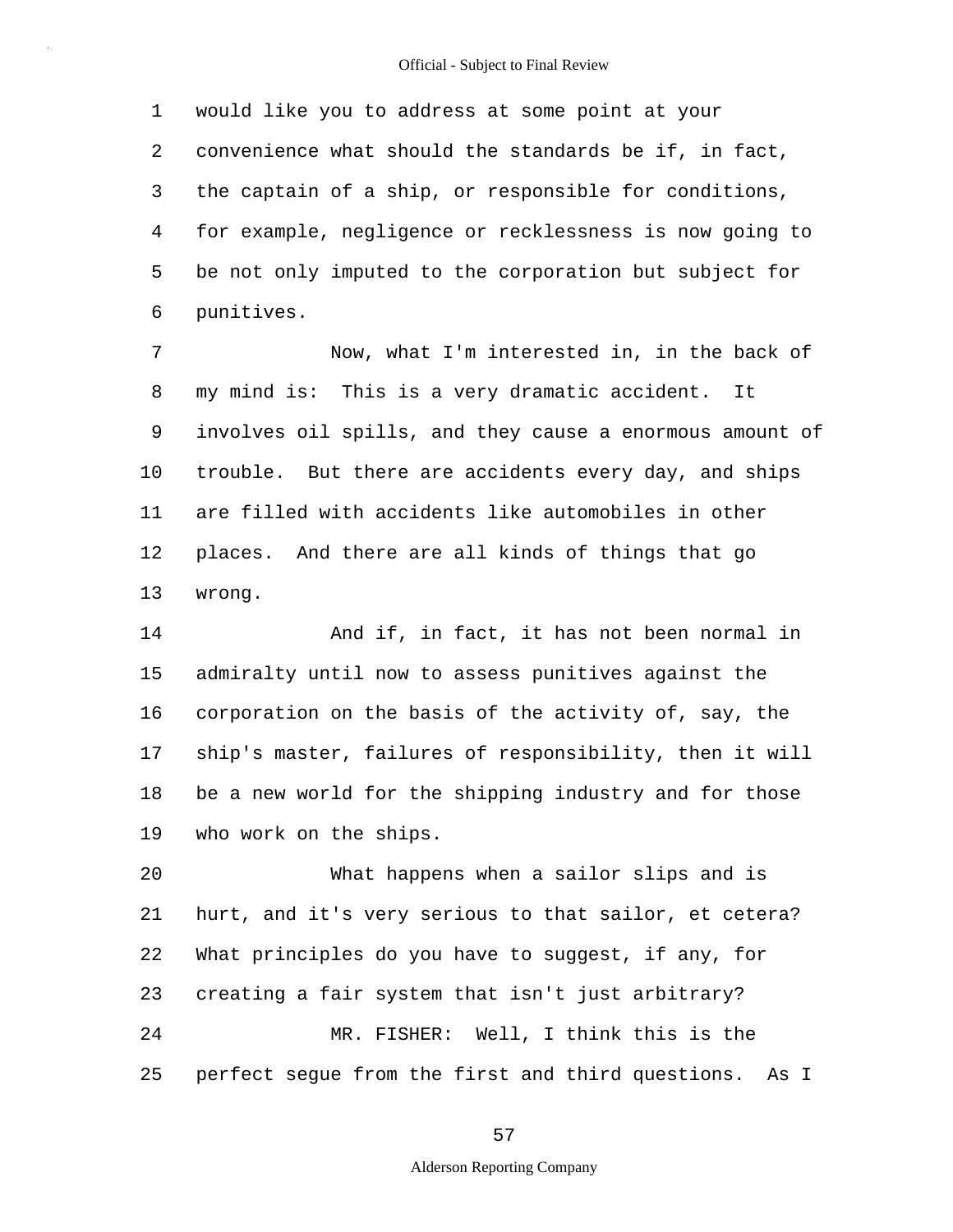1 2 3 4 5 6 would like you to address at some point at your convenience what should the standards be if, in fact, the captain of a ship, or responsible for conditions, for example, negligence or recklessness is now going to be not only imputed to the corporation but subject for punitives.

7 8 9 10 11 12 13 Now, what I'm interested in, in the back of my mind is: This is a very dramatic accident. It involves oil spills, and they cause a enormous amount of trouble. But there are accidents every day, and ships are filled with accidents like automobiles in other places. And there are all kinds of things that go wrong.

14 15 16 17 18 19 And if, in fact, it has not been normal in admiralty until now to assess punitives against the corporation on the basis of the activity of, say, the ship's master, failures of responsibility, then it will be a new world for the shipping industry and for those who work on the ships.

20 21 22 23 24 25 What happens when a sailor slips and is hurt, and it's very serious to that sailor, et cetera? What principles do you have to suggest, if any, for creating a fair system that isn't just arbitrary? MR. FISHER: Well, I think this is the perfect segue from the first and third questions. As I

57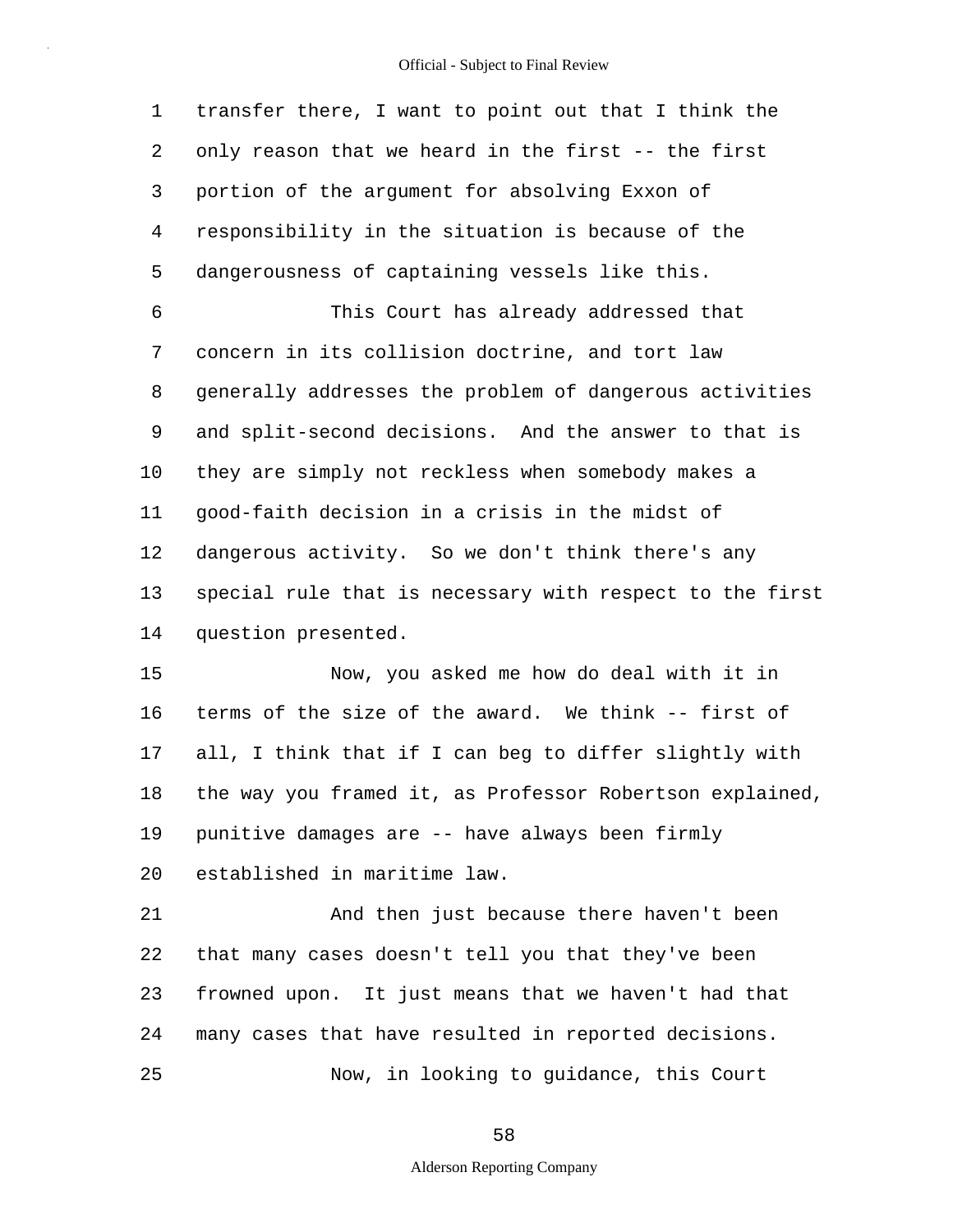1 2 3 4 5 6 7 8 9 10 11 12 13 14 15 16 17 18 transfer there, I want to point out that I think the only reason that we heard in the first -- the first portion of the argument for absolving Exxon of responsibility in the situation is because of the dangerousness of captaining vessels like this. This Court has already addressed that concern in its collision doctrine, and tort law generally addresses the problem of dangerous activities and split-second decisions. And the answer to that is they are simply not reckless when somebody makes a good-faith decision in a crisis in the midst of dangerous activity. So we don't think there's any special rule that is necessary with respect to the first question presented. Now, you asked me how do deal with it in terms of the size of the award. We think -- first of all, I think that if I can beg to differ slightly with the way you framed it, as Professor Robertson explained,

19 punitive damages are -- have always been firmly

established in maritime law.

20

21 22 23 24 25 And then just because there haven't been that many cases doesn't tell you that they've been frowned upon. It just means that we haven't had that many cases that have resulted in reported decisions. Now, in looking to guidance, this Court

58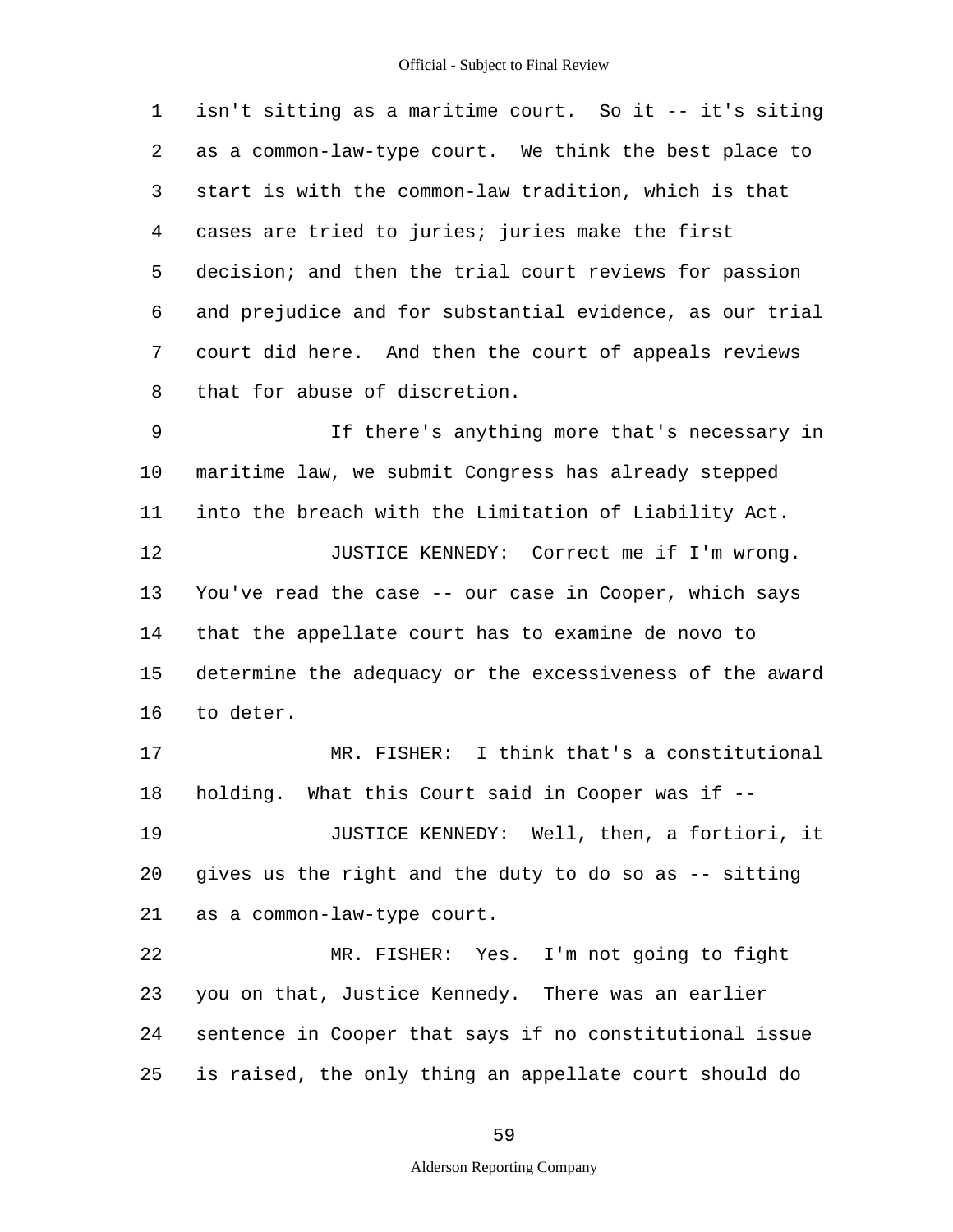1 2 3 4 5 6 7 8 9 10 11 12 13 14 15 16 17 isn't sitting as a maritime court. So it -- it's siting as a common-law-type court. We think the best place to start is with the common-law tradition, which is that cases are tried to juries; juries make the first decision; and then the trial court reviews for passion and prejudice and for substantial evidence, as our trial court did here. And then the court of appeals reviews that for abuse of discretion. If there's anything more that's necessary in maritime law, we submit Congress has already stepped into the breach with the Limitation of Liability Act. JUSTICE KENNEDY: Correct me if I'm wrong. You've read the case -- our case in Cooper, which says that the appellate court has to examine de novo to determine the adequacy or the excessiveness of the award to deter. MR. FISHER: I think that's a constitutional

19 20 21 JUSTICE KENNEDY: Well, then, a fortiori, it gives us the right and the duty to do so as -- sitting as a common-law-type court.

holding. What this Court said in Cooper was if --

18

22 23 24 25 MR. FISHER: Yes. I'm not going to fight you on that, Justice Kennedy. There was an earlier sentence in Cooper that says if no constitutional issue is raised, the only thing an appellate court should do

59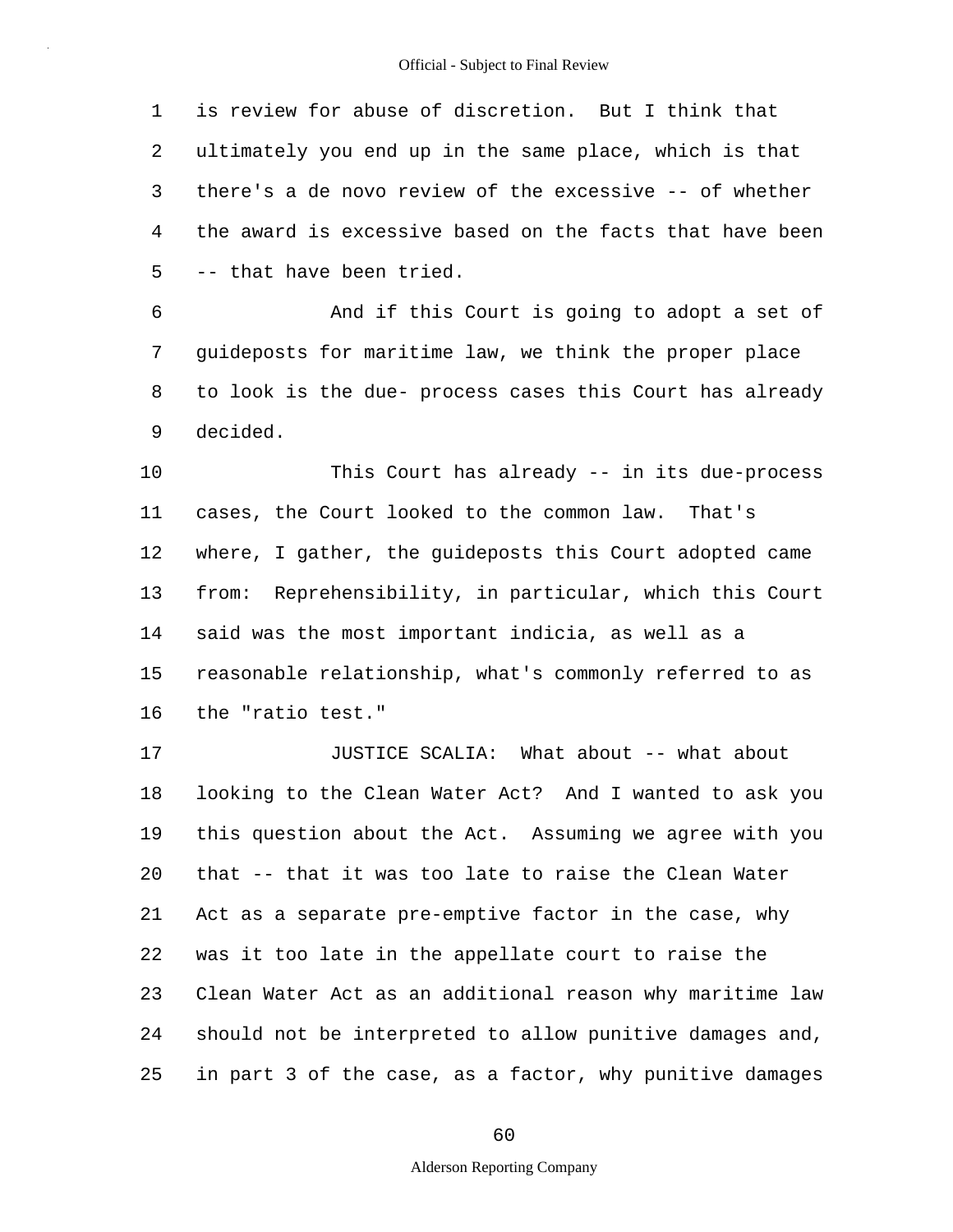1 2 3 4 5 is review for abuse of discretion. But I think that ultimately you end up in the same place, which is that there's a de novo review of the excessive -- of whether the award is excessive based on the facts that have been -- that have been tried.

6 7 8 9 And if this Court is going to adopt a set of guideposts for maritime law, we think the proper place to look is the due- process cases this Court has already decided.

10 11 12 13 14 15 16 This Court has already -- in its due-process cases, the Court looked to the common law. That's where, I gather, the guideposts this Court adopted came from: Reprehensibility, in particular, which this Court said was the most important indicia, as well as a reasonable relationship, what's commonly referred to as the "ratio test."

17 18 19 20 21 22 23 24 25 JUSTICE SCALIA: What about -- what about looking to the Clean Water Act? And I wanted to ask you this question about the Act. Assuming we agree with you that -- that it was too late to raise the Clean Water Act as a separate pre-emptive factor in the case, why was it too late in the appellate court to raise the Clean Water Act as an additional reason why maritime law should not be interpreted to allow punitive damages and, in part 3 of the case, as a factor, why punitive damages

60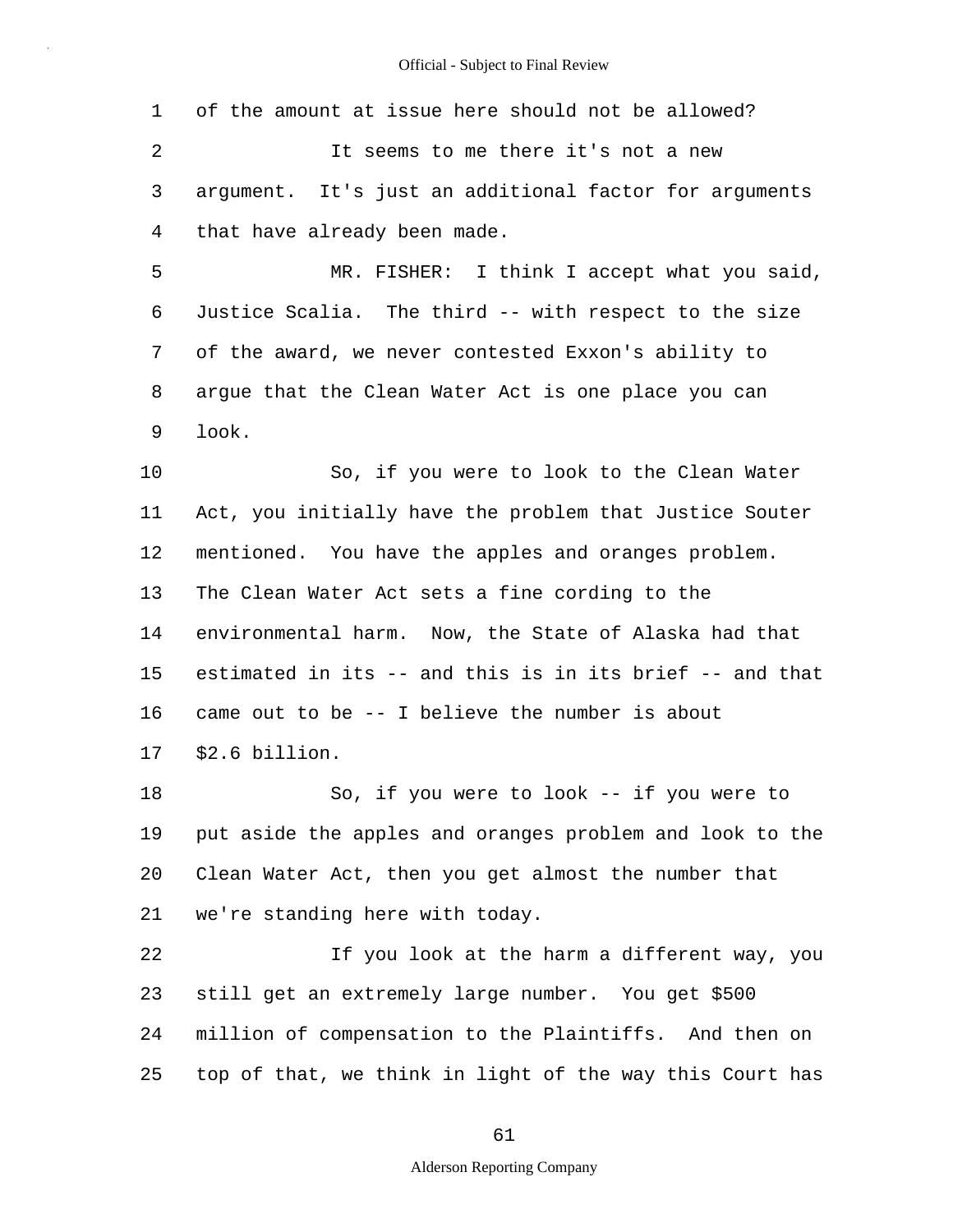1 2 3 4 5 6 7 8 9 10 11 12 13 14 15 16 17 18 19 20 21 22 23 24 25 of the amount at issue here should not be allowed? It seems to me there it's not a new argument. It's just an additional factor for arguments that have already been made. MR. FISHER: I think I accept what you said, Justice Scalia. The third -- with respect to the size of the award, we never contested Exxon's ability to argue that the Clean Water Act is one place you can look. So, if you were to look to the Clean Water Act, you initially have the problem that Justice Souter mentioned. You have the apples and oranges problem. The Clean Water Act sets a fine cording to the environmental harm. Now, the State of Alaska had that estimated in its -- and this is in its brief -- and that came out to be -- I believe the number is about \$2.6 billion. So, if you were to look -- if you were to put aside the apples and oranges problem and look to the Clean Water Act, then you get almost the number that we're standing here with today. If you look at the harm a different way, you still get an extremely large number. You get \$500 million of compensation to the Plaintiffs. And then on top of that, we think in light of the way this Court has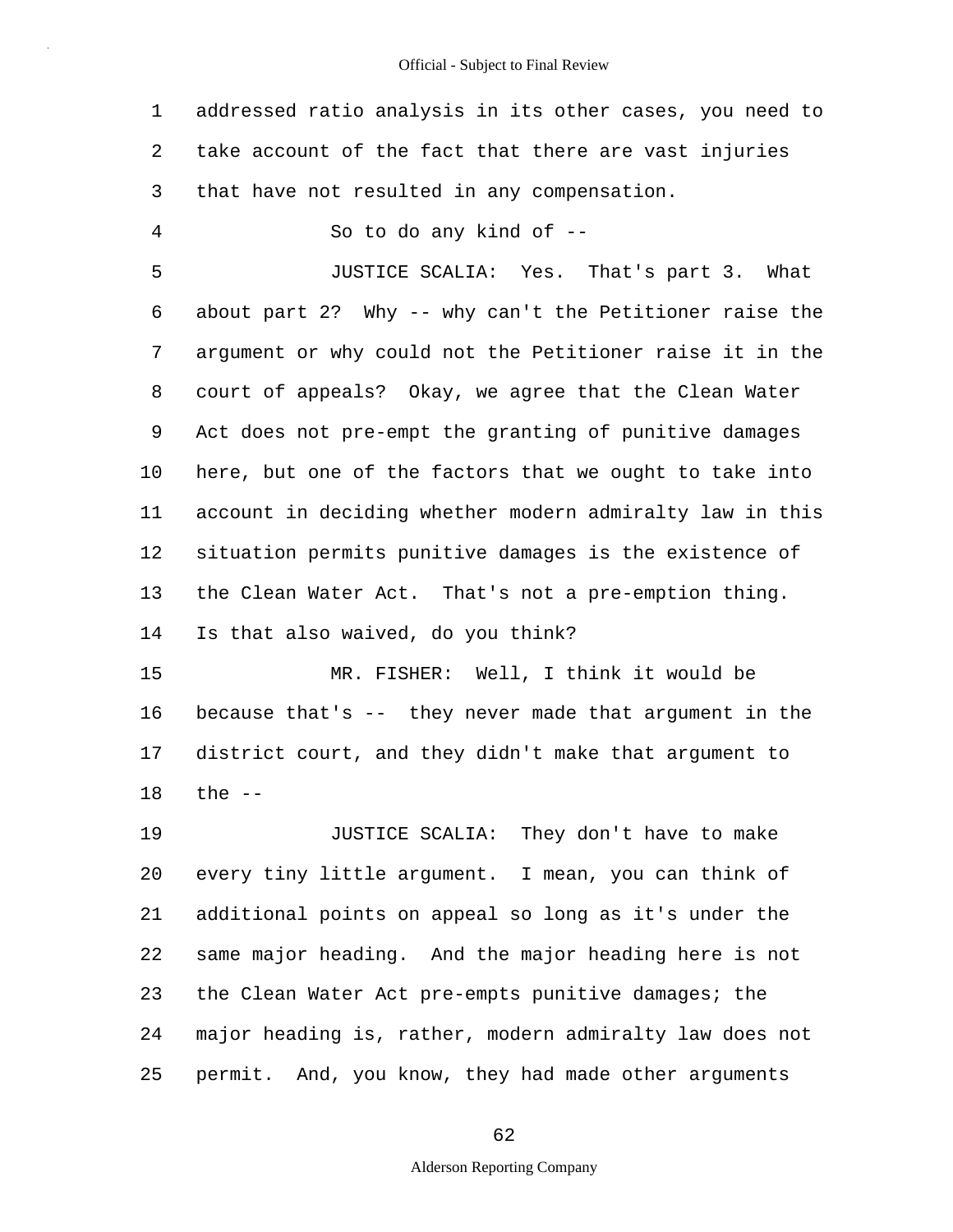1 2 3 4 5 6 7 8 9 10 11 12 13 14 15 16 17 18 19 20 21 22 23 24 25 addressed ratio analysis in its other cases, you need to take account of the fact that there are vast injuries that have not resulted in any compensation. So to do any kind of -- JUSTICE SCALIA: Yes. That's part 3. What about part 2? Why -- why can't the Petitioner raise the argument or why could not the Petitioner raise it in the court of appeals? Okay, we agree that the Clean Water Act does not pre-empt the granting of punitive damages here, but one of the factors that we ought to take into account in deciding whether modern admiralty law in this situation permits punitive damages is the existence of the Clean Water Act. That's not a pre-emption thing. Is that also waived, do you think? MR. FISHER: Well, I think it would be because that's -- they never made that argument in the district court, and they didn't make that argument to the  $--$ JUSTICE SCALIA: They don't have to make every tiny little argument. I mean, you can think of additional points on appeal so long as it's under the same major heading. And the major heading here is not the Clean Water Act pre-empts punitive damages; the major heading is, rather, modern admiralty law does not permit. And, you know, they had made other arguments

62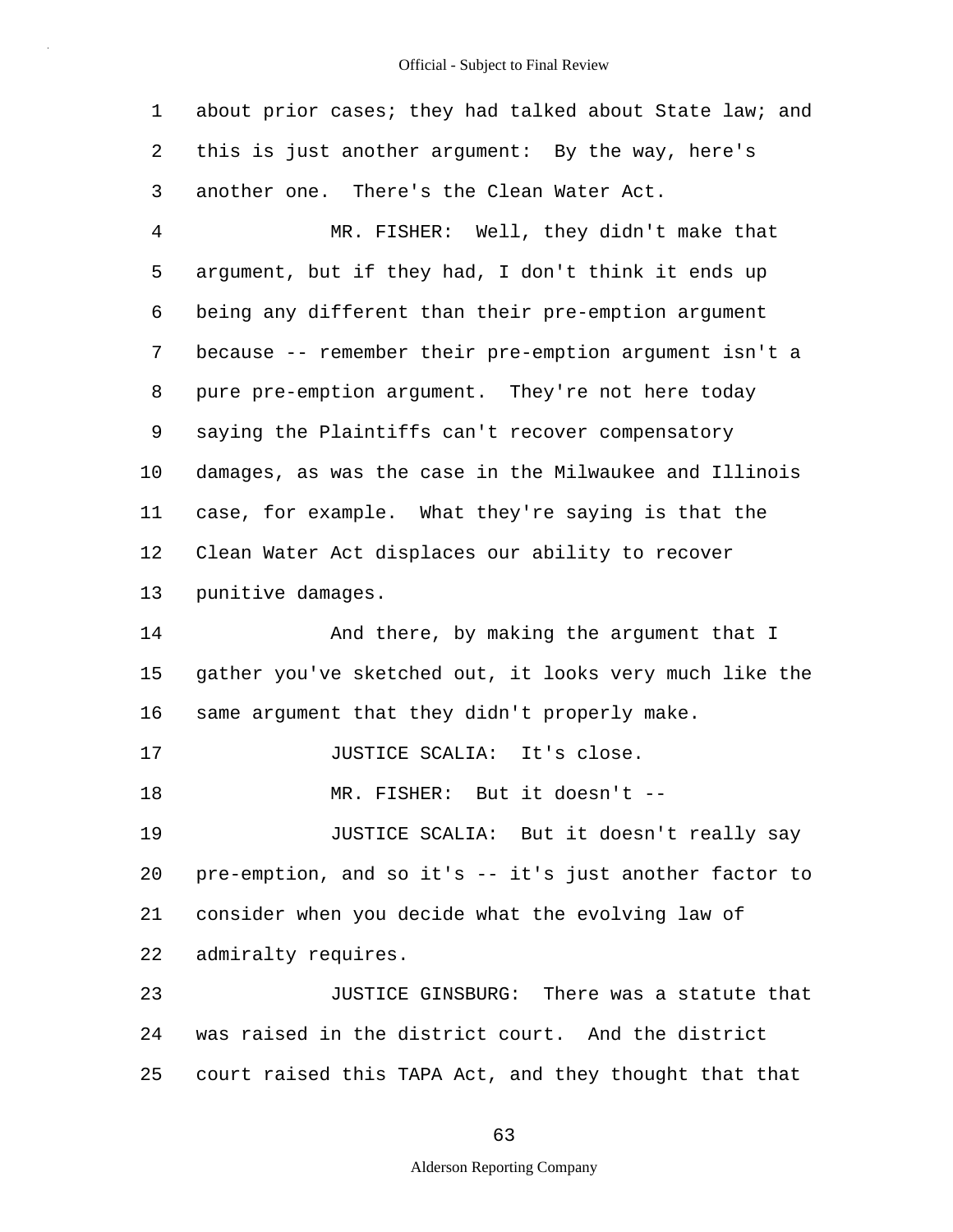| 1              | about prior cases; they had talked about State law; and |
|----------------|---------------------------------------------------------|
| 2              | this is just another argument: By the way, here's       |
| 3              | another one. There's the Clean Water Act.               |
| $\overline{4}$ | MR. FISHER: Well, they didn't make that                 |
| 5              | argument, but if they had, I don't think it ends up     |
| 6              | being any different than their pre-emption argument     |
| 7              | because -- remember their pre-emption argument isn't a  |
| 8              | pure pre-emption argument. They're not here today       |
| 9              | saying the Plaintiffs can't recover compensatory        |
| 10             | damages, as was the case in the Milwaukee and Illinois  |
| 11             | case, for example. What they're saying is that the      |
| 12             | Clean Water Act displaces our ability to recover        |
| 13             | punitive damages.                                       |
| 14             | And there, by making the argument that I                |
| 15             | gather you've sketched out, it looks very much like the |
| 16             | same argument that they didn't properly make.           |
| 17             | JUSTICE SCALIA: It's close.                             |
| 18             | MR. FISHER: But it doesn't --                           |
| 19             | JUSTICE SCALIA: But it doesn't really say               |
| 20             | pre-emption, and so it's -- it's just another factor to |
| 21             | consider when you decide what the evolving law of       |
| 22             | admiralty requires.                                     |
| 23             | JUSTICE GINSBURG: There was a statute that              |
| 24             | was raised in the district court. And the district      |
| 25             | court raised this TAPA Act, and they thought that that  |

63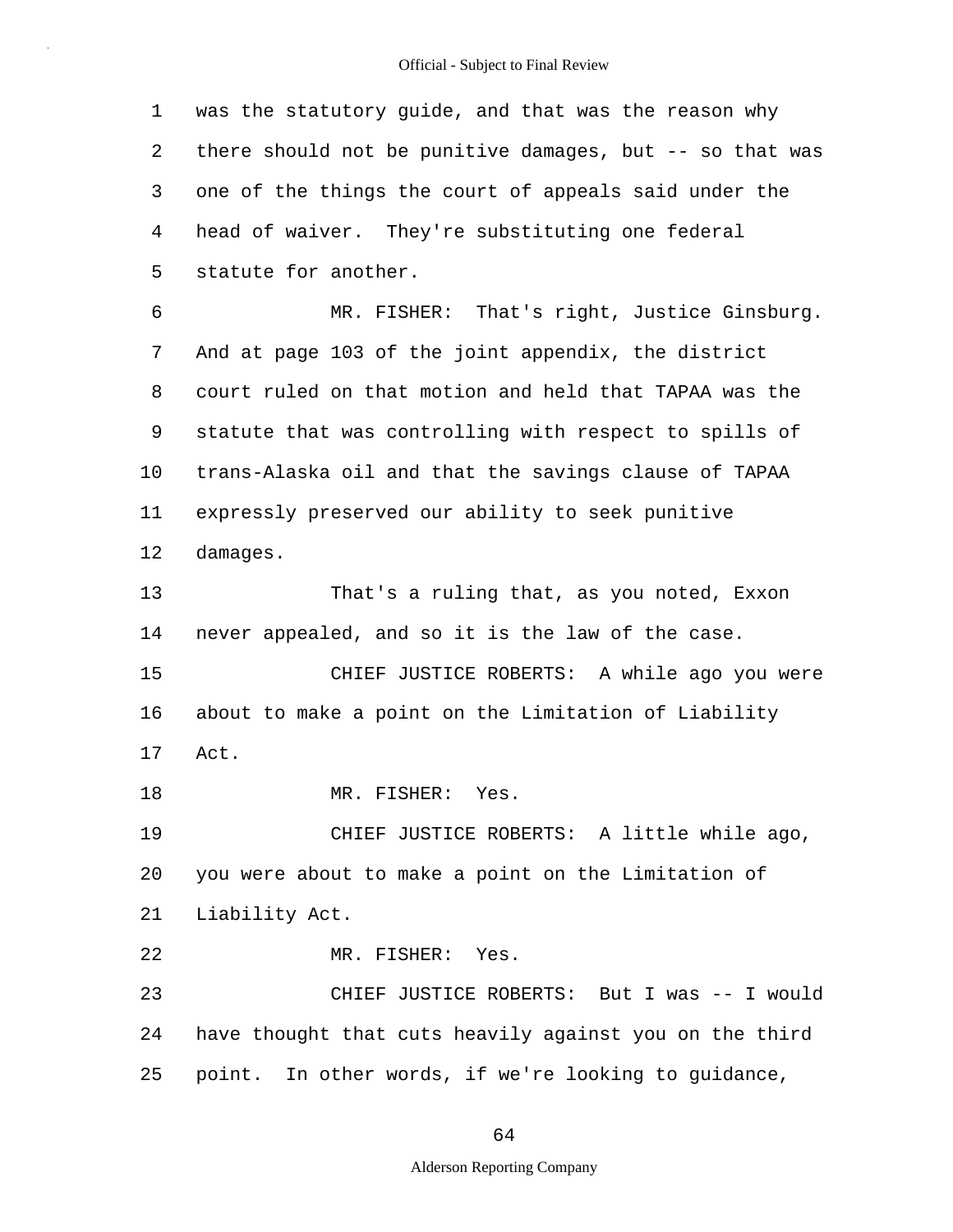1 2 3 4 5 6 7 8 9 10 11 12 13 14 15 16 17 18 19 20 21 22 23 24 25 was the statutory guide, and that was the reason why there should not be punitive damages, but -- so that was one of the things the court of appeals said under the head of waiver. They're substituting one federal statute for another. MR. FISHER: That's right, Justice Ginsburg. And at page 103 of the joint appendix, the district court ruled on that motion and held that TAPAA was the statute that was controlling with respect to spills of trans-Alaska oil and that the savings clause of TAPAA expressly preserved our ability to seek punitive damages. That's a ruling that, as you noted, Exxon never appealed, and so it is the law of the case. CHIEF JUSTICE ROBERTS: A while ago you were about to make a point on the Limitation of Liability Act. MR. FISHER: Yes. CHIEF JUSTICE ROBERTS: A little while ago, you were about to make a point on the Limitation of Liability Act. MR. FISHER: Yes. CHIEF JUSTICE ROBERTS: But I was -- I would have thought that cuts heavily against you on the third point. In other words, if we're looking to guidance,

## 64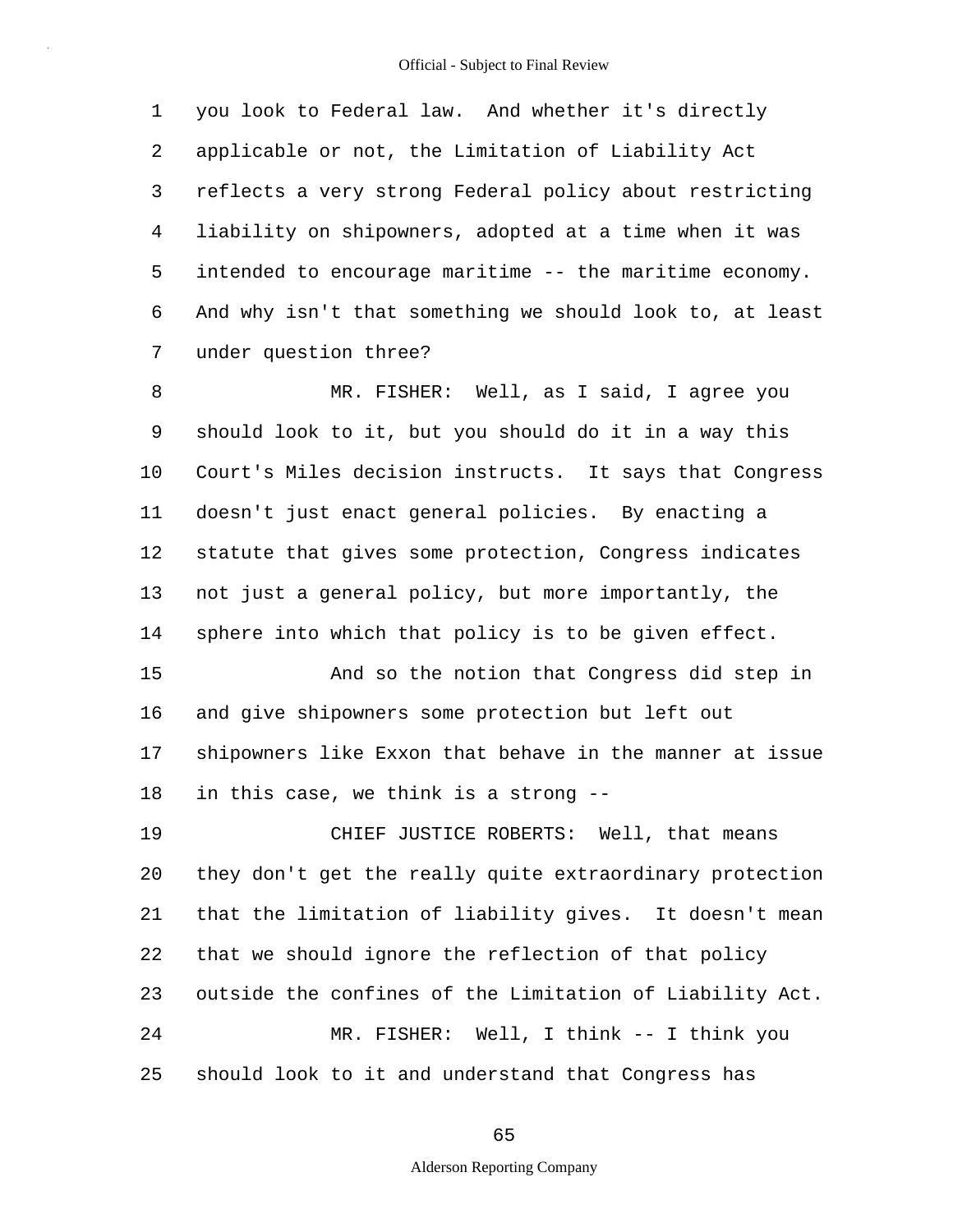1 2 3 4 5 6 7 you look to Federal law. And whether it's directly applicable or not, the Limitation of Liability Act reflects a very strong Federal policy about restricting liability on shipowners, adopted at a time when it was intended to encourage maritime -- the maritime economy. And why isn't that something we should look to, at least under question three?

8 9 10 11 12 13 14 MR. FISHER: Well, as I said, I agree you should look to it, but you should do it in a way this Court's Miles decision instructs. It says that Congress doesn't just enact general policies. By enacting a statute that gives some protection, Congress indicates not just a general policy, but more importantly, the sphere into which that policy is to be given effect.

15 16 17 18 And so the notion that Congress did step in and give shipowners some protection but left out shipowners like Exxon that behave in the manner at issue in this case, we think is a strong --

19 20 21 22 23 24 25 CHIEF JUSTICE ROBERTS: Well, that means they don't get the really quite extraordinary protection that the limitation of liability gives. It doesn't mean that we should ignore the reflection of that policy outside the confines of the Limitation of Liability Act. MR. FISHER: Well, I think -- I think you should look to it and understand that Congress has

65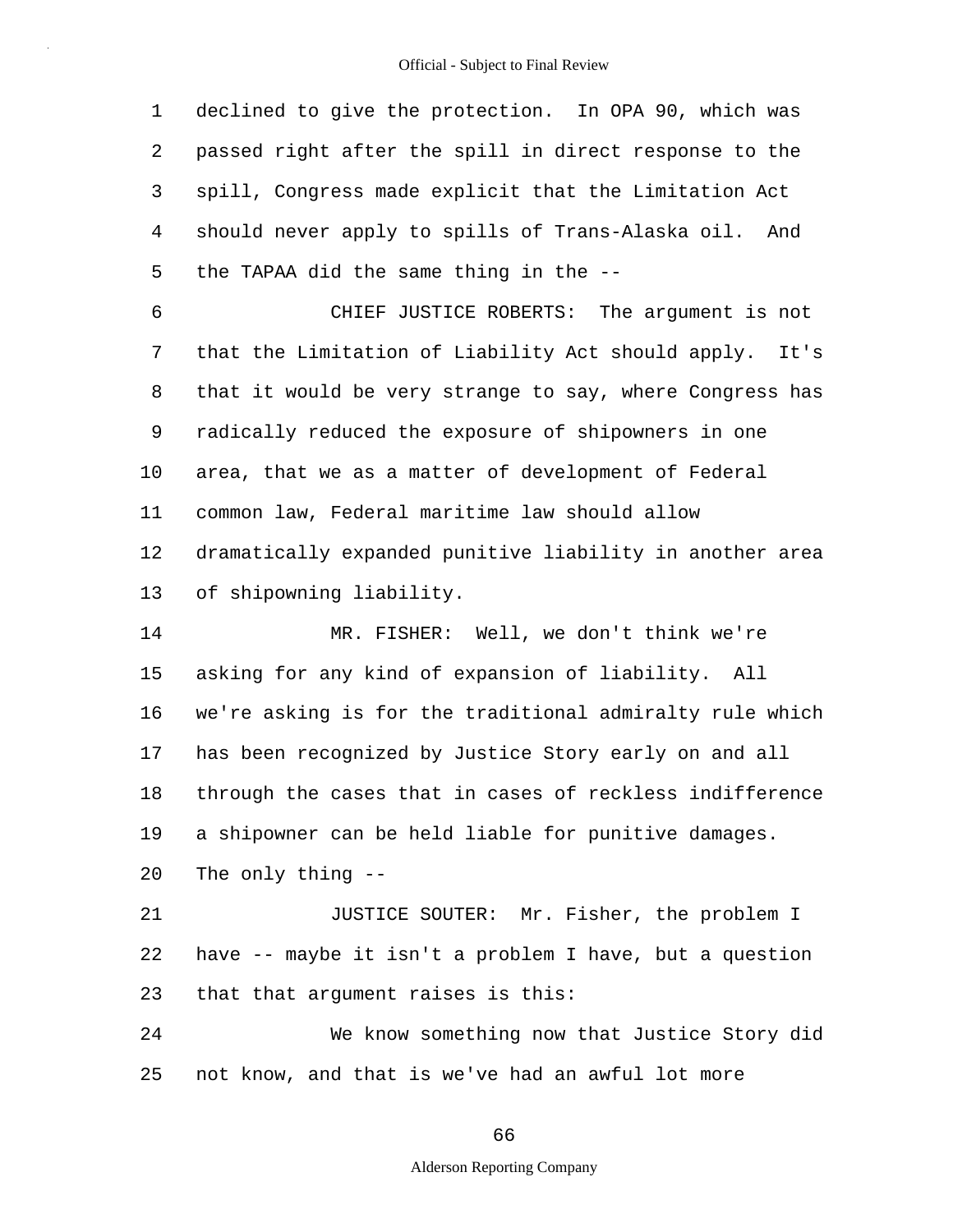1 2 3 4 5 declined to give the protection. In OPA 90, which was passed right after the spill in direct response to the spill, Congress made explicit that the Limitation Act should never apply to spills of Trans-Alaska oil. And the TAPAA did the same thing in the --

6 7 8 9 10 11 12 13 CHIEF JUSTICE ROBERTS: The argument is not that the Limitation of Liability Act should apply. It's that it would be very strange to say, where Congress has radically reduced the exposure of shipowners in one area, that we as a matter of development of Federal common law, Federal maritime law should allow dramatically expanded punitive liability in another area of shipowning liability.

14 15 16 17 18 19 20 21 22 23 24 MR. FISHER: Well, we don't think we're asking for any kind of expansion of liability. All we're asking is for the traditional admiralty rule which has been recognized by Justice Story early on and all through the cases that in cases of reckless indifference a shipowner can be held liable for punitive damages. The only thing -- JUSTICE SOUTER: Mr. Fisher, the problem I have -- maybe it isn't a problem I have, but a question that that argument raises is this: We know something now that Justice Story did

25 not know, and that is we've had an awful lot more

66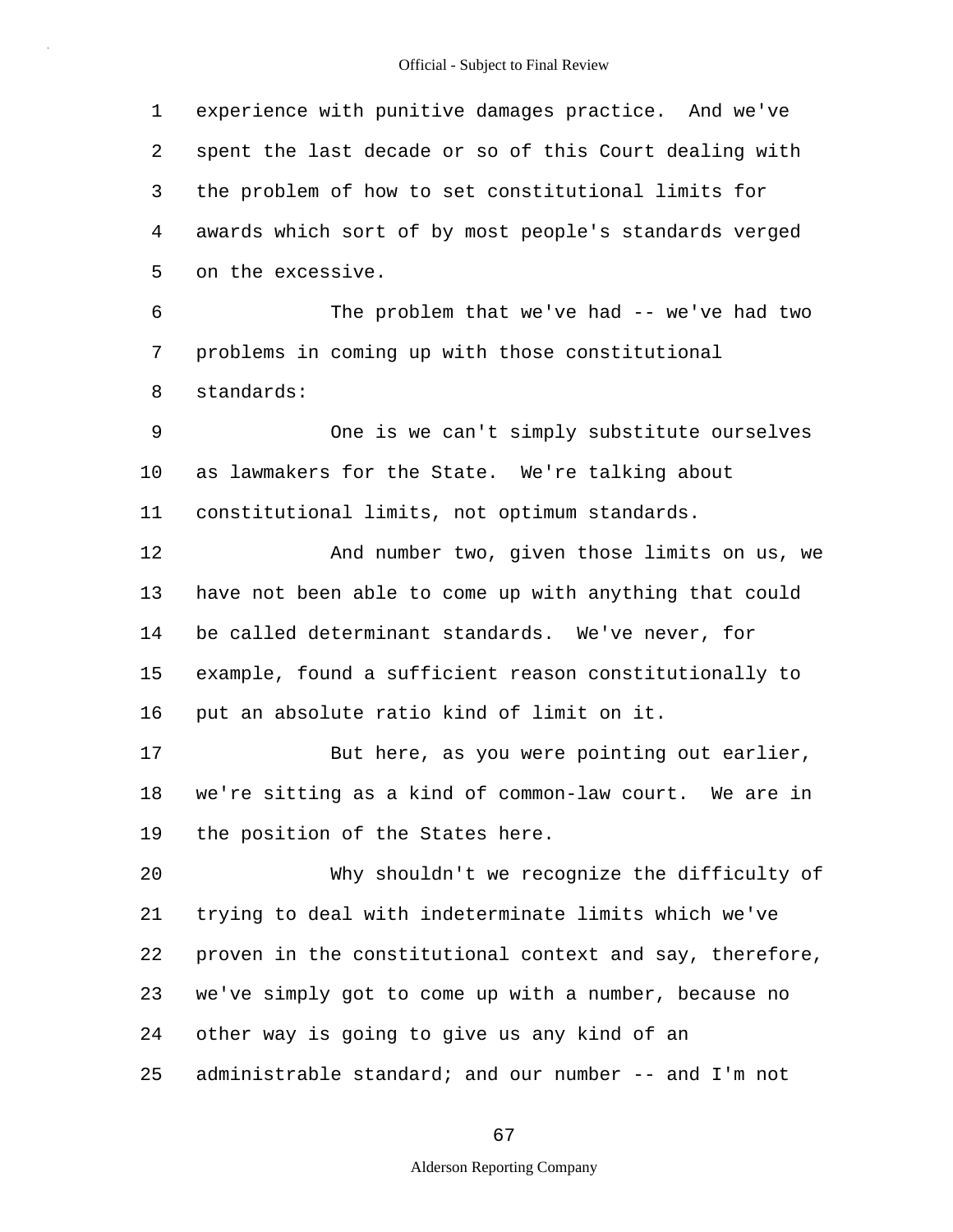1 2 3 4 5 6 7 8 9 10 11 12 13 14 15 16 17 18 19 20 21 22 23 24 25 experience with punitive damages practice. And we've spent the last decade or so of this Court dealing with the problem of how to set constitutional limits for awards which sort of by most people's standards verged on the excessive. The problem that we've had -- we've had two problems in coming up with those constitutional standards: One is we can't simply substitute ourselves as lawmakers for the State. We're talking about constitutional limits, not optimum standards. And number two, given those limits on us, we have not been able to come up with anything that could be called determinant standards. We've never, for example, found a sufficient reason constitutionally to put an absolute ratio kind of limit on it. But here, as you were pointing out earlier, we're sitting as a kind of common-law court. We are in the position of the States here. Why shouldn't we recognize the difficulty of trying to deal with indeterminate limits which we've proven in the constitutional context and say, therefore, we've simply got to come up with a number, because no other way is going to give us any kind of an administrable standard; and our number -- and I'm not

67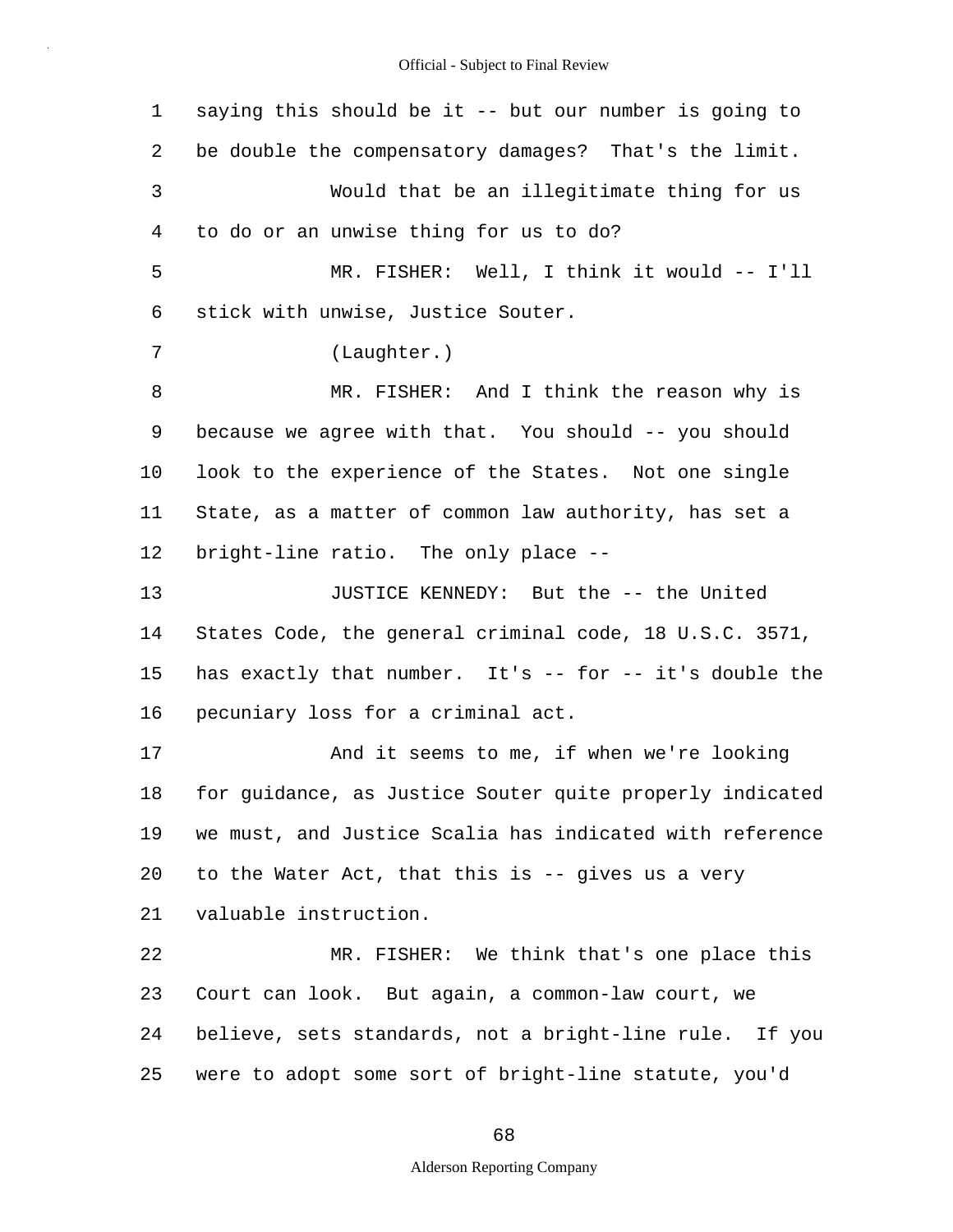| $\mathbf{1}$   | saying this should be it -- but our number is going to   |
|----------------|----------------------------------------------------------|
| 2              | be double the compensatory damages? That's the limit.    |
| $\mathsf{3}$   | Would that be an illegitimate thing for us               |
| $\overline{4}$ | to do or an unwise thing for us to do?                   |
| 5              | MR. FISHER: Well, I think it would -- I'll               |
| 6              | stick with unwise, Justice Souter.                       |
| 7              | (Laughter.)                                              |
| 8              | MR. FISHER: And I think the reason why is                |
| 9              | because we agree with that. You should -- you should     |
| 10             | look to the experience of the States. Not one single     |
| 11             | State, as a matter of common law authority, has set a    |
| 12             | bright-line ratio. The only place --                     |
| 13             | JUSTICE KENNEDY: But the -- the United                   |
| 14             | States Code, the general criminal code, 18 U.S.C. 3571,  |
| 15             | has exactly that number. It's -- for -- it's double the  |
| 16             | pecuniary loss for a criminal act.                       |
| 17             | And it seems to me, if when we're looking                |
| 18             | for quidance, as Justice Souter quite properly indicated |
| 19             | we must, and Justice Scalia has indicated with reference |
| 20             | to the Water Act, that this is -- gives us a very        |
| 21             | valuable instruction.                                    |
| 22             | MR. FISHER: We think that's one place this               |
| 23             | Court can look. But again, a common-law court, we        |
| 24             | believe, sets standards, not a bright-line rule. If you  |
| 25             | were to adopt some sort of bright-line statute, you'd    |

68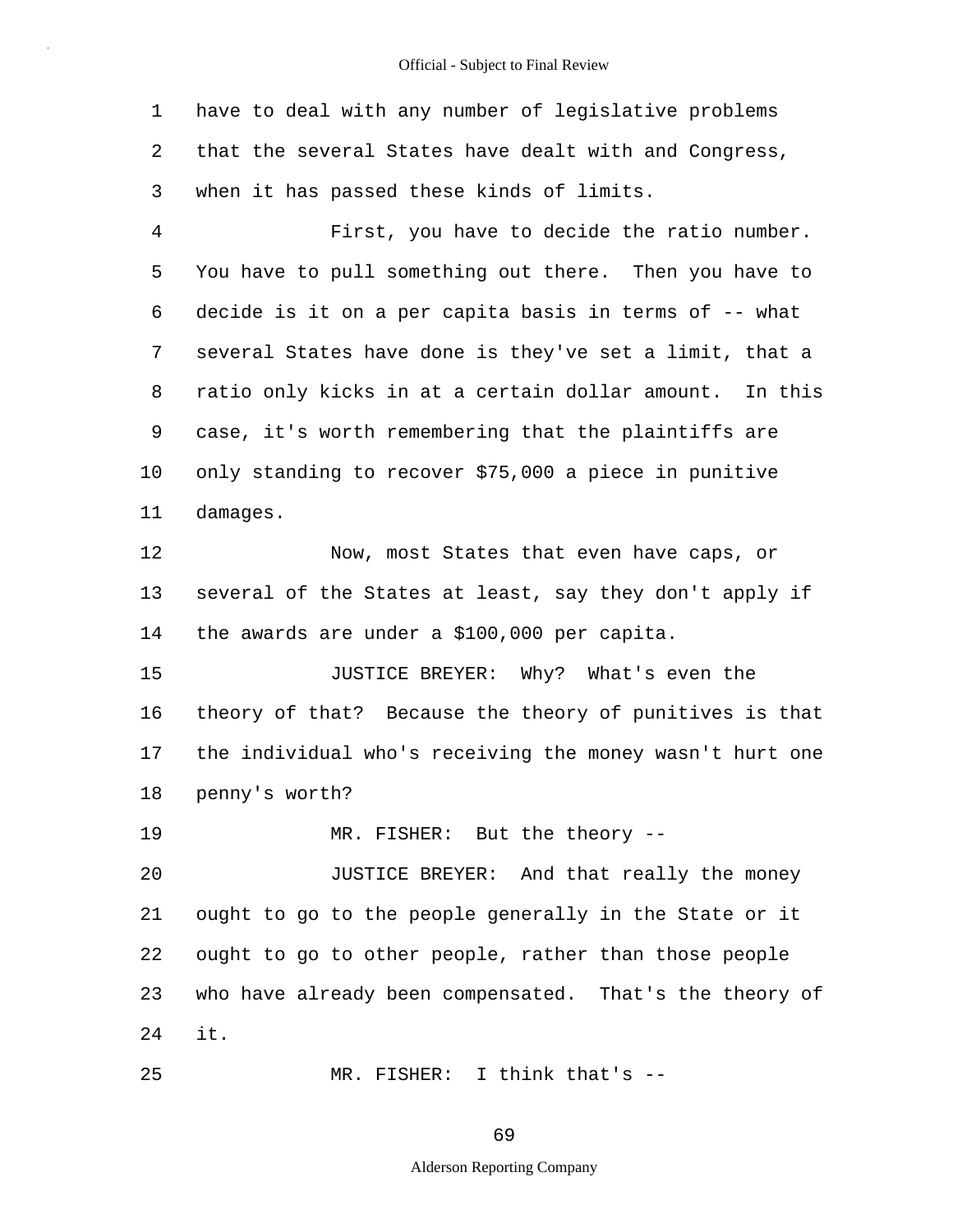1 2 3 4 5 6 7 8 9 10 11 12 13 14 15 16 17 18 19 20 21 22 23 24 25 have to deal with any number of legislative problems that the several States have dealt with and Congress, when it has passed these kinds of limits. First, you have to decide the ratio number. You have to pull something out there. Then you have to decide is it on a per capita basis in terms of -- what several States have done is they've set a limit, that a ratio only kicks in at a certain dollar amount. In this case, it's worth remembering that the plaintiffs are only standing to recover \$75,000 a piece in punitive damages. Now, most States that even have caps, or several of the States at least, say they don't apply if the awards are under a \$100,000 per capita. JUSTICE BREYER: Why? What's even the theory of that? Because the theory of punitives is that the individual who's receiving the money wasn't hurt one penny's worth? MR. FISHER: But the theory -- JUSTICE BREYER: And that really the money ought to go to the people generally in the State or it ought to go to other people, rather than those people who have already been compensated. That's the theory of it. MR. FISHER: I think that's --

69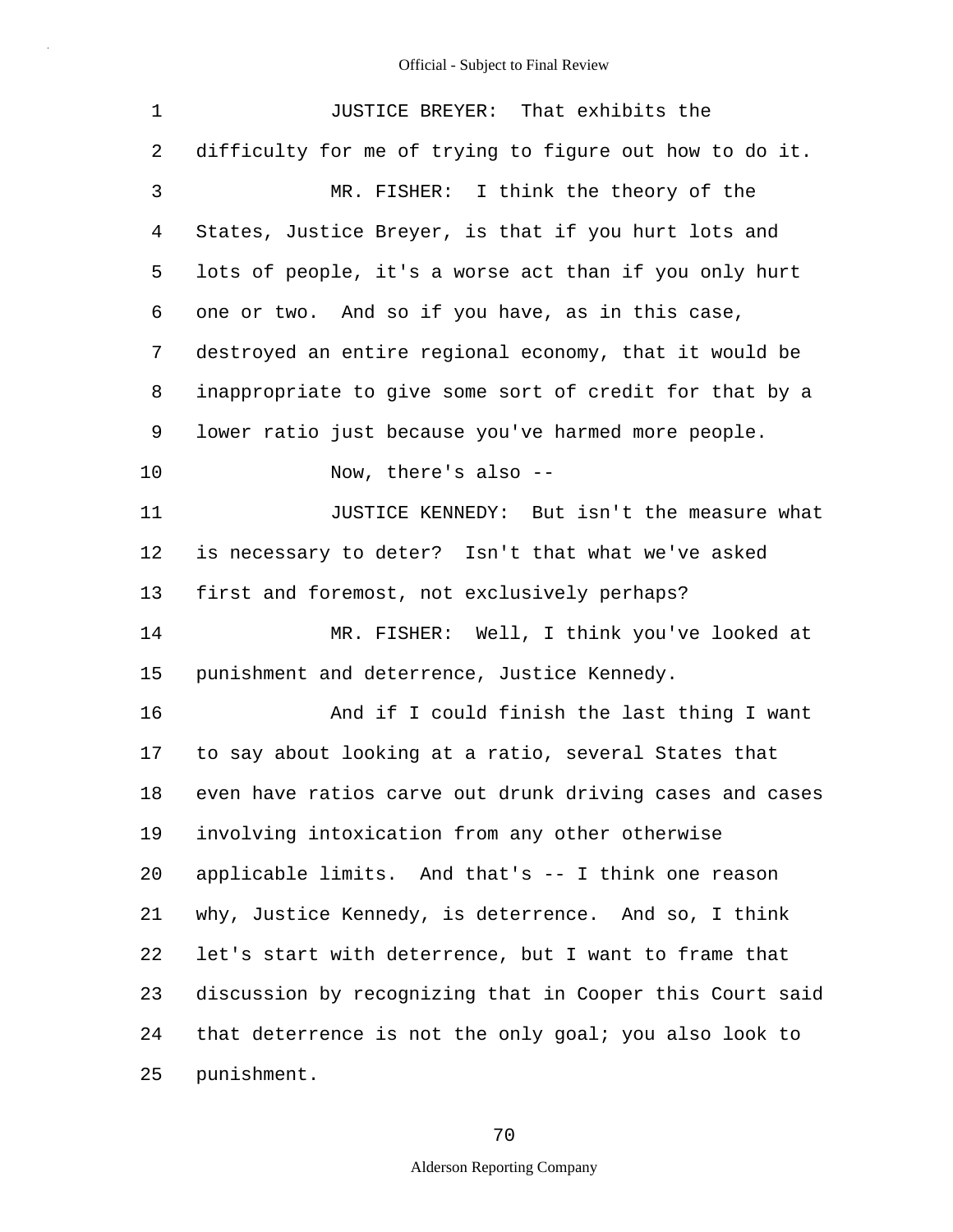| 1  | JUSTICE BREYER: That exhibits the                        |
|----|----------------------------------------------------------|
| 2  | difficulty for me of trying to figure out how to do it.  |
| 3  | MR. FISHER: I think the theory of the                    |
| 4  | States, Justice Breyer, is that if you hurt lots and     |
| 5  | lots of people, it's a worse act than if you only hurt   |
| 6  | one or two. And so if you have, as in this case,         |
| 7  | destroyed an entire regional economy, that it would be   |
| 8  | inappropriate to give some sort of credit for that by a  |
| 9  | lower ratio just because you've harmed more people.      |
| 10 | Now, there's also --                                     |
| 11 | JUSTICE KENNEDY: But isn't the measure what              |
| 12 | is necessary to deter? Isn't that what we've asked       |
| 13 | first and foremost, not exclusively perhaps?             |
| 14 | MR. FISHER: Well, I think you've looked at               |
| 15 | punishment and deterrence, Justice Kennedy.              |
| 16 | And if I could finish the last thing I want              |
| 17 | to say about looking at a ratio, several States that     |
| 18 | even have ratios carve out drunk driving cases and cases |
| 19 | involving intoxication from any other otherwise          |
| 20 | applicable limits. And that's -- I think one reason      |
| 21 | why, Justice Kennedy, is deterrence. And so, I think     |
| 22 | let's start with deterrence, but I want to frame that    |
| 23 | discussion by recognizing that in Cooper this Court said |
| 24 | that deterrence is not the only goal; you also look to   |
| 25 | punishment.                                              |

70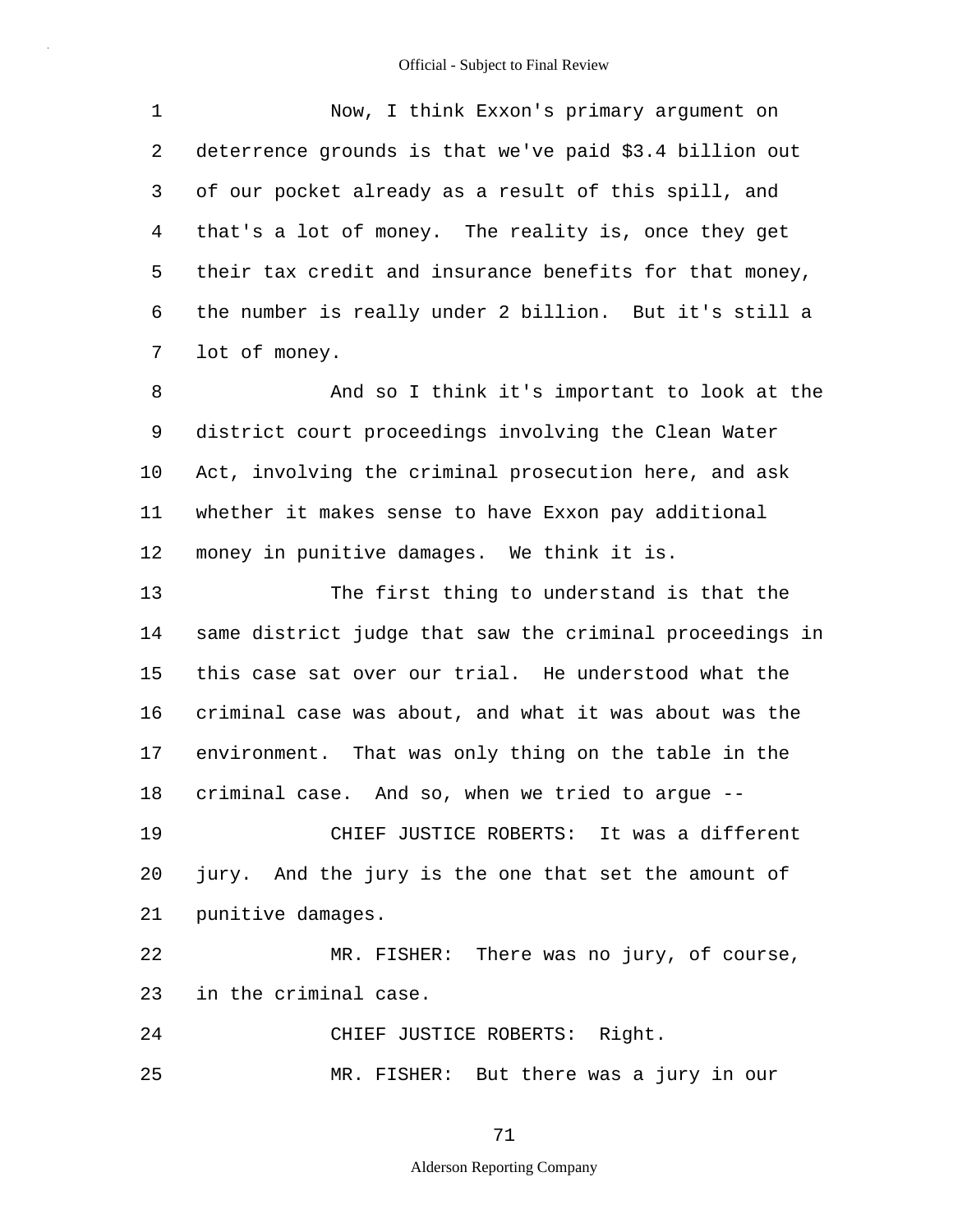| $\mathbf 1$    | Now, I think Exxon's primary argument on                 |
|----------------|----------------------------------------------------------|
| $\overline{2}$ | deterrence grounds is that we've paid \$3.4 billion out  |
| 3              | of our pocket already as a result of this spill, and     |
| $\overline{4}$ | that's a lot of money. The reality is, once they get     |
| 5              | their tax credit and insurance benefits for that money,  |
| 6              | the number is really under 2 billion. But it's still a   |
| 7              | lot of money.                                            |
| 8              | And so I think it's important to look at the             |
| 9              | district court proceedings involving the Clean Water     |
| 10             | Act, involving the criminal prosecution here, and ask    |
| 11             | whether it makes sense to have Exxon pay additional      |
| 12             | money in punitive damages. We think it is.               |
| 13             | The first thing to understand is that the                |
| 14             | same district judge that saw the criminal proceedings in |
| 15             | this case sat over our trial. He understood what the     |
| 16             | criminal case was about, and what it was about was the   |
| 17             | environment. That was only thing on the table in the     |
| 18             | criminal case. And so, when we tried to argue --         |
| 19             | CHIEF JUSTICE ROBERTS: It was a different                |
| 20             | jury. And the jury is the one that set the amount of     |
| 21             | punitive damages.                                        |
| 22             | MR. FISHER: There was no jury, of course,                |
| 23             | in the criminal case.                                    |
| 24             | CHIEF JUSTICE ROBERTS: Right.                            |
| 25             | MR. FISHER: But there was a jury in our                  |

71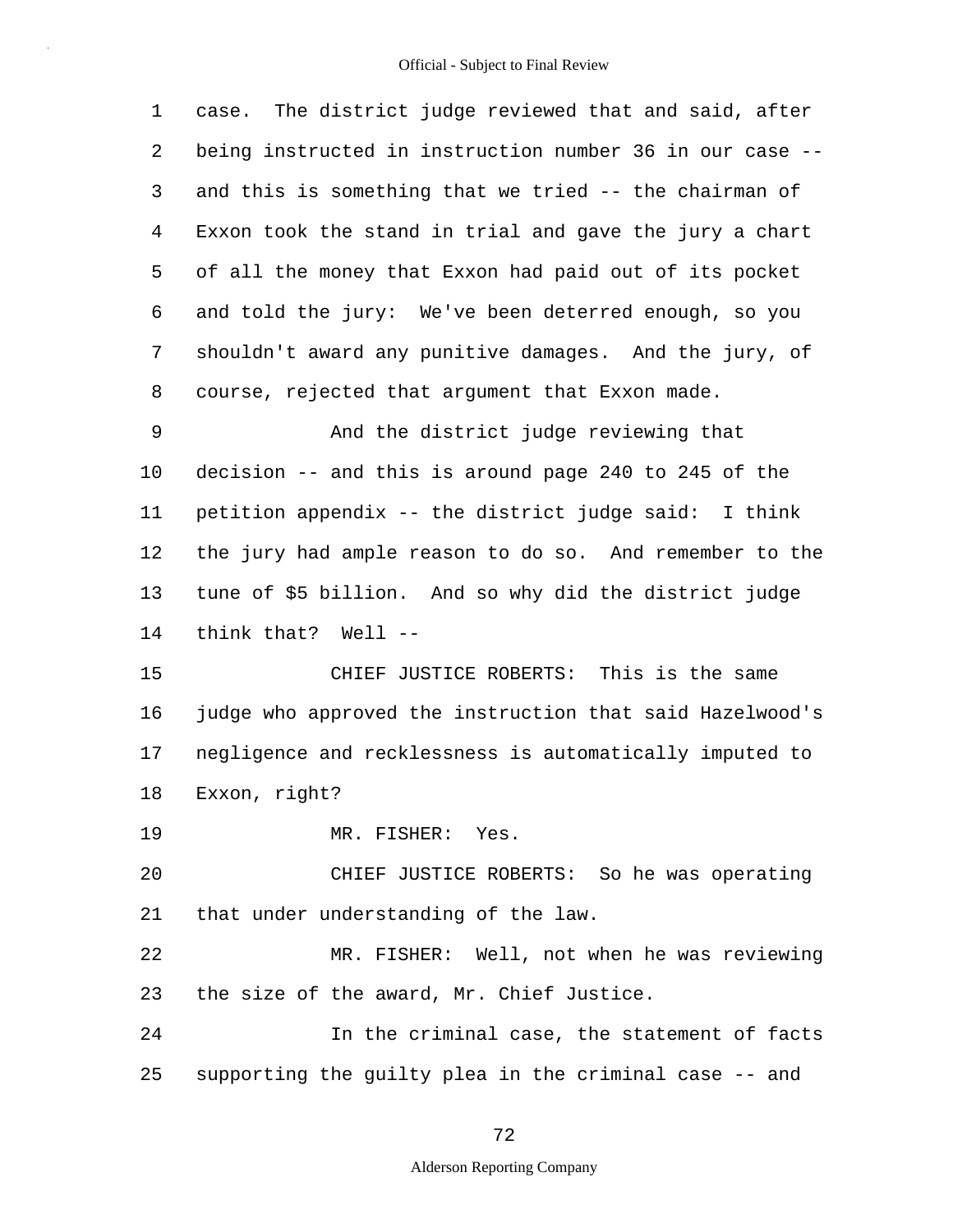| 1  | case. The district judge reviewed that and said, after   |
|----|----------------------------------------------------------|
| 2  | being instructed in instruction number 36 in our case -- |
| 3  | and this is something that we tried -- the chairman of   |
| 4  | Exxon took the stand in trial and gave the jury a chart  |
| 5  | of all the money that Exxon had paid out of its pocket   |
| 6  | and told the jury: We've been deterred enough, so you    |
| 7  | shouldn't award any punitive damages. And the jury, of   |
| 8  | course, rejected that argument that Exxon made.          |
| 9  | And the district judge reviewing that                    |
| 10 | decision -- and this is around page 240 to 245 of the    |
| 11 | petition appendix -- the district judge said: I think    |
| 12 | the jury had ample reason to do so. And remember to the  |
| 13 | tune of \$5 billion. And so why did the district judge   |
| 14 | think that? Well --                                      |
| 15 | CHIEF JUSTICE ROBERTS: This is the same                  |
| 16 | judge who approved the instruction that said Hazelwood's |
| 17 | negligence and recklessness is automatically imputed to  |
| 18 | Exxon, right?                                            |
| 19 | MR. FISHER: Yes.                                         |
| 20 | CHIEF JUSTICE ROBERTS: So he was operating               |
| 21 | that under understanding of the law.                     |
| 22 | MR. FISHER: Well, not when he was reviewing              |
| 23 | the size of the award, Mr. Chief Justice.                |
| 24 | In the criminal case, the statement of facts             |
| 25 | supporting the guilty plea in the criminal case -- and   |
|    |                                                          |

72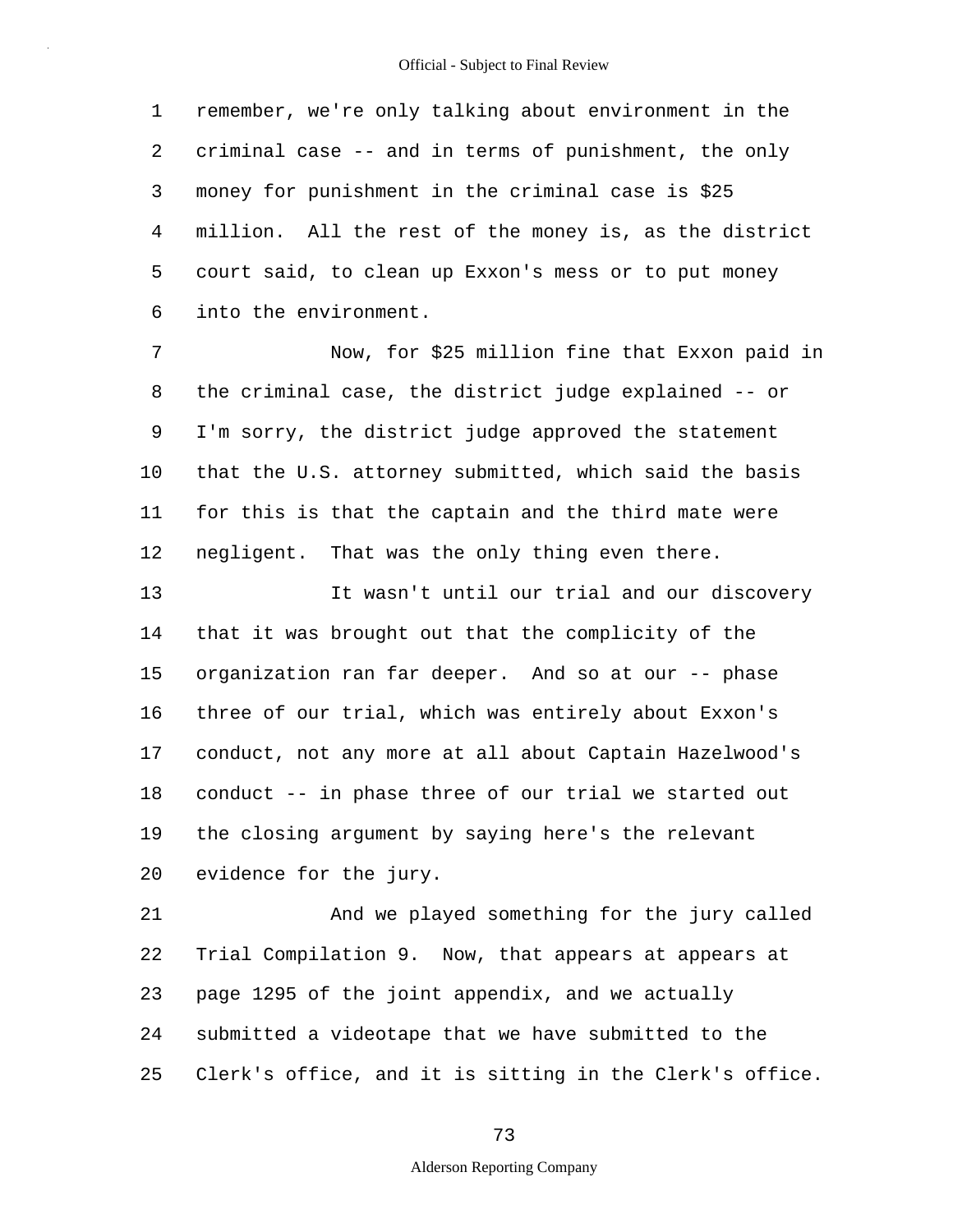1 2 3 4 5 6 remember, we're only talking about environment in the criminal case -- and in terms of punishment, the only money for punishment in the criminal case is \$25 million. All the rest of the money is, as the district court said, to clean up Exxon's mess or to put money into the environment.

7 8 9 10 11 12 Now, for \$25 million fine that Exxon paid in the criminal case, the district judge explained -- or I'm sorry, the district judge approved the statement that the U.S. attorney submitted, which said the basis for this is that the captain and the third mate were negligent. That was the only thing even there.

13 14 15 16 17 18 19 20 It wasn't until our trial and our discovery that it was brought out that the complicity of the organization ran far deeper. And so at our -- phase three of our trial, which was entirely about Exxon's conduct, not any more at all about Captain Hazelwood's conduct -- in phase three of our trial we started out the closing argument by saying here's the relevant evidence for the jury.

21 22 23 24 25 And we played something for the jury called Trial Compilation 9. Now, that appears at appears at page 1295 of the joint appendix, and we actually submitted a videotape that we have submitted to the Clerk's office, and it is sitting in the Clerk's office.

73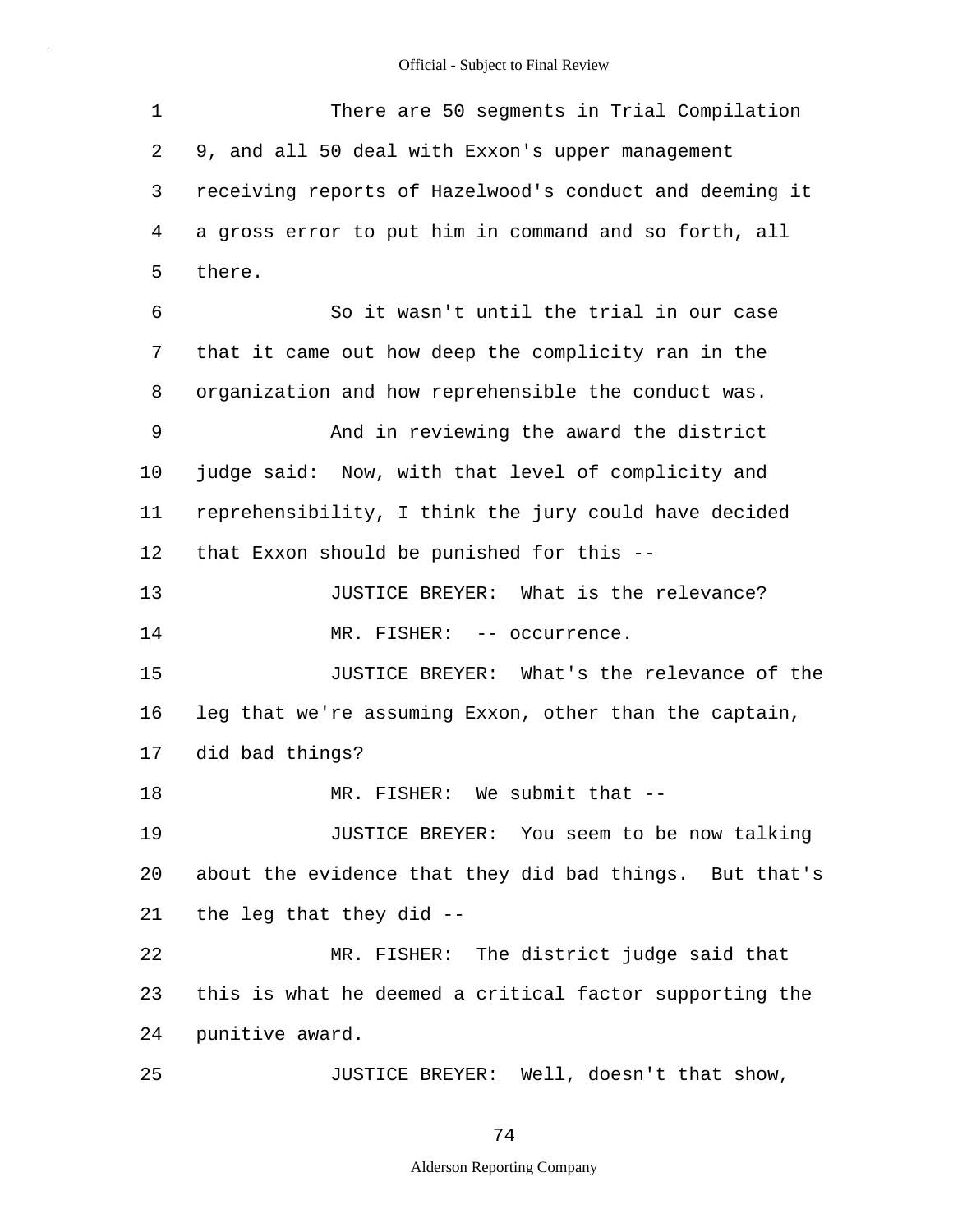| 1  | There are 50 segments in Trial Compilation              |
|----|---------------------------------------------------------|
| 2  | 9, and all 50 deal with Exxon's upper management        |
| 3  | receiving reports of Hazelwood's conduct and deeming it |
| 4  | a gross error to put him in command and so forth, all   |
| 5  | there.                                                  |
| 6  | So it wasn't until the trial in our case                |
| 7  | that it came out how deep the complicity ran in the     |
| 8  | organization and how reprehensible the conduct was.     |
| 9  | And in reviewing the award the district                 |
| 10 | judge said: Now, with that level of complicity and      |
| 11 | reprehensibility, I think the jury could have decided   |
| 12 | that Exxon should be punished for this --               |
| 13 | JUSTICE BREYER: What is the relevance?                  |
| 14 | MR. FISHER: -- occurrence.                              |
| 15 | JUSTICE BREYER: What's the relevance of the             |
| 16 | leg that we're assuming Exxon, other than the captain,  |
| 17 | did bad things?                                         |
| 18 | MR. FISHER: We submit that --                           |
| 19 | JUSTICE BREYER: You seem to be now talking              |
| 20 | about the evidence that they did bad things. But that's |
| 21 | the leg that they did --                                |
| 22 | MR. FISHER: The district judge said that                |
| 23 | this is what he deemed a critical factor supporting the |
| 24 | punitive award.                                         |
| 25 | JUSTICE BREYER: Well, doesn't that show,                |

74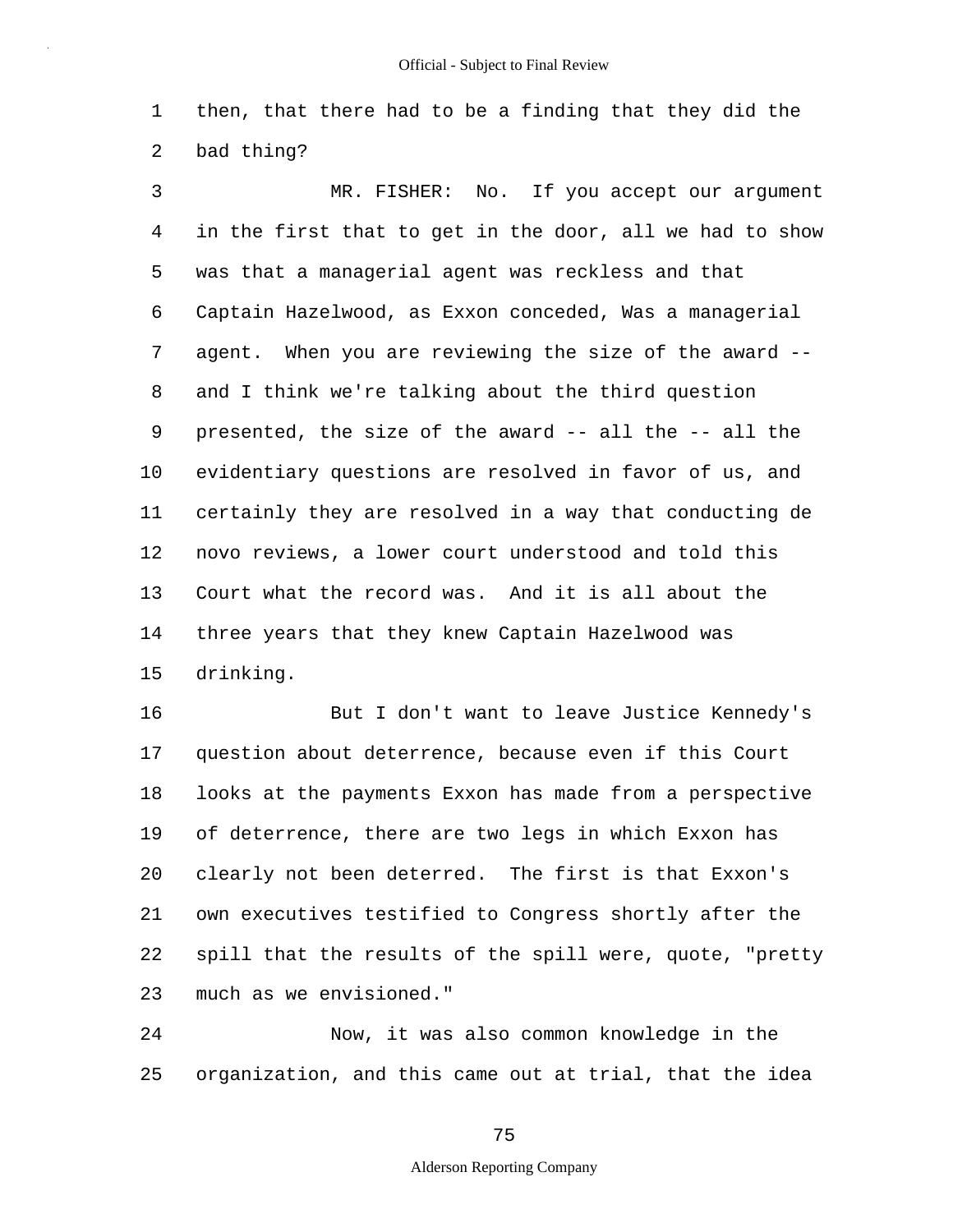1 2 then, that there had to be a finding that they did the bad thing?

3 4 5 6 7 8 9 10 11 12 13 14 15 MR. FISHER: No. If you accept our argument in the first that to get in the door, all we had to show was that a managerial agent was reckless and that Captain Hazelwood, as Exxon conceded, Was a managerial agent. When you are reviewing the size of the award - and I think we're talking about the third question presented, the size of the award -- all the -- all the evidentiary questions are resolved in favor of us, and certainly they are resolved in a way that conducting de novo reviews, a lower court understood and told this Court what the record was. And it is all about the three years that they knew Captain Hazelwood was drinking.

16 17 18 19 20 21 22 23 But I don't want to leave Justice Kennedy's question about deterrence, because even if this Court looks at the payments Exxon has made from a perspective of deterrence, there are two legs in which Exxon has clearly not been deterred. The first is that Exxon's own executives testified to Congress shortly after the spill that the results of the spill were, quote, "pretty much as we envisioned."

24 25 Now, it was also common knowledge in the organization, and this came out at trial, that the idea

75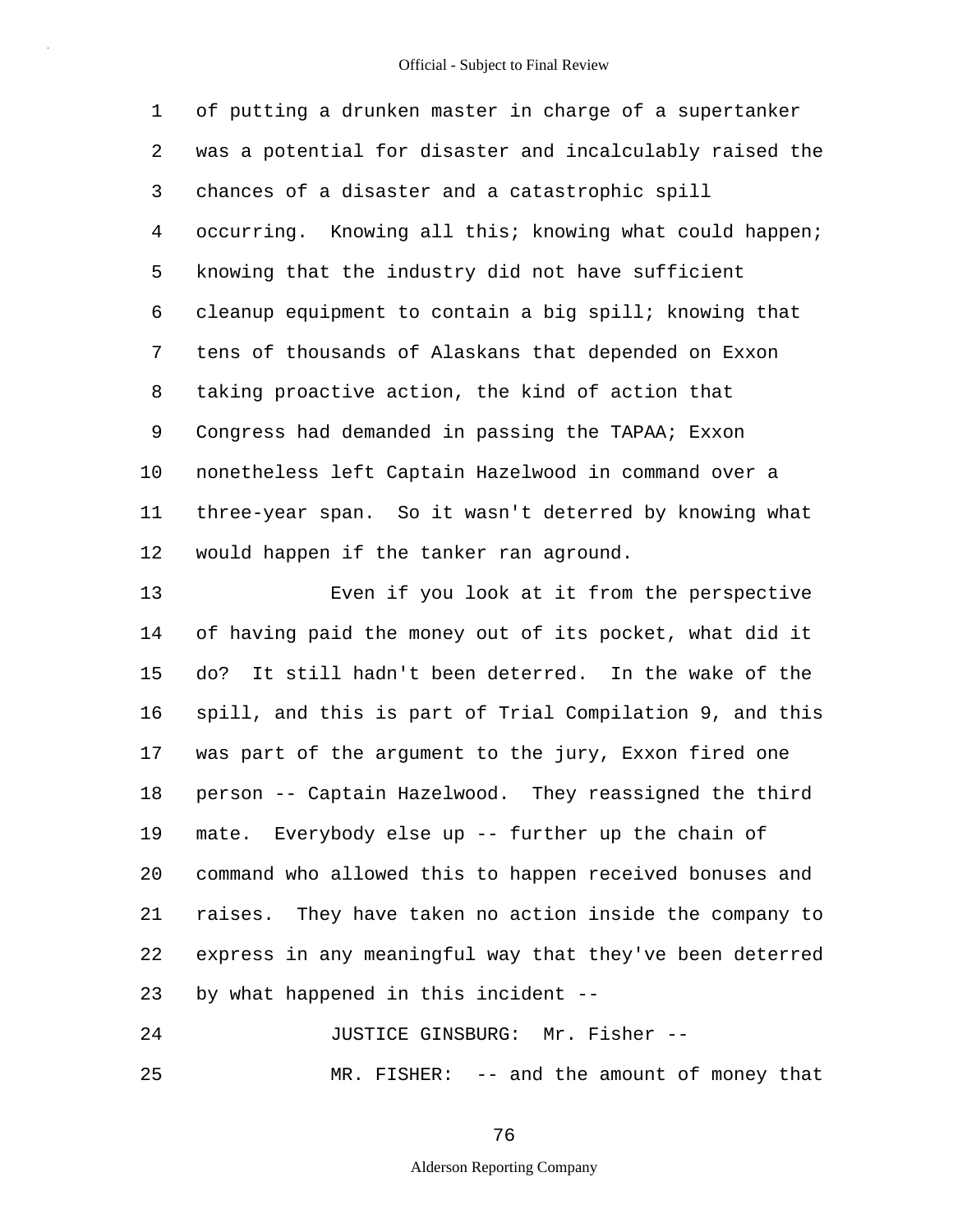1 2 3 4 5 6 7 8 9 10 11 12 of putting a drunken master in charge of a supertanker was a potential for disaster and incalculably raised the chances of a disaster and a catastrophic spill occurring. Knowing all this; knowing what could happen; knowing that the industry did not have sufficient cleanup equipment to contain a big spill; knowing that tens of thousands of Alaskans that depended on Exxon taking proactive action, the kind of action that Congress had demanded in passing the TAPAA; Exxon nonetheless left Captain Hazelwood in command over a three-year span. So it wasn't deterred by knowing what would happen if the tanker ran aground.

13 14 15 16 17 18 19 20 21 22 23 Even if you look at it from the perspective of having paid the money out of its pocket, what did it do? It still hadn't been deterred. In the wake of the spill, and this is part of Trial Compilation 9, and this was part of the argument to the jury, Exxon fired one person -- Captain Hazelwood. They reassigned the third mate. Everybody else up -- further up the chain of command who allowed this to happen received bonuses and raises. They have taken no action inside the company to express in any meaningful way that they've been deterred by what happened in this incident --

24 JUSTICE GINSBURG: Mr. Fisher --

25

MR. FISHER: -- and the amount of money that

76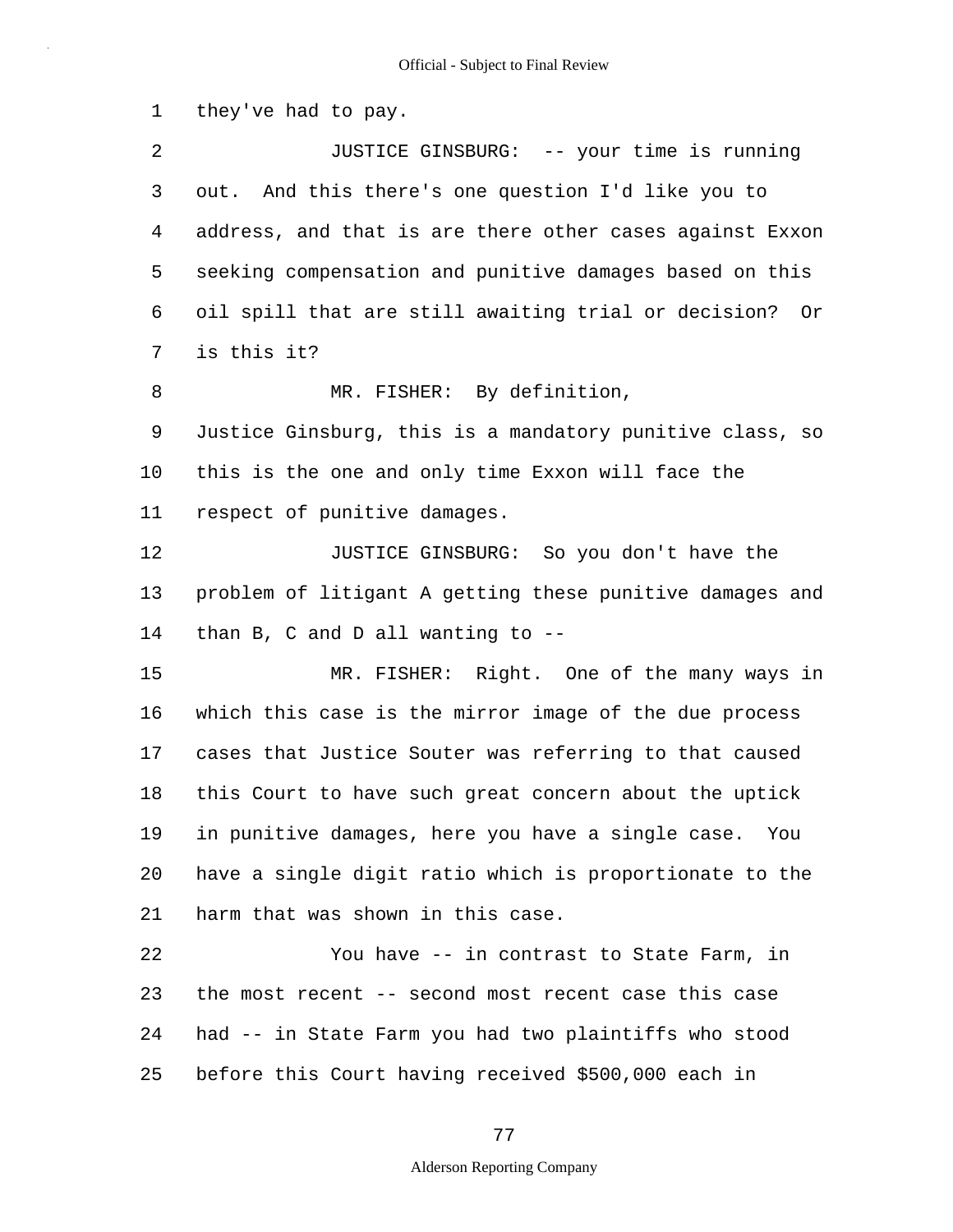1 2 3 4 5 6 7 8 9 10 11 12 13 14 15 16 17 18 19 20 21 22 23 24 25 Official - Subject to Final Review they've had to pay. JUSTICE GINSBURG: -- your time is running out. And this there's one question I'd like you to address, and that is are there other cases against Exxon seeking compensation and punitive damages based on this oil spill that are still awaiting trial or decision? Or is this it? MR. FISHER: By definition, Justice Ginsburg, this is a mandatory punitive class, so this is the one and only time Exxon will face the respect of punitive damages. JUSTICE GINSBURG: So you don't have the problem of litigant A getting these punitive damages and than B, C and D all wanting to -- MR. FISHER: Right. One of the many ways in which this case is the mirror image of the due process cases that Justice Souter was referring to that caused this Court to have such great concern about the uptick in punitive damages, here you have a single case. You have a single digit ratio which is proportionate to the harm that was shown in this case. You have -- in contrast to State Farm, in the most recent -- second most recent case this case had -- in State Farm you had two plaintiffs who stood before this Court having received \$500,000 each in

77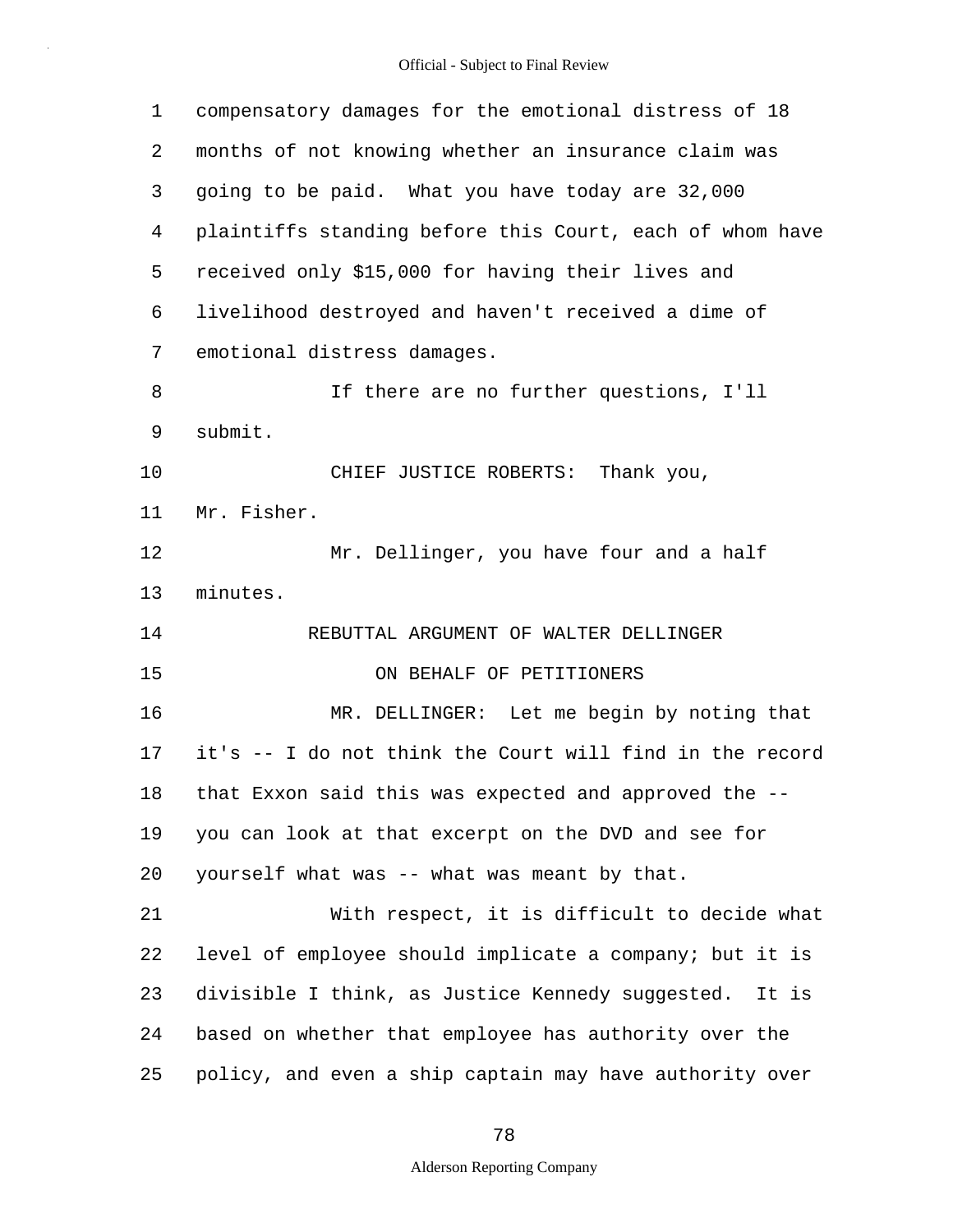| 1  | compensatory damages for the emotional distress of 18    |
|----|----------------------------------------------------------|
| 2  | months of not knowing whether an insurance claim was     |
| 3  | going to be paid. What you have today are 32,000         |
| 4  | plaintiffs standing before this Court, each of whom have |
| 5  | received only \$15,000 for having their lives and        |
| 6  | livelihood destroyed and haven't received a dime of      |
| 7  | emotional distress damages.                              |
| 8  | If there are no further questions, I'll                  |
| 9  | submit.                                                  |
| 10 | CHIEF JUSTICE ROBERTS: Thank you,                        |
| 11 | Mr. Fisher.                                              |
| 12 | Mr. Dellinger, you have four and a half                  |
| 13 | minutes.                                                 |
| 14 | REBUTTAL ARGUMENT OF WALTER DELLINGER                    |
| 15 | ON BEHALF OF PETITIONERS                                 |
| 16 | MR. DELLINGER: Let me begin by noting that               |
| 17 | it's -- I do not think the Court will find in the record |
| 18 | that Exxon said this was expected and approved the --    |
| 19 | you can look at that excerpt on the DVD and see for      |
| 20 | yourself what was -- what was meant by that.             |
| 21 | With respect, it is difficult to decide what             |
| 22 | level of employee should implicate a company; but it is  |
| 23 | divisible I think, as Justice Kennedy suggested. It is   |
| 24 | based on whether that employee has authority over the    |
| 25 | policy, and even a ship captain may have authority over  |

78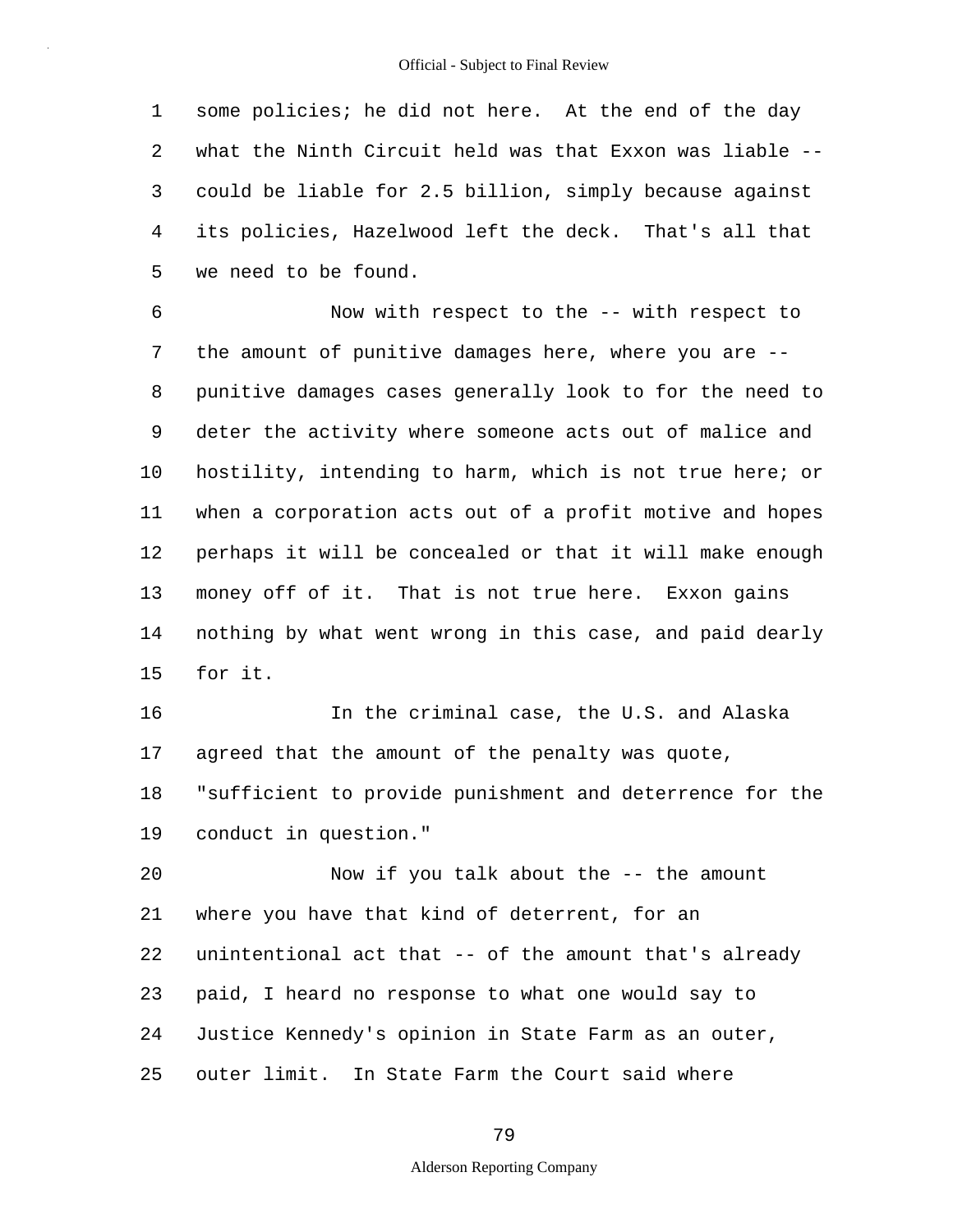1 2 3 4 5 some policies; he did not here. At the end of the day what the Ninth Circuit held was that Exxon was liable - could be liable for 2.5 billion, simply because against its policies, Hazelwood left the deck. That's all that we need to be found.

6 7 8 9 10 11 12 13 14 15 Now with respect to the -- with respect to the amount of punitive damages here, where you are - punitive damages cases generally look to for the need to deter the activity where someone acts out of malice and hostility, intending to harm, which is not true here; or when a corporation acts out of a profit motive and hopes perhaps it will be concealed or that it will make enough money off of it. That is not true here. Exxon gains nothing by what went wrong in this case, and paid dearly for it.

16 17 18 19 In the criminal case, the U.S. and Alaska agreed that the amount of the penalty was quote, "sufficient to provide punishment and deterrence for the conduct in question."

20 21 22 23 24 25 Now if you talk about the -- the amount where you have that kind of deterrent, for an unintentional act that -- of the amount that's already paid, I heard no response to what one would say to Justice Kennedy's opinion in State Farm as an outer, outer limit. In State Farm the Court said where

79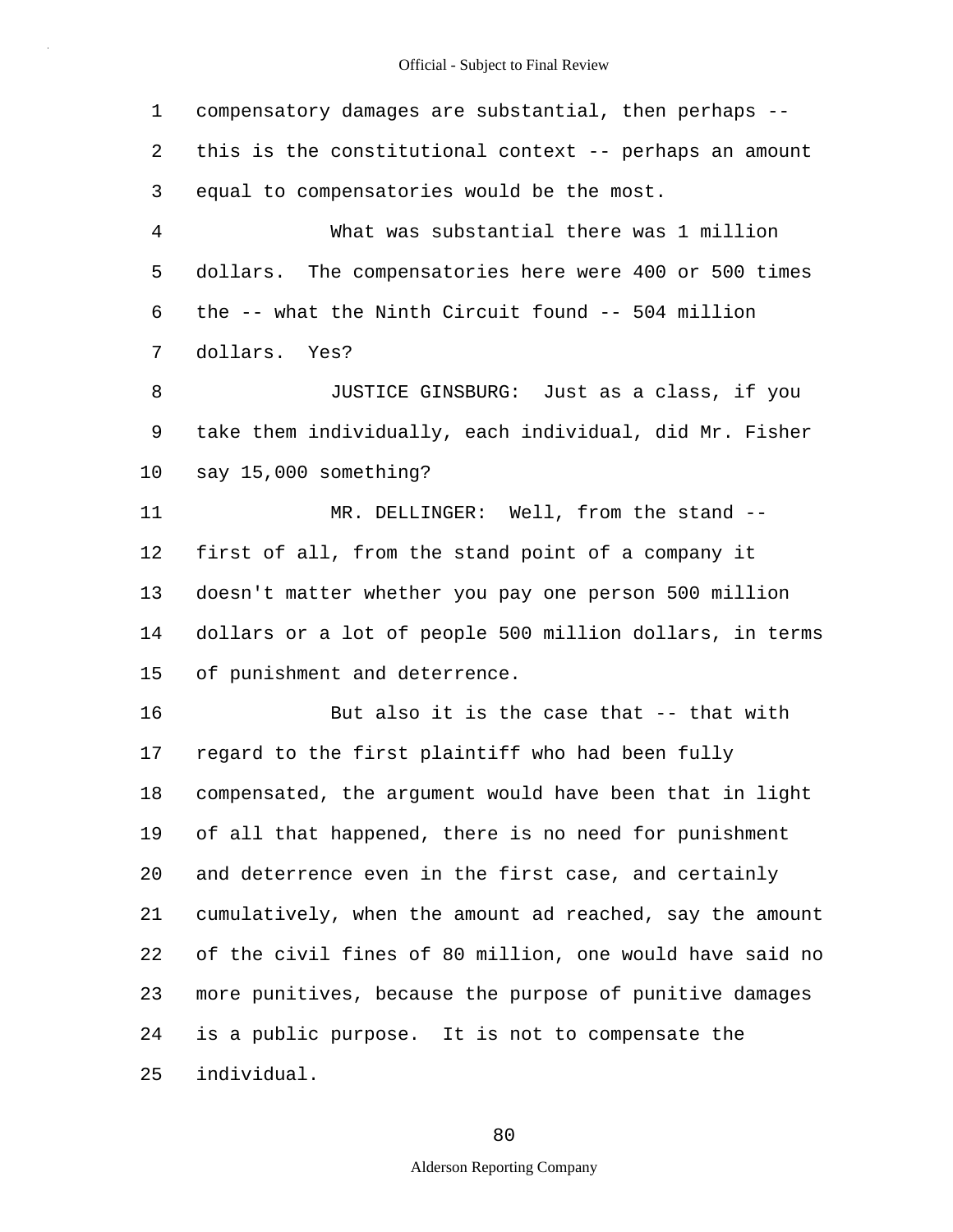1 2 3 4 5 6 7 8 9 10 11 12 13 14 15 16 17 18 19 20 21 22 23 24 25 compensatory damages are substantial, then perhaps - this is the constitutional context -- perhaps an amount equal to compensatories would be the most. What was substantial there was 1 million dollars. The compensatories here were 400 or 500 times the -- what the Ninth Circuit found -- 504 million dollars. Yes? JUSTICE GINSBURG: Just as a class, if you take them individually, each individual, did Mr. Fisher say 15,000 something? MR. DELLINGER: Well, from the stand -first of all, from the stand point of a company it doesn't matter whether you pay one person 500 million dollars or a lot of people 500 million dollars, in terms of punishment and deterrence. But also it is the case that -- that with regard to the first plaintiff who had been fully compensated, the argument would have been that in light of all that happened, there is no need for punishment and deterrence even in the first case, and certainly cumulatively, when the amount ad reached, say the amount of the civil fines of 80 million, one would have said no more punitives, because the purpose of punitive damages is a public purpose. It is not to compensate the individual.

80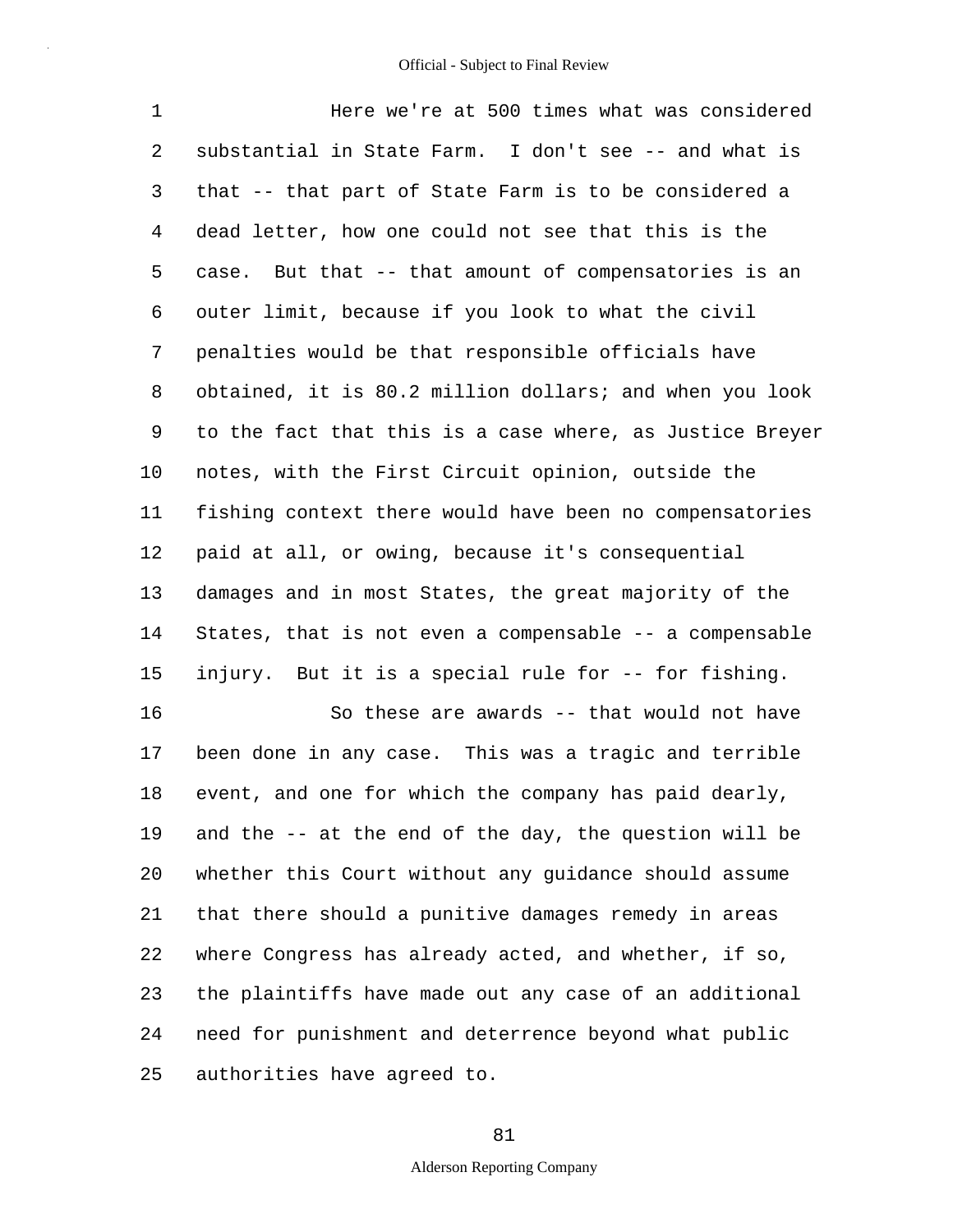1 2 3 4 5 6 7 8 9 10 11 12 13 14 15 16 17 18 19 20 21 22 23 24 25 Here we're at 500 times what was considered substantial in State Farm. I don't see -- and what is that -- that part of State Farm is to be considered a dead letter, how one could not see that this is the case. But that -- that amount of compensatories is an outer limit, because if you look to what the civil penalties would be that responsible officials have obtained, it is 80.2 million dollars; and when you look to the fact that this is a case where, as Justice Breyer notes, with the First Circuit opinion, outside the fishing context there would have been no compensatories paid at all, or owing, because it's consequential damages and in most States, the great majority of the States, that is not even a compensable -- a compensable injury. But it is a special rule for -- for fishing. So these are awards -- that would not have been done in any case. This was a tragic and terrible event, and one for which the company has paid dearly, and the -- at the end of the day, the question will be whether this Court without any guidance should assume that there should a punitive damages remedy in areas where Congress has already acted, and whether, if so, the plaintiffs have made out any case of an additional need for punishment and deterrence beyond what public authorities have agreed to.

#### 81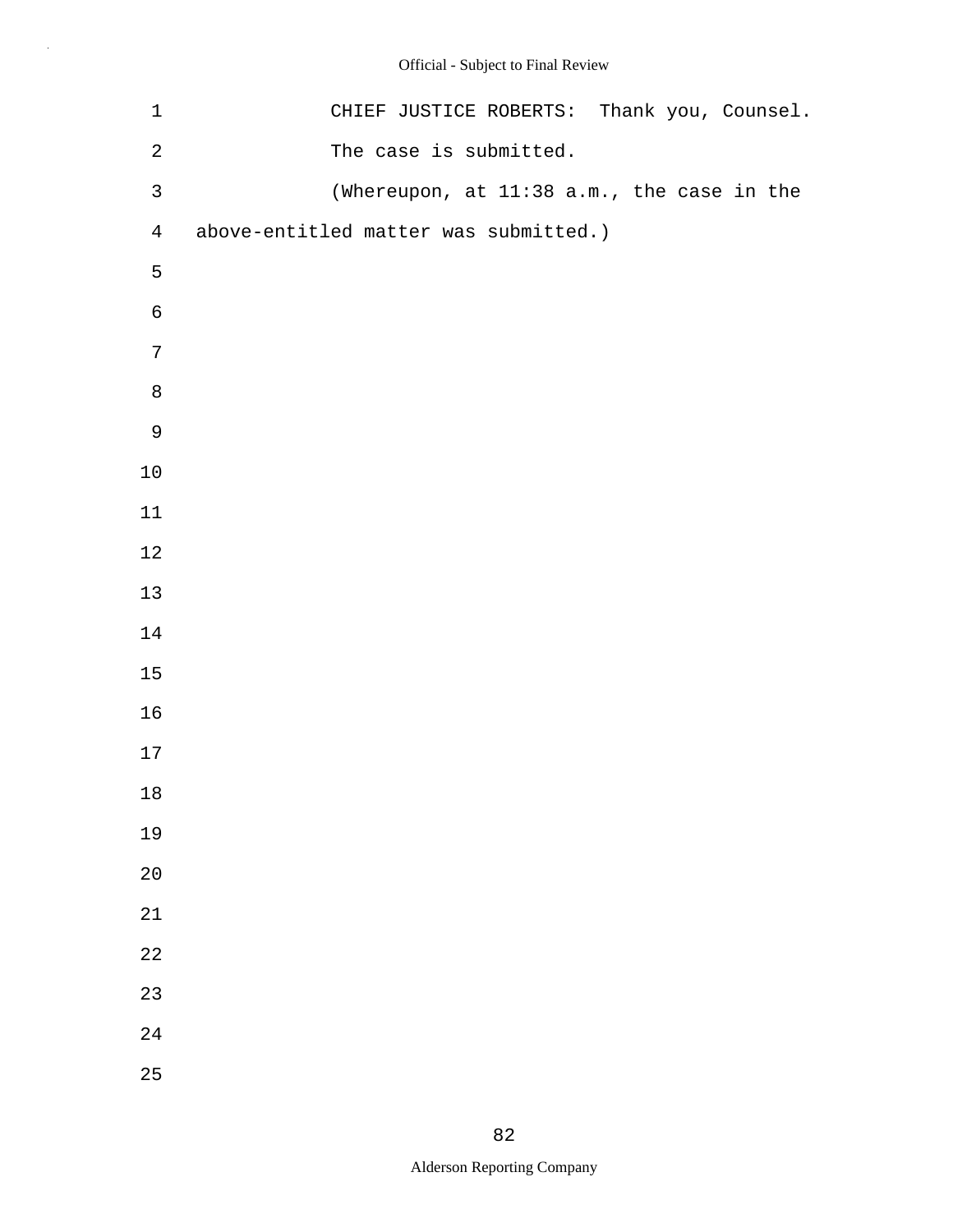| $\mathbf 1$    | CHIEF JUSTICE ROBERTS: Thank you, Counsel. |
|----------------|--------------------------------------------|
| $\sqrt{2}$     | The case is submitted.                     |
| $\mathsf{3}$   | (Whereupon, at 11:38 a.m., the case in the |
| $\overline{4}$ | above-entitled matter was submitted.)      |
| 5              |                                            |
| $\epsilon$     |                                            |
| 7              |                                            |
| $\,8\,$        |                                            |
| $\mathsf 9$    |                                            |
| $10$           |                                            |
| $11\,$         |                                            |
| $12$           |                                            |
| $13$           |                                            |
| $14\,$         |                                            |
| $15$           |                                            |
| 16             |                                            |
| $17\,$         |                                            |
| $18\,$         |                                            |
| 19             |                                            |
| 20             |                                            |
| 21             |                                            |
| 22             |                                            |
| 23             |                                            |
| 24             |                                            |
| 25             |                                            |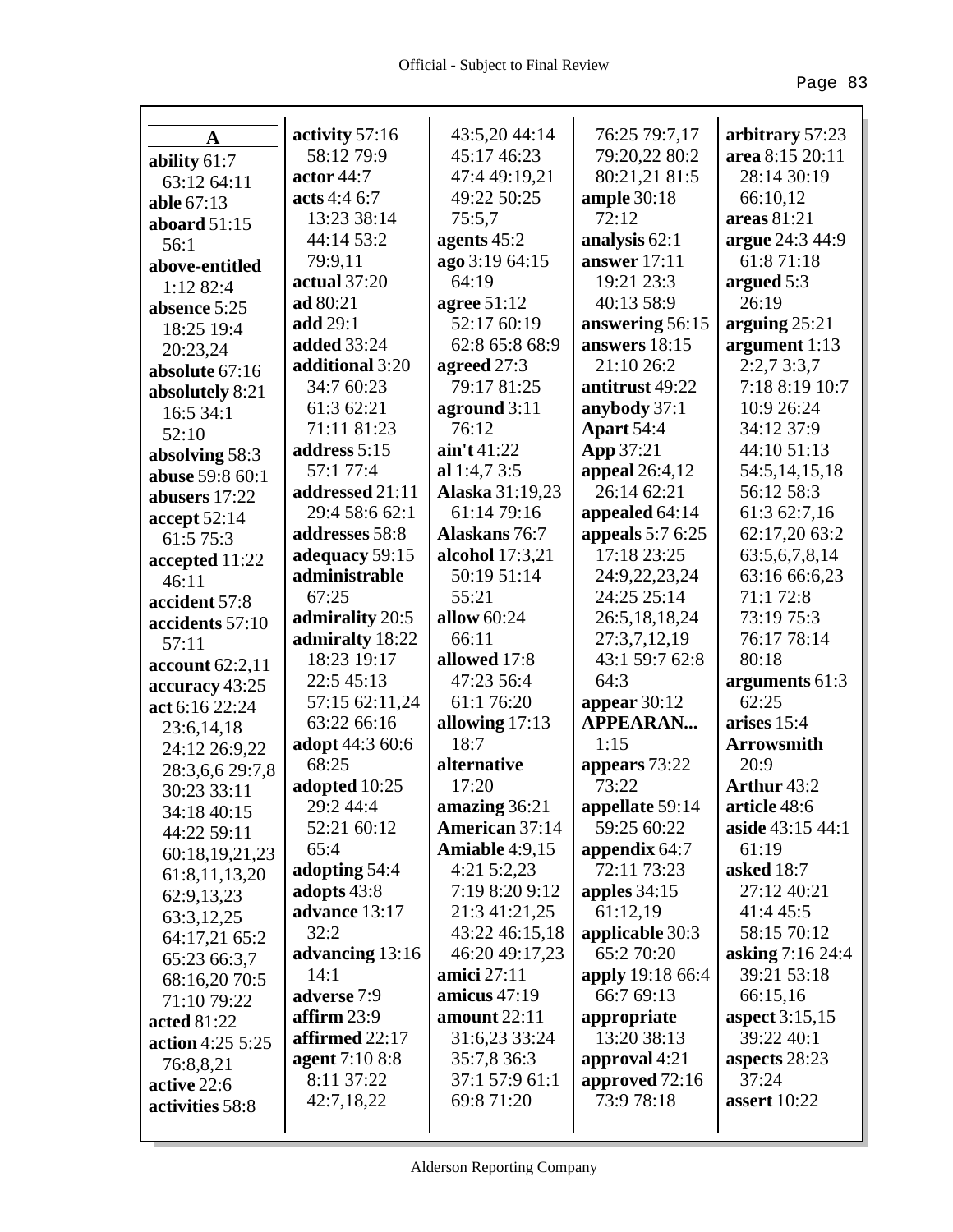|                        | activity 57:16          | 43:5,20 44:14           | 76:25 79:7,17         | arbitrary 57:23       |
|------------------------|-------------------------|-------------------------|-----------------------|-----------------------|
| A                      | 58:12 79:9              | 45:17 46:23             | 79:20,22 80:2         | area 8:15 20:11       |
| ability 61:7           | actor 44:7              | 47:4 49:19,21           | 80:21,21 81:5         | 28:14 30:19           |
| 63:12 64:11            | acts 4:4 6:7            | 49:22 50:25             | ample $30:18$         | 66:10,12              |
| able 67:13             | 13:23 38:14             | 75:5,7                  | 72:12                 | areas 81:21           |
| aboard $51:15$         | 44:14 53:2              |                         | analysis 62:1         | argue 24:3 44:9       |
| 56:1                   |                         | agents $45:2$           |                       | 61:871:18             |
| above-entitled         | 79:9,11                 | ago 3:19 64:15<br>64:19 | answer $17:11$        |                       |
| 1:12 82:4              | actual 37:20            |                         | 19:21 23:3            | argued $5:3$<br>26:19 |
| absence 5:25           | ad 80:21                | agree 51:12             | 40:13 58:9            |                       |
| 18:25 19:4             | add 29:1                | 52:17 60:19             | answering 56:15       | arguing $25:21$       |
| 20:23,24               | <b>added</b> 33:24      | 62:8 65:8 68:9          | answers 18:15         | argument 1:13         |
| absolute 67:16         | additional 3:20         | agreed 27:3             | 21:10 26:2            | 2:2,73:3,7            |
| absolutely 8:21        | 34:7 60:23              | 79:17 81:25             | antitrust 49:22       | 7:18 8:19 10:7        |
| 16:5 34:1              | 61:3 62:21              | aground 3:11            | anybody 37:1          | 10:9 26:24            |
| 52:10                  | 71:11 81:23             | 76:12                   | <b>Apart 54:4</b>     | 34:12 37:9            |
| absolving 58:3         | address 5:15            | $\sin' t 41:22$         | App 37:21             | 44:10 51:13           |
| <b>abuse</b> 59:8 60:1 | 57:1 77:4               | al $1:4,73:5$           | <b>appeal</b> 26:4,12 | 54:5,14,15,18         |
| abusers 17:22          | addressed 21:11         | Alaska 31:19,23         | 26:14 62:21           | 56:12 58:3            |
| accept $52:14$         | 29:4 58:6 62:1          | 61:14 79:16             | appealed 64:14        | 61:3 62:7,16          |
| 61:5 75:3              | addresses 58:8          | <b>Alaskans</b> 76:7    | appeals $5:76:25$     | 62:17,20 63:2         |
| accepted 11:22         | adequacy 59:15          | alcohol $17:3,21$       | 17:18 23:25           | 63:5,6,7,8,14         |
| 46:11                  | administrable           | 50:19 51:14             | 24:9,22,23,24         | 63:16 66:6,23         |
| accident 57:8          | 67:25                   | 55:21                   | 24:25 25:14           | 71:1 72:8             |
| accidents 57:10        | admirality 20:5         | allow 60:24             | 26:5,18,18,24         | 73:19 75:3            |
| 57:11                  | admiralty 18:22         | 66:11                   | 27:3,7,12,19          | 76:17 78:14           |
| account $62:2,11$      | 18:23 19:17             | allowed 17:8            | 43:1 59:7 62:8        | 80:18                 |
| accuracy 43:25         | 22:5 45:13              | 47:23 56:4              | 64:3                  | arguments 61:3        |
| act 6:16 22:24         | 57:15 62:11,24          | 61:1 76:20              | appear $30:12$        | 62:25                 |
| 23:6, 14, 18           | 63:22 66:16             | allowing 17:13          | <b>APPEARAN</b>       | arises 15:4           |
| 24:12 26:9,22          | adopt 44:3 60:6         | 18:7                    | 1:15                  | <b>Arrowsmith</b>     |
| 28:3,6,6 29:7,8        | 68:25                   | alternative             | appears 73:22         | 20:9                  |
| 30:23 33:11            | adopted 10:25           | 17:20                   | 73:22                 | Arthur 43:2           |
| 34:18 40:15            | 29:2 44:4               | amazing 36:21           | appellate 59:14       | article 48:6          |
| 44:22 59:11            | 52:21 60:12             | <b>American 37:14</b>   | 59:25 60:22           | aside 43:15 44:1      |
| 60:18,19,21,23         | 65:4                    | Amiable $4:9,15$        | appendix 64:7         | 61:19                 |
| 61:8,11,13,20          | adopting 54:4           | $4:21\,5:2,23$          | 72:11 73:23           | <b>asked</b> 18:7     |
| 62:9,13,23             | adopts 43:8             | 7:19 8:20 9:12          | apples $34:15$        | 27:12 40:21           |
| 63:3,12,25             | advance 13:17           | 21:3 41:21,25           | 61:12,19              | 41:4 45:5             |
| 64:17,21 65:2          | 32:2                    | 43:22 46:15,18          | applicable 30:3       | 58:15 70:12           |
| 65:23 66:3,7           | advancing 13:16         | 46:20 49:17,23          | 65:2 70:20            | asking 7:16 24:4      |
| 68:16,20 70:5          | 14:1                    | amici $27:11$           | apply 19:18 66:4      | 39:21 53:18           |
| 71:10 79:22            | adverse 7:9             | amicus $47:19$          | 66:7 69:13            | 66:15,16              |
| acted 81:22            | $\textbf{affirm } 23:9$ | amount $22:11$          | appropriate           | aspect 3:15,15        |
| action 4:25 5:25       | affirmed 22:17          | 31:6,23 33:24           | 13:20 38:13           | 39:22 40:1            |
| 76:8,8,21              | agent 7:10 8:8          | 35:7,8 36:3             | approval 4:21         | aspects 28:23         |
| active 22:6            | 8:11 37:22              | 37:1 57:9 61:1          | approved 72:16        | 37:24                 |
| activities 58:8        | 42:7,18,22              | 69:8 71:20              | 73:9 78:18            | assert $10:22$        |
|                        |                         |                         |                       |                       |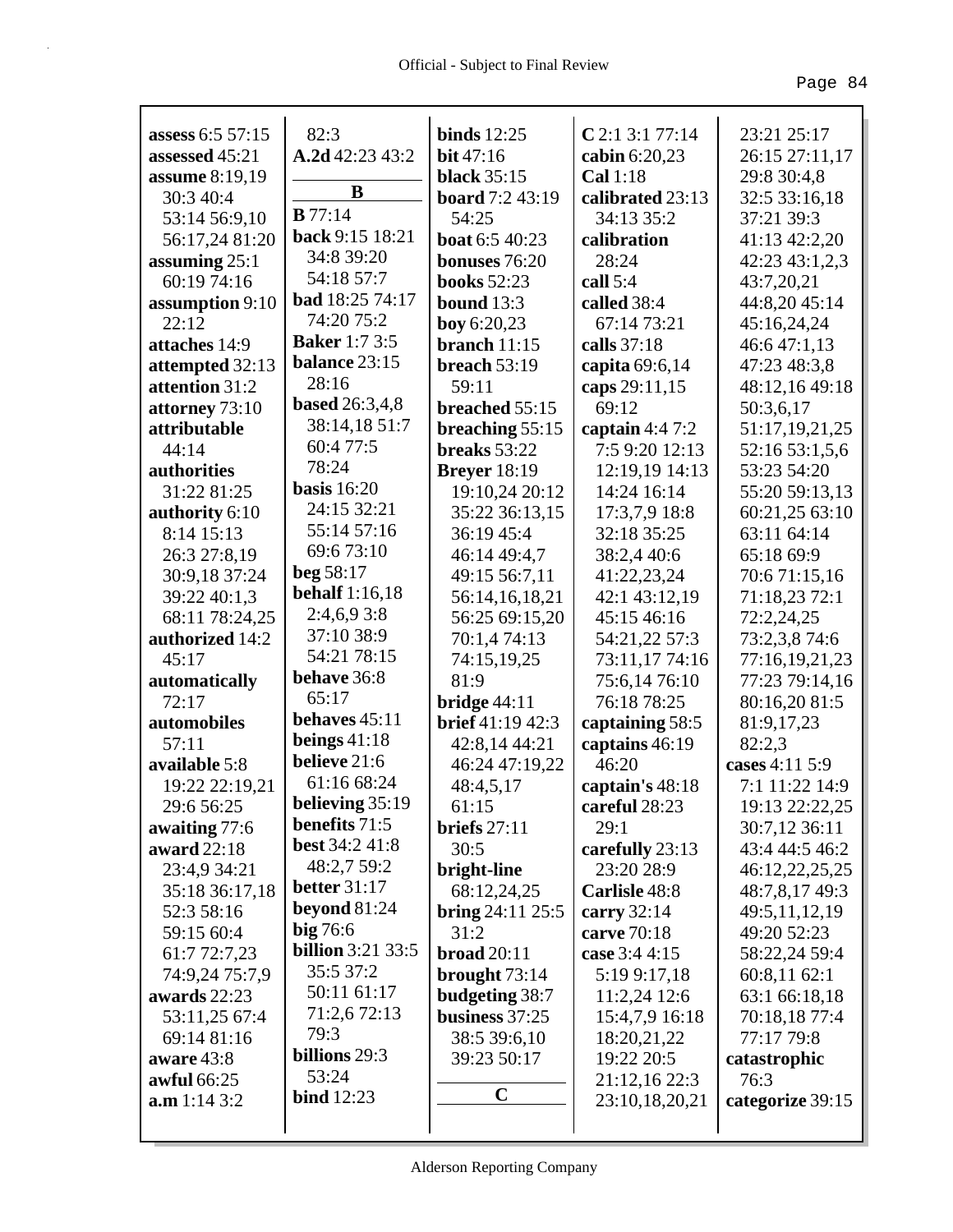| assess 6:5 57:15      | 82:3                            | binds $12:25$        | $C$ 2:1 3:1 77:14 | 23:21 25:17      |
|-----------------------|---------------------------------|----------------------|-------------------|------------------|
| assessed 45:21        | A.2d 42:23 43:2                 | <b>bit</b> 47:16     | cabin 6:20,23     | 26:15 27:11,17   |
| <b>assume</b> 8:19,19 | B                               | <b>black</b> 35:15   | Cal 1:18          | 29:8 30:4,8      |
| 30:3 40:4             | B77:14                          | board 7:2 43:19      | calibrated 23:13  | 32:5 33:16,18    |
| 53:14 56:9,10         | back 9:15 18:21                 | 54:25                | 34:13 35:2        | 37:21 39:3       |
| 56:17,24 81:20        | 34:8 39:20                      | boat 6:5 40:23       | calibration       | 41:13 42:2,20    |
| assuming $25:1$       | 54:18 57:7                      | bonuses 76:20        | 28:24             | 42:23 43:1,2,3   |
| 60:19 74:16           | bad 18:25 74:17                 | <b>books</b> 52:23   | call $5:4$        | 43:7,20,21       |
| assumption 9:10       |                                 | bound 13:3           | called 38:4       | 44:8,20 45:14    |
| 22:12                 | 74:20 75:2                      | boy 6:20,23          | 67:14 73:21       | 45:16,24,24      |
| attaches 14:9         | <b>Baker</b> 1:7 3:5            | branch $11:15$       | calls 37:18       | 46:647:1,13      |
| attempted 32:13       | <b>balance 23:15</b>            | breach $53:19$       | capita 69:6,14    | 47:23 48:3,8     |
| attention 31:2        | 28:16                           | 59:11                | caps 29:11,15     | 48:12,16 49:18   |
| attorney 73:10        | <b>based</b> 26:3,4,8           | breached 55:15       | 69:12             | 50:3,6,17        |
| attributable          | 38:14,18 51:7                   | breaching $55:15$    | captain $4:47:2$  | 51:17,19,21,25   |
| 44:14                 | 60:4 77:5                       | breaks 53:22         | 7:5 9:20 12:13    | 52:16 53:1,5,6   |
| authorities           | 78:24                           | <b>Brever</b> 18:19  | 12:19,19 14:13    | 53:23 54:20      |
| 31:22 81:25           | basis $16:20$<br>24:15 32:21    | 19:10,24 20:12       | 14:24 16:14       | 55:20 59:13,13   |
| authority 6:10        |                                 | 35:22 36:13,15       | 17:3,7,9 18:8     | 60:21,25 63:10   |
| 8:14 15:13            | 55:14 57:16                     | 36:19 45:4           | 32:18 35:25       | 63:11 64:14      |
| 26:3 27:8,19          | 69:6 73:10                      | 46:14 49:4,7         | 38:2,4 40:6       | 65:18 69:9       |
| 30:9,18 37:24         | beg 58:17                       | 49:15 56:7,11        | 41:22,23,24       | 70:6 71:15,16    |
| 39:22 40:1,3          | <b>behalf</b> 1:16,18           | 56:14,16,18,21       | 42:1 43:12,19     | 71:18,23 72:1    |
| 68:11 78:24,25        | 2:4,6,93:8                      | 56:25 69:15,20       | 45:15 46:16       | 72:2,24,25       |
| authorized 14:2       | 37:10 38:9                      | 70:1,4 74:13         | 54:21,22 57:3     | 73:2,3,8 74:6    |
| 45:17                 | 54:21 78:15                     | 74:15,19,25          | 73:11,17 74:16    | 77:16,19,21,23   |
| automatically         | behave 36:8                     | 81:9                 | 75:6,1476:10      | 77:23 79:14,16   |
| 72:17                 | 65:17<br>behaves $45:11$        | bridge $44:11$       | 76:18 78:25       | 80:16,20 81:5    |
| automobiles           |                                 | brief 41:19 42:3     | captaining 58:5   | 81:9,17,23       |
| 57:11                 | beings $41:18$<br>believe 21:6  | 42:8,14 44:21        | captains 46:19    | 82:2,3           |
| available 5:8         | 61:16 68:24                     | 46:24 47:19,22       | 46:20             | cases 4:11 5:9   |
| 19:22 22:19,21        |                                 | 48:4,5,17            | captain's 48:18   | 7:1 11:22 14:9   |
| 29:6 56:25            | believing 35:19                 | 61:15                | careful 28:23     | 19:13 22:22,25   |
| awaiting 77:6         | benefits 71:5<br>best 34:2 41:8 | briefs $27:11$       | 29:1              | 30:7,12 36:11    |
| award 22:18           |                                 | 30:5                 | carefully 23:13   | 43:4 44:5 46:2   |
| 23:4,9 34:21          | 48:2,7 59:2                     | bright-line          | 23:20 28:9        | 46:12,22,25,25   |
| 35:18 36:17,18        | better $31:17$                  | 68:12,24,25          | Carlisle 48:8     | 48:7,8,17 49:3   |
| 52:3 58:16            | beyond $81:24$                  | bring $24:11$ $25:5$ | carry 32:14       | 49:5,11,12,19    |
| 59:15 60:4            | big 76:6                        | 31:2                 | carve 70:18       | 49:20 52:23      |
| 61:7 72:7,23          | <b>billion</b> 3:21 33:5        | <b>broad</b> 20:11   | case 3:4 4:15     | 58:22,24 59:4    |
| 74:9,24 75:7,9        | 35:5 37:2                       | brought $73:14$      | 5:19 9:17,18      | 60:8,11 62:1     |
| awards 22:23          | 50:11 61:17                     | budgeting 38:7       | 11:2,24 12:6      | 63:1 66:18,18    |
| 53:11,25 67:4         | 71:2,6 72:13                    | business 37:25       | 15:4,7,9 16:18    | 70:18,18 77:4    |
| 69:14 81:16           | 79:3                            | 38:5 39:6,10         | 18:20,21,22       | 77:17 79:8       |
| aware 43:8            | billions 29:3                   | 39:23 50:17          | 19:22 20:5        | catastrophic     |
| <b>awful 66:25</b>    | 53:24                           | $\mathbf C$          | 21:12,16 22:3     | 76:3             |
| a.m 1:14 3:2          | bind $12:23$                    |                      | 23:10,18,20,21    | categorize 39:15 |
|                       |                                 |                      |                   |                  |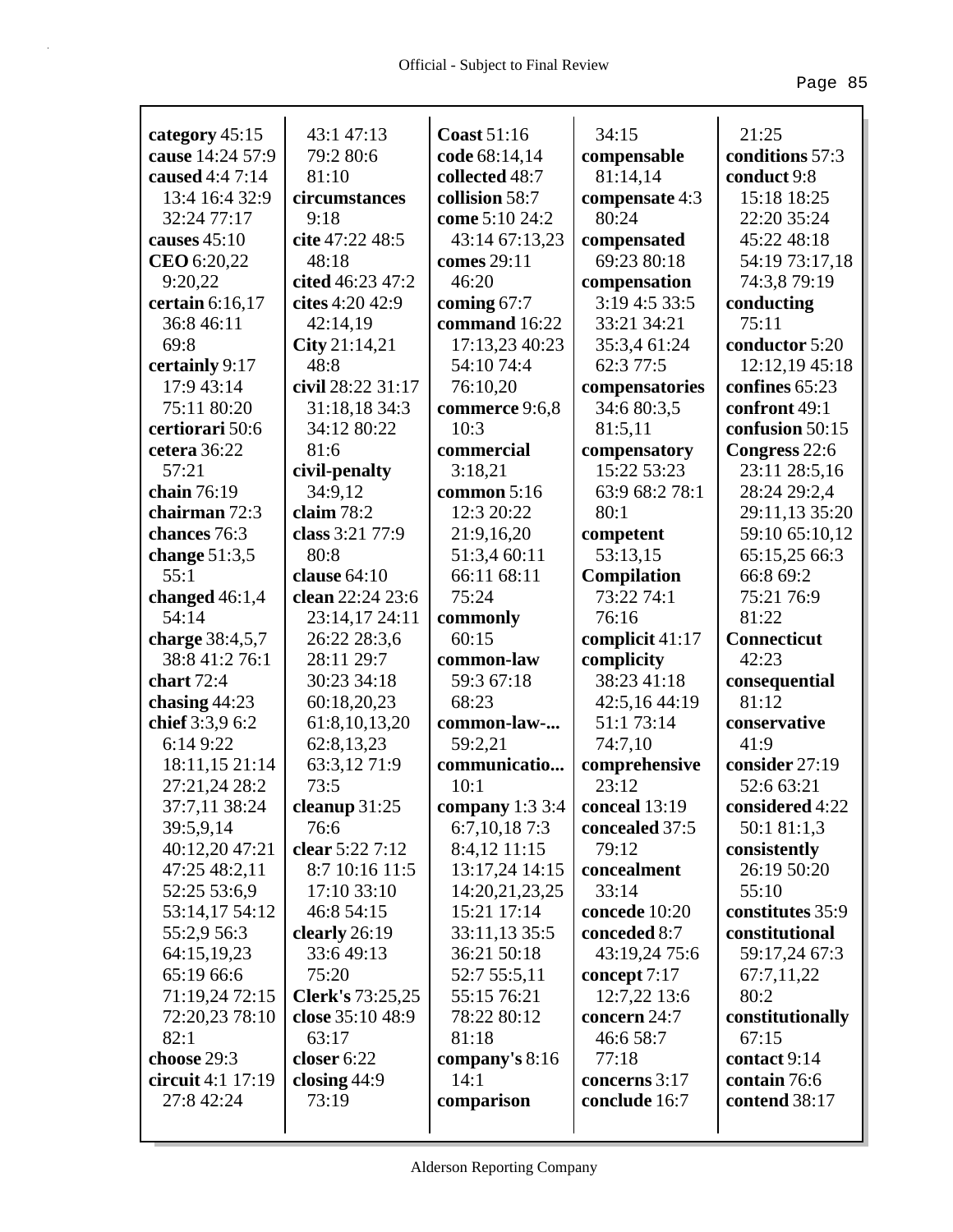|                                    | 43:1 47:13              | <b>Coast 51:16</b>                            | 34:15                         | 21:25               |
|------------------------------------|-------------------------|-----------------------------------------------|-------------------------------|---------------------|
| category 45:15<br>cause 14:24 57:9 | 79:2 80:6               | code 68:14,14                                 | compensable                   | conditions 57:3     |
| caused 4:4 7:14                    | 81:10                   | collected 48:7                                | 81:14,14                      | conduct 9:8         |
| 13:4 16:4 32:9                     | circumstances           | collision 58:7                                | compensate 4:3                | 15:18 18:25         |
| 32:24 77:17                        | 9:18                    | come 5:10 24:2                                | 80:24                         | 22:20 35:24         |
| causes 45:10                       | cite 47:22 48:5         | 43:14 67:13,23                                |                               | 45:22 48:18         |
| CEO 6:20,22                        | 48:18                   | comes 29:11                                   | compensated<br>69:23 80:18    | 54:19 73:17,18      |
| 9:20,22                            | cited 46:23 47:2        | 46:20                                         |                               |                     |
|                                    | cites 4:20 42:9         |                                               | compensation<br>3:19 4:5 33:5 | 74:3,8 79:19        |
| certain $6:16,17$                  |                         | coming 67:7                                   |                               | conducting<br>75:11 |
| 36:8 46:11                         | 42:14,19                | command 16:22                                 | 33:21 34:21                   |                     |
| 69:8                               | City 21:14,21<br>48:8   | 17:13,23 40:23                                | 35:3,4 61:24                  | conductor 5:20      |
| certainly 9:17                     |                         | 54:10 74:4                                    | 62:3 77:5                     | 12:12,19 45:18      |
| 17:9 43:14                         | civil 28:22 31:17       | 76:10,20                                      | compensatories                | confines 65:23      |
| 75:11 80:20                        | 31:18,18 34:3           | commerce 9:6,8<br>10:3                        | 34:6 80:3,5                   | confront 49:1       |
| certiorari 50:6                    | 34:12 80:22<br>81:6     |                                               | 81:5,11                       | confusion 50:15     |
| cetera 36:22                       |                         | commercial                                    | compensatory<br>15:22 53:23   | Congress 22:6       |
| 57:21                              | civil-penalty           | 3:18,21                                       |                               | 23:11 28:5,16       |
| chain 76:19                        | 34:9,12                 | common 5:16                                   | 63:9 68:2 78:1                | 28:24 29:2,4        |
| chairman 72:3                      | claim 78:2              | 12:3 20:22                                    | 80:1                          | 29:11,13 35:20      |
| chances 76:3                       | class 3:21 77:9         | 21:9,16,20                                    | competent                     | 59:10 65:10,12      |
| change $51:3,5$                    | 80:8                    | 51:3,4 60:11                                  | 53:13,15                      | 65:15,25 66:3       |
| 55:1                               | clause $64:10$          | 66:11 68:11                                   | Compilation                   | 66:8 69:2           |
| changed $46:1,4$                   | clean 22:24 23:6        | 75:24                                         | 73:22 74:1                    | 75:21 76:9          |
| 54:14                              | 23:14,17 24:11          | commonly                                      | 76:16                         | 81:22               |
| charge 38:4,5,7                    | 26:22 28:3,6            | 60:15                                         | complicit 41:17               | <b>Connecticut</b>  |
| 38:8 41:2 76:1                     | 28:11 29:7              | common-law                                    | complicity                    | 42:23               |
| chart 72:4                         | 30:23 34:18             | 59:3 67:18                                    | 38:23 41:18                   | consequential       |
| chasing $44:23$                    | 60:18,20,23             | 68:23                                         | 42:5,16 44:19                 | 81:12               |
| chief 3:3,9 6:2                    | 61:8,10,13,20           | common-law-                                   | 51:1 73:14                    | conservative        |
| 6:14 9:22                          | 62:8,13,23              | 59:2,21                                       | 74:7,10                       | 41:9                |
| 18:11,15 21:14                     | 63:3,12 71:9<br>73:5    | communicatio                                  | comprehensive                 | consider 27:19      |
| 27:21,24 28:2                      |                         | 10:1                                          | 23:12                         | 52:6 63:21          |
| 37:7,11 38:24                      | cleanup 31:25           | <b>company</b> 1:3 3:4 <b>  conceal</b> 13:19 |                               | considered 4:22     |
| 39:5,9,14                          | 76:6                    | 6:7,10,187:3                                  | concealed 37:5                | 50:1 81:1,3         |
| 40:12,20 47:21                     | clear 5:22 7:12         | 8:4,12 11:15                                  | 79:12                         | consistently        |
| 47:25 48:2,11                      | 8:7 10:16 11:5          | 13:17,24 14:15                                | concealment                   | 26:19 50:20         |
| 52:25 53:6,9                       | 17:10 33:10             | 14:20,21,23,25                                | 33:14                         | 55:10               |
| 53:14,17 54:12                     | 46:8 54:15              | 15:21 17:14                                   | concede 10:20                 | constitutes 35:9    |
| 55:2,9 56:3                        | clearly 26:19           | 33:11,13 35:5                                 | conceded 8:7                  | constitutional      |
| 64:15,19,23                        | 33:649:13               | 36:21 50:18                                   | 43:19,24 75:6                 | 59:17,24 67:3       |
| 65:19 66:6                         | 75:20                   | 52:7 55:5,11                                  | concept 7:17                  | 67:7,11,22          |
| 71:19,24 72:15                     | <b>Clerk's</b> 73:25,25 | 55:15 76:21                                   | 12:7,22 13:6                  | 80:2                |
| 72:20,23 78:10                     | close 35:10 48:9        | 78:22 80:12                                   | concern 24:7                  | constitutionally    |
| 82:1                               | 63:17                   | 81:18                                         | 46:6 58:7                     | 67:15               |
| choose 29:3                        | closer 6:22             | company's $8:16$                              | 77:18                         | contact 9:14        |
| circuit 4:1 17:19                  | closing $44:9$          | 14:1                                          | concerns 3:17                 | contain 76:6        |
| 27:8 42:24                         | 73:19                   | comparison                                    | conclude 16:7                 | contend 38:17       |
|                                    |                         |                                               |                               |                     |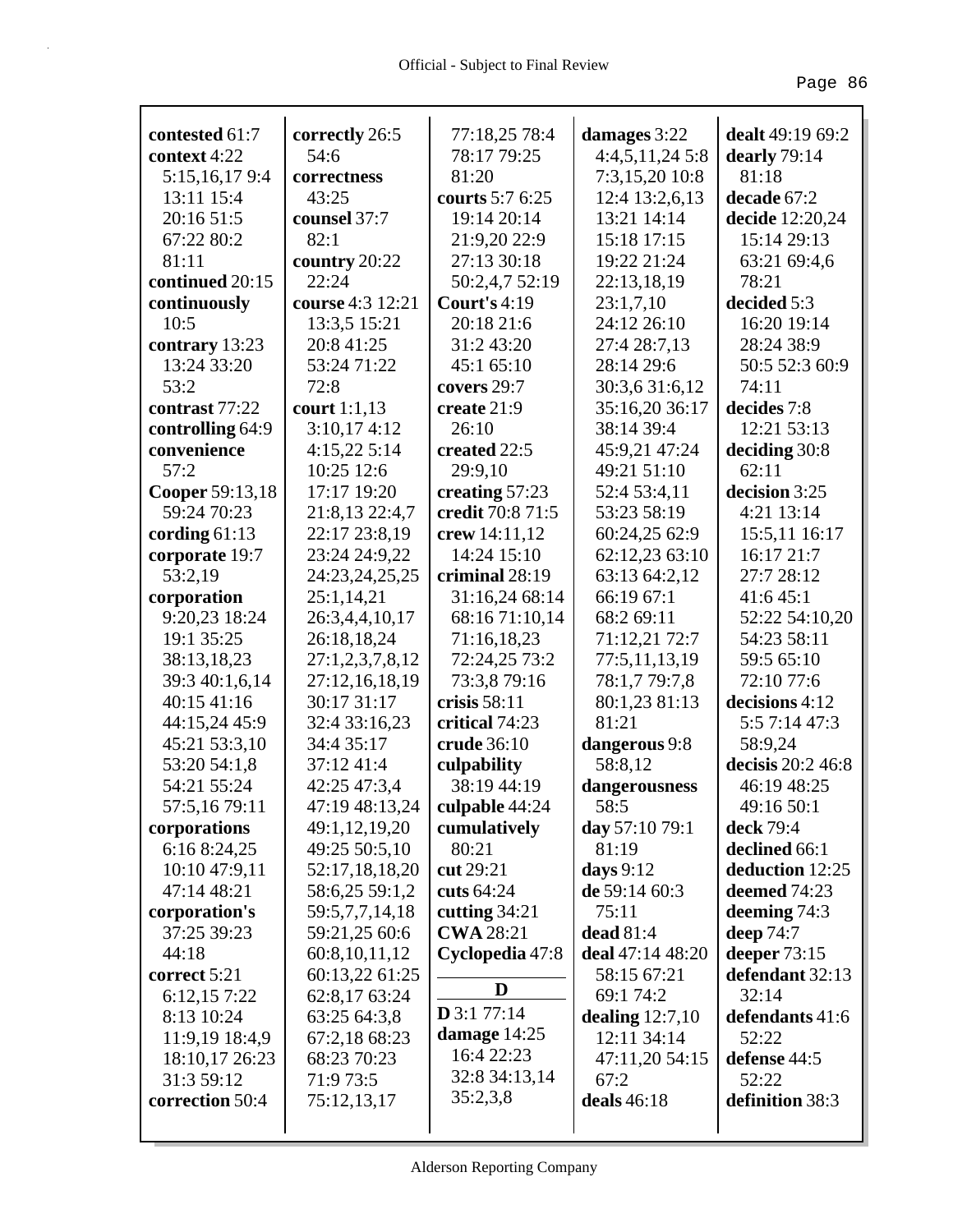| contested 61:7                 | correctly 26:5                | 77:18,25 78:4                      | damages 3:22                 | dealt 49:19 69:2            |
|--------------------------------|-------------------------------|------------------------------------|------------------------------|-----------------------------|
| context 4:22                   | 54:6                          | 78:17 79:25                        | 4:4,5,11,24 5:8              | dearly 79:14                |
| 5:15,16,179:4                  | correctness                   | 81:20                              | 7:3,15,20 10:8               | 81:18                       |
| 13:11 15:4                     | 43:25                         | courts 5:7 6:25                    | 12:4 13:2,6,13               | decade 67:2                 |
| 20:16 51:5                     | counsel 37:7                  | 19:14 20:14                        | 13:21 14:14                  | decide 12:20,24             |
| 67:22 80:2                     | 82:1                          | 21:9,20 22:9                       | 15:18 17:15                  | 15:14 29:13                 |
| 81:11                          | country 20:22                 | 27:13 30:18                        | 19:22 21:24                  | 63:21 69:4,6                |
| continued 20:15                | 22:24                         | 50:2,4,7 52:19                     | 22:13,18,19                  | 78:21                       |
| continuously                   | course 4:3 12:21              | Court's $4:19$                     | 23:1,7,10                    | decided 5:3                 |
| 10:5                           | 13:3,5 15:21                  | 20:18 21:6                         | 24:12 26:10                  | 16:20 19:14                 |
| contrary 13:23                 | 20:8 41:25                    | 31:2 43:20                         | 27:4 28:7,13                 | 28:24 38:9                  |
| 13:24 33:20                    | 53:24 71:22                   | 45:1 65:10                         | 28:14 29:6                   | 50:5 52:3 60:9              |
| 53:2                           | 72:8                          | covers 29:7                        | 30:3,6 31:6,12               | 74:11                       |
| contrast 77:22                 | court $1:1,13$                | create 21:9                        | 35:16,20 36:17               | decides 7:8                 |
|                                | 3:10,174:12                   | 26:10                              | 38:14 39:4                   | 12:21 53:13                 |
| controlling 64:9               |                               | created 22:5                       |                              |                             |
| convenience<br>57:2            | 4:15,225:14<br>10:25 12:6     |                                    | 45:9,21 47:24<br>49:21 51:10 | deciding 30:8<br>62:11      |
|                                | 17:17 19:20                   | 29:9,10                            |                              |                             |
| Cooper 59:13,18<br>59:24 70:23 | 21:8,13 22:4,7                | creating 57:23<br>credit 70:8 71:5 | 52:4 53:4,11<br>53:23 58:19  | decision 3:25<br>4:21 13:14 |
|                                | 22:17 23:8,19                 |                                    | 60:24,25 62:9                |                             |
| cording $61:13$                |                               | crew 14:11,12<br>14:24 15:10       |                              | 15:5,11 16:17<br>16:17 21:7 |
| corporate 19:7                 | 23:24 24:9,22                 | criminal 28:19                     | 62:12,23 63:10               | 27:7 28:12                  |
| 53:2,19                        | 24:23,24,25,25                |                                    | 63:13 64:2,12<br>66:19 67:1  | 41:6 45:1                   |
| corporation<br>9:20,23 18:24   | 25:1,14,21                    | 31:16,24 68:14<br>68:16 71:10,14   | 68:2 69:11                   | 52:22 54:10,20              |
| 19:1 35:25                     | 26:3,4,4,10,17<br>26:18,18,24 | 71:16,18,23                        | 71:12,21 72:7                | 54:23 58:11                 |
| 38:13,18,23                    | 27:1,2,3,7,8,12               | 72:24,25 73:2                      | 77:5,11,13,19                | 59:5 65:10                  |
| 39:3 40:1,6,14                 | 27:12,16,18,19                | 73:3,8 79:16                       | 78:1,7 79:7,8                | 72:10 77:6                  |
| 40:15 41:16                    | 30:17 31:17                   | crisis $58:11$                     | 80:1,23 81:13                | decisions 4:12              |
| 44:15,24 45:9                  | 32:4 33:16,23                 | critical 74:23                     | 81:21                        | 5:5 7:14 47:3               |
| 45:21 53:3,10                  | 34:4 35:17                    | crude 36:10                        | dangerous 9:8                | 58:9,24                     |
| 53:20 54:1,8                   | 37:12 41:4                    | culpability                        | 58:8,12                      | decisis 20:2 46:8           |
| 54:21 55:24                    | 42:25 47:3,4                  | 38:19 44:19                        | dangerousness                | 46:19 48:25                 |
| 57:5,1679:11                   | 47:19 48:13,24                | culpable 44:24                     | 58:5                         | 49:16 50:1                  |
| corporations                   | 49:1,12,19,20                 | cumulatively                       | day 57:10 79:1               | deck 79:4                   |
| 6:16 8:24,25                   | 49:25 50:5,10                 | 80:21                              | 81:19                        | declined 66:1               |
| 10:10 47:9,11                  | 52:17,18,18,20                | cut 29:21                          | days $9:12$                  | deduction 12:25             |
| 47:14 48:21                    | 58:6,25 59:1,2                | cuts 64:24                         | de 59:14 60:3                | deemed 74:23                |
| corporation's                  | 59:5,7,7,14,18                | cutting 34:21                      | 75:11                        | deeming 74:3                |
| 37:25 39:23                    | 59:21,25 60:6                 | <b>CWA 28:21</b>                   | dead $81:4$                  | deep $74:7$                 |
| 44:18                          | 60:8, 10, 11, 12              | Cyclopedia 47:8                    | deal 47:14 48:20             | deeper 73:15                |
| correct 5:21                   | 60:13,22 61:25                |                                    | 58:15 67:21                  | defendant 32:13             |
| 6:12,15 7:22                   | 62:8,17 63:24                 | D                                  | 69:1 74:2                    | 32:14                       |
| 8:13 10:24                     | 63:25 64:3,8                  | $D$ 3:1 77:14                      | dealing $12:7,10$            | defendants 41:6             |
| 11:9,19 18:4,9                 | 67:2,18 68:23                 | damage $14:25$                     | 12:11 34:14                  | 52:22                       |
| 18:10,17 26:23                 | 68:23 70:23                   | 16:4 22:23                         | 47:11,20 54:15               | defense 44:5                |
| 31:3 59:12                     | 71:9 73:5                     | 32:8 34:13,14                      | 67:2                         | 52:22                       |
| correction 50:4                | 75:12,13,17                   | 35:2,3,8                           | deals 46:18                  | definition 38:3             |
|                                |                               |                                    |                              |                             |
|                                |                               |                                    |                              |                             |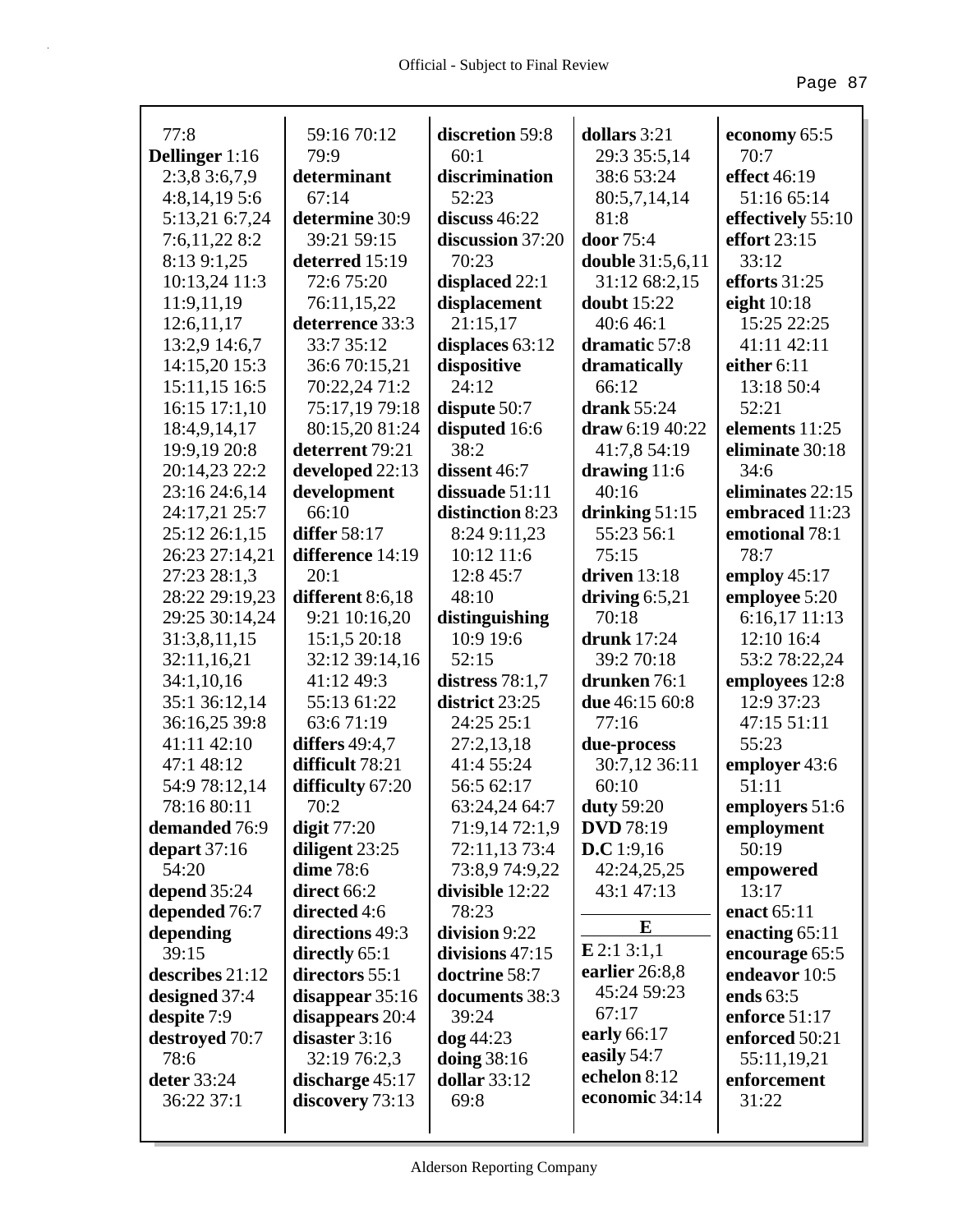|                               | 59:16 70:12       | discretion 59:8     | dollars 3:21                |                      |
|-------------------------------|-------------------|---------------------|-----------------------------|----------------------|
| 77:8<br><b>Dellinger</b> 1:16 | 79:9              | 60:1                | 29:3 35:5,14                | economy 65:5<br>70:7 |
| 2:3,83:6,7,9                  | determinant       | discrimination      | 38:6 53:24                  | effect 46:19         |
| 4:8,14,195:6                  | 67:14             | 52:23               | 80:5,7,14,14                | 51:16 65:14          |
| 5:13,21 6:7,24                | determine 30:9    | discuss $46:22$     | 81:8                        | effectively 55:10    |
| 7:6,11,22 8:2                 | 39:21 59:15       | discussion 37:20    | door 75:4                   | effort 23:15         |
| 8:13 9:1,25                   | deterred 15:19    | 70:23               | <b>double</b> 31:5,6,11     | 33:12                |
| 10:13,24 11:3                 | 72:6 75:20        | displaced 22:1      | 31:12 68:2,15               | efforts 31:25        |
| 11:9,11,19                    | 76:11,15,22       | displacement        | <b>doubt</b> 15:22          | eight $10:18$        |
| 12:6,11,17                    | deterrence 33:3   | 21:15,17            | 40:6 46:1                   | 15:25 22:25          |
| 13:2,9 14:6,7                 | 33:7 35:12        | displaces 63:12     | dramatic 57:8               | 41:11 42:11          |
| 14:15,20 15:3                 | 36:6 70:15,21     | dispositive         | dramatically                | either 6:11          |
| 15:11,15 16:5                 | 70:22,24 71:2     | 24:12               | 66:12                       | 13:18 50:4           |
| 16:15 17:1,10                 | 75:17,19 79:18    | dispute $50:7$      | drank 55:24                 | 52:21                |
| 18:4,9,14,17                  | 80:15,20 81:24    | disputed 16:6       | draw 6:19 40:22             | elements 11:25       |
| 19:9,19 20:8                  | deterrent 79:21   | 38:2                | 41:7,8 54:19                | eliminate 30:18      |
| 20:14,23 22:2                 | developed 22:13   | dissent 46:7        | drawing $11:6$              | 34:6                 |
| 23:16 24:6,14                 | development       | dissuade 51:11      | 40:16                       | eliminates 22:15     |
| 24:17,21 25:7                 | 66:10             | distinction 8:23    | drinking $51:15$            | embraced 11:23       |
| 25:12 26:1,15                 | differ 58:17      | 8:24 9:11,23        | 55:23 56:1                  | emotional 78:1       |
| 26:23 27:14,21                | difference 14:19  | 10:12 11:6          | 75:15                       | 78:7                 |
| 27:23 28:1,3                  | 20:1              | 12:8 45:7           | driven $13:18$              | employ $45:17$       |
| 28:22 29:19,23                | different 8:6,18  | 48:10               | driving $6:5,21$            | employee 5:20        |
| 29:25 30:14,24                | 9:21 10:16,20     | distinguishing      | 70:18                       | 6:16,17 11:13        |
| 31:3,8,11,15                  | 15:1,5 20:18      | 10:9 19:6           | <b>drunk</b> 17:24          | 12:10 16:4           |
| 32:11,16,21                   | 32:12 39:14,16    | 52:15               | 39:2 70:18                  | 53:2 78:22,24        |
| 34:1,10,16                    | 41:12 49:3        | distress $78:1,7$   | drunken 76:1                | employees 12:8       |
| 35:1 36:12,14                 | 55:13 61:22       | district 23:25      | due 46:15 60:8              | 12:9 37:23           |
| 36:16,25 39:8                 | 63:671:19         | 24:25 25:1          | 77:16                       | 47:15 51:11          |
| 41:11 42:10                   | differs 49:4,7    | 27:2,13,18          | due-process                 | 55:23                |
| 47:1 48:12                    | difficult 78:21   | 41:4 55:24          | 30:7,12 36:11               | employer 43:6        |
| 54:9 78:12,14                 | difficulty 67:20  | 56:5 62:17          | 60:10                       | 51:11                |
| 78:16 80:11                   | 70:2              | 63:24,24 64:7       | <b>duty</b> 59:20           | employers 51:6       |
| demanded 76:9                 | digit $77:20$     | 71:9,14 72:1,9      | <b>DVD</b> 78:19            | employment           |
| depart $37:16$                | diligent 23:25    | 72:11,13 73:4       | <b>D.C</b> 1:9,16           | 50:19                |
| 54:20                         | <b>dime</b> 78:6  | 73:8,9 74:9,22      | 42:24,25,25                 | empowered            |
| depend 35:24                  | direct 66:2       | divisible 12:22     | 43:1 47:13                  | 13:17                |
| depended 76:7                 | directed 4:6      | 78:23               | E                           | enact 65:11          |
| depending                     | directions 49:3   | division 9:22       |                             | enacting $65:11$     |
| 39:15                         | directly 65:1     | divisions 47:15     | $E$ 2:1 3:1,1               | encourage 65:5       |
| describes 21:12               | directors 55:1    | doctrine 58:7       | earlier 26:8,8              | endeavor 10:5        |
| designed 37:4                 | disappear $35:16$ | documents 38:3      | 45:24 59:23                 | ends 63:5            |
| despite 7:9                   | disappears $20:4$ | 39:24               | 67:17                       | enforce 51:17        |
| destroyed 70:7                | disaster $3:16$   | $\log 44:23$        | early 66:17                 | enforced 50:21       |
| 78:6                          | 32:19 76:2,3      | doing $38:16$       | easily 54:7<br>echelon 8:12 | 55:11,19,21          |
| deter 33:24                   | discharge $45:17$ | <b>dollar</b> 33:12 | economic 34:14              | enforcement          |
| 36:22 37:1                    | discovery 73:13   | 69:8                |                             | 31:22                |
|                               |                   |                     |                             |                      |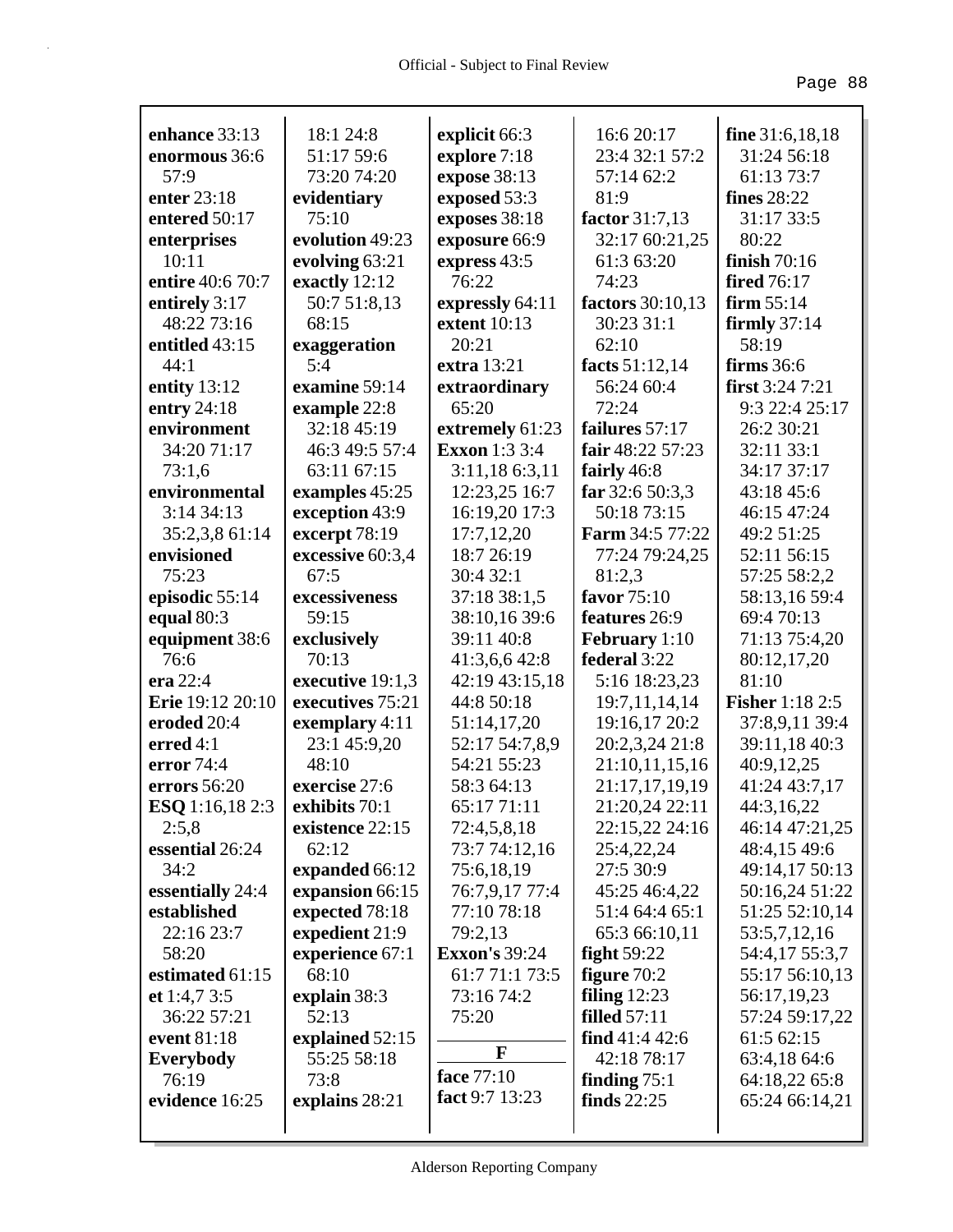| enhance 33:13          | 18:1 24:8        | explicit 66:3        | 16:6 20:17           | fine 31:6,18,18        |
|------------------------|------------------|----------------------|----------------------|------------------------|
| enormous 36:6          | 51:17 59:6       | explore 7:18         | 23:4 32:1 57:2       | 31:24 56:18            |
| 57:9                   | 73:20 74:20      | expose 38:13         | 57:14 62:2           | 61:13 73:7             |
| enter 23:18            | evidentiary      | exposed 53:3         | 81:9                 | fines 28:22            |
| entered 50:17          | 75:10            | exposes 38:18        | factor 31:7,13       | 31:17 33:5             |
| enterprises            | evolution 49:23  | exposure 66:9        | 32:17 60:21,25       | 80:22                  |
| 10:11                  | evolving 63:21   | express 43:5         | 61:3 63:20           | finish $70:16$         |
| entire 40:6 70:7       | exactly 12:12    | 76:22                | 74:23                | <b>fired</b> 76:17     |
| entirely 3:17          | 50:7 51:8,13     | expressly 64:11      | factors 30:10,13     | firm $55:14$           |
| 48:22 73:16            | 68:15            | extent 10:13         | 30:23 31:1           | firmly $37:14$         |
| entitled 43:15         | exaggeration     | 20:21                | 62:10                | 58:19                  |
| 44:1                   | 5:4              | extra 13:21          | facts 51:12,14       | firms 36:6             |
| entity $13:12$         | examine 59:14    | extraordinary        | 56:24 60:4           | first $3:24$ 7:21      |
| entry $24:18$          | example 22:8     | 65:20                | 72:24                | 9:3 22:4 25:17         |
| environment            | 32:18 45:19      | extremely 61:23      | failures 57:17       | 26:2 30:21             |
| 34:20 71:17            | 46:3 49:5 57:4   | <b>Exxon</b> 1:3 3:4 | fair 48:22 57:23     | 32:11 33:1             |
| 73:1,6                 | 63:11 67:15      | 3:11,186:3,11        | fairly 46:8          | 34:17 37:17            |
| environmental          | examples 45:25   | 12:23,25 16:7        | far $32:650:3,3$     | 43:18 45:6             |
| 3:1434:13              | exception 43:9   | 16:19,20 17:3        | 50:18 73:15          | 46:15 47:24            |
| 35:2,3,8 61:14         | excerpt 78:19    | 17:7,12,20           | Farm 34:5 77:22      | 49:2 51:25             |
| envisioned             | excessive 60:3,4 | 18:7 26:19           | 77:24 79:24,25       | 52:11 56:15            |
| 75:23                  | 67:5             | 30:4 32:1            | 81:2,3               | 57:25 58:2,2           |
| episodic 55:14         | excessiveness    | 37:18 38:1,5         | favor 75:10          | 58:13,16 59:4          |
| equal $80:3$           | 59:15            | 38:10,16 39:6        | features 26:9        | 69:4 70:13             |
| equipment 38:6         | exclusively      | 39:11 40:8           | <b>February</b> 1:10 | 71:13 75:4,20          |
| 76:6                   | 70:13            | 41:3,6,6 42:8        | federal 3:22         | 80:12,17,20            |
| era $22:4$             | executive 19:1,3 | 42:19 43:15,18       | 5:16 18:23,23        | 81:10                  |
| Erie 19:12 20:10       | executives 75:21 | 44:8 50:18           | 19:7,11,14,14        | <b>Fisher</b> 1:18 2:5 |
| eroded 20:4            | exemplary 4:11   | 51:14,17,20          | 19:16,17 20:2        | 37:8,9,11 39:4         |
| erred $4:1$            | 23:1 45:9,20     | 52:17 54:7,8,9       | 20:2,3,24 21:8       | 39:11,18 40:3          |
| error 74:4             | 48:10            | 54:21 55:23          | 21:10,11,15,16       | 40:9,12,25             |
| errors 56:20           | exercise 27:6    | 58:3 64:13           | 21:17,17,19,19       | 41:24 43:7,17          |
| <b>ESQ</b> 1:16,18 2:3 | exhibits 70:1    | 65:17 71:11          | 21:20,24 22:11       | 44:3,16,22             |
| 2:5,8                  | existence 22:15  | 72:4,5,8,18          | 22:15,22 24:16       | 46:14 47:21,25         |
| essential 26:24        | 62:12            | 73:7 74:12,16        | 25:4,22,24           | 48:4,15 49:6           |
| 34:2                   | expanded 66:12   | 75:6,18,19           | 27:5 30:9            | 49:14,17 50:13         |
| essentially 24:4       | expansion 66:15  | 76:7,9,17 77:4       | 45:25 46:4,22        | 50:16,24 51:22         |
| established            | expected 78:18   | 77:10 78:18          | 51:4 64:4 65:1       | 51:25 52:10,14         |
| 22:16 23:7             | expedient 21:9   | 79:2,13              | 65:3 66:10,11        | 53:5,7,12,16           |
| 58:20                  | experience 67:1  | <b>Exxon's 39:24</b> | fight $59:22$        | 54:4,17 55:3,7         |
| estimated 61:15        | 68:10            | 61:7 71:1 73:5       | figure $70:2$        | 55:17 56:10,13         |
| et 1:4,7 3:5           | explain 38:3     | 73:16 74:2           | filing $12:23$       | 56:17,19,23            |
| 36:22 57:21            | 52:13            | 75:20                | <b>filled</b> 57:11  | 57:24 59:17,22         |
| event 81:18            | explained 52:15  |                      | find $41:442:6$      | 61:5 62:15             |
| Everybody              | 55:25 58:18      | F                    | 42:18 78:17          | 63:4,18 64:6           |
| 76:19                  | 73:8             | face 77:10           | finding $75:1$       | 64:18,22 65:8          |
| evidence 16:25         | explains 28:21   | fact 9:7 13:23       | finds $22:25$        | 65:24 66:14,21         |
|                        |                  |                      |                      |                        |
|                        |                  |                      |                      |                        |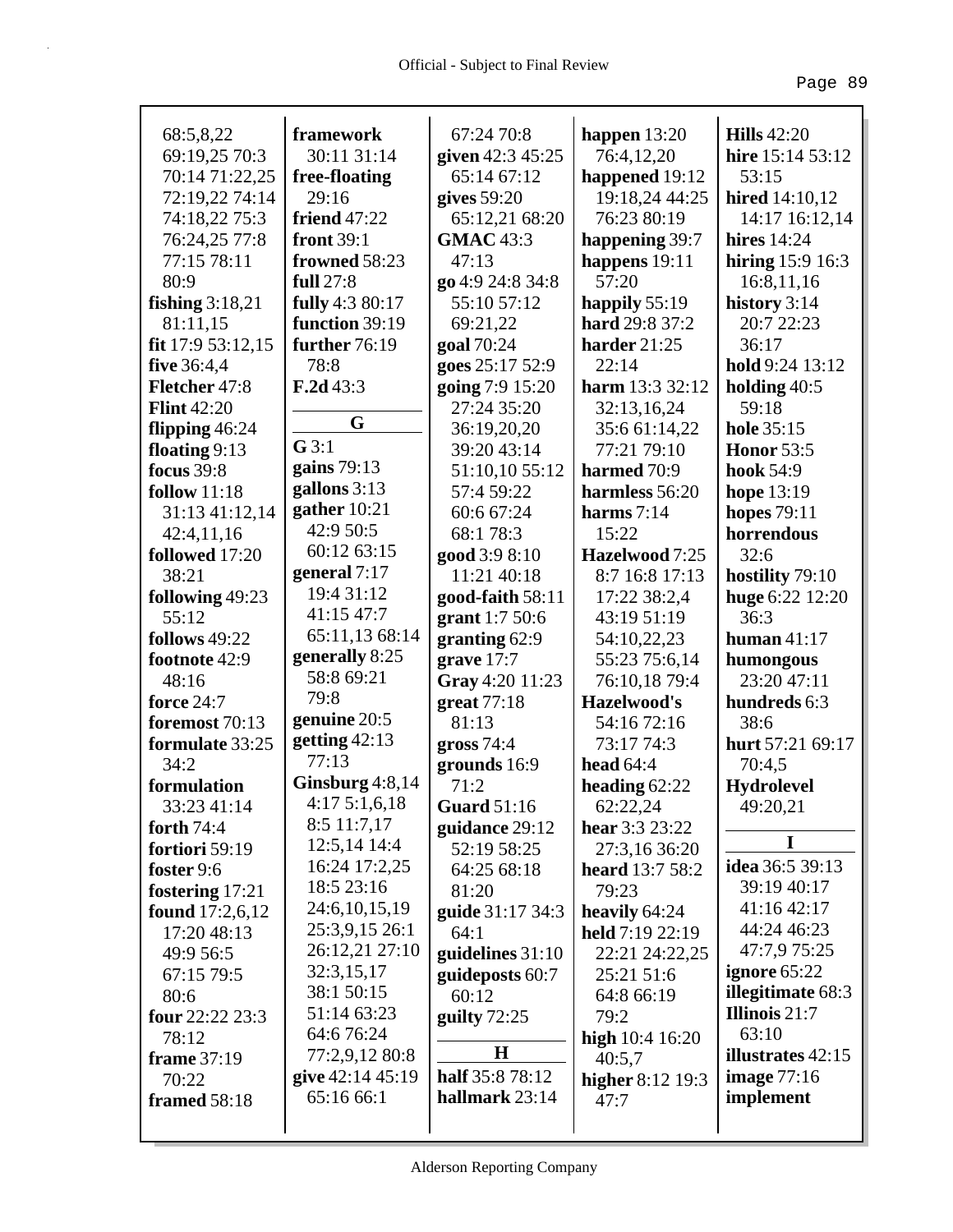| 68:5,8,22              | framework           | 67:24 70:8              | happen $13:20$          | <b>Hills</b> 42:20       |
|------------------------|---------------------|-------------------------|-------------------------|--------------------------|
| 69:19,25 70:3          | 30:11 31:14         | given 42:3 45:25        | 76:4,12,20              | hire 15:14 53:12         |
| 70:14 71:22,25         | free-floating       | 65:14 67:12             | happened 19:12          | 53:15                    |
| 72:19,22 74:14         | 29:16               | gives $59:20$           | 19:18,24 44:25          | <b>hired</b> 14:10,12    |
| 74:18,22 75:3          | <b>friend</b> 47:22 | 65:12,21 68:20          | 76:23 80:19             | 14:17 16:12,14           |
| 76:24,25 77:8          | front 39:1          | <b>GMAC</b> 43:3        | happening 39:7          | hires $14:24$            |
| 77:15 78:11            | frowned 58:23       | 47:13                   | happens $19:11$         | hiring 15:9 16:3         |
| 80:9                   | full 27:8           | go 4:9 24:8 34:8        | 57:20                   | 16:8,11,16               |
| fishing $3:18,21$      | fully 4:3 80:17     | 55:10 57:12             | happily 55:19           | history 3:14             |
| 81:11,15               | function 39:19      | 69:21,22                | hard 29:8 37:2          | 20:7 22:23               |
| fit 17:9 53:12,15      | further 76:19       | goal 70:24              | harder 21:25            | 36:17                    |
| <b>five</b> 36:4,4     | 78:8                | goes 25:17 52:9         | 22:14                   | hold 9:24 13:12          |
| Fletcher 47:8          | F.2d43:3            | going 7:9 15:20         | harm $13:332:12$        | holding $40:5$           |
| <b>Flint 42:20</b>     |                     | 27:24 35:20             | 32:13,16,24             | 59:18                    |
| flipping $46:24$       | G                   | 36:19,20,20             | 35:6 61:14,22           | hole 35:15               |
| floating $9:13$        | G3:1                | 39:20 43:14             | 77:21 79:10             | <b>Honor</b> 53:5        |
| <b>focus</b> 39:8      | gains $79:13$       | 51:10,10 55:12          | harmed 70:9             | <b>hook</b> 54:9         |
| <b>follow</b> 11:18    | gallons 3:13        | 57:4 59:22              | harmless 56:20          | hope $13:19$             |
| 31:13 41:12,14         | gather $10:21$      | 60:6 67:24              | harms $7:14$            | <b>hopes</b> 79:11       |
| 42:4,11,16             | 42:9 50:5           | 68:1 78:3               | 15:22                   | horrendous               |
| followed 17:20         | 60:12 63:15         | good 3:9 8:10           | Hazelwood 7:25          | 32:6                     |
| 38:21                  | general 7:17        | 11:21 40:18             | 8:7 16:8 17:13          | hostility 79:10          |
| following 49:23        | 19:4 31:12          | good-faith 58:11        | 17:22 38:2,4            | huge 6:22 12:20          |
| 55:12                  | 41:15 47:7          | grant $1:750:6$         | 43:19 51:19             | 36:3                     |
| follows 49:22          | 65:11,13 68:14      | granting 62:9           | 54:10,22,23             | human $41:17$            |
| footnote 42:9          | generally 8:25      | grave $17:7$            | 55:23 75:6,14           | humongous                |
| 48:16                  | 58:8 69:21          | Gray 4:20 11:23         | 76:10,18 79:4           | 23:20 47:11              |
| <b>force</b> 24:7      | 79:8                | great $77:18$           | Hazelwood's             | hundreds 6:3             |
| foremost 70:13         | genuine 20:5        | 81:13                   | 54:16 72:16             | 38:6                     |
| formulate 33:25        | getting $42:13$     | gross $74:4$            | 73:17 74:3              | hurt 57:21 69:17         |
| 34:2                   | 77:13               | grounds 16:9            | head $64:4$             | 70:4,5                   |
| formulation            | Ginsburg 4:8,14     | 71:2                    | heading $62:22$         | <b>Hydrolevel</b>        |
| 33:23 41:14            | 4:175:1,6,18        | <b>Guard</b> 51:16      | 62:22,24                | 49:20,21                 |
| forth $74:4$           | $8:5$ 11:7,17       | guidance 29:12          | hear 3:3 23:22          |                          |
| fortiori 59:19         | 12:5,14 14:4        | 52:19 58:25             | 27:3,16 36:20           | 1                        |
| foster 9:6             | 16:24 17:2,25       | 64:25 68:18             | <b>heard</b> 13:7 58:2  | <b>idea</b> 36:5 39:13   |
| fostering 17:21        | 18:5 23:16          | 81:20                   | 79:23                   | 39:19 40:17              |
| <b>found</b> 17:2,6,12 | 24:6, 10, 15, 19    | <b>guide</b> 31:17 34:3 | heavily 64:24           | 41:16 42:17              |
| 17:20 48:13            | 25:3,9,15 26:1      | 64:1                    | held 7:19 22:19         | 44:24 46:23              |
| 49:9 56:5              | 26:12,21 27:10      | guidelines $31:10$      | 22:21 24:22,25          | 47:7,9 75:25             |
| 67:15 79:5             | 32:3,15,17          | guideposts 60:7         | 25:21 51:6              | ignore 65:22             |
| 80:6                   | 38:1 50:15          | 60:12                   | 64:8 66:19              | illegitimate 68:3        |
| four 22:22 23:3        | 51:14 63:23         | guilty $72:25$          | 79:2                    | <b>Illinois</b> 21:7     |
| 78:12                  | 64:6 76:24          |                         | high $10:4$ 16:20       | 63:10                    |
| frame 37:19            | 77:2,9,12 80:8      | $\bf H$                 | 40:5,7                  | <b>illustrates</b> 42:15 |
| 70:22                  | give 42:14 45:19    | half 35:8 78:12         | <b>higher</b> 8:12 19:3 | image $77:16$            |
| framed 58:18           | 65:16 66:1          | hallmark 23:14          | 47:7                    | implement                |
|                        |                     |                         |                         |                          |
|                        |                     |                         |                         |                          |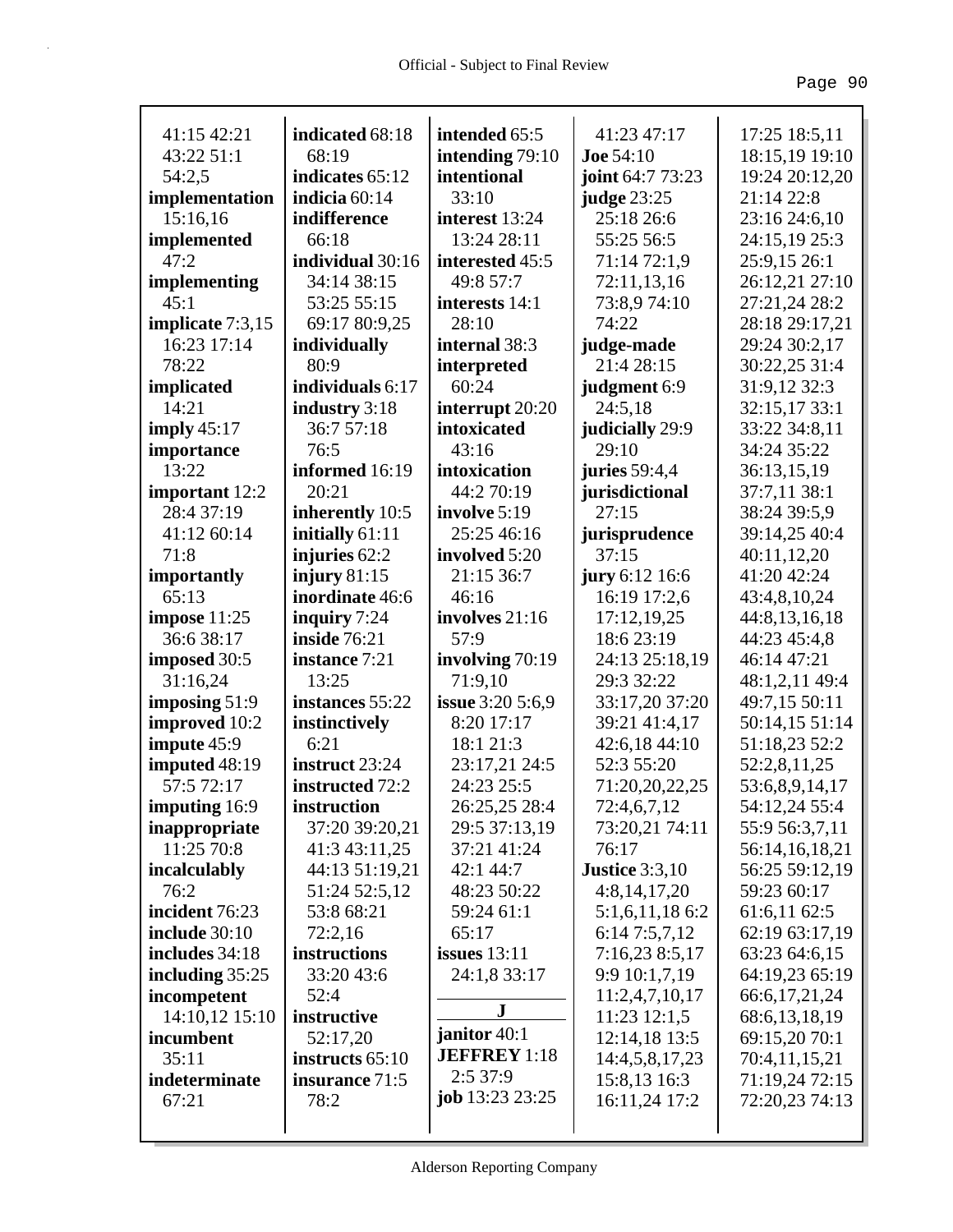| 41:15 42:21                     |                                  |                                  | 41:23 47:17                      |                                 |
|---------------------------------|----------------------------------|----------------------------------|----------------------------------|---------------------------------|
| 43:22 51:1                      | indicated 68:18<br>68:19         | intended 65:5<br>intending 79:10 | <b>Joe 54:10</b>                 | 17:25 18:5,11<br>18:15,19 19:10 |
| 54:2,5                          | indicates 65:12                  | intentional                      |                                  | 19:24 20:12,20                  |
|                                 | indicia 60:14                    | 33:10                            | joint 64:7 73:23                 | 21:14 22:8                      |
| implementation                  | indifference                     | interest 13:24                   | <b>judge</b> 23:25<br>25:18 26:6 |                                 |
| 15:16,16                        | 66:18                            | 13:24 28:11                      | 55:25 56:5                       | 23:16 24:6,10                   |
| implemented<br>47:2             | individual 30:16                 | interested 45:5                  | 71:14 72:1,9                     | 24:15,19 25:3                   |
|                                 |                                  |                                  |                                  | 25:9,15 26:1                    |
| implementing<br>45:1            | 34:14 38:15                      | 49:8 57:7                        | 72:11,13,16                      | 26:12,21 27:10                  |
|                                 | 53:25 55:15                      | interests 14:1<br>28:10          | 73:8,974:10<br>74:22             | 27:21,24 28:2                   |
| implicate 7:3,15<br>16:23 17:14 | 69:17 80:9,25                    |                                  |                                  | 28:18 29:17,21                  |
| 78:22                           | individually<br>80:9             | internal 38:3                    | judge-made<br>21:4 28:15         | 29:24 30:2,17                   |
|                                 | individuals 6:17                 | interpreted<br>60:24             |                                  | 30:22,25 31:4                   |
| implicated                      |                                  |                                  | judgment 6:9                     | 31:9,12 32:3                    |
| 14:21                           | industry 3:18<br>36:7 57:18      | interrupt 20:20                  | 24:5,18                          | 32:15,17 33:1                   |
| imply $45:17$                   |                                  | intoxicated                      | judicially 29:9<br>29:10         | 33:22 34:8,11                   |
| importance<br>13:22             | 76:5<br>informed 16:19           | 43:16                            |                                  | 34:24 35:22                     |
|                                 | 20:21                            | intoxication<br>44:2 70:19       | <b>juries</b> 59:4,4             | 36:13,15,19                     |
| important 12:2<br>28:4 37:19    |                                  | involve 5:19                     | jurisdictional<br>27:15          | 37:7,11 38:1<br>38:24 39:5,9    |
| 41:12 60:14                     | inherently 10:5                  | 25:25 46:16                      | jurisprudence                    |                                 |
| 71:8                            | initially 61:11<br>injuries 62:2 | involved 5:20                    | 37:15                            | 39:14,25 40:4<br>40:11,12,20    |
|                                 | injury $81:15$                   | 21:15 36:7                       | jury 6:12 16:6                   | 41:20 42:24                     |
| importantly<br>65:13            | inordinate 46:6                  | 46:16                            | 16:19 17:2,6                     | 43:4,8,10,24                    |
| impose 11:25                    | inquiry 7:24                     | involves 21:16                   | 17:12,19,25                      | 44:8,13,16,18                   |
| 36:6 38:17                      | <b>inside 76:21</b>              | 57:9                             | 18:6 23:19                       | 44:23 45:4,8                    |
| imposed 30:5                    | instance 7:21                    | involving 70:19                  | 24:13 25:18,19                   | 46:14 47:21                     |
| 31:16,24                        | 13:25                            | 71:9,10                          | 29:3 32:22                       | 48:1,2,11 49:4                  |
| imposing $51:9$                 | instances 55:22                  | <b>issue</b> 3:20 5:6,9          | 33:17,20 37:20                   | 49:7,15 50:11                   |
| improved 10:2                   | instinctively                    | 8:20 17:17                       | 39:21 41:4,17                    | 50:14,15 51:14                  |
| impute 45:9                     | 6:21                             | 18:1 21:3                        | 42:6,18 44:10                    | 51:18,23 52:2                   |
| imputed 48:19                   | instruct 23:24                   | 23:17,21 24:5                    | 52:3 55:20                       | 52:2,8,11,25                    |
| 57:5 72:17                      | instructed 72:2                  | 24:23 25:5                       | 71:20,20,22,25                   | 53:6,8,9,14,17                  |
| imputing 16:9                   | instruction                      | 26:25,25 28:4                    | 72:4,6,7,12                      | 54:12,24 55:4                   |
| inappropriate                   | 37:20 39:20,21                   | 29:5 37:13,19                    | 73:20,21 74:11                   | 55:9 56:3,7,11                  |
| 11:25 70:8                      | 41:3 43:11,25                    | 37:21 41:24                      | 76:17                            | 56:14,16,18,21                  |
| incalculably                    | 44:13 51:19,21                   | 42:1 44:7                        | <b>Justice 3:3,10</b>            | 56:25 59:12,19                  |
| 76:2                            | 51:24 52:5,12                    | 48:23 50:22                      | 4:8,14,17,20                     | 59:23 60:17                     |
| incident 76:23                  | 53:8 68:21                       | 59:24 61:1                       | 5:1,6,11,186:2                   | 61:6,11 62:5                    |
| include 30:10                   | 72:2,16                          | 65:17                            | 6:14 7:5,7,12                    | 62:19 63:17,19                  |
| includes 34:18                  | instructions                     | issues $13:11$                   | 7:16,23 8:5,17                   | 63:23 64:6,15                   |
| including $35:25$               | 33:20 43:6                       | 24:1,8 33:17                     | 9:9 10:1,7,19                    | 64:19,23 65:19                  |
| incompetent                     | 52:4                             |                                  | 11:2,4,7,10,17                   | 66:6,17,21,24                   |
| 14:10,12 15:10                  | instructive                      | ${\bf J}$                        | 11:23 12:1,5                     | 68:6,13,18,19                   |
| incumbent                       | 52:17,20                         | janitor 40:1                     | 12:14,18 13:5                    | 69:15,20 70:1                   |
| 35:11                           | instructs 65:10                  | <b>JEFFREY</b> 1:18              | 14:4,5,8,17,23                   | 70:4,11,15,21                   |
| indeterminate                   | insurance 71:5                   | 2:537:9                          | 15:8,13 16:3                     | 71:19,24 72:15                  |
| 67:21                           | 78:2                             | <b>job</b> $13:23\ 23:25$        | 16:11,24 17:2                    | 72:20,23 74:13                  |
|                                 |                                  |                                  |                                  |                                 |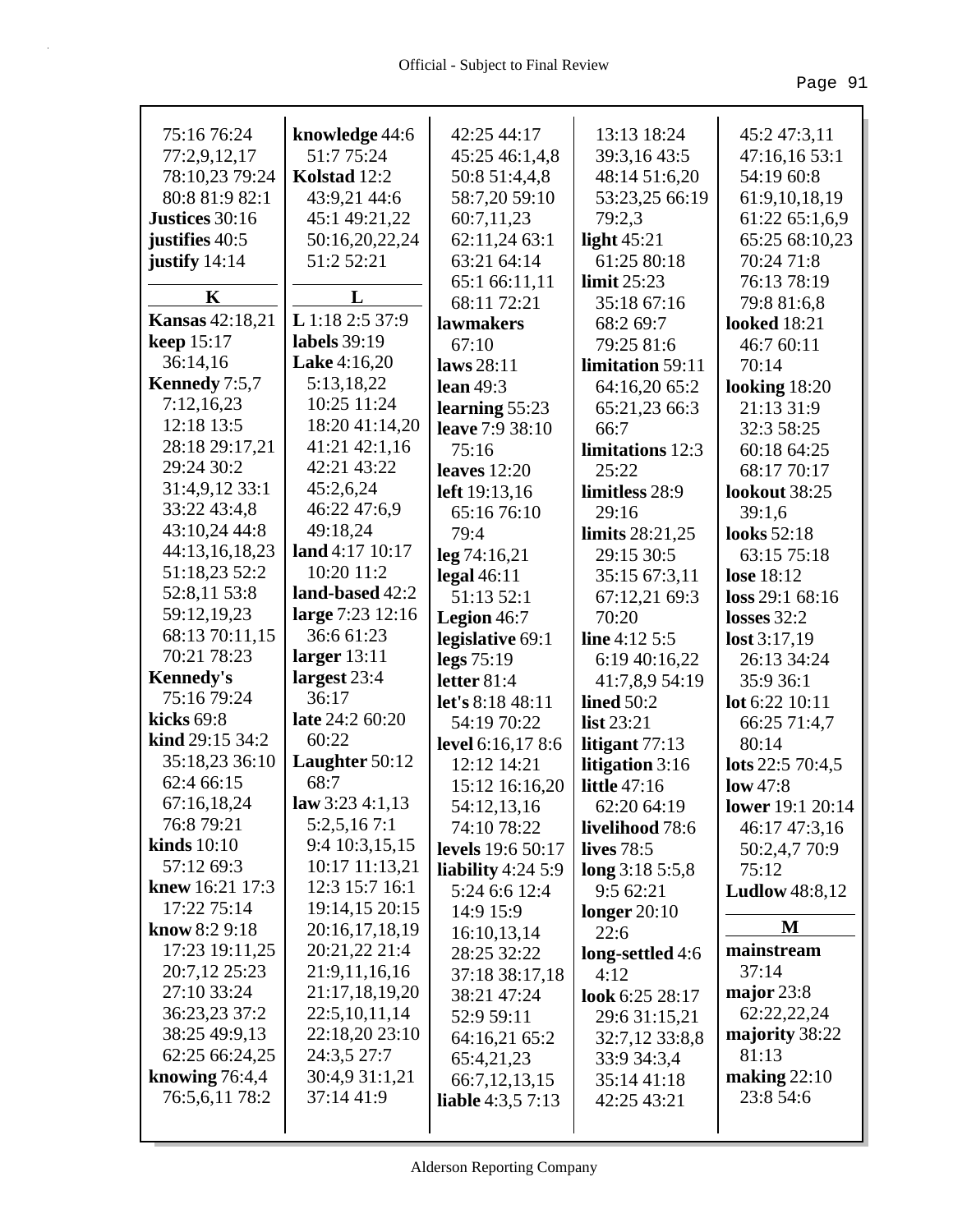| 75:16 76:24            | knowledge 44:6      | 42:25 44:17              | 13:13 18:24                   | 45:2 47:3,11              |
|------------------------|---------------------|--------------------------|-------------------------------|---------------------------|
| 77:2,9,12,17           | 51:7 75:24          | 45:25 46:1,4,8           | 39:3,16 43:5                  | 47:16,16 53:1             |
| 78:10,23 79:24         | Kolstad 12:2        | 50:8 51:4,4,8            | 48:14 51:6,20                 | 54:19 60:8                |
| 80:8 81:9 82:1         | 43:9,21 44:6        | 58:7,20 59:10            | 53:23,25 66:19                | 61:9, 10, 18, 19          |
| Justices 30:16         | 45:1 49:21,22       | 60:7,11,23               | 79:2,3                        | 61:22 65:1,6,9            |
| justifies 40:5         | 50:16,20,22,24      | 62:11,24 63:1            | light $45:21$                 | 65:25 68:10,23            |
| justify $14:14$        | 51:2 52:21          | 63:21 64:14              | 61:25 80:18                   | 70:24 71:8                |
| K                      | L                   | 65:1 66:11,11            | limit $25:23$                 | 76:13 78:19               |
| <b>Kansas</b> 42:18,21 | L 1:18 2:5 37:9     | 68:11 72:21              | 35:18 67:16                   | 79:8 81:6,8               |
| <b>keep</b> 15:17      | labels 39:19        | lawmakers                | 68:2 69:7                     | <b>looked</b> 18:21       |
| 36:14,16               | <b>Lake</b> 4:16,20 | 67:10                    | 79:25 81:6                    | 46:7 60:11                |
| Kennedy 7:5,7          | 5:13,18,22          | laws $28:11$             | limitation 59:11              | 70:14                     |
| 7:12,16,23             | 10:25 11:24         | lean $49:3$              | 64:16,20 65:2                 | looking $18:20$           |
| 12:18 13:5             | 18:20 41:14,20      | learning $55:23$         | 65:21,23 66:3                 | 21:13 31:9                |
| 28:18 29:17,21         | 41:21 42:1,16       | leave 7:9 38:10          | 66:7<br>limitations 12:3      | 32:3 58:25                |
| 29:24 30:2             | 42:21 43:22         | 75:16                    |                               | 60:18 64:25               |
| 31:4,9,12 33:1         | 45:2,6,24           | leaves $12:20$           | 25:22                         | 68:17 70:17               |
| 33:22 43:4,8           | 46:22 47:6,9        | <b>left</b> 19:13,16     | limitless 28:9<br>29:16       | lookout 38:25<br>39:1.6   |
| 43:10,24 44:8          | 49:18,24            | 65:16 76:10<br>79:4      |                               | looks 52:18               |
| 44:13,16,18,23         | land $4:17$ $10:17$ | leg 74:16,21             | limits 28:21,25<br>29:15 30:5 |                           |
| 51:18,23 52:2          | 10:20 11:2          | $\text{legal }46:11$     | 35:15 67:3,11                 | 63:15 75:18<br>lose 18:12 |
| 52:8,11 53:8           | land-based 42:2     | 51:13 52:1               | 67:12,21 69:3                 | loss 29:1 68:16           |
| 59:12,19,23            | large 7:23 12:16    | Legion 46:7              | 70:20                         | losses $32:2$             |
| 68:13 70:11,15         | 36:6 61:23          | legislative 69:1         | line $4:12\,5:5$              | lost 3:17,19              |
| 70:21 78:23            | larger $13:11$      | $\text{legs } 75:19$     | 6:19 40:16,22                 | 26:13 34:24               |
| <b>Kennedy's</b>       | largest 23:4        | letter 81:4              | 41:7,8,9 54:19                | 35:9 36:1                 |
| 75:16 79:24            | 36:17               | let's $8:1848:11$        | lined $50:2$                  | lot 6:22 10:11            |
| kicks 69:8             | late 24:2 60:20     | 54:19 70:22              | list 23:21                    | 66:25 71:4,7              |
| kind 29:15 34:2        | 60:22               | level 6:16,17 8:6        | litigant $77:13$              | 80:14                     |
| 35:18,23 36:10         | Laughter $50:12$    | 12:12 14:21              | litigation 3:16               | lots $22:570:4,5$         |
| 62:4 66:15             | 68:7                | 15:12 16:16,20           | <b>little</b> 47:16           | low 47:8                  |
| 67:16,18,24            | law 3:23 4:1,13     | 54:12,13,16              | 62:20 64:19                   | lower $19:1 20:14$        |
| 76:8 79:21             | 5:2,5,167:1         | 74:10 78:22              | livelihood 78:6               | 46:17 47:3,16             |
| kinds $10:10$          | 9:4 10:3,15,15      | <b>levels</b> 19:6 50:17 | <b>lives</b> 78:5             | 50:2,4,7 70:9             |
| 57:12 69:3             | 10:17 11:13,21      | liability $4:245:9$      | long $3:185:5,8$              | 75:12                     |
| knew 16:21 17:3        | 12:3 15:7 16:1      | 5:24 6:6 12:4            | 9:5 62:21                     | <b>Ludlow</b> 48:8,12     |
| 17:22 75:14            | 19:14,15 20:15      | 14:9 15:9                | longer $20:10$                |                           |
| know 8:2 9:18          | 20:16,17,18,19      | 16:10,13,14              | 22:6                          | M                         |
| 17:23 19:11,25         | 20:21,22 21:4       | 28:25 32:22              | long-settled 4:6              | mainstream                |
| 20:7,12 25:23          | 21:9,11,16,16       | 37:18 38:17,18           | 4:12                          | 37:14                     |
| 27:10 33:24            | 21:17,18,19,20      | 38:21 47:24              | look 6:25 28:17               | major 23:8                |
| 36:23,23 37:2          | 22:5, 10, 11, 14    | 52:9 59:11               | 29:6 31:15,21                 | 62:22,22,24               |
| 38:25 49:9,13          | 22:18,20 23:10      | 64:16,21 65:2            | 32:7,12 33:8,8                | majority 38:22            |
| 62:25 66:24,25         | 24:3,5 27:7         | 65:4,21,23               | 33:9 34:3,4                   | 81:13                     |
| knowing $76:4,4$       | 30:4,9 31:1,21      | 66:7, 12, 13, 15         | 35:14 41:18                   | making $22:10$            |
| 76:5,6,11 78:2         | 37:14 41:9          | <b>liable</b> 4:3,5 7:13 | 42:25 43:21                   | 23:8 54:6                 |
|                        |                     |                          |                               |                           |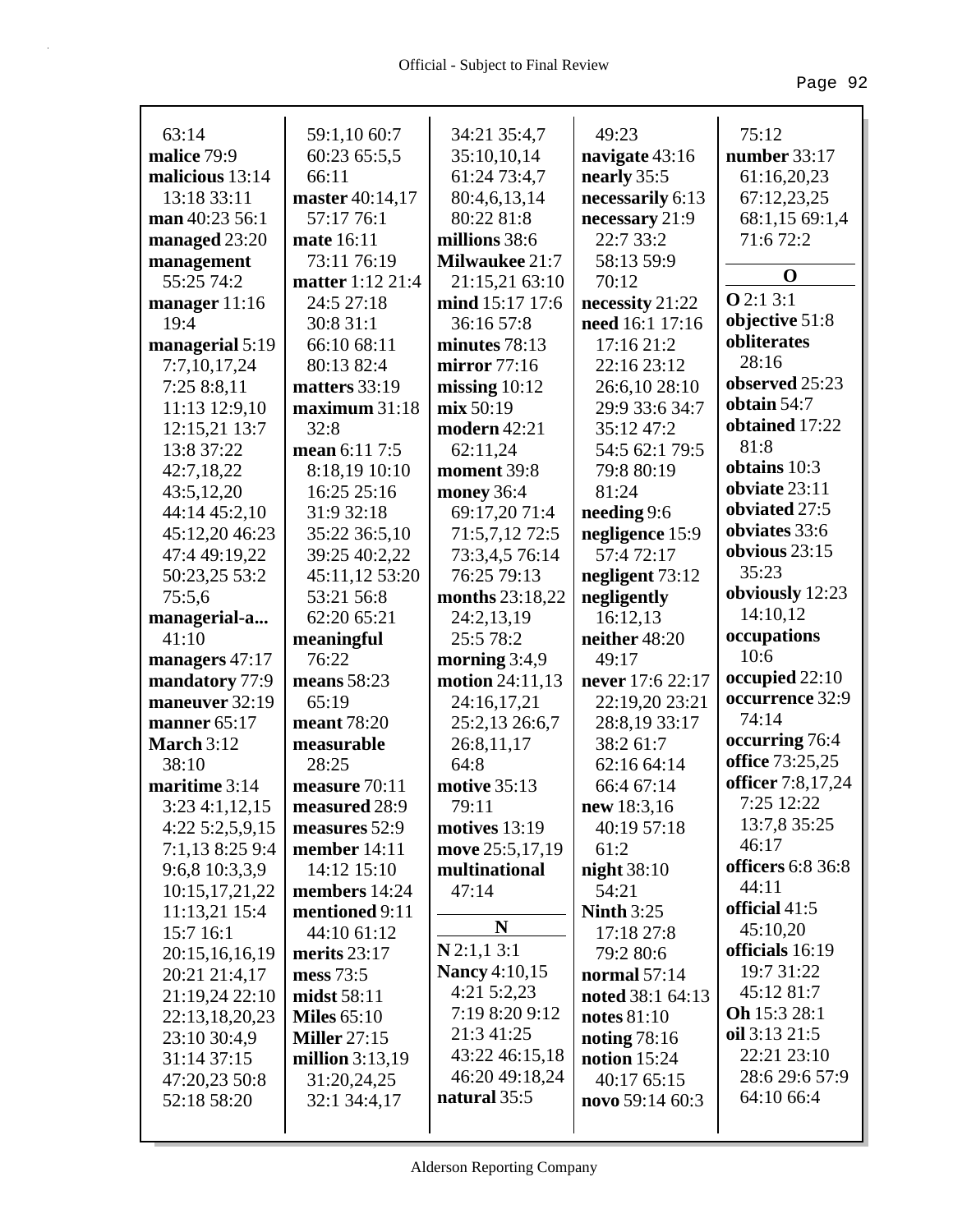| 63:14             | 59:1,10 60:7            | 34:21 35:4,7          | 49:23             | 75:12                             |
|-------------------|-------------------------|-----------------------|-------------------|-----------------------------------|
| malice 79:9       | 60:23 65:5,5            | 35:10,10,14           | navigate 43:16    | number 33:17                      |
| malicious 13:14   | 66:11                   | 61:24 73:4,7          | nearly 35:5       | 61:16,20,23                       |
| 13:18 33:11       | master 40:14,17         | 80:4,6,13,14          | necessarily 6:13  | 67:12,23,25                       |
| man 40:23 56:1    | 57:17 76:1              | 80:22 81:8            | necessary 21:9    | 68:1,15 69:1,4                    |
| managed 23:20     | mate 16:11              | millions 38:6         | 22:7 33:2         | 71:672:2                          |
| management        | 73:11 76:19             | <b>Milwaukee 21:7</b> | 58:13 59:9        | $\mathbf 0$                       |
| 55:25 74:2        | <b>matter</b> 1:12 21:4 | 21:15,21 63:10        | 70:12             |                                   |
| manager $11:16$   | 24:5 27:18              | mind 15:17 17:6       | necessity 21:22   | Q2:13:1                           |
| 19:4              | 30:8 31:1               | 36:16 57:8            | need 16:1 17:16   | objective 51:8                    |
| managerial 5:19   | 66:10 68:11             | minutes 78:13         | 17:16 21:2        | obliterates                       |
| 7:7,10,17,24      | 80:13 82:4              | mirror 77:16          | 22:16 23:12       | 28:16                             |
| 7:25 8:8,11       | matters 33:19           | missing $10:12$       | 26:6,10 28:10     | observed 25:23                    |
| 11:13 12:9,10     | maximum 31:18           | mix 50:19             | 29:9 33:6 34:7    | obtain 54:7                       |
| 12:15,21 13:7     | 32:8                    | modern 42:21          | 35:12 47:2        | obtained 17:22                    |
| 13:8 37:22        | mean 6:11 7:5           | 62:11,24              | 54:5 62:1 79:5    | 81:8                              |
| 42:7,18,22        | 8:18,19 10:10           | moment 39:8           | 79:8 80:19        | obtains 10:3                      |
| 43:5,12,20        | 16:25 25:16             | money 36:4            | 81:24             | obviate 23:11                     |
| 44:14 45:2,10     | 31:9 32:18              | 69:17,20 71:4         | needing 9:6       | obviated 27:5                     |
| 45:12,20 46:23    | 35:22 36:5,10           | 71:5,7,12 72:5        | negligence 15:9   | obviates 33:6                     |
| 47:4 49:19,22     | 39:25 40:2,22           | 73:3,4,5 76:14        | 57:472:17         | obvious 23:15                     |
| 50:23,25 53:2     | 45:11,12 53:20          | 76:25 79:13           | negligent 73:12   | 35:23                             |
| 75:5,6            | 53:21 56:8              | months 23:18,22       | negligently       | obviously 12:23                   |
| managerial-a      | 62:20 65:21             | 24:2,13,19            | 16:12,13          | 14:10,12                          |
| 41:10             | meaningful              | 25:5 78:2             | neither 48:20     | occupations<br>10:6               |
| managers 47:17    | 76:22                   | morning $3:4,9$       | 49:17             |                                   |
| mandatory 77:9    | means 58:23             | motion 24:11,13       | never 17:6 22:17  | occupied 22:10<br>occurrence 32:9 |
| maneuver 32:19    | 65:19                   | 24:16,17,21           | 22:19,20 23:21    | 74:14                             |
| manner $65:17$    | <b>meant</b> 78:20      | 25:2,13 26:6,7        | 28:8,19 33:17     |                                   |
|                   |                         |                       |                   |                                   |
| <b>March 3:12</b> | measurable              | 26:8,11,17            | 38:2 61:7         | occurring 76:4                    |
| 38:10             | 28:25                   | 64:8                  | 62:16 64:14       | office 73:25,25                   |
| maritime 3:14     | measure 70:11           | <b>motive 35:13</b>   | 66:4 67:14        | officer 7:8,17,24                 |
| 3:234:1,12,15     | measured 28:9           | 79:11                 | new 18:3,16       | 7:25 12:22                        |
| 4:22 5:2,5,9,15   | measures 52:9           | motives $13:19$       | 40:19 57:18       | 13:7,8 35:25                      |
| 7:1,13 8:25 9:4   | member 14:11            | move 25:5,17,19       | 61:2              | 46:17                             |
| 9:6,8 10:3,3,9    | 14:12 15:10             | multinational         | night $38:10$     | officers 6:8 36:8                 |
| 10:15,17,21,22    | members 14:24           | 47:14                 | 54:21             | 44:11                             |
| 11:13,21 15:4     | mentioned 9:11          |                       | <b>Ninth 3:25</b> | official 41:5                     |
| 15:7 16:1         | 44:10 61:12             | N                     | 17:18 27:8        | 45:10,20                          |
| 20:15,16,16,19    | merits $23:17$          | $N$ 2:1,1 3:1         | 79:2 80:6         | officials 16:19                   |
| 20:21 21:4,17     | mess 73:5               | <b>Nancy</b> 4:10,15  | normal $57:14$    | 19:7 31:22                        |
| 21:19,24 22:10    | midst 58:11             | $4:21\,5:2,23$        | noted 38:1 64:13  | 45:12 81:7                        |
| 22:13,18,20,23    | <b>Miles</b> 65:10      | 7:19 8:20 9:12        | notes 81:10       | <b>Oh</b> 15:3 28:1               |
| 23:10 30:4,9      | <b>Miller</b> 27:15     | 21:3 41:25            | noting $78:16$    | oil 3:13 21:5                     |
| 31:14 37:15       | million $3:13,19$       | 43:22 46:15,18        | notion $15:24$    | 22:21 23:10                       |
| 47:20,23 50:8     | 31:20,24,25             | 46:20 49:18,24        | 40:17 65:15       | 28:6 29:6 57:9                    |
| 52:18 58:20       | 32:1 34:4,17            | natural 35:5          | novo 59:14 60:3   | 64:10 66:4                        |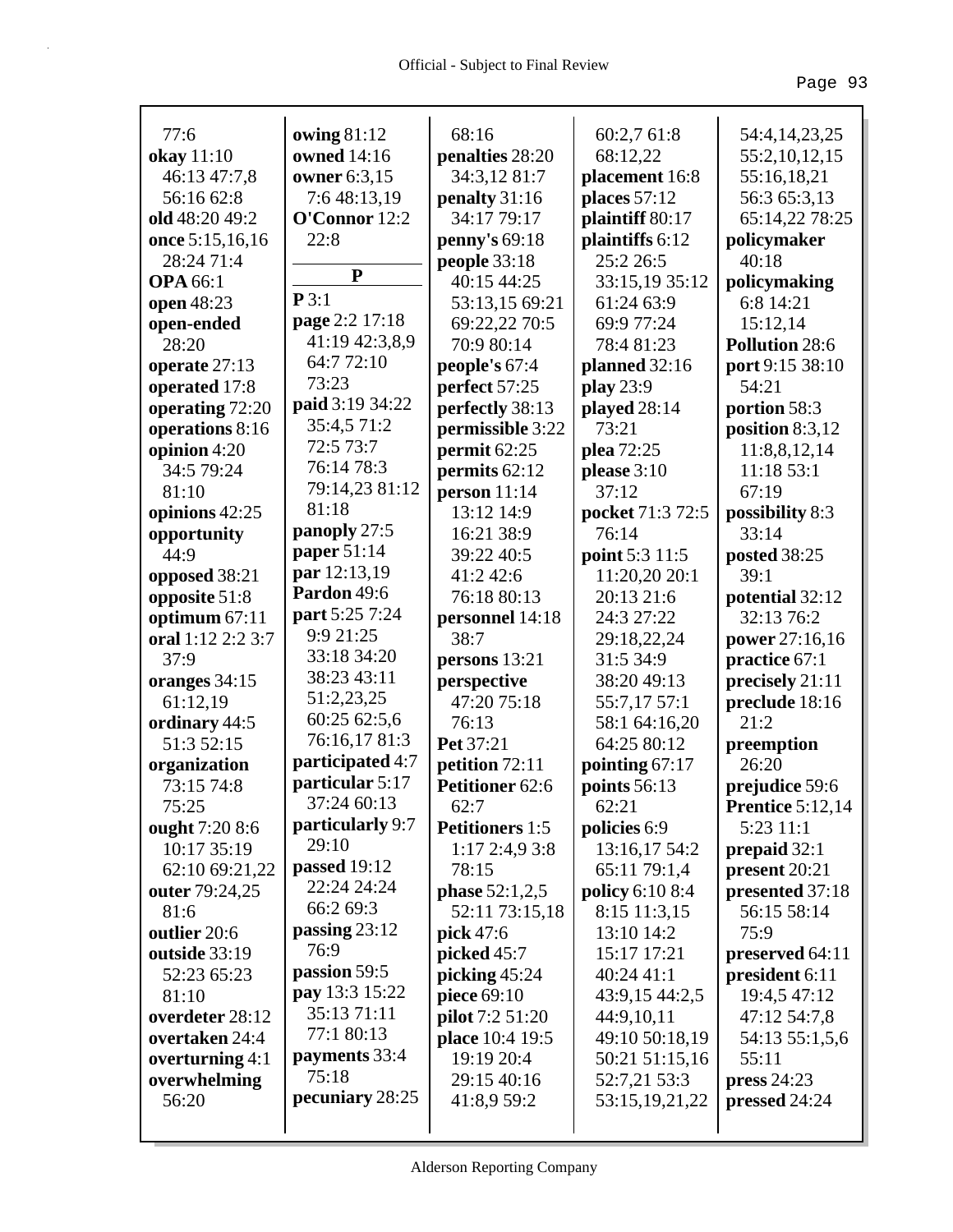| 77:6              | owing $81:12$    | 68:16                   | 60:2,7 61:8      | 54:4,14,23,25              |
|-------------------|------------------|-------------------------|------------------|----------------------------|
| okay 11:10        | owned 14:16      | penalties 28:20         | 68:12,22         | 55:2,10,12,15              |
| 46:13 47:7,8      | owner 6:3,15     | 34:3,12 81:7            | placement 16:8   | 55:16,18,21                |
| 56:16 62:8        | 7:6 48:13,19     | penalty 31:16           | places $57:12$   | 56:3 65:3,13               |
| old 48:20 49:2    | O'Connor 12:2    | 34:17 79:17             | plaintiff 80:17  | 65:14,22 78:25             |
| once 5:15,16,16   | 22:8             | penny's 69:18           | plaintiffs 6:12  | policymaker                |
| 28:24 71:4        |                  | people $33:18$          | 25:2 26:5        | 40:18                      |
| <b>OPA 66:1</b>   | $\mathbf{P}$     | 40:15 44:25             | 33:15,19 35:12   | policymaking               |
| open 48:23        | P3:1             | 53:13,15 69:21          | 61:24 63:9       | 6:8 14:21                  |
| open-ended        | page 2:2 17:18   | 69:22,22 70:5           | 69:9 77:24       | 15:12,14                   |
| 28:20             | 41:19 42:3,8,9   | 70:9 80:14              | 78:481:23        | Pollution 28:6             |
| operate 27:13     | 64:7 72:10       | people's 67:4           | planned 32:16    | port 9:15 38:10            |
| operated 17:8     | 73:23            | perfect 57:25           | play 23:9        | 54:21                      |
| operating 72:20   | paid 3:19 34:22  | perfectly 38:13         | played 28:14     | portion 58:3               |
| operations 8:16   | 35:4,5 71:2      | permissible 3:22        | 73:21            | position $8:3,12$          |
| opinion 4:20      | 72:5 73:7        | permit 62:25            | plea 72:25       |                            |
| 34:5 79:24        | 76:14 78:3       | permits 62:12           | please 3:10      | 11:8,8,12,14<br>11:18 53:1 |
| 81:10             | 79:14,23 81:12   | person $11:14$          | 37:12            | 67:19                      |
| opinions 42:25    | 81:18            | 13:12 14:9              | pocket 71:3 72:5 | possibility 8:3            |
| opportunity       | panoply 27:5     | 16:21 38:9              | 76:14            | 33:14                      |
| 44:9              | paper 51:14      | 39:22 40:5              | point 5:3 11:5   | posted 38:25               |
| opposed 38:21     | par 12:13,19     | 41:2 42:6               | 11:20,20 20:1    | 39:1                       |
| opposite 51:8     | Pardon 49:6      | 76:18 80:13             | 20:13 21:6       | potential 32:12            |
| optimum 67:11     | part 5:25 7:24   | personnel 14:18         | 24:3 27:22       | 32:13 76:2                 |
| oral 1:12 2:2 3:7 | 9:9 21:25        | 38:7                    | 29:18,22,24      | power 27:16,16             |
| 37:9              | 33:18 34:20      | persons 13:21           | 31:5 34:9        | practice 67:1              |
| oranges 34:15     | 38:23 43:11      | perspective             | 38:20 49:13      | precisely 21:11            |
| 61:12,19          | 51:2,23,25       | 47:20 75:18             | 55:7,17 57:1     | preclude 18:16             |
| ordinary 44:5     | 60:25 62:5,6     | 76:13                   | 58:1 64:16,20    | 21:2                       |
| 51:3 52:15        | 76:16,17 81:3    | Pet 37:21               | 64:25 80:12      | preemption                 |
| organization      | participated 4:7 | petition 72:11          | pointing 67:17   | 26:20                      |
| 73:15 74:8        | particular 5:17  | Petitioner 62:6         | points 56:13     | prejudice 59:6             |
| 75:25             | 37:24 60:13      | 62:7                    | 62:21            | <b>Prentice 5:12,14</b>    |
| ought 7:20 8:6    | particularly 9:7 | <b>Petitioners</b> 1:5  | policies 6:9     | 5:23 11:1                  |
| 10:17 35:19       | 29:10            | 1:172:4,93:8            | 13:16,17 54:2    | prepaid $32:1$             |
| 62:10 69:21,22    | passed $19:12$   | 78:15                   | 65:11 79:1,4     | present 20:21              |
| outer 79:24,25    | 22:24 24:24      | <b>phase</b> $52:1,2,5$ | policy 6:10 8:4  | presented 37:18            |
| 81:6              | 66:2 69:3        | 52:11 73:15,18          | 8:15 11:3,15     | 56:15 58:14                |
| outlier 20:6      | passing $23:12$  | <b>pick</b> 47:6        | 13:10 14:2       | 75:9                       |
| outside 33:19     | 76:9             | picked 45:7             | 15:17 17:21      | preserved 64:11            |
| 52:23 65:23       | passion 59:5     | picking $45:24$         | 40:24 41:1       | president 6:11             |
| 81:10             | pay 13:3 15:22   | piece 69:10             | 43:9,15 44:2,5   | 19:4,5 47:12               |
| overdeter 28:12   | 35:13 71:11      | pilot 7:2 51:20         | 44:9,10,11       | 47:12 54:7,8               |
| overtaken 24:4    | 77:1 80:13       | place 10:4 19:5         | 49:10 50:18,19   | 54:13 55:1,5,6             |
| overturning $4:1$ | payments 33:4    | 19:19 20:4              | 50:21 51:15,16   | 55:11                      |
| overwhelming      | 75:18            | 29:15 40:16             | 52:7,21 53:3     | press 24:23                |
| 56:20             | pecuniary 28:25  | 41:8,9 59:2             | 53:15,19,21,22   | pressed 24:24              |
|                   |                  |                         |                  |                            |
|                   |                  |                         |                  |                            |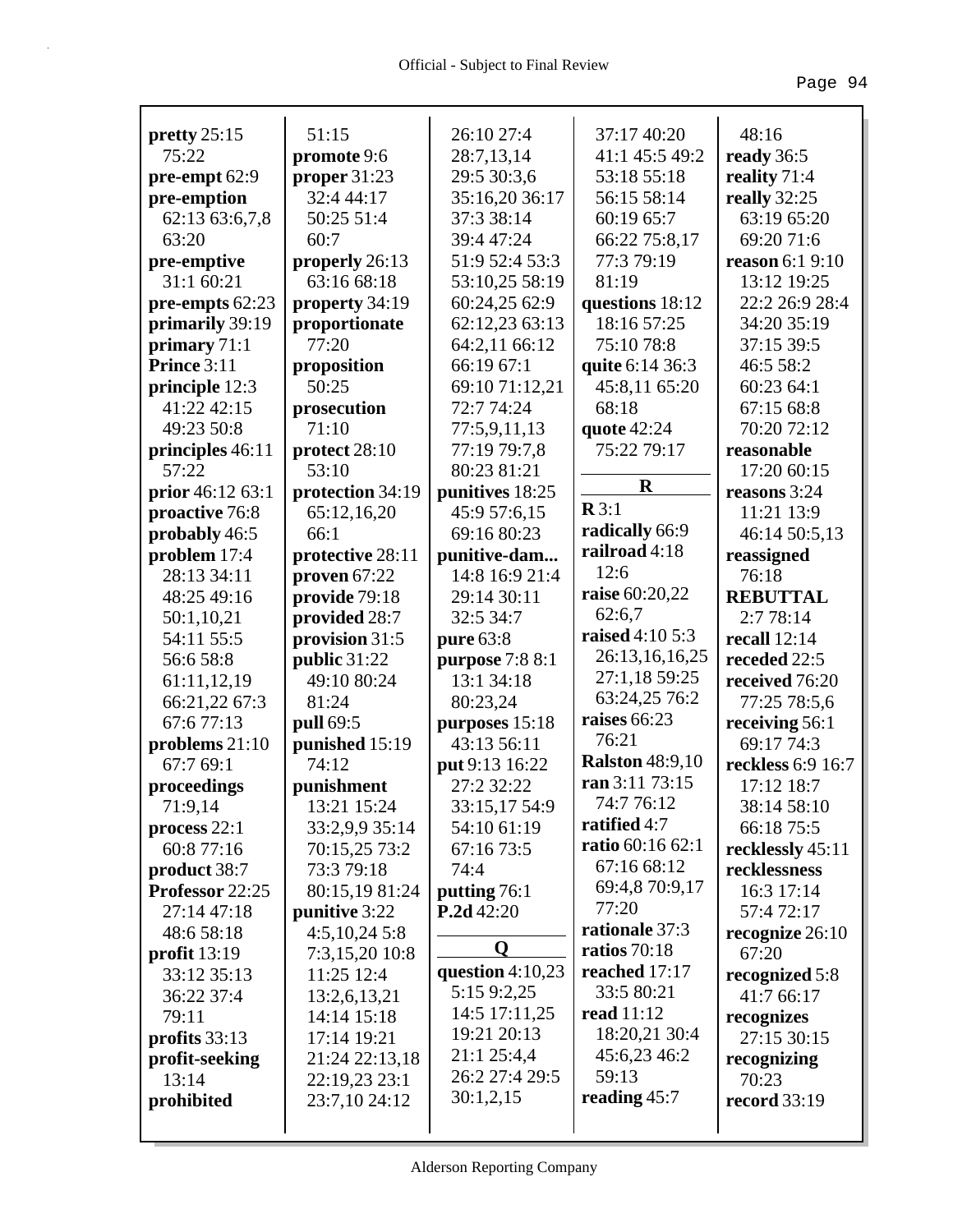|                               | 51:15                        | 26:10 27:4                      |                        |                             |
|-------------------------------|------------------------------|---------------------------------|------------------------|-----------------------------|
| pretty $25:15$<br>75:22       |                              |                                 | 37:17 40:20            | 48:16                       |
|                               | promote 9:6                  | 28:7,13,14                      | 41:1 45:5 49:2         | ready 36:5                  |
| pre-empt 62:9                 | proper $31:23$<br>32:4 44:17 | 29:5 30:3,6                     | 53:18 55:18            | reality 71:4                |
| pre-emption                   |                              | 35:16,20 36:17                  | 56:15 58:14            | really 32:25                |
| 62:13 63:6,7,8                | 50:25 51:4                   | 37:3 38:14                      | 60:19 65:7             | 63:19 65:20                 |
| 63:20                         | 60:7                         | 39:4 47:24                      | 66:22 75:8,17          | 69:20 71:6                  |
| pre-emptive                   | properly 26:13               | 51:9 52:4 53:3                  | 77:3 79:19             | <b>reason</b> 6:1 9:10      |
| 31:1 60:21                    | 63:16 68:18                  | 53:10,25 58:19                  | 81:19                  | 13:12 19:25                 |
| pre-empts 62:23               | property 34:19               | 60:24,25 62:9                   | questions 18:12        | 22:2 26:9 28:4              |
| primarily 39:19               | proportionate                | 62:12,23 63:13                  | 18:16 57:25            | 34:20 35:19                 |
| primary 71:1                  | 77:20                        | 64:2,11 66:12                   | 75:10 78:8             | 37:15 39:5                  |
| Prince 3:11                   | proposition                  | 66:19 67:1                      | quite 6:14 36:3        | 46:5 58:2                   |
| principle 12:3<br>41:22 42:15 | 50:25                        | 69:10 71:12,21                  | 45:8,11 65:20          | 60:23 64:1                  |
| 49:23 50:8                    | prosecution<br>71:10         | 72:7 74:24                      | 68:18                  | 67:15 68:8<br>70:20 72:12   |
|                               |                              | 77:5,9,11,13                    | quote $42:24$          |                             |
| principles 46:11<br>57:22     | protect 28:10<br>53:10       | 77:19 79:7,8<br>80:23 81:21     | 75:22 79:17            | reasonable                  |
| prior 46:12 63:1              |                              |                                 | $\mathbf R$            | 17:20 60:15<br>reasons 3:24 |
| proactive 76:8                | protection 34:19             | punitives 18:25<br>45:9 57:6,15 | $\mathbb{R}3:1$        | 11:21 13:9                  |
| probably 46:5                 | 65:12,16,20<br>66:1          | 69:16 80:23                     | radically 66:9         | 46:14 50:5,13               |
| problem 17:4                  | protective 28:11             | punitive-dam                    | railroad 4:18          |                             |
| 28:13 34:11                   | proven $67:22$               | 14:8 16:9 21:4                  | 12:6                   | reassigned<br>76:18         |
| 48:25 49:16                   | provide 79:18                | 29:14 30:11                     | raise 60:20,22         | <b>REBUTTAL</b>             |
| 50:1,10,21                    | provided 28:7                | 32:5 34:7                       | 62:6,7                 | 2:7 78:14                   |
| 54:11 55:5                    | provision 31:5               | pure 63:8                       | raised 4:10 5:3        | recall $12:14$              |
| 56:6 58:8                     | public 31:22                 | purpose 7:8 8:1                 | 26:13,16,16,25         | receded 22:5                |
| 61:11,12,19                   | 49:10 80:24                  | 13:1 34:18                      | 27:1,18 59:25          | received 76:20              |
| 66:21,22 67:3                 | 81:24                        | 80:23,24                        | 63:24,25 76:2          | 77:25 78:5,6                |
| 67:677:13                     | pull 69:5                    | purposes 15:18                  | raises 66:23           | receiving 56:1              |
| problems $21:10$              | punished 15:19               | 43:13 56:11                     | 76:21                  | 69:17 74:3                  |
| 67:7 69:1                     | 74:12                        | put 9:13 16:22                  | <b>Ralston</b> 48:9,10 | reckless 6:9 16:7           |
| proceedings                   | punishment                   | 27:2 32:22                      | ran 3:11 73:15         | 17:12 18:7                  |
| 71:9,14                       | 13:21 15:24                  | 33:15,17 54:9                   | 74:7 76:12             | 38:14 58:10                 |
| process $22:1$                | 33:2,9,9 35:14               | 54:10 61:19                     | ratified 4:7           | 66:18 75:5                  |
| 60:8 77:16                    | 70:15,25 73:2                | 67:16 73:5                      | ratio 60:16 62:1       | recklessly 45:11            |
| product 38:7                  | 73:3 79:18                   | 74:4                            | 67:16 68:12            | recklessness                |
| Professor 22:25               | 80:15,19 81:24               | putting 76:1                    | 69:4,8 70:9,17         | 16:3 17:14                  |
| 27:14 47:18                   | punitive 3:22                | P.2d42:20                       | 77:20                  | 57:4 72:17                  |
| 48:6 58:18                    | 4:5,10,245:8                 |                                 | rationale 37:3         | recognize 26:10             |
| profit 13:19                  | 7:3,15,20 10:8               | O                               | ratios $70:18$         | 67:20                       |
| 33:12 35:13                   | 11:25 12:4                   | question 4:10,23                | reached 17:17          | recognized 5:8              |
| 36:22 37:4                    | 13:2,6,13,21                 | 5:15 9:2,25                     | 33:5 80:21             | 41:7 66:17                  |
| 79:11                         | 14:14 15:18                  | 14:5 17:11,25                   | <b>read</b> 11:12      | recognizes                  |
| profits 33:13                 | 17:14 19:21                  | 19:21 20:13                     | 18:20,21 30:4          | 27:15 30:15                 |
| profit-seeking                | 21:24 22:13,18               | 21:1 25:4,4                     | 45:6,23 46:2           | recognizing                 |
| 13:14                         | 22:19,23 23:1                | 26:2 27:4 29:5                  | 59:13                  | 70:23                       |
| prohibited                    | 23:7,10 24:12                | 30:1,2,15                       | reading $45:7$         | <b>record</b> 33:19         |
|                               |                              |                                 |                        |                             |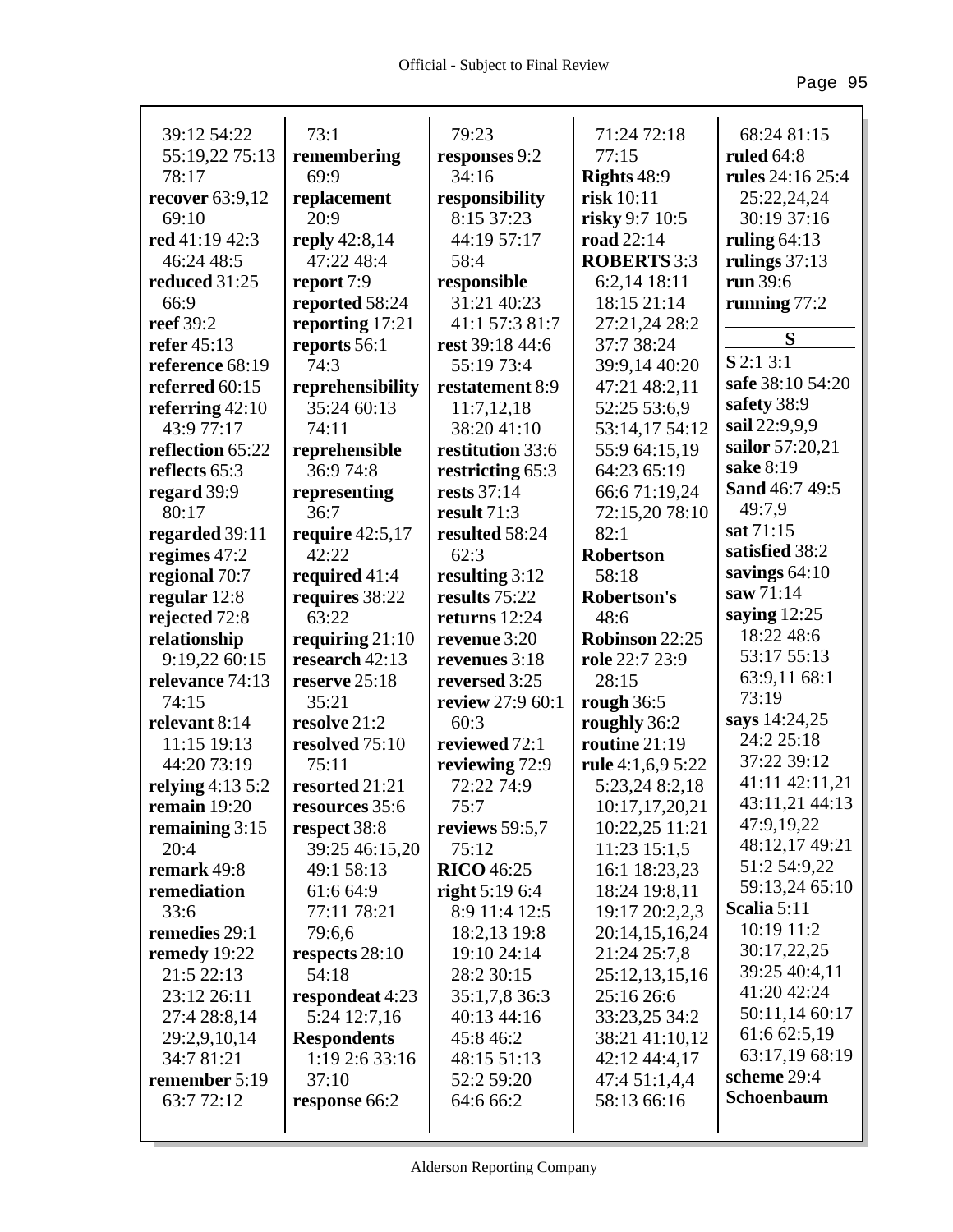| 39:12 54:22            | 73:1               | 79:23             | 71:24 72:18        | 68:24 81:15      |
|------------------------|--------------------|-------------------|--------------------|------------------|
| 55:19,22 75:13         | remembering        | responses 9:2     | 77:15              | ruled $64:8$     |
| 78:17                  | 69:9               | 34:16             | <b>Rights 48:9</b> | rules 24:16 25:4 |
| <b>recover</b> 63:9,12 | replacement        | responsibility    | risk 10:11         | 25:22,24,24      |
| 69:10                  | 20:9               | 8:15 37:23        | risky 9:7 10:5     | 30:19 37:16      |
| red 41:19 42:3         | reply 42:8,14      | 44:19 57:17       | road 22:14         | ruling $64:13$   |
| 46:24 48:5             | 47:22 48:4         | 58:4              | <b>ROBERTS</b> 3:3 | rulings $37:13$  |
| reduced 31:25          | report 7:9         | responsible       | 6:2,14 18:11       | run 39:6         |
| 66:9                   | reported 58:24     | 31:21 40:23       | 18:15 21:14        | running $77:2$   |
| reef 39:2              | reporting 17:21    | 41:1 57:3 81:7    | 27:21,24 28:2      |                  |
| refer 45:13            | reports 56:1       | rest 39:18 44:6   | 37:7 38:24         | S                |
| reference 68:19        | 74:3               | 55:19 73:4        | 39:9,14 40:20      | $S$ 2:1 3:1      |
| referred 60:15         | reprehensibility   | restatement 8:9   | 47:21 48:2,11      | safe 38:10 54:20 |
| referring $42:10$      | 35:24 60:13        | 11:7,12,18        | 52:25 53:6,9       | safety 38:9      |
| 43:9 77:17             | 74:11              | 38:20 41:10       | 53:14,17 54:12     | sail 22:9,9,9    |
| reflection 65:22       | reprehensible      | restitution 33:6  | 55:9 64:15,19      | sailor 57:20,21  |
| reflects 65:3          | 36:9 74:8          | restricting 65:3  | 64:23 65:19        | sake 8:19        |
| regard 39:9            | representing       | rests 37:14       | 66:6 71:19,24      | Sand 46:7 49:5   |
| 80:17                  | 36:7               | result 71:3       | 72:15,20 78:10     | 49:7,9           |
| regarded 39:11         | require $42:5,17$  | resulted 58:24    | 82:1               | sat 71:15        |
| regimes 47:2           | 42:22              | 62:3              | <b>Robertson</b>   | satisfied 38:2   |
| regional 70:7          | required 41:4      | resulting 3:12    | 58:18              | savings $64:10$  |
| regular $12:8$         | requires 38:22     | results 75:22     | Robertson's        | saw 71:14        |
| rejected 72:8          | 63:22              | returns 12:24     | 48:6               | saying $12:25$   |
| relationship           | requiring $21:10$  | revenue 3:20      | Robinson 22:25     | 18:22 48:6       |
| 9:19,22 60:15          | research 42:13     | revenues 3:18     | role 22:7 23:9     | 53:17 55:13      |
| relevance 74:13        | reserve 25:18      | reversed 3:25     | 28:15              | 63:9,11 68:1     |
| 74:15                  | 35:21              | review 27:9 60:1  | rough $36:5$       | 73:19            |
| relevant 8:14          | resolve 21:2       | 60:3              | roughly 36:2       | says 14:24,25    |
| 11:15 19:13            | resolved 75:10     | reviewed 72:1     | routine 21:19      | 24:2 25:18       |
| 44:20 73:19            | 75:11              | reviewing 72:9    | rule 4:1,6,9 5:22  | 37:22 39:12      |
| relying $4:13\,5:2$    | resorted 21:21     | 72:22 74:9        | 5:23,24 8:2,18     | 41:11 42:11,21   |
| remain 19:20           | resources 35:6     | 75:7              | 10:17,17,20,21     | 43:11,21 44:13   |
| remaining $3:15$       | respect 38:8       | reviews $59:5,7$  | 10:22,25 11:21     | 47:9,19,22       |
| 20:4                   | 39:25 46:15,20     | 75:12             | 11:23 15:1,5       | 48:12,17 49:21   |
| remark 49:8            | 49:1 58:13         | <b>RICO</b> 46:25 | 16:1 18:23,23      | 51:2 54:9,22     |
| remediation            | 61:6 64:9          | right $5:196:4$   | 18:24 19:8,11      | 59:13,24 65:10   |
| 33:6                   | 77:11 78:21        | 8:9 11:4 12:5     | 19:17 20:2,2,3     | Scalia 5:11      |
| remedies 29:1          | 79:6,6             | 18:2,13 19:8      | 20:14,15,16,24     | 10:19 11:2       |
| remedy 19:22           | respects 28:10     | 19:10 24:14       | 21:24 25:7,8       | 30:17,22,25      |
| 21:5 22:13             | 54:18              | 28:2 30:15        | 25:12,13,15,16     | 39:25 40:4,11    |
| 23:12 26:11            | respondeat 4:23    | 35:1,7,8 36:3     | 25:16 26:6         | 41:20 42:24      |
| 27:4 28:8,14           | 5:24 12:7,16       | 40:13 44:16       | 33:23,25 34:2      | 50:11,14 60:17   |
| 29:2,9,10,14           | <b>Respondents</b> | 45:8 46:2         | 38:21 41:10,12     | 61:6 62:5,19     |
| 34:7 81:21             | 1:19 2:6 33:16     | 48:15 51:13       | 42:12 44:4,17      | 63:17,19 68:19   |
| remember 5:19          | 37:10              | 52:2 59:20        | 47:4 51:1,4,4      | scheme 29:4      |
| 63:7 72:12             | response 66:2      | 64:6 66:2         | 58:13 66:16        | Schoenbaum       |
|                        |                    |                   |                    |                  |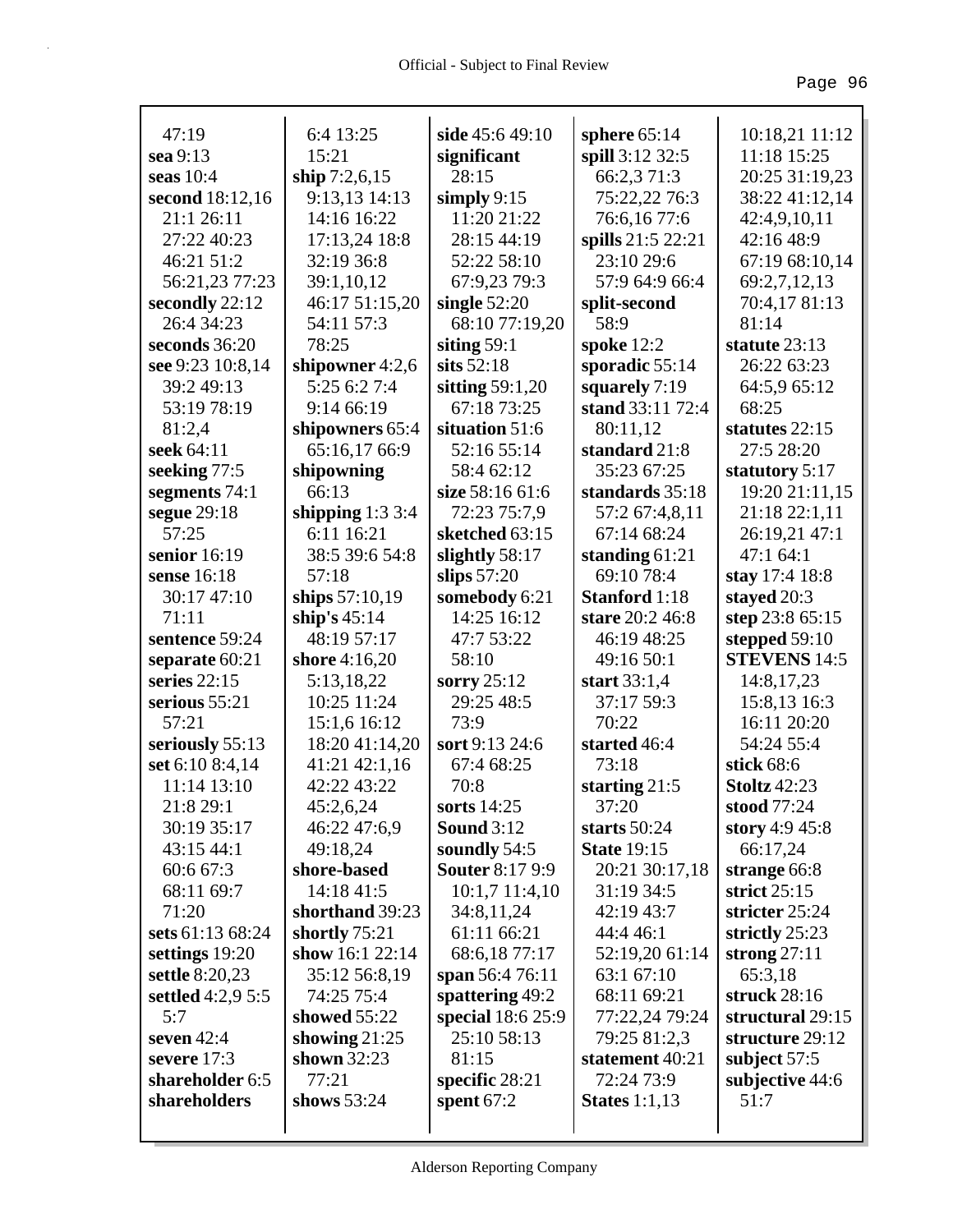| 47:19                        | 6:4 13:25                    | side 45:6 49:10                  | sphere $65:14$                 | 10:18,21 11:12                 |
|------------------------------|------------------------------|----------------------------------|--------------------------------|--------------------------------|
| sea 9:13                     | 15:21                        | significant                      | spill 3:12 32:5                | 11:18 15:25                    |
| seas $10:4$                  | ship $7:2,6,15$              | 28:15                            | 66:2,3 71:3                    | 20:25 31:19,23                 |
| second 18:12,16              | 9:13,13 14:13                | simply $9:15$                    | 75:22,22 76:3                  | 38:22 41:12,14<br>42:4,9,10,11 |
| 21:1 26:11                   | 14:16 16:22                  | 11:20 21:22                      | 76:6,16 77:6                   |                                |
| 27:22 40:23                  | 17:13,24 18:8                | 28:15 44:19                      | spills 21:5 22:21              | 42:16 48:9                     |
| 46:21 51:2                   | 32:19 36:8                   | 52:22 58:10                      | 23:10 29:6<br>57:9 64:9 66:4   | 67:19 68:10,14                 |
| 56:21,23 77:23               | 39:1,10,12                   | 67:9,23 79:3                     |                                | 69:2,7,12,13                   |
| secondly 22:12<br>26:4 34:23 | 46:17 51:15,20<br>54:11 57:3 | single $52:20$<br>68:10 77:19,20 | split-second<br>58:9           | 70:4,17 81:13<br>81:14         |
| seconds 36:20                | 78:25                        | siting $59:1$                    |                                | statute 23:13                  |
| see 9:23 10:8,14             | shipowner $4:2,6$            | sits $52:18$                     | spoke $12:2$<br>sporadic 55:14 | 26:22 63:23                    |
| 39:2 49:13                   | 5:25 6:2 7:4                 | sitting $59:1,20$                | squarely 7:19                  | 64:5,9 65:12                   |
| 53:19 78:19                  | 9:14 66:19                   | 67:18 73:25                      | stand 33:11 72:4               | 68:25                          |
| 81:2,4                       | shipowners 65:4              | situation 51:6                   | 80:11,12                       | statutes 22:15                 |
| seek 64:11                   | 65:16,17 66:9                | 52:16 55:14                      | standard 21:8                  | 27:5 28:20                     |
| seeking 77:5                 | shipowning                   | 58:4 62:12                       | 35:23 67:25                    | statutory 5:17                 |
| segments 74:1                | 66:13                        | size 58:16 61:6                  | standards 35:18                | 19:20 21:11,15                 |
| segue 29:18                  | shipping $1:33:4$            | 72:23 75:7.9                     | 57:2 67:4,8,11                 | 21:18 22:1,11                  |
| 57:25                        | 6:11 16:21                   | sketched 63:15                   | 67:14 68:24                    | 26:19,21 47:1                  |
| senior 16:19                 | 38:5 39:6 54:8               | slightly 58:17                   | standing $61:21$               | 47:164:1                       |
| sense 16:18                  | 57:18                        | slips $57:20$                    | 69:10 78:4                     | stay 17:4 18:8                 |
| 30:17 47:10                  | ships 57:10,19               | somebody 6:21                    | <b>Stanford</b> 1:18           | stayed 20:3                    |
| 71:11                        | ship's $45:14$               | 14:25 16:12                      | stare 20:2 46:8                | step 23:8 65:15                |
| sentence 59:24               | 48:19 57:17                  | 47:7 53:22                       | 46:19 48:25                    | stepped $59:10$                |
| separate 60:21               | shore 4:16,20                | 58:10                            | 49:16 50:1                     | <b>STEVENS 14:5</b>            |
| series $22:15$               | 5:13,18,22                   | sorry $25:12$                    | start $33:1,4$                 | 14:8,17,23                     |
| serious $55:21$              | 10:25 11:24                  | 29:25 48:5                       | 37:17 59:3                     | 15:8,13 16:3                   |
| 57:21                        | 15:1,6 16:12                 | 73:9                             | 70:22                          | 16:11 20:20                    |
| seriously 55:13              | 18:20 41:14,20               | sort 9:13 24:6                   | started 46:4                   | 54:24 55:4                     |
| set 6:10 8:4,14              | 41:21 42:1,16                | 67:4 68:25                       | 73:18                          | stick $68:6$                   |
| 11:14 13:10                  | 42:22 43:22                  | 70:8                             | starting $21:5$                | <b>Stoltz</b> 42:23            |
| 21:8 29:1                    | 45:2,6,24                    | sorts 14:25                      | 37:20                          | stood 77:24                    |
| 30:19 35:17                  | 46:22 47:6,9                 | <b>Sound</b> 3:12                | starts $50:24$                 | story $4:9,45:8$               |
| 43:15 44:1                   | 49:18,24                     | soundly 54:5                     | <b>State 19:15</b>             | 66:17,24                       |
| 60:6 67:3                    | shore-based                  | <b>Souter 8:17 9:9</b>           | 20:21 30:17,18                 | strange 66:8                   |
| 68:11 69:7                   | 14:18 41:5                   | $10:1,7$ 11:4,10                 | 31:19 34:5                     | strict $25:15$                 |
| 71:20                        | shorthand 39:23              | 34:8,11,24                       | 42:19 43:7                     | stricter 25:24                 |
| sets 61:13 68:24             | shortly 75:21                | 61:11 66:21                      | 44:4 46:1                      | strictly 25:23                 |
| settings 19:20               | show $16:1$ 22:14            | 68:6,1877:17                     | 52:19,20 61:14                 | strong $27:11$                 |
| settle 8:20,23               | 35:12 56:8,19                | span 56:4 76:11                  | 63:1 67:10                     | 65:3,18                        |
| settled 4:2,9 5:5            | 74:25 75:4                   | spattering 49:2                  | 68:11 69:21                    | struck 28:16                   |
| 5:7                          | showed 55:22                 | special 18:6 25:9                | 77:22,24 79:24                 | structural 29:15               |
| seven 42:4                   | showing $21:25$              | 25:10 58:13                      | 79:25 81:2,3                   | structure 29:12                |
| severe 17:3                  | shown 32:23                  | 81:15                            | statement 40:21                | subject $57:5$                 |
| shareholder 6:5              | 77:21                        | specific 28:21                   | 72:24 73:9                     | subjective 44:6                |
| shareholders                 | shows $53:24$                | spent $67:2$                     | States $1:1,13$                | 51:7                           |
|                              |                              |                                  |                                |                                |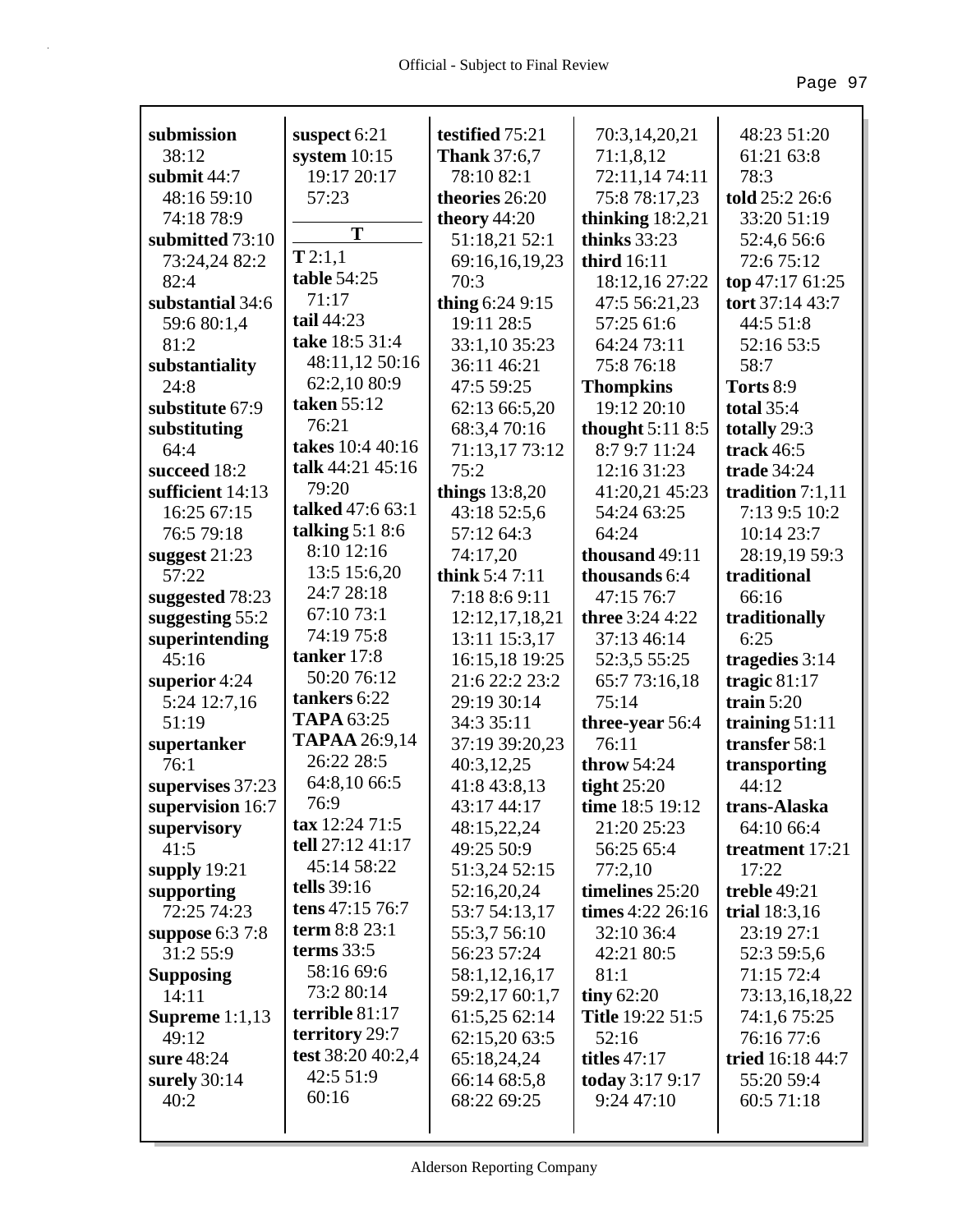| submission             | suspect 6:21                        | testified 75:21     | 70:3,14,20,21           | 48:23 51:20        |
|------------------------|-------------------------------------|---------------------|-------------------------|--------------------|
| 38:12                  | system $10:15$                      | <b>Thank</b> 37:6,7 | 71:1,8,12               | 61:21 63:8         |
| submit 44:7            | 19:17 20:17                         | 78:10 82:1          | 72:11,14 74:11          | 78:3               |
| 48:16 59:10            | 57:23                               | theories 26:20      | 75:8 78:17,23           | told 25:2 26:6     |
| 74:18 78:9             |                                     | theory $44:20$      | thinking $18:2,21$      | 33:20 51:19        |
| submitted 73:10        | T                                   | 51:18,21 52:1       | thinks $33:23$          | 52:4,6 56:6        |
| 73:24,24 82:2          | T2:1,1                              | 69:16,16,19,23      | third 16:11             | 72:6 75:12         |
| 82:4                   | table 54:25                         | 70:3                | 18:12,16 27:22          | top 47:17 61:25    |
| substantial 34:6       | 71:17                               | thing $6:249:15$    | 47:5 56:21,23           | tort 37:14 43:7    |
| 59:6 80:1,4            | tail 44:23                          | 19:11 28:5          | 57:25 61:6              | 44:5 51:8          |
| 81:2                   | take 18:5 31:4                      | 33:1,10 35:23       | 64:24 73:11             | 52:16 53:5         |
|                        | 48:11,12 50:16                      | 36:11 46:21         | 75:8 76:18              | 58:7               |
| substantiality<br>24:8 | 62:2,10 80:9                        |                     |                         |                    |
|                        | taken 55:12                         | 47:5 59:25          | <b>Thompkins</b>        | Torts 8:9          |
| substitute 67:9        | 76:21                               | 62:13 66:5,20       | 19:12 20:10             | <b>total</b> 35:4  |
| substituting           | takes 10:4 40:16                    | 68:3,4 70:16        | thought 5:11 8:5        | totally 29:3       |
| 64:4                   | talk 44:21 45:16                    | 71:13,17 73:12      | 8:7 9:7 11:24           | track 46:5         |
| succeed 18:2           | 79:20                               | 75:2                | 12:16 31:23             | <b>trade</b> 34:24 |
| sufficient 14:13       | talked 47:6 63:1                    | things $13:8,20$    | 41:20,21 45:23          | tradition $7:1,11$ |
| 16:25 67:15            | talking $5:18:6$                    | 43:18 52:5,6        | 54:24 63:25             | 7:13 9:5 10:2      |
| 76:5 79:18             | 8:10 12:16                          | 57:12 64:3          | 64:24                   | 10:14 23:7         |
| suggest $21:23$        |                                     | 74:17,20            | thousand 49:11          | 28:19,19 59:3      |
| 57:22                  | 13:5 15:6,20                        | think $5:47:11$     | thousands 6:4           | traditional        |
| suggested 78:23        | 24:7 28:18                          | 7:18 8:6 9:11       | 47:15 76:7              | 66:16              |
| suggesting 55:2        | 67:10 73:1                          | 12:12,17,18,21      | three 3:24 4:22         | traditionally      |
| superintending         | 74:19 75:8                          | 13:11 15:3,17       | 37:13 46:14             | 6:25               |
| 45:16                  | tanker 17:8                         | 16:15,18 19:25      | 52:3,5 55:25            | tragedies 3:14     |
| superior 4:24          | 50:20 76:12                         | 21:6 22:2 23:2      | 65:7 73:16,18           | tragic $81:17$     |
| 5:24 12:7,16           | tankers 6:22                        | 29:19 30:14         | 75:14                   | train $5:20$       |
| 51:19                  | <b>TAPA 63:25</b>                   | 34:3 35:11          | three-year 56:4         | training $51:11$   |
| supertanker            | <b>TAPAA</b> 26:9,14                | 37:19 39:20,23      | 76:11                   | transfer 58:1      |
| 76:1                   | 26:22 28:5                          | 40:3,12,25          | throw 54:24             | transporting       |
| supervises 37:23       | 64:8,10 66:5                        | 41:8 43:8,13        | tight $25:20$           | 44:12              |
| supervision 16:7       | 76:9                                | 43:17 44:17         | time 18:5 19:12         | trans-Alaska       |
| supervisory            | $\textbf{tax } 12:24 \text{ } 71:5$ | 48:15,22,24         | 21:20 25:23             | 64:10 66:4         |
| 41:5                   | tell 27:12 41:17                    | 49:25 50:9          | 56:25 65:4              | treatment 17:21    |
| supply $19:21$         | 45:14 58:22                         | 51:3,24 52:15       | 77:2,10                 | 17:22              |
| supporting             | tells 39:16                         | 52:16,20,24         | timelines 25:20         | treble 49:21       |
| 72:25 74:23            | tens 47:15 76:7                     | 53:7 54:13,17       | times 4:22 26:16        | trial 18:3,16      |
| suppose 6:3 7:8        | term 8:8 23:1                       | 55:3,7 56:10        | 32:10 36:4              | 23:19 27:1         |
| 31:2 55:9              | terms $33:5$                        | 56:23 57:24         | 42:21 80:5              | 52:3 59:5,6        |
| <b>Supposing</b>       | 58:16 69:6                          | 58:1,12,16,17       | 81:1                    | 71:15 72:4         |
| 14:11                  | 73:2 80:14                          | 59:2,17 60:1,7      | tiny $62:20$            | 73:13,16,18,22     |
| Supreme $1:1,13$       | terrible $81:17$                    | 61:5,25 62:14       | <b>Title 19:22 51:5</b> | 74:1,6 75:25       |
| 49:12                  | territory 29:7                      | 62:15,20 63:5       | 52:16                   | 76:16 77:6         |
| sure 48:24             | test 38:20 40:2,4                   | 65:18,24,24         | <b>titles</b> 47:17     | tried 16:18 44:7   |
| surely $30:14$         | 42:5 51:9                           | 66:14 68:5,8        | <b>today</b> 3:17 9:17  | 55:20 59:4         |
| 40:2                   | 60:16                               | 68:22 69:25         | 9:24 47:10              | 60:5 71:18         |
|                        |                                     |                     |                         |                    |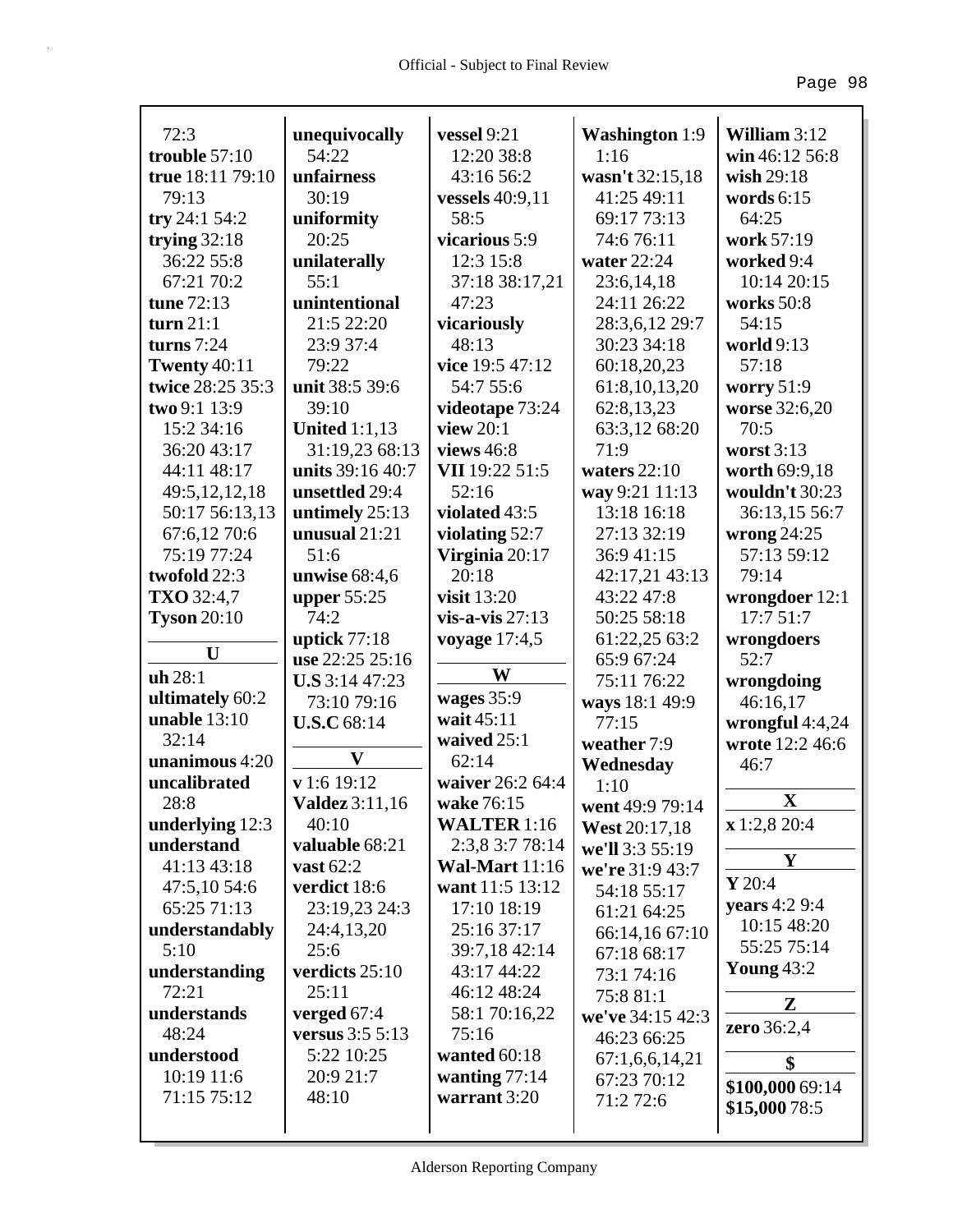| 72:3                     | unequivocally                          | vessel 9:21                    | <b>Washington 1:9</b>         | William $3:12$            |
|--------------------------|----------------------------------------|--------------------------------|-------------------------------|---------------------------|
| trouble $57:10$          | 54:22                                  | 12:20 38:8                     | 1:16                          | win 46:12 56:8            |
| true 18:11 79:10         | unfairness                             | 43:16 56:2                     | wasn't 32:15,18               | wish $29:18$              |
| 79:13                    | 30:19                                  | vessels 40:9,11                | 41:25 49:11                   | words $6:15$              |
| try 24:1 54:2            | uniformity<br>20:25                    | 58:5<br>vicarious 5:9          | 69:17 73:13                   | 64:25<br>work 57:19       |
| trying $32:18$           |                                        |                                | 74:6 76:11                    |                           |
| 36:22 55:8               | unilaterally<br>55:1                   | 12:3 15:8                      | water 22:24                   | worked 9:4                |
| 67:21 70:2<br>tune 72:13 | unintentional                          | 37:18 38:17,21<br>47:23        | 23:6, 14, 18<br>24:11 26:22   | 10:14 20:15<br>works 50:8 |
| turn $21:1$              | 21:5 22:20                             |                                |                               | 54:15                     |
| turns $7:24$             | 23:9 37:4                              | vicariously<br>48:13           | 28:3,6,12 29:7<br>30:23 34:18 | world 9:13                |
| <b>Twenty 40:11</b>      | 79:22                                  | vice 19:5 47:12                | 60:18,20,23                   | 57:18                     |
| twice 28:25 35:3         | unit 38:5 39:6                         | 54:7 55:6                      | 61:8,10,13,20                 |                           |
| two 9:1 13:9             | 39:10                                  |                                | 62:8,13,23                    | worry $51:9$              |
| 15:2 34:16               |                                        | videotape 73:24<br>view $20:1$ |                               | worse 32:6,20<br>70:5     |
| 36:20 43:17              | <b>United 1:1,13</b><br>31:19,23 68:13 | views 46:8                     | 63:3,12 68:20<br>71:9         | worst $3:13$              |
| 44:11 48:17              | units 39:16 40:7                       | VII 19:22 51:5                 | waters $22:10$                | worth 69:9,18             |
| 49:5,12,12,18            | unsettled 29:4                         | 52:16                          |                               | wouldn't 30:23            |
| 50:17 56:13,13           | untimely 25:13                         | violated 43:5                  | way 9:21 11:13<br>13:18 16:18 | 36:13,15 56:7             |
| 67:6,12 70:6             | unusual $21:21$                        | violating $52:7$               | 27:13 32:19                   | wrong $24:25$             |
| 75:19 77:24              | 51:6                                   | Virginia 20:17                 | 36:9 41:15                    | 57:13 59:12               |
| twofold 22:3             | unwise $68:4,6$                        | 20:18                          | 42:17,21 43:13                | 79:14                     |
| TXO 32:4,7               | upper $55:25$                          | visit 13:20                    | 43:22 47:8                    | wrongdoer 12:1            |
| <b>Tyson</b> $20:10$     | 74:2                                   | vis-a-vis $27:13$              | 50:25 58:18                   | 17:751:7                  |
|                          | uptick $77:18$                         | voyage $17:4,5$                | 61:22,25 63:2                 | wrongdoers                |
| U                        | use 22:25 25:16                        |                                | 65:9 67:24                    | 52:7                      |
| uh 28:1                  | U.S 3:14 47:23                         | W                              | 75:11 76:22                   | wrongdoing                |
| ultimately 60:2          | 73:10 79:16                            | wages 35:9                     | ways 18:1 49:9                | 46:16,17                  |
| unable $13:10$           | <b>U.S.C</b> 68:14                     | wait 45:11                     | 77:15                         | wrongful 4:4,24           |
| 32:14                    |                                        | waived 25:1                    | weather 7:9                   | wrote 12:2 46:6           |
| unanimous 4:20           | $\mathbf{V}$                           | 62:14                          | Wednesday                     | 46:7                      |
| uncalibrated             | v 1:6 19:12                            | waiver 26:2 64:4               | 1:10                          |                           |
| 28:8                     | <b>Valdez</b> 3:11,16                  | wake 76:15                     | went 49:9 79:14               | $\mathbf X$               |
| underlying 12:3          | 40:10                                  | <b>WALTER</b> 1:16             | West 20:17,18                 | x 1:2,8 20:4              |
| understand               | valuable 68:21                         | 2:3,8 3:7 78:14                | we'll 3:3 55:19               |                           |
| 41:13 43:18              | vast $62:2$                            | <b>Wal-Mart</b> 11:16          | we're 31:9 43:7               | Y                         |
| 47:5,10 54:6             | verdict 18:6                           | want 11:5 13:12                | 54:18 55:17                   | $Y$ 20:4                  |
| 65:25 71:13              | 23:19,23 24:3                          | 17:10 18:19                    | 61:21 64:25                   | years 4:2 9:4             |
| understandably           | 24:4,13,20                             | 25:16 37:17                    | 66:14,16 67:10                | 10:15 48:20               |
| 5:10                     | 25:6                                   | 39:7,18 42:14                  | 67:18 68:17                   | 55:25 75:14               |
| understanding            | verdicts 25:10                         | 43:17 44:22                    | 73:1 74:16                    | <b>Young 43:2</b>         |
| 72:21                    | 25:11                                  | 46:12 48:24                    | 75:8 81:1                     | Z                         |
| understands              | verged $67:4$                          | 58:1 70:16,22                  | we've 34:15 42:3              |                           |
| 48:24                    | versus 3:5 5:13                        | 75:16                          | 46:23 66:25                   | zero 36:2,4               |
| understood               | 5:22 10:25                             | wanted 60:18                   | 67:1,6,6,14,21                | \$                        |
| 10:19 11:6               | 20:9 21:7                              | wanting $77:14$                | 67:23 70:12                   | \$100,000 69:14           |
| 71:15 75:12              | 48:10                                  | warrant 3:20                   | 71:2 72:6                     | \$15,000 78:5             |
|                          |                                        |                                |                               |                           |